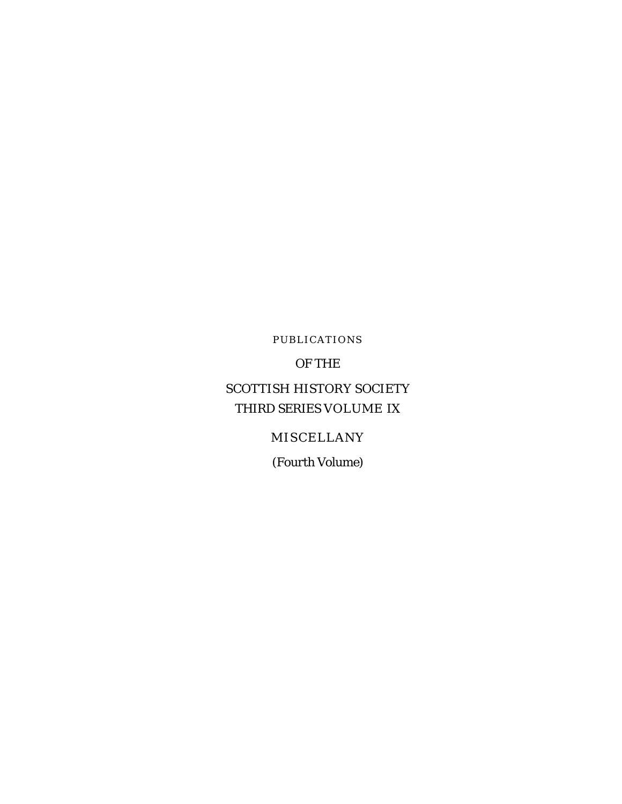PUBLICATIONS

OF THE

## SCOTTISH HISTORY SOCIETY THIRD SERIES VOLUME IX

#### MISCELLANY

*(Fourth Volume*)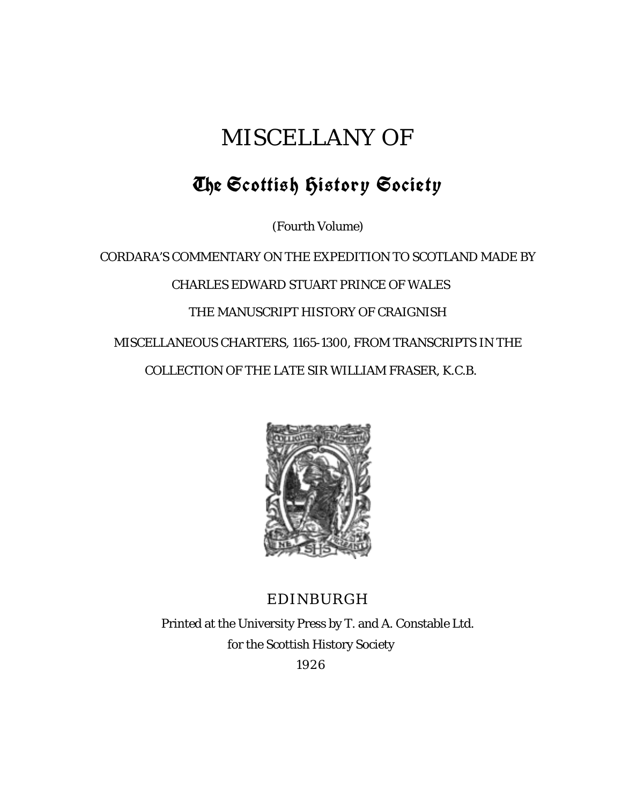# MISCELLANY OF

# The Scottish History Society

*(Fourth Volume*)

CORDARA'S COMMENTARY ON THE EXPEDITION TO SCOTLAND MADE BY CHARLES EDWARD STUART PRINCE OF WALES THE MANUSCRIPT HISTORY OF CRAIGNISH MISCELLANEOUS CHARTERS, 1165-1300, FROM TRANSCRIPTS IN THE COLLECTION OF THE LATE SIR WILLIAM FRASER, K.C.B.



### EDINBURGH

Printed at the University Press by T. and A. Constable Ltd. for the Scottish History Society 1926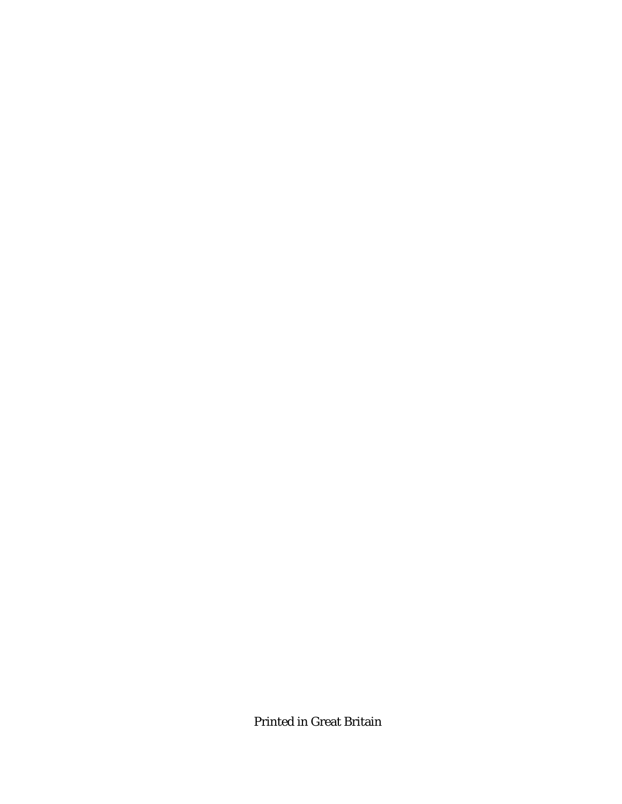Printed in Great Britain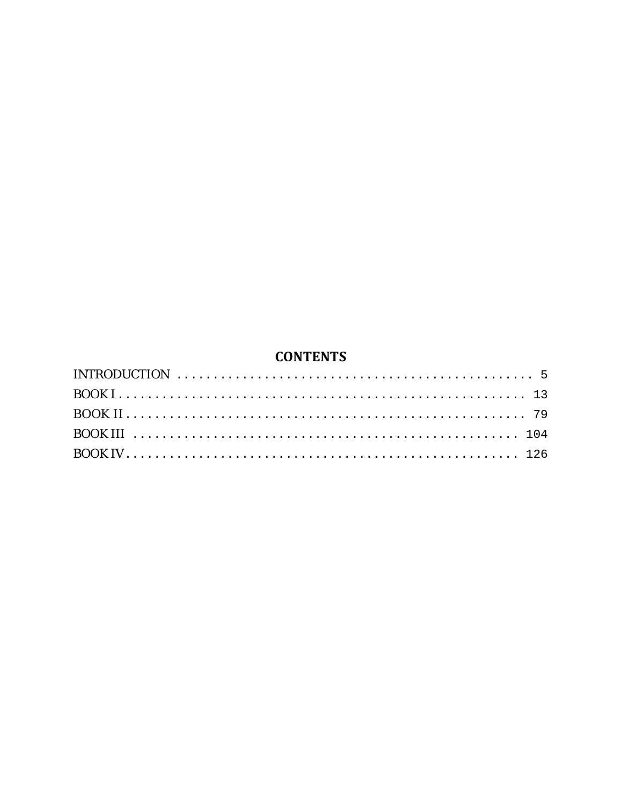### **CONTENTS**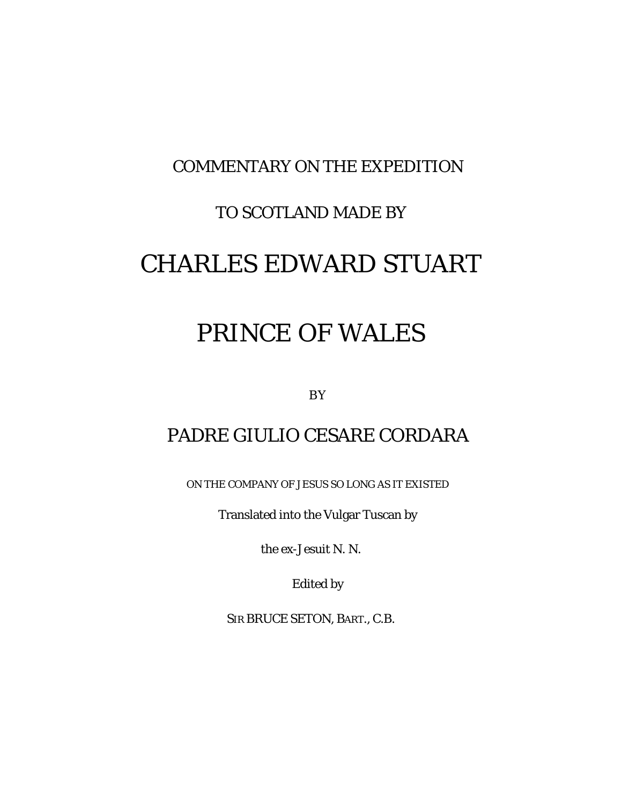## COMMENTARY ON THE EXPEDITION

## TO SCOTLAND MADE BY

# CHARLES EDWARD STUART

# PRINCE OF WALES

BY

# PADRE GIULIO CESARE CORDARA

ON THE COMPANY OF JESUS SO LONG AS IT EXISTED

Translated into the Vulgar Tuscan by

the ex-Jesuit N. N.

Edited by

SIR BRUCE SETON, BART., C.B.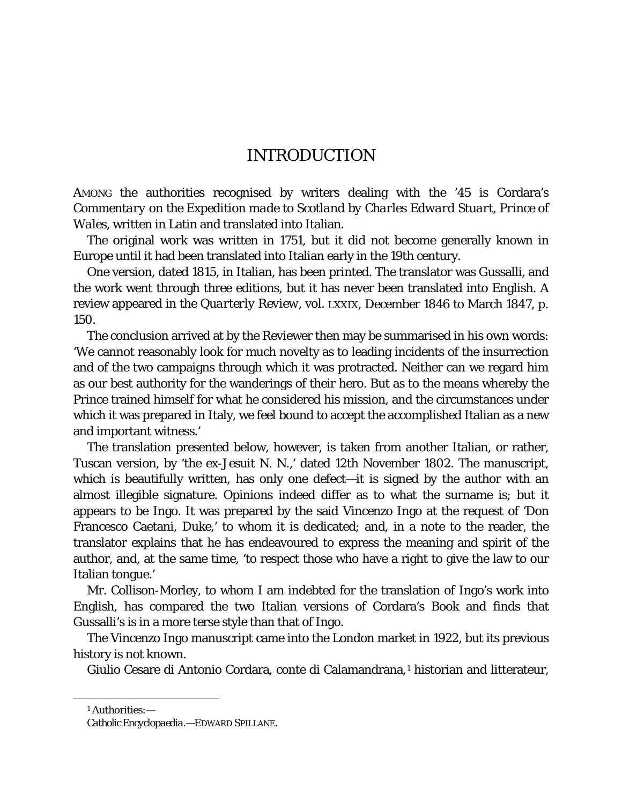#### INTRODUCTION

<span id="page-9-0"></span>AMONG the authorities recognised by writers dealing with the '45 is Cordara's *Commentary on the Expedition made to Scotland by Charles Edward Stuart, Prince of Wales,* written in Latin and translated into Italian.

The original work was written in 1751, but it did not become generally known in Europe until it had been translated into Italian early in the 19th century.

One version, dated 1815, in Italian, has been printed. The translator was Gussalli, and the work went through three editions, but it has never been translated into English. A review appeared in the *Quarterly Review,* vol. LXXIX, December 1846 to March 1847, p. 150.

The conclusion arrived at by the Reviewer then may be summarised in his own words: 'We cannot reasonably look for much novelty as to leading incidents of the insurrection and of the two campaigns through which it was protracted. Neither can we regard him as our best authority for the wanderings of their hero. But as to the means whereby the Prince trained himself for what he considered his mission, and the circumstances under which it was prepared in Italy, we feel bound to accept the accomplished Italian as a new and important witness.'

The translation presented below, however, is taken from another Italian, or rather, Tuscan version, by 'the ex-Jesuit N. N.,' dated 12th November 1802. The manuscript, which is beautifully written, has only one defect—it is signed by the author with an almost illegible signature. Opinions indeed differ as to what the surname is; but it appears to be Ingo. It was prepared by the said Vincenzo Ingo at the request of 'Don Francesco Caetani, Duke,' to whom it is dedicated; and, in a note to the reader, the translator explains that he has endeavoured to express the meaning and spirit of the author, and, at the same time, 'to respect those who have a right to give the law to our Italian tongue.'

Mr. Collison-Morley, to whom I am indebted for the translation of Ingo's work into English, has compared the two Italian versions of Cordara's Book and finds that Gussalli's is in a more terse style than that of Ingo.

The Vincenzo Ingo manuscript came into the London market in 1922, but its previous history is not known.

Giulio Cesare di Antonio Cordara, conte di Calamandrana,<sup>[1](#page-9-1)</sup> historian and litterateur,

<span id="page-9-1"></span>Ĩ.

<sup>1</sup> Authorities:—

*Catholic Encyclopaedia*.—EDWARD SPILLANE.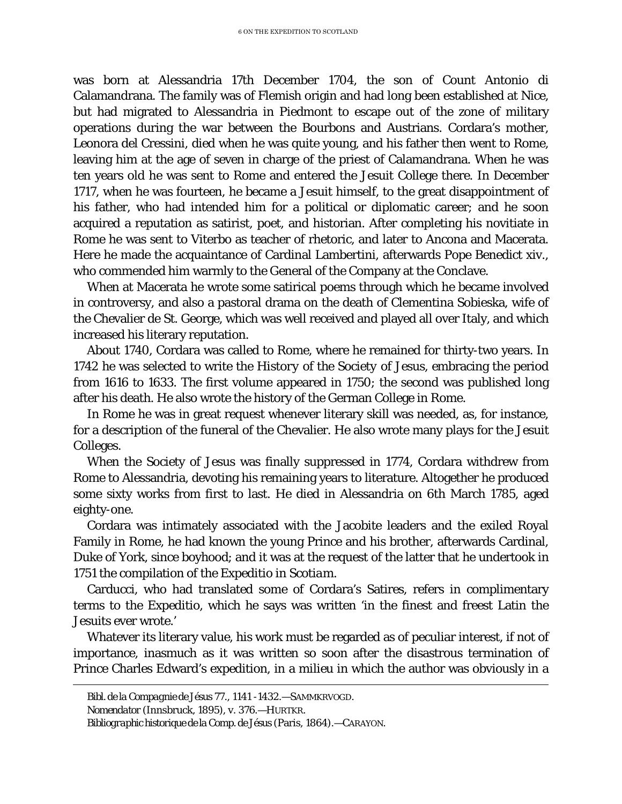was born at Alessandria 17th December 1704, the son of Count Antonio di Calamandrana. The family was of Flemish origin and had long been established at Nice, but had migrated to Alessandria in Piedmont to escape out of the zone of military operations during the war between the Bourbons and Austrians. Cordara's mother, Leonora del Cressini, died when he was quite young, and his father then went to Rome, leaving him at the age of seven in charge of the priest of Calamandrana. When he was ten years old he was sent to Rome and entered the Jesuit College there. In December 1717, when he was fourteen, he became a Jesuit himself, to the great disappointment of his father, who had intended him for a political or diplomatic career; and he soon acquired a reputation as satirist, poet, and historian. After completing his novitiate in Rome he was sent to Viterbo as teacher of rhetoric, and later to Ancona and Macerata. Here he made the acquaintance of Cardinal Lambertini, afterwards Pope Benedict xiv., who commended him warmly to the General of the Company at the Conclave.

When at Macerata he wrote some satirical poems through which he became involved in controversy, and also a pastoral drama on the death of Clementina Sobieska, wife of the Chevalier de St. George, which was well received and played all over Italy, and which increased his literary reputation.

About 1740, Cordara was called to Rome, where he remained for thirty-two years. In 1742 he was selected to write the *History of the Society of Jesus,* embracing the period from 1616 to 1633. The first volume appeared in 1750; the second was published long after his death. He also wrote the history of the German College in Rome.

In Rome he was in great request whenever literary skill was needed, as, for instance, for a description of the funeral of the Chevalier. He also wrote many plays for the Jesuit Colleges.

When the Society of Jesus was finally suppressed in 1774, Cordara withdrew from Rome to Alessandria, devoting his remaining years to literature. Altogether he produced some sixty works from first to last. He died in Alessandria on 6th March 1785, aged eighty-one.

Cordara was intimately associated with the Jacobite leaders and the exiled Royal Family in Rome, he had known the young Prince and his brother, afterwards Cardinal, Duke of York, since boyhood; and it was at the request of the latter that he undertook in 1751 the compilation of the *Expeditio in Scotiam.*

Carducci, who had translated some of Cordara's Satires, refers in complimentary terms to the *Expeditio,* which he says was written 'in the finest and freest Latin the Jesuits ever wrote.'

Whatever its literary value, his work must be regarded as of peculiar interest, if not of importance, inasmuch as it was written so soon after the disastrous termination of Prince Charles Edward's expedition, in a *milieu* in which the author was obviously in a

Ĩ.

*Bibl. de la Compagnie de Jésus* 77., 1141 -1432.—SAMMKRVOGD.

*Nomendator* (Innsbruck, 1895), v. 376.—HURTKR.

*Bibliographic historique de la Comp. de Jésus* (Paris, 1864).—CARAYON.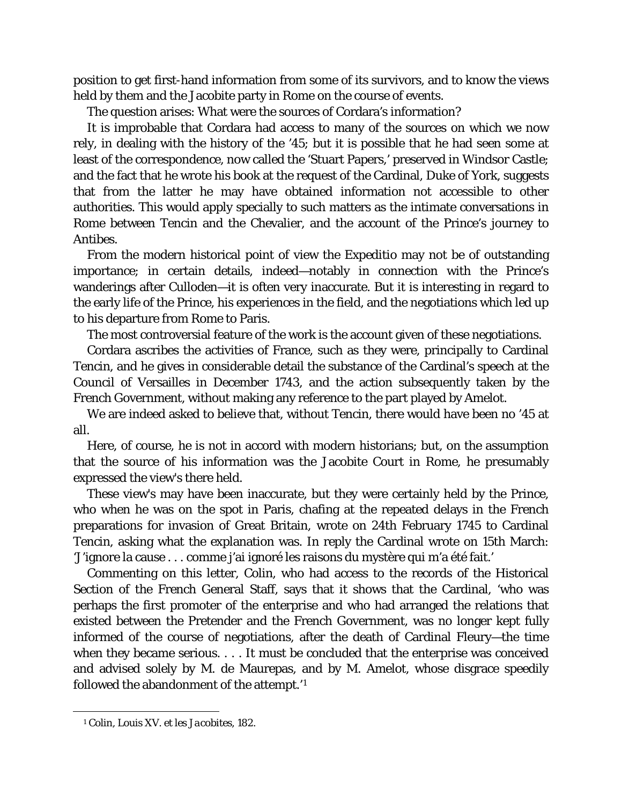position to get first-hand information from some of its survivors, and to know the views held by them and the Jacobite party in Rome on the course of events.

The question arises: What were the sources of Cordara's information?

It is improbable that Cordara had access to many of the sources on which we now rely, in dealing with the history of the '45; but it is possible that he had seen some at least of the correspondence, now called the 'Stuart Papers,' preserved in Windsor Castle; and the fact that he wrote his book at the request of the Cardinal, Duke of York, suggests that from the latter he may have obtained information not accessible to other authorities. This would apply specially to such matters as the intimate conversations in Rome between Tencin and the Chevalier, and the account of the Prince's journey to Antibes.

From the modern historical point of view the *Expeditio* may not be of outstanding importance; in certain details, indeed—notably in connection with the Prince's wanderings after Culloden—it is often very inaccurate. But it is interesting in regard to the early life of the Prince, his experiences in the field, and the negotiations which led up to his departure from Rome to Paris.

The most controversial feature of the work is the account given of these negotiations.

Cordara ascribes the activities of France, such as they were, principally to Cardinal Tencin, and he gives in considerable detail the substance of the Cardinal's speech at the Council of Versailles in December 1743, and the action subsequently taken by the French Government, without making any reference to the part played by Amelot.

We are indeed asked to believe that, without Tencin, there would have been no '45 at all.

Here, of course, he is not in accord with modern historians; but, on the assumption that the source of his information was the Jacobite Court in Rome, he presumably expressed the view's there held.

These view's may have been inaccurate, but they were certainly held by the Prince, who when he was on the spot in Paris, chafing at the repeated delays in the French preparations for invasion of Great Britain, wrote on 24th February 1745 to Cardinal Tencin, asking what the explanation was. In reply the Cardinal wrote on 15th March: 'J'ignore la cause . . . comme j'ai ignoré les raisons du mystère qui m'a été fait.'

Commenting on this letter, Colin, who had access to the records of the Historical Section of the French General Staff, says that it shows that the Cardinal, 'who was perhaps the first promoter of the enterprise and who had arranged the relations that existed between the Pretender and the French Government, was no longer kept fully informed of the course of negotiations, after the death of Cardinal Fleury—the time when they became serious. . . . It must be concluded that the enterprise was conceived and advised solely by M. de Maurepas, and by M. Amelot, whose disgrace speedily followed the abandonment of the attempt.'[1](#page-11-0)

<span id="page-11-0"></span>Ĩ.

<sup>1</sup> Colin, *Louis XV. et les Jacobites,* 182.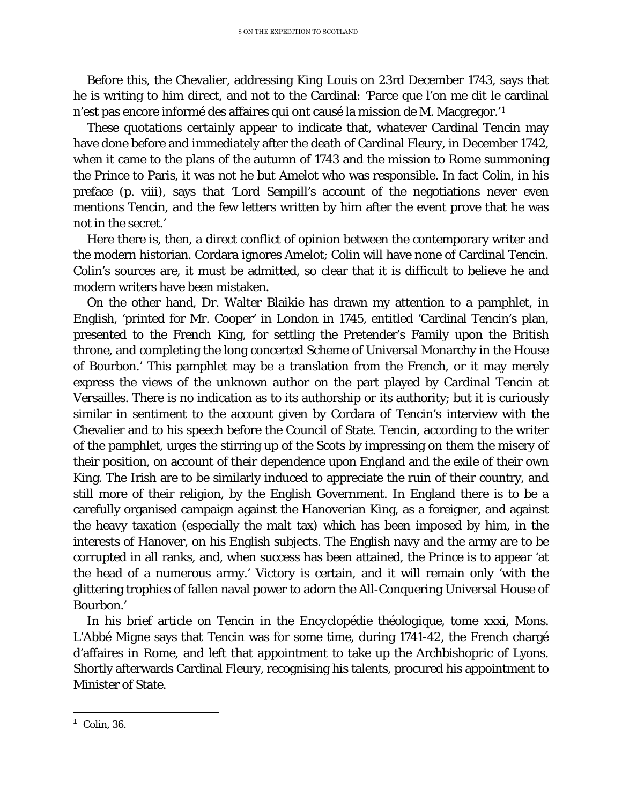Before this, the Chevalier, addressing King Louis on 23rd December 1743, says that he is writing to him direct, and not to the Cardinal: 'Parce que l'on me dit le cardinal n'est pas encore informé des affaires qui ont causé la mission de M. Macgregor.'[1](#page-12-0)

These quotations certainly appear to indicate that, whatever Cardinal Tencin may have done before and immediately after the death of Cardinal Fleury, in December 1742, when it came to the plans of the autumn of 1743 and the mission to Rome summoning the Prince to Paris, it was not he but Amelot who was responsible. In fact Colin, in his preface (p. viii), says that 'Lord Sempill's account of the negotiations never even mentions Tencin, and the few letters written by him after the event prove that he was not in the secret.'

Here there is, then, a direct conflict of opinion between the contemporary writer and the modern historian. Cordara ignores Amelot; Colin will have none of Cardinal Tencin. Colin's sources are, it must be admitted, so clear that it is difficult to believe he and modern writers have been mistaken.

On the other hand, Dr. Walter Blaikie has drawn my attention to a pamphlet, in English, 'printed for Mr. Cooper' in London in 1745, entitled 'Cardinal Tencin's plan, presented to the French King, for settling the Pretender's Family upon the British throne, and completing the long concerted Scheme of Universal Monarchy in the House of Bourbon.' This pamphlet may be a translation from the French, or it may merely express the views of the unknown author on the part played by Cardinal Tencin at Versailles. There is no indication as to its authorship or its authority; but it is curiously similar in sentiment to the account given by Cordara of Tencin's interview with the Chevalier and to his speech before the Council of State. Tencin, according to the writer of the pamphlet, urges the stirring up of the Scots by impressing on them the misery of their position, on account of their dependence upon England and the exile of their own King. The Irish are to be similarly induced to appreciate the ruin of their country, and still more of their religion, by the English Government. In England there is to be a carefully organised campaign against the Hanoverian King, as a foreigner, and against the heavy taxation (especially the malt tax) which has been imposed by him, in the interests of Hanover, on his English subjects. The English navy and the army are to be corrupted in all ranks, and, when success has been attained, the Prince is to appear 'at the head of a numerous army.' Victory is certain, and it will remain only 'with the glittering trophies of fallen naval power to adorn the All-Conquering Universal House of Bourbon.'

In his brief article on Tencin in the *Encyclopédie théologique,* tome xxxi, Mons. L'Abbé Migne says that Tencin was for some time, during 1741-42, the French chargé d'affaires in Rome, and left that appointment to take up the Archbishopric of Lyons. Shortly afterwards Cardinal Fleury, recognising his talents, procured his appointment to Minister of State.

<span id="page-12-0"></span>Ĩ.  $^1$  Colin, 36.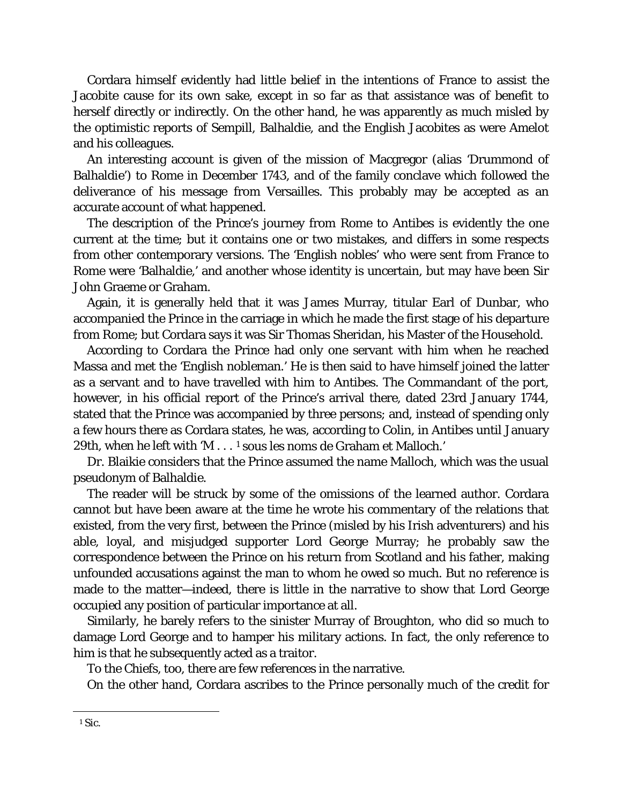Cordara himself evidently had little belief in the intentions of France to assist the Jacobite cause for its own sake, except in so far as that assistance was of benefit to herself directly or indirectly. On the other hand, he was apparently as much misled by the optimistic reports of Sempill, Balhaldie, and the English Jacobites as were Amelot and his colleagues.

An interesting account is given of the mission of Macgregor (alias 'Drummond of Balhaldie') to Rome in December 1743, and of the family conclave which followed the deliverance of his message from Versailles. This probably may be accepted as an accurate account of what happened.

The description of the Prince's journey from Rome to Antibes is evidently the one current at the time; but it contains one or two mistakes, and differs in some respects from other contemporary versions. The 'English nobles' who were sent from France to Rome were 'Balhaldie,' and another whose identity is uncertain, but may have been Sir John Graeme or Graham.

Again, it is generally held that it was James Murray, titular Earl of Dunbar, who accompanied the Prince in the carriage in which he made the first stage of his departure from Rome; but Cordara says it was Sir Thomas Sheridan, his Master of the Household.

According to Cordara the Prince had only one servant with him when he reached Massa and met the 'English nobleman.' He is then said to have himself joined the latter as a servant and to have travelled with him to Antibes. The Commandant of the port, however, in his official report of the Prince's arrival there, dated 23rd January 1744, stated that the Prince was accompanied by three persons; and, instead of spending only a few hours there as Cordara states, he was, according to Colin, in Antibes until January 29th, when he left with 'M . . . [1](#page-13-0) sous les noms de Graham et Malloch.'

Dr. Blaikie considers that the Prince assumed the name Malloch, which was the usual pseudonym of Balhaldie.

The reader will be struck by some of the omissions of the learned author. Cordara cannot but have been aware at the time he wrote his commentary of the relations that existed, from the very first, between the Prince (misled by his Irish adventurers) and his able, loyal, and misjudged supporter Lord George Murray; he probably saw the correspondence between the Prince on his return from Scotland and his father, making unfounded accusations against the man to whom he owed so much. But no reference is made to the matter—indeed, there is little in the narrative to show that Lord George occupied any position of particular importance at all.

Similarly, he barely refers to the sinister Murray of Broughton, who did so much to damage Lord George and to hamper his military actions. In fact, the only reference to him is that he subsequently acted as a traitor.

To the Chiefs, too, there are few references in the narrative.

On the other hand, Cordara ascribes to the Prince personally much of the credit for

<span id="page-13-0"></span>Ĩ. <sup>1</sup> *Sic.*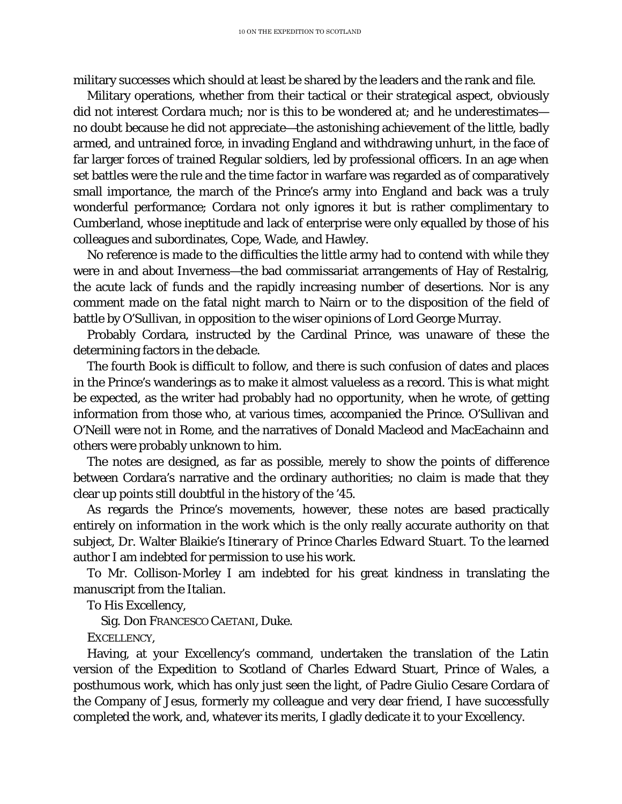military successes which should at least be shared by the leaders and the rank and file.

Military operations, whether from their tactical or their strategical aspect, obviously did not interest Cordara much; nor is this to be wondered at; and he underestimates no doubt because he did not appreciate—the astonishing achievement of the little, badly armed, and untrained force, in invading England and withdrawing unhurt, in the face of far larger forces of trained Regular soldiers, led by professional officers. In an age when set battles were the rule and the time factor in warfare was regarded as of comparatively small importance, the march of the Prince's army into England and back was a truly wonderful performance; Cordara not only ignores it but is rather complimentary to Cumberland, whose ineptitude and lack of enterprise were only equalled by those of his colleagues and subordinates, Cope, Wade, and Hawley.

No reference is made to the difficulties the little army had to contend with while they were in and about Inverness—the bad commissariat arrangements of Hay of Restalrig, the acute lack of funds and the rapidly increasing number of desertions. Nor is any comment made on the fatal night march to Nairn or to the disposition of the field of battle by O'Sullivan, in opposition to the wiser opinions of Lord George Murray.

Probably Cordara, instructed by the Cardinal Prince, was unaware of these the determining factors in the debacle.

The fourth Book is difficult to follow, and there is such confusion of dates and places in the Prince's wanderings as to make it almost valueless as a record. This is what might be expected, as the writer had probably had no opportunity, when he wrote, of getting information from those who, at various times, accompanied the Prince. O'Sullivan and O'Neill were not in Rome, and the narratives of Donald Macleod and MacEachainn and others were probably unknown to him.

The notes are designed, as far as possible, merely to show the points of difference between Cordara's narrative and the ordinary authorities; no claim is made that they clear up points still doubtful in the history of the '45.

As regards the Prince's movements, however, these notes are based practically entirely on information in the work which is the only really accurate authority on that subject, Dr. Walter Blaikie's *Itinerary of Prince Charles Edward Stuart.* To the learned author I am indebted for permission to use his work.

To Mr. Collison-Morley I am indebted for his great kindness in translating the manuscript from the Italian.

To His Excellency,

Sig. Don FRANCESCO CAETANI, Duke.

EXCELLENCY,

Having, at your Excellency's command, undertaken the translation of the Latin version of the Expedition to Scotland of Charles Edward Stuart, Prince of Wales, a posthumous work, which has only just seen the light, of Padre Giulio Cesare Cordara of the Company of Jesus, formerly my colleague and very dear friend, I have successfully completed the work, and, whatever its merits, I gladly dedicate it to your Excellency.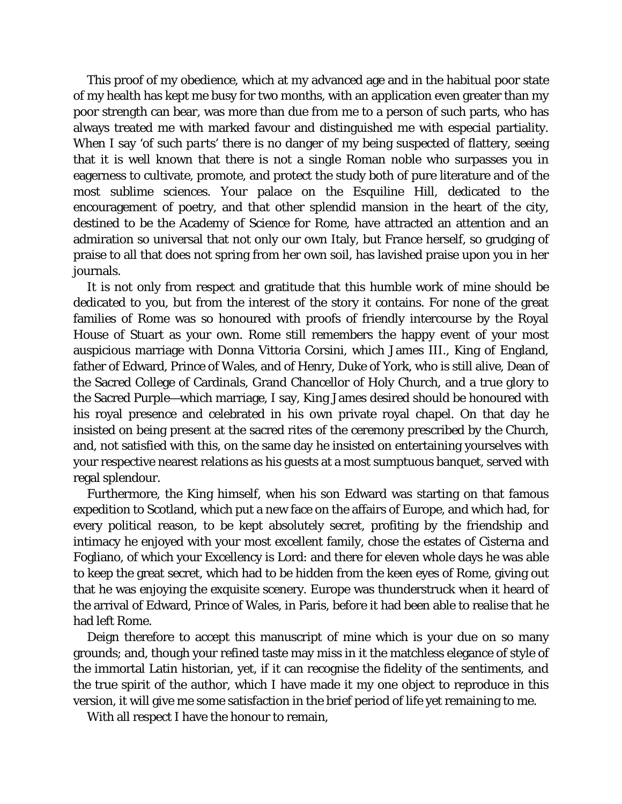This proof of my obedience, which at my advanced age and in the habitual poor state of my health has kept me busy for two months, with an application even greater than my poor strength can bear, was more than due from me to a person of such parts, who has always treated me with marked favour and distinguished me with especial partiality. When I say '*of such parts*' there is no danger of my being suspected of flattery, seeing that it is well known that there is not a single Roman noble who surpasses you in eagerness to cultivate, promote, and protect the study both of pure literature and of the most sublime sciences. Your palace on the Esquiline Hill, dedicated to the encouragement of poetry, and that other splendid mansion in the heart of the city, destined to be the Academy of Science for Rome, have attracted an attention and an admiration so universal that not only our own Italy, but France herself, so grudging of praise to all that does not spring from her own soil, has lavished praise upon you in her journals.

It is not only from respect and gratitude that this humble work of mine should be dedicated to you, but from the interest of the story it contains. For none of the great families of Rome was so honoured with proofs of friendly intercourse by the Royal House of Stuart as your own. Rome still remembers the happy event of your most auspicious marriage with Donna Vittoria Corsini, which James III., King of England, father of Edward, Prince of Wales, and of Henry, Duke of York, who is still alive, Dean of the Sacred College of Cardinals, Grand Chancellor of Holy Church, and a true glory to the Sacred Purple—which marriage, I say, King James desired should be honoured with his royal presence and celebrated in his own private royal chapel. On that day he insisted on being present at the sacred rites of the ceremony prescribed by the Church, and, not satisfied with this, on the same day he insisted on entertaining yourselves with your respective nearest relations as his guests at a most sumptuous banquet, served with regal splendour.

Furthermore, the King himself, when his son Edward was starting on that famous expedition to Scotland, which put a new face on the affairs of Europe, and which had, for every political reason, to be kept absolutely secret, profiting by the friendship and intimacy he enjoyed with your most excellent family, chose the estates of Cisterna and Fogliano, of which your Excellency is Lord: and there for eleven whole days he was able to keep the great secret, which had to be hidden from the keen eyes of Rome, giving out that he was enjoying the exquisite scenery. Europe was thunderstruck when it heard of the arrival of Edward, Prince of Wales, in Paris, before it had been able to realise that he had left Rome.

Deign therefore to accept this manuscript of mine which is your due on so many grounds; and, though your refined taste may miss in it the matchless elegance of style of the immortal Latin historian, yet, if it can recognise the fidelity of the sentiments, and the true spirit of the author, which I have made it my one object to reproduce in this version, it will give me some satisfaction in the brief period of life yet remaining to me.

With all respect I have the honour to remain,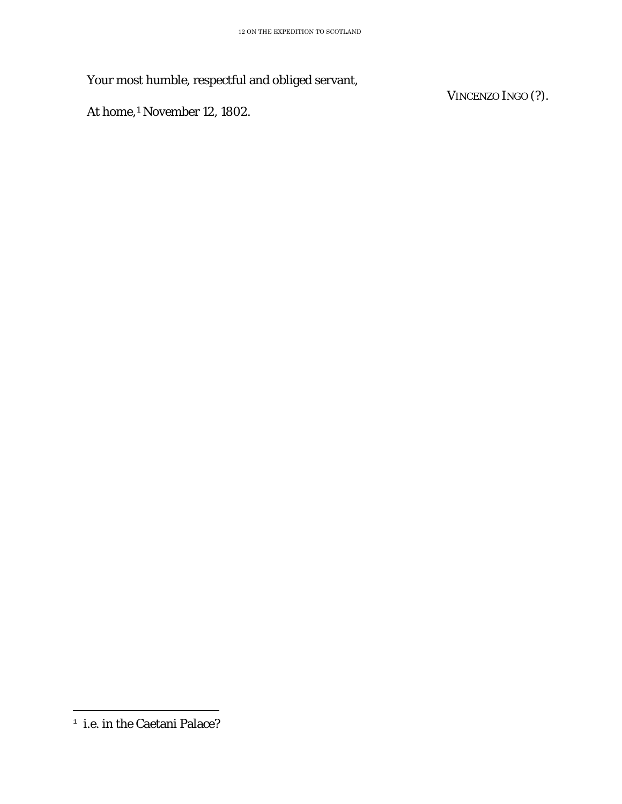Your most humble, respectful and obliged servant,

At home,[1](#page-16-0) November 12, 1802.

VINCENZO INGO (?).

<span id="page-16-0"></span>Ĩ. <sup>1</sup> *i.e.* in the Caetani Palace?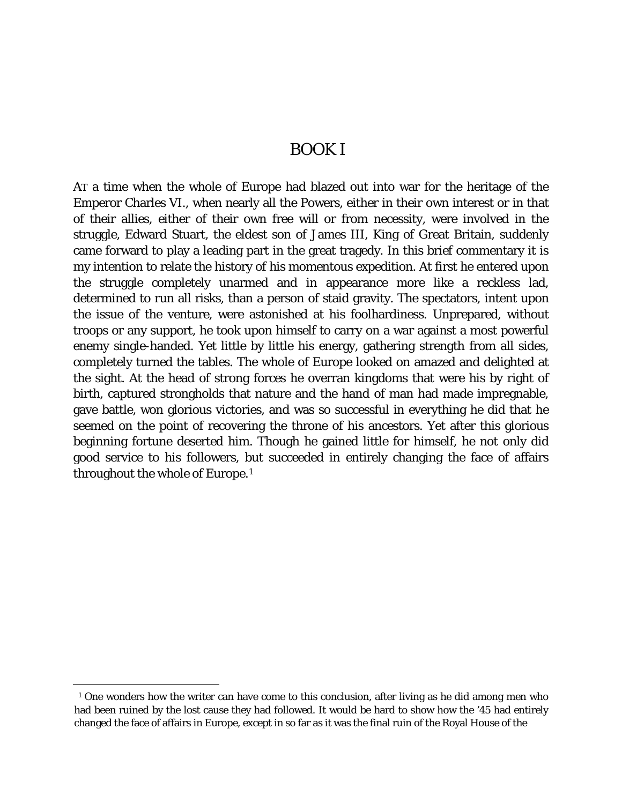#### BOOK I

<span id="page-17-0"></span>AT a time when the whole of Europe had blazed out into war for the heritage of the Emperor Charles VI., when nearly all the Powers, either in their own interest or in that of their allies, either of their own free will or from necessity, were involved in the struggle, Edward Stuart, the eldest son of James III, King of Great Britain, suddenly came forward to play a leading part in the great tragedy. In this brief commentary it is my intention to relate the history of his momentous expedition. At first he entered upon the struggle completely unarmed and in appearance more like a reckless lad, determined to run all risks, than a person of staid gravity. The spectators, intent upon the issue of the venture, were astonished at his foolhardiness. Unprepared, without troops or any support, he took upon himself to carry on a war against a most powerful enemy single-handed. Yet little by little his energy, gathering strength from all sides, completely turned the tables. The whole of Europe looked on amazed and delighted at the sight. At the head of strong forces he overran kingdoms that were his by right of birth, captured strongholds that nature and the hand of man had made impregnable, gave battle, won glorious victories, and was so successful in everything he did that he seemed on the point of recovering the throne of his ancestors. Yet after this glorious beginning fortune deserted him. Though he gained little for himself, he not only did good service to his followers, but succeeded in entirely changing the face of affairs throughout the whole of Europe.[1](#page-17-1)

<span id="page-17-1"></span>Ĩ. <sup>1</sup> One wonders how the writer can have come to this conclusion, after living as he did among men who had been ruined by the lost cause they had followed. It would be hard to show how the '45 had entirely changed the face of affairs in Europe, except in so far as it was the final ruin of the Royal House of the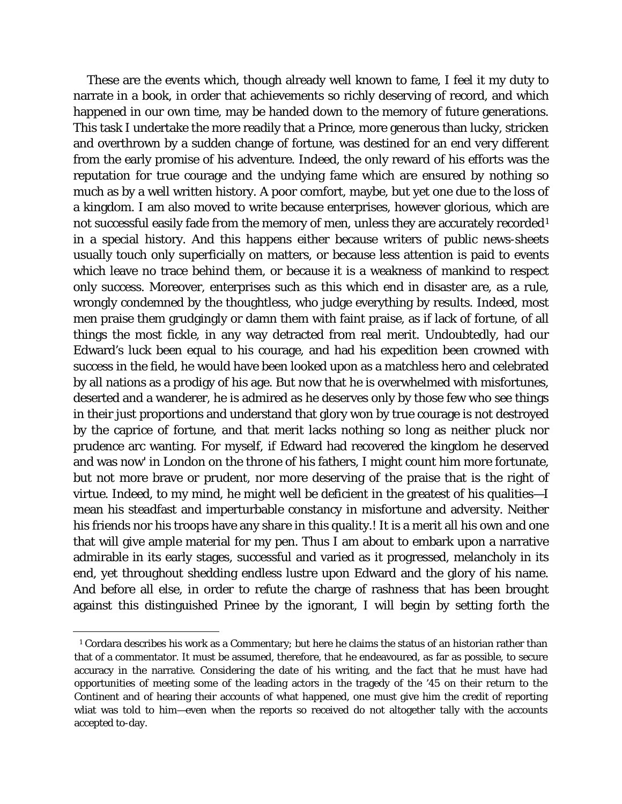These are the events which, though already well known to fame, I feel it my duty to narrate in a book, in order that achievements so richly deserving of record, and which happened in our own time, may be handed down to the memory of future generations. This task I undertake the more readily that a Prince, more generous than lucky, stricken and overthrown by a sudden change of fortune, was destined for an end very different from the early promise of his adventure. Indeed, the only reward of his efforts was the reputation for true courage and the undying fame which are ensured by nothing so much as by a well written history. A poor comfort, maybe, but yet one due to the loss of a kingdom. I am also moved to write because enterprises, however glorious, which are not successful easily fade from the memory of men, unless they are accurately recorded<sup>[1](#page-18-0)</sup> in a special history. And this happens either because writers of public news-sheets usually touch only superficially on matters, or because less attention is paid to events which leave no trace behind them, or because it is a weakness of mankind to respect only success. Moreover, enterprises such as this which end in disaster are, as a rule, wrongly condemned by the thoughtless, who judge everything by results. Indeed, most men praise them grudgingly or damn them with faint praise, as if lack of fortune, of all things the most fickle, in any way detracted from real merit. Undoubtedly, had our Edward's luck been equal to his courage, and had his expedition been crowned with success in the field, he would have been looked upon as a matchless hero and celebrated by all nations as a prodigy of his age. But now that he is overwhelmed with misfortunes, deserted and a wanderer, he is admired as he deserves only by those few who see things in their just proportions and understand that glory won by true courage is not destroyed by the caprice of fortune, and that merit lacks nothing so long as neither pluck nor prudence arc wanting. For myself, if Edward had recovered the kingdom he deserved and was now' in London on the throne of his fathers, I might count him more fortunate, but not more brave or prudent, nor more deserving of the praise that is the right of virtue. Indeed, to my mind, he might well be deficient in the greatest of his qualities—I mean his steadfast and imperturbable constancy in misfortune and adversity. Neither his friends nor his troops have any share in this quality.! It is a merit all his own and one that will give ample material for my pen. Thus I am about to embark upon a narrative admirable in its early stages, successful and varied as it progressed, melancholy in its end, yet throughout shedding endless lustre upon Edward and the glory of his name. And before all else, in order to refute the charge of rashness that has been brought against this distinguished Prinee by the ignorant, I will begin by setting forth the

<span id="page-18-0"></span>ī <sup>1</sup> Cordara describes his work as a Commentary; but here he claims the status of an historian rather than that of a commentator. It must be assumed, therefore, that he endeavoured, as far as possible, to secure accuracy in the narrative. Considering the date of his writing, and the fact that he must have had opportunities of meeting some of the leading actors in the tragedy of the '45 on their return to the Continent and of hearing their accounts of what happened, one must give him the credit of reporting wliat was told to him—even when the reports so received do not altogether tally with the accounts accepted to-day.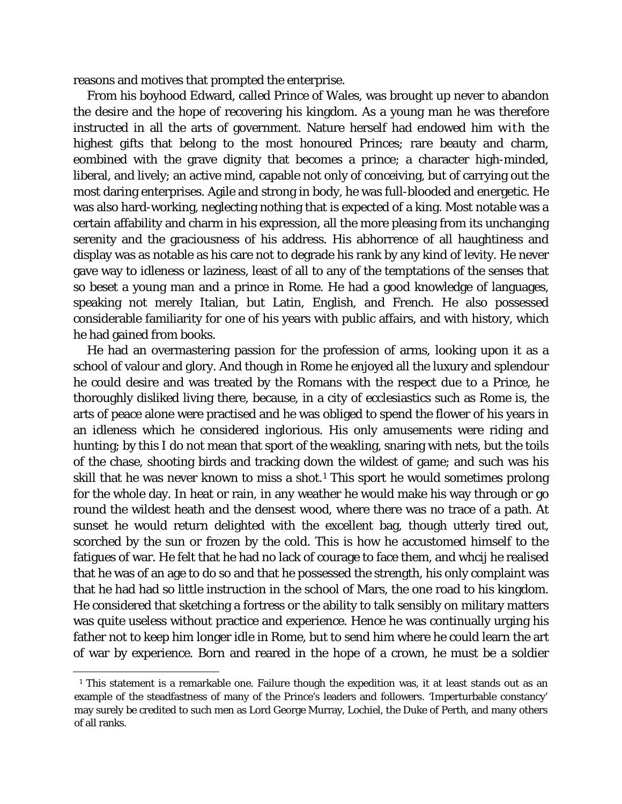reasons and motives that prompted the enterprise.

From his boyhood Edward, called Prince of Wales, was brought up never to abandon the desire and the hope of recovering his kingdom. As a young man he was therefore instructed in all the arts of government. Nature herself had endowed him with the highest gifts that belong to the most honoured Princes; rare beauty and charm, eombined with the grave dignity that becomes a prince; a character high-minded, liberal, and lively; an active mind, capable not only of conceiving, but of carrying out the most daring enterprises. Agile and strong in body, he was full-blooded and energetic. He was also hard-working, neglecting nothing that is expected of a king. Most notable was a certain affability and charm in his expression, all the more pleasing from its unchanging serenity and the graciousness of his address. His abhorrence of all haughtiness and display was as notable as his care not to degrade his rank by any kind of levity. He never gave way to idleness or laziness, least of all to any of the temptations of the senses that so beset a young man and a prince in Rome. He had a good knowledge of languages, speaking not merely Italian, but Latin, English, and French. He also possessed considerable familiarity for one of his years with public affairs, and with history, which he had gained from books.

He had an overmastering passion for the profession of arms, looking upon it as a school of valour and glory. And though in Rome he enjoyed all the luxury and splendour he could desire and was treated by the Romans with the respect due to a Prince, he thoroughly disliked living there, because, in a city of ecclesiastics such as Rome is, the arts of peace alone were practised and he was obliged to spend the flower of his years in an idleness which he considered inglorious. His only amusements were riding and hunting; by this I do not mean that sport of the weakling, snaring with nets, but the toils of the chase, shooting birds and tracking down the wildest of game; and such was his skill that he was never known to miss a shot.<sup>[1](#page-19-0)</sup> This sport he would sometimes prolong for the whole day. In heat or rain, in any weather he would make his way through or go round the wildest heath and the densest wood, where there was no trace of a path. At sunset he would return delighted with the excellent bag, though utterly tired out, scorched by the sun or frozen by the cold. This is how he accustomed himself to the fatigues of war. He felt that he had no lack of courage to face them, and whcij he realised that he was of an age to do so and that he possessed the strength, his only complaint was that he had had so little instruction in the school of Mars, the one road to his kingdom. He considered that sketching a fortress or the ability to talk sensibly on military matters was quite useless without practice and experience. Hence he was continually urging his father not to keep him longer idle in Rome, but to send him where he could learn the art of war by experience. Born and reared in the hope of a crown, he must be a soldier

<span id="page-19-0"></span>Ĩ. <sup>1</sup> This statement is a remarkable one. Failure though the expedition was, it at least stands out as an example of the steadfastness of many of the Prince's leaders and followers. 'Imperturbable constancy' may surely be credited to such men as Lord George Murray, Lochiel, the Duke of Perth, and many others of all ranks.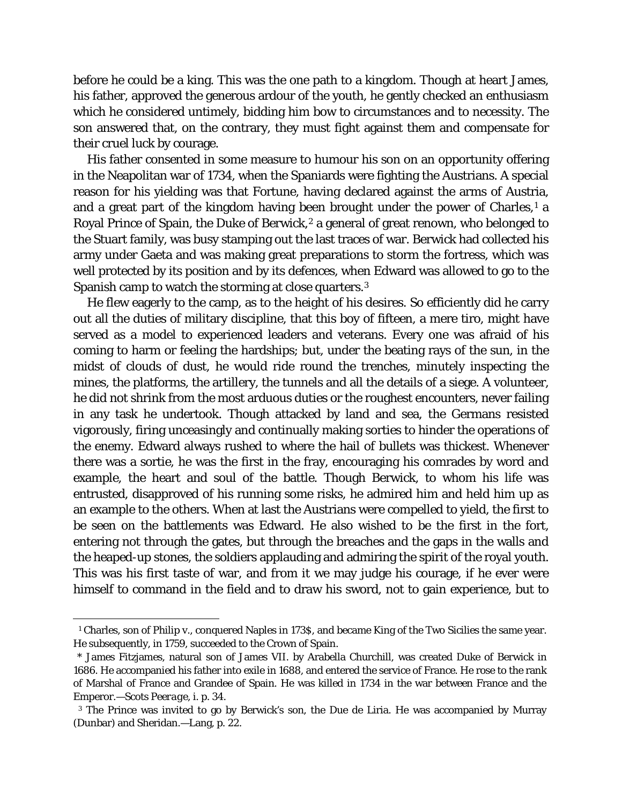before he could be a king. This was the one path to a kingdom. Though at heart James, his father, approved the generous ardour of the youth, he gently checked an enthusiasm which he considered untimely, bidding him bow to circumstances and to necessity. The son answered that, on the contrary, they must fight against them and compensate for their cruel luck by courage.

His father consented in some measure to humour his son on an opportunity offering in the Neapolitan war of 1734, when the Spaniards were fighting the Austrians. A special reason for his yielding was that Fortune, having declared against the arms of Austria, and a great part of the kingdom having been brought under the power of Charles,<sup>[1](#page-20-0)</sup> a Royal Prince of Spain, the Duke of Berwick,<sup>[2](#page-20-1)</sup> a general of great renown, who belonged to the Stuart family, was busy stamping out the last traces of war. Berwick had collected his army under Gaeta and was making great preparations to storm the fortress, which was well protected by its position and by its defences, when Edward was allowed to go to the Spanish camp to watch the storming at close quarters.[3](#page-20-2)

He flew eagerly to the camp, as to the height of his desires. So efficiently did he carry out all the duties of military discipline, that this boy of fifteen, a mere tiro, might have served as a model to experienced leaders and veterans. Every one was afraid of his coming to harm or feeling the hardships; but, under the beating rays of the sun, in the midst of clouds of dust, he would ride round the trenches, minutely inspecting the mines, the platforms, the artillery, the tunnels and all the details of a siege. A volunteer, he did not shrink from the most arduous duties or the roughest encounters, never failing in any task he undertook. Though attacked by land and sea, the Germans resisted vigorously, firing unceasingly and continually making sorties to hinder the operations of the enemy. Edward always rushed to where the hail of bullets was thickest. Whenever there was a sortie, he was the first in the fray, encouraging his comrades by word and example, the heart and soul of the battle. Though Berwick, to whom his life was entrusted, disapproved of his running some risks, he admired him and held him up as an example to the others. When at last the Austrians were compelled to yield, the first to be seen on the battlements was Edward. He also wished to be the first in the fort, entering not through the gates, but through the breaches and the gaps in the walls and the heaped-up stones, the soldiers applauding and admiring the spirit of the royal youth. This was his first taste of war, and from it we may judge his courage, if he ever were himself to command in the field and to draw his sword, not to gain experience, but to

<span id="page-20-0"></span>Ĩ. <sup>1</sup> Charles, son of Philip v., conquered Naples in 173\$, and became King of the Two Sicilies the same year. He subsequently, in 1759, succeeded to the Crown of Spain.

<span id="page-20-1"></span><sup>\*</sup> James Fitzjames, natural son of James VII. by Arabella Churchill, was created Duke of Berwick in 1686. He accompanied his father into exile in 1688, and entered the service of France. He rose to the rank of Marshal of France and Grandee of Spain. He was killed in 1734 in the war between France and the Emperor*.—Scots Peerage,* i. p. 34.

<span id="page-20-2"></span>*<sup>3</sup>* The Prince was invited to go by Berwick's son, the Due de Liria. He was accompanied by Murray (Dunbar) and Sheridan.—Lang, p. 22.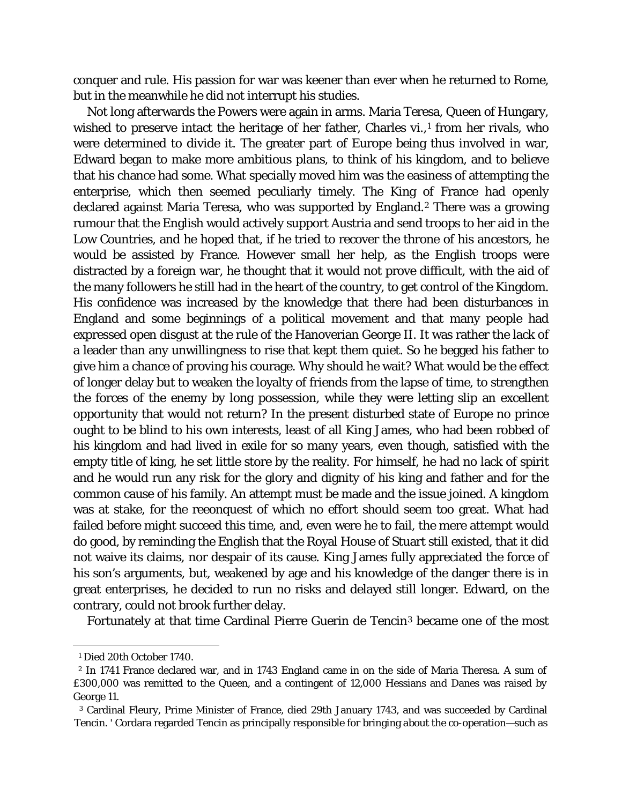conquer and rule. His passion for war was keener than ever when he returned to Rome, but in the meanwhile he did not interrupt his studies.

Not long afterwards the Powers were again in arms. Maria Teresa, Queen of Hungary, wished to preserve intact the heritage of her father, Charles vi.,<sup>1</sup> from her rivals, who were determined to divide it. The greater part of Europe being thus involved in war, Edward began to make more ambitious plans, to think of his kingdom, and to believe that his chance had some. What specially moved him was the easiness of attempting the enterprise, which then seemed peculiarly timely. The King of France had openly declared against Maria Teresa, who was supported by England.<sup>[2](#page-21-1)</sup> There was a growing rumour that the English would actively support Austria and send troops to her aid in the Low Countries, and he hoped that, if he tried to recover the throne of his ancestors, he would be assisted by France. However small her help, as the English troops were distracted by a foreign war, he thought that it would not prove difficult, with the aid of the many followers he still had in the heart of the country, to get control of the Kingdom. His confidence was increased by the knowledge that there had been disturbances in England and some beginnings of a political movement and that many people had expressed open disgust at the rule of the Hanoverian George II. It was rather the lack of a leader than any unwillingness to rise that kept them quiet. So he begged his father to give him a chance of proving his courage. Why should he wait? What would be the effect of longer delay but to weaken the loyalty of friends from the lapse of time, to strengthen the forces of the enemy by long possession, while they were letting slip an excellent opportunity that would not return? In the present disturbed state of Europe no prince ought to be blind to his own interests, least of all King James, who had been robbed of his kingdom and had lived in exile for so many years, even though, satisfied with the empty title of king, he set little store by the reality. For himself, he had no lack of spirit and he would run any risk for the glory and dignity of his king and father and for the common cause of his family. An attempt must be made and the issue joined. A kingdom was at stake, for the reeonquest of which no effort should seem too great. What had failed before might succeed this time, and, even were he to fail, the mere attempt would do good, by reminding the English that the Royal House of Stuart still existed, that it did not waive its claims, nor despair of its cause. King James fully appreciated the force of his son's arguments, but, weakened by age and his knowledge of the danger there is in great enterprises, he decided to run no risks and delayed still longer. Edward, on the contrary, could not brook further delay.

Fortunately at that time Cardinal Pierre Guerin de Tencin[3](#page-21-2) became one of the most

ī <sup>1</sup> Died 20th October 1740.

<span id="page-21-1"></span><span id="page-21-0"></span><sup>2</sup> In 1741 France declared war, and in 1743 England came in on the side of Maria Theresa. A sum of £300,000 was remitted to the Queen, and a contingent of 12,000 Hessians and Danes was raised by George 11.

<span id="page-21-2"></span><sup>3</sup> Cardinal Fleury, Prime Minister of France, died 29th January 1743, and was succeeded by Cardinal Tencin. ' Cordara regarded Tencin as principally responsible for bringing about the co-operation—such as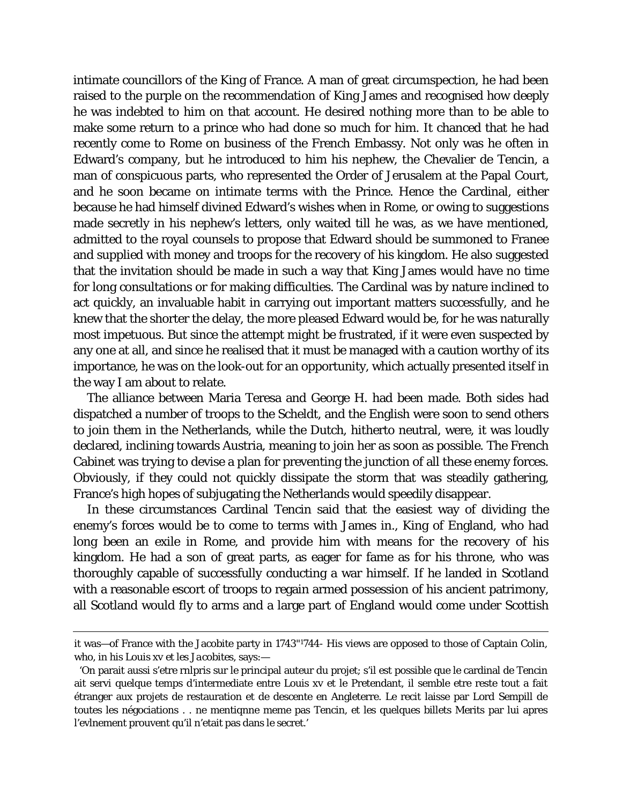intimate councillors of the King of France. A man of great circumspection, he had been raised to the purple on the recommendation of King James and recognised how deeply he was indebted to him on that account. He desired nothing more than to be able to make some return to a prince who had done so much for him. It chanced that he had recently come to Rome on business of the French Embassy. Not only was he often in Edward's company, but he introduced to him his nephew, the Chevalier de Tencin, a man of conspicuous parts, who represented the Order of Jerusalem at the Papal Court, and he soon became on intimate terms with the Prince. Hence the Cardinal, either because he had himself divined Edward's wishes when in Rome, or owing to suggestions made secretly in his nephew's letters, only waited till he was, as we have mentioned, admitted to the royal counsels to propose that Edward should be summoned to Franee and supplied with money and troops for the recovery of his kingdom. He also suggested that the invitation should be made in such a way that King James would have no time for long consultations or for making difficulties. The Cardinal was by nature inclined to act quickly, an invaluable habit in carrying out important matters successfully, and he knew that the shorter the delay, the more pleased Edward would be, for he was naturally most impetuous. But since the attempt might be frustrated, if it were even suspected by any one at all, and since he realised that it must be managed with a caution worthy of its importance, he was on the look-out for an opportunity, which actually presented itself in the way I am about to relate.

The alliance between Maria Teresa and George H. had been made. Both sides had dispatched a number of troops to the Scheldt, and the English were soon to send others to join them in the Netherlands, while the Dutch, hitherto neutral, were, it was loudly declared, inclining towards Austria, meaning to join her as soon as possible. The French Cabinet was trying to devise a plan for preventing the junction of all these enemy forces. Obviously, if they could not quickly dissipate the storm that was steadily gathering, France's high hopes of subjugating the Netherlands would speedily disappear.

In these circumstances Cardinal Tencin said that the easiest way of dividing the enemy's forces would be to come to terms with James in., King of England, who had long been an exile in Rome, and provide him with means for the recovery of his kingdom. He had a son of great parts, as eager for fame as for his throne, who was thoroughly capable of successfully conducting a war himself. If he landed in Scotland with a reasonable escort of troops to regain armed possession of his ancient patrimony, all Scotland would fly to arms and a large part of England would come under Scottish

ī

it was—of France with the Jacobite party in 1743"1744- His views are opposed to those of Captain Colin, who, in his *Louis xv et les Jacobites*, says:—

<sup>&#</sup>x27;On parait aussi s'etre rnlpris sur le principal auteur du projet; s'il est possible que le cardinal de Tencin ait servi quelque temps d'intermediate entre Louis xv et le Pretendant, il semble etre reste tout a fait étranger aux projets de restauration et de descente en Angleterre. Le recit laisse par Lord Sempill de toutes les négociations . . ne mentiqnne meme pas Tencin, et les quelques billets Merits par lui apres l'evlnement prouvent qu'il n'etait pas dans le secret.'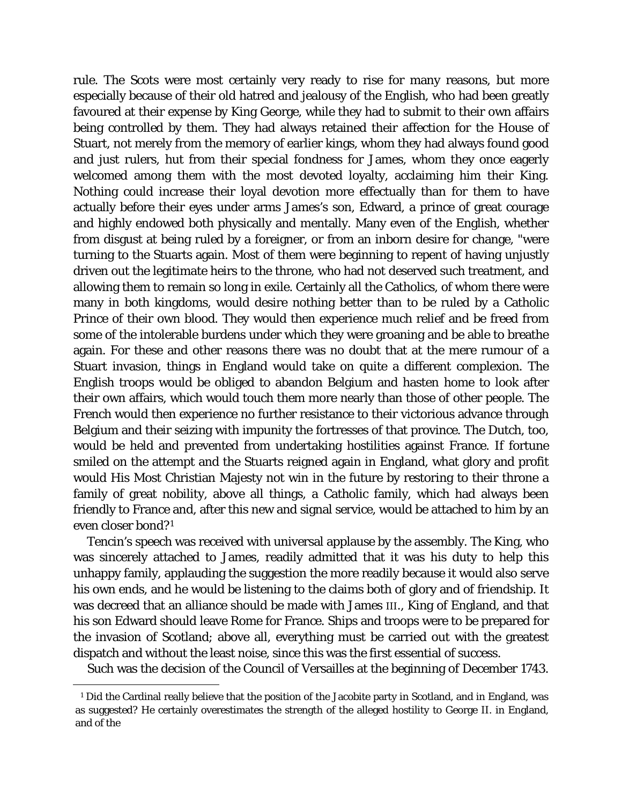rule. The Scots were most certainly very ready to rise for many reasons, but more especially because of their old hatred and jealousy of the English, who had been greatly favoured at their expense by King George, while they had to submit to their own affairs being controlled by them. They had always retained their affection for the House of Stuart, not merely from the memory of earlier kings, whom they had always found good and just rulers, hut from their special fondness for James, whom they once eagerly welcomed among them with the most devoted loyalty, acclaiming him their King. Nothing could increase their loyal devotion more effectually than for them to have actually before their eyes under arms James's son, Edward, a prince of great courage and highly endowed both physically and mentally. Many even of the English, whether from disgust at being ruled by a foreigner, or from an inborn desire for change, "were turning to the Stuarts again. Most of them were beginning to repent of having unjustly driven out the legitimate heirs to the throne, who had not deserved such treatment, and allowing them to remain so long in exile. Certainly all the Catholics, of whom there were many in both kingdoms, would desire nothing better than to be ruled by a Catholic Prince of their own blood. They would then experience much relief and be freed from some of the intolerable burdens under which they were groaning and be able to breathe again. For these and other reasons there was no doubt that at the mere rumour of a Stuart invasion, things in England would take on quite a different complexion. The English troops would be obliged to abandon Belgium and hasten home to look after their own affairs, which would touch them more nearly than those of other people. The French would then experience no further resistance to their victorious advance through Belgium and their seizing with impunity the fortresses of that province. The Dutch, too, would be held and prevented from undertaking hostilities against France. If fortune smiled on the attempt and the Stuarts reigned again in England, what glory and profit would His Most Christian Majesty not win in the future by restoring to their throne a family of great nobility, above all things, a Catholic family, which had always been friendly to France and, after this new and signal service, would be attached to him by an even closer bond?[1](#page-23-0)

Tencin's speech was received with universal applause by the assembly. The King, who was sincerely attached to James, readily admitted that it was his duty to help this unhappy family, applauding the suggestion the more readily because it would also serve his own ends, and he would be listening to the claims both of glory and of friendship. It was decreed that an alliance should be made with James III., King of England, and that his son Edward should leave Rome for France. Ships and troops were to be prepared for the invasion of Scotland; above all, everything must be carried out with the greatest dispatch and without the least noise, since this was the first essential of success.

Such was the decision of the Council of Versailles at the beginning of December 1743.

<span id="page-23-0"></span>Ĩ. <sup>1</sup> Did the Cardinal really believe that the position of the Jacobite party in Scotland, and in England, was as suggested? He certainly overestimates the strength of the alleged hostility to George II. in England, and of the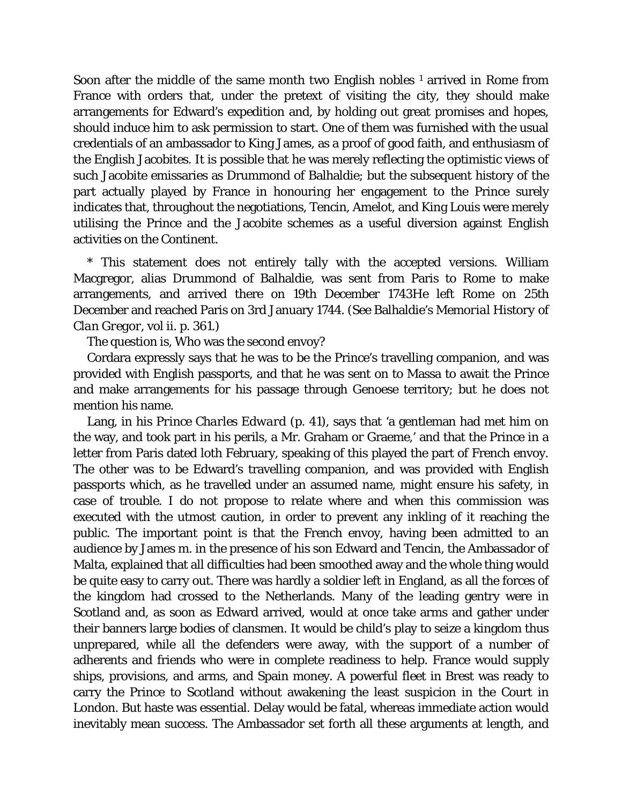Soon after the middle of the same month two English nobles  $1$  arrived in Rome from France with orders that, under the pretext of visiting the city, they should make arrangements for Edward's expedition and, by holding out great promises and hopes, should induce him to ask permission to start. One of them was furnished with the usual credentials of an ambassador to King James, as a proof of good faith, and enthusiasm of the English Jacobites. It is possible that he was merely reflecting the optimistic views of such Jacobite emissaries as Drummond of Balhaldie; but the subsequent history of the part actually played by France in honouring her engagement to the Prince surely indicates that, throughout the negotiations, Tencin, Amelot, and King Louis were merely utilising the Prince and the Jacobite schemes as a useful diversion against English activities on the Continent.

\* This statement does not entirely tally with the accepted versions. William Macgregor, alias Drummond of Balhaldie, was sent from Paris to Rome to make arrangements, and arrived there on 19th December 1743He left Rome on 25th December and reached Paris on 3rd January 1744. (See Balhaldie's *Memorial History of Clan Gregor*, vol ii. p. 361.)

The question is, Who was the second envoy?

Cordara expressly says that he was to be the Prince's travelling companion, and was provided with English passports, and that he was sent on to Massa to await the Prince and make arrangements for his passage through Genoese territory; but he does not mention his name.

Lang, in his *Prince Charles Edward* (p. 41), says that 'a gentleman had met him on the way, and took part in his perils, a Mr. Graham or Graeme,' and that the Prince in a letter from Paris dated loth February, speaking of this played the part of French envoy. The other was to be Edward's travelling companion, and was provided with English passports which, as he travelled under an assumed name, might ensure his safety, in case of trouble. I do not propose to relate where and when this commission was executed with the utmost caution, in order to prevent any inkling of it reaching the public. The important point is that the French envoy, having been admitted to an audience by James m. in the presence of his son Edward and Tencin, the Ambassador of Malta, explained that all difficulties had been smoothed away and the whole thing would be quite easy to carry out. There was hardly a soldier left in England, as all the forces of the kingdom had crossed to the Netherlands. Many of the leading gentry were in Scotland and, as soon as Edward arrived, would at once take arms and gather under their banners large bodies of clansmen. It would be child's play to seize a kingdom thus unprepared, while all the defenders were away, with the support of a number of adherents and friends who were in complete readiness to help. France would supply ships, provisions, and arms, and Spain money. A powerful fleet in Brest was ready to carry the Prince to Scotland without awakening the least suspicion in the Court in London. But haste was essential. Delay would be fatal, whereas immediate action would inevitably mean success. The Ambassador set forth all these arguments at length, and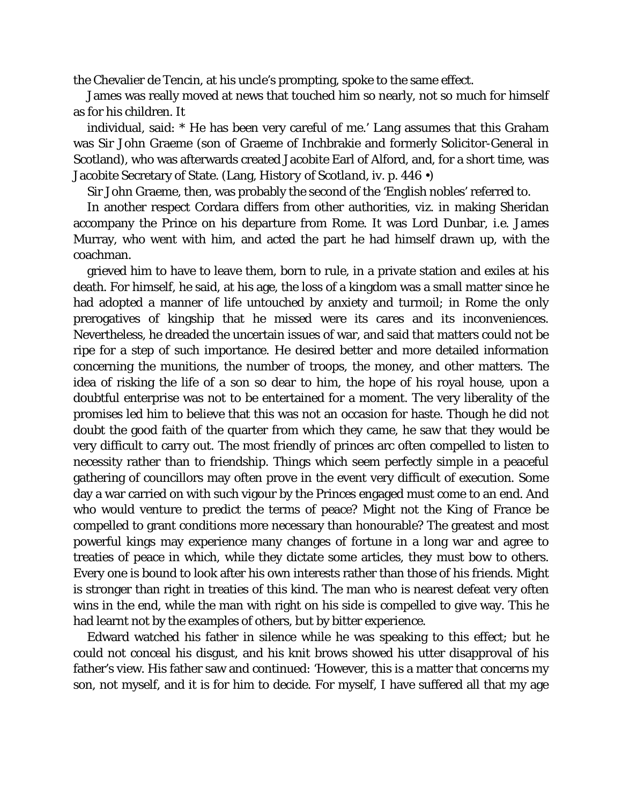the Chevalier de Tencin, at his uncle's prompting, spoke to the same effect.

James was really moved at news that touched him so nearly, not so much for himself as for his children. It

individual, said: \* He has been very careful of me.' Lang assumes that this Graham was Sir John Graeme (son of Graeme of Inchbrakie and formerly Solicitor-General in Scotland), who was afterwards created Jacobite Earl of Alford, and, for a short time, was Jacobite Secretary of State. (Lang, *History of Scotland,* iv. p. 446 •)

Sir John Graeme, then, was probably the second of the 'English nobles' referred to.

In another respect Cordara differs from other authorities, viz. in making Sheridan accompany the Prince on his departure from Rome. It was Lord Dunbar, *i.e.* James Murray, who went with him, and acted the part he had himself drawn up, with the coachman.

grieved him to have to leave them, born to rule, in a private station and exiles at his death. For himself, he said, at his age, the loss of a kingdom was a small matter since he had adopted a manner of life untouched by anxiety and turmoil; in Rome the only prerogatives of kingship that he missed were its cares and its inconveniences. Nevertheless, he dreaded the uncertain issues of war, and said that matters could not be ripe for a step of such importance. He desired better and more detailed information concerning the munitions, the number of troops, the money, and other matters. The idea of risking the life of a son so dear to him, the hope of his royal house, upon a doubtful enterprise was not to be entertained for a moment. The very liberality of the promises led him to believe that this was not an occasion for haste. Though he did not doubt the good faith of the quarter from which they came, he saw that they would be very difficult to carry out. The most friendly of princes arc often compelled to listen to necessity rather than to friendship. Things which seem perfectly simple in a peaceful gathering of councillors may often prove in the event very difficult of execution. Some day a war carried on with such vigour by the Princes engaged must come to an end. And who would venture to predict the terms of peace? Might not the King of France be compelled to grant conditions more necessary than honourable? The greatest and most powerful kings may experience many changes of fortune in a long war and agree to treaties of peace in which, while they dictate some articles, they must bow to others. Every one is bound to look after his own interests rather than those of his friends. Might is stronger than right in treaties of this kind. The man who is nearest defeat very often wins in the end, while the man with right on his side is compelled to give way. This he had learnt not by the examples of others, but by bitter experience.

Edward watched his father in silence while he was speaking to this effect; but he could not conceal his disgust, and his knit brows showed his utter disapproval of his father's view. His father saw and continued: 'However, this is a matter that concerns my son, not myself, and it is for him to decide. For myself, I have suffered all that my age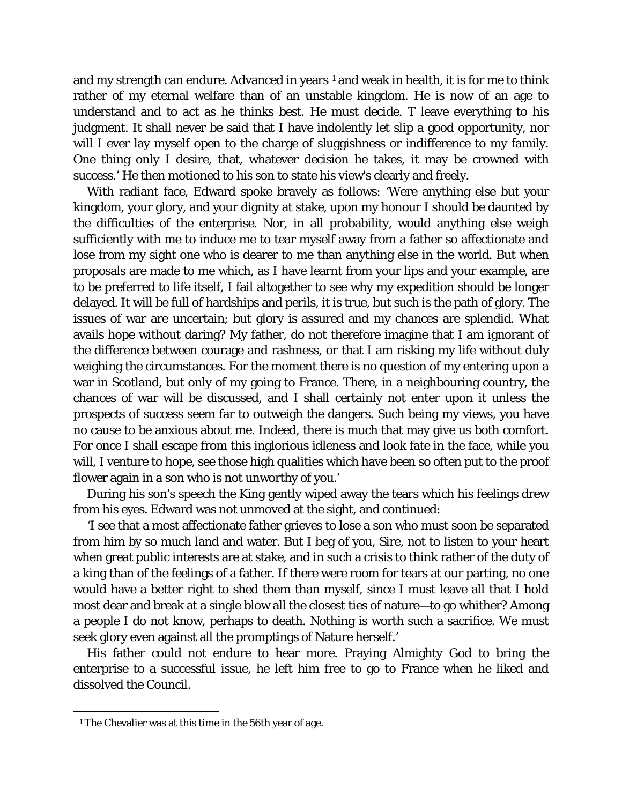and my strength can endure. Advanced in years  $1$  and weak in health, it is for me to think rather of my eternal welfare than of an unstable kingdom. He is now of an age to understand and to act as he thinks best. He must decide. T leave everything to his judgment. It shall never be said that I have indolently let slip a good opportunity, nor will I ever lay myself open to the charge of sluggishness or indifference to my family. One thing only I desire, that, whatever decision he takes, it may be crowned with success.' He then motioned to his son to state his view's clearly and freely.

With radiant face, Edward spoke bravely as follows: 'Were anything else but your kingdom, your glory, and your dignity at stake, upon my honour I should be daunted by the difficulties of the enterprise. Nor, in all probability, would anything else weigh sufficiently with me to induce me to tear myself away from a father so affectionate and lose from my sight one who is dearer to me than anything else in the world. But when proposals are made to me which, as I have learnt from your lips and your example, are to be preferred to life itself, I fail altogether to see why my expedition should be longer delayed. It will be full of hardships and perils, it is true, but such is the path of glory. The issues of war are uncertain; but glory is assured and my chances are splendid. What avails hope without daring? My father, do not therefore imagine that I am ignorant of the difference between courage and rashness, or that I am risking my life without duly weighing the circumstances. For the moment there is no question of my entering upon a war in Scotland, but only of my going to France. There, in a neighbouring country, the chances of war will be discussed, and I shall certainly not enter upon it unless the prospects of success seem far to outweigh the dangers. Such being my views, you have no cause to be anxious about me. Indeed, there is much that may give us both comfort. For once I shall escape from this inglorious idleness and look fate in the face, while you will, I venture to hope, see those high qualities which have been so often put to the proof flower again in a son who is not unworthy of you.'

During his son's speech the King gently wiped away the tears which his feelings drew from his eyes. Edward was not unmoved at the sight, and continued:

'I see that a most affectionate father grieves to lose a son who must soon be separated from him by so much land and water. But I beg of you, Sire, not to listen to your heart when great public interests are at stake, and in such a crisis to think rather of the duty of a king than of the feelings of a father. If there were room for tears at our parting, no one would have a better right to shed them than myself, since I must leave all that I hold most dear and break at a single blow all the closest ties of nature—to go whither? Among a people I do not know, perhaps to death. Nothing is worth such a sacrifice. We must seek glory even against all the promptings of Nature herself.'

His father could not endure to hear more. Praying Almighty God to bring the enterprise to a successful issue, he left him free to go to France when he liked and dissolved the Council.

<span id="page-26-0"></span>Ĩ. <sup>1</sup> The Chevalier was at this time in the 56th year of age.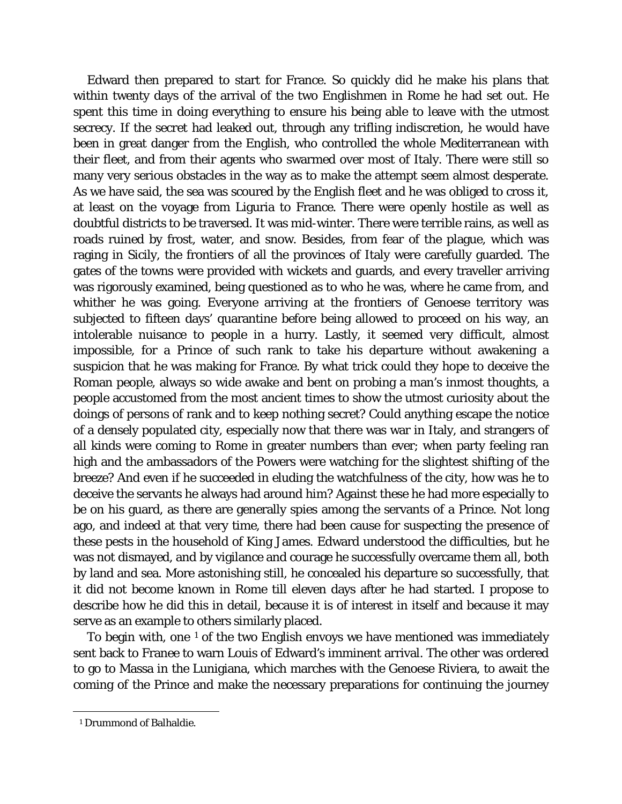Edward then prepared to start for France. So quickly did he make his plans that within twenty days of the arrival of the two Englishmen in Rome he had set out. He spent this time in doing everything to ensure his being able to leave with the utmost secrecy. If the secret had leaked out, through any trifling indiscretion, he would have been in great danger from the English, who controlled the whole Mediterranean with their fleet, and from their agents who swarmed over most of Italy. There were still so many very serious obstacles in the way as to make the attempt seem almost desperate. As we have said, the sea was scoured by the English fleet and he was obliged to cross it, at least on the voyage from Liguria to France. There were openly hostile as well as doubtful districts to be traversed. It was mid-winter. There were terrible rains, as well as roads ruined by frost, water, and snow. Besides, from fear of the plague, which was raging in Sicily, the frontiers of all the provinces of Italy were carefully guarded. The gates of the towns were provided with wickets and guards, and every traveller arriving was rigorously examined, being questioned as to who he was, where he came from, and whither he was going. Everyone arriving at the frontiers of Genoese territory was subjected to fifteen days' quarantine before being allowed to proceed on his way, an intolerable nuisance to people in a hurry. Lastly, it seemed very difficult, almost impossible, for a Prince of such rank to take his departure without awakening a suspicion that he was making for France. By what trick could they hope to deceive the Roman people, always so wide awake and bent on probing a man's inmost thoughts, a people accustomed from the most ancient times to show the utmost curiosity about the doings of persons of rank and to keep nothing secret? Could anything escape the notice of a densely populated city, especially now that there was war in Italy, and strangers of all kinds were coming to Rome in greater numbers than ever; when party feeling ran high and the ambassadors of the Powers were watching for the slightest shifting of the breeze? And even if he succeeded in eluding the watchfulness of the city, how was he to deceive the servants he always had around him? Against these he had more especially to be on his guard, as there are generally spies among the servants of a Prince. Not long ago, and indeed at that very time, there had been cause for suspecting the presence of these pests in the household of King James. Edward understood the difficulties, but he was not dismayed, and by vigilance and courage he successfully overcame them all, both by land and sea. More astonishing still, he concealed his departure so successfully, that it did not become known in Rome till eleven days after he had started. I propose to describe how he did this in detail, because it is of interest in itself and because it may serve as an example to others similarly placed.

To begin with, one  $1$  of the two English envoys we have mentioned was immediately sent back to Franee to warn Louis of Edward's imminent arrival. The other was ordered to go to Massa in the Lunigiana, which marches with the Genoese Riviera, to await the coming of the Prince and make the necessary preparations for continuing the journey

<span id="page-27-0"></span>Ĩ. <sup>1</sup> Drummond of Balhaldie.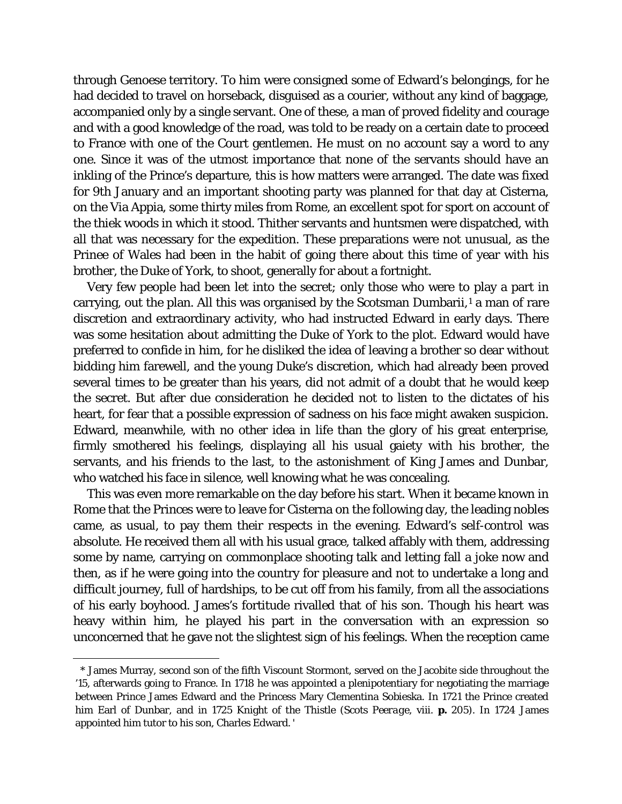through Genoese territory. To him were consigned some of Edward's belongings, for he had decided to travel on horseback, disguised as a courier, without any kind of baggage, accompanied only by a single servant. One of these, a man of proved fidelity and courage and with a good knowledge of the road, was told to be ready on a certain date to proceed to France with one of the Court gentlemen. He must on no account say a word to any one. Since it was of the utmost importance that none of the servants should have an inkling of the Prince's departure, this is how matters were arranged. The date was fixed for 9th January and an important shooting party was planned for that day at Cisterna, on the Via Appia, some thirty miles from Rome, an excellent spot for sport on account of the thiek woods in which it stood. Thither servants and huntsmen were dispatched, with all that was necessary for the expedition. These preparations were not unusual, as the Prinee of Wales had been in the habit of going there about this time of year with his brother, the Duke of York, to shoot, generally for about a fortnight.

Very few people had been let into the secret; only those who were to play a part in carrying, out the plan. All this was organised by the Scotsman Dumbarii, $<sup>1</sup>$  $<sup>1</sup>$  $<sup>1</sup>$  a man of rare</sup> discretion and extraordinary activity, who had instructed Edward in early days. There was some hesitation about admitting the Duke of York to the plot. Edward would have preferred to confide in him, for he disliked the idea of leaving a brother so dear without bidding him farewell, and the young Duke's discretion, which had already been proved several times to be greater than his years, did not admit of a doubt that he would keep the secret. But after due consideration he decided not to listen to the dictates of his heart, for fear that a possible expression of sadness on his face might awaken suspicion. Edward, meanwhile, with no other idea in life than the glory of his great enterprise, firmly smothered his feelings, displaying all his usual gaiety with his brother, the servants, and his friends to the last, to the astonishment of King James and Dunbar, who watched his face in silence, well knowing what he was concealing.

This was even more remarkable on the day before his start. When it became known in Rome that the Princes were to leave for Cisterna on the following day, the leading nobles came, as usual, to pay them their respects in the evening. Edward's self-control was absolute. He received them all with his usual grace, talked affably with them, addressing some by name, carrying on commonplace shooting talk and letting fall a joke now and then, as if he were going into the country for pleasure and not to undertake a long and difficult journey, full of hardships, to be cut off from his family, from all the associations of his early boyhood. James's fortitude rivalled that of his son. Though his heart was heavy within him, he played his part in the conversation with an expression so unconcerned that he gave not the slightest sign of his feelings. When the reception came

<span id="page-28-0"></span>Ĩ. \* James Murray, second son of the fifth Viscount Stormont, served on the Jacobite side throughout the '15, afterwards going to France. In 1718 he was appointed a plenipotentiary for negotiating the marriage between Prince James Edward and the Princess Mary Clementina Sobieska. In 1721 the Prince created him Earl of Dunbar, and in 1725 Knight of the Thistle *(Scots Peerage,* viii. **p.** 205). In 1724 James appointed him tutor to his son, Charles Edward. '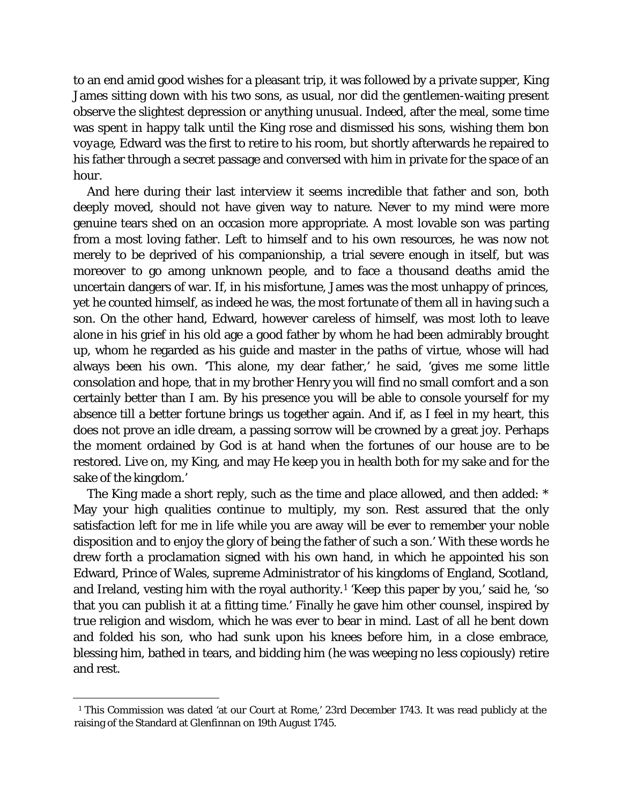to an end amid good wishes for a pleasant trip, it was followed by a private supper, King James sitting down with his two sons, as usual, nor did the gentlemen-waiting present observe the slightest depression or anything unusual. Indeed, after the meal, some time was spent in happy talk until the King rose and dismissed his sons, wishing them *bon voyage,* Edward was the first to retire to his room, but shortly afterwards he repaired to his father through a secret passage and conversed with him in private for the space of an hour.

And here during their last interview it seems incredible that father and son, both deeply moved, should not have given way to nature. Never to my mind were more genuine tears shed on an occasion more appropriate. A most lovable son was parting from a most loving father. Left to himself and to his own resources, he was now not merely to be deprived of his companionship, a trial severe enough in itself, but was moreover to go among unknown people, and to face a thousand deaths amid the uncertain dangers of war. If, in his misfortune, James was the most unhappy of princes, yet he counted himself, as indeed he was, the most fortunate of them all in having such a son. On the other hand, Edward, however careless of himself, was most loth to leave alone in his grief in his old age a good father by whom he had been admirably brought up, whom he regarded as his guide and master in the paths of virtue, whose will had always been his own. 'This alone, my dear father,' he said, 'gives me some little consolation and hope, that in my brother Henry you will find no small comfort and a son certainly better than I am. By his presence you will be able to console yourself for my absence till a better fortune brings us together again. And if, as I feel in my heart, this does not prove an idle dream, a passing sorrow will be crowned by a great joy. Perhaps the moment ordained by God is at hand when the fortunes of our house are to be restored. Live on, my King, and may He keep you in health both for my sake and for the sake of the kingdom.'

The King made a short reply, such as the time and place allowed, and then added: \* May your high qualities continue to multiply, my son. Rest assured that the only satisfaction left for me in life while you are away will be ever to remember your noble disposition and to enjoy the glory of being the father of such a son.' With these words he drew forth a proclamation signed with his own hand, in which he appointed his son Edward, Prince of Wales, supreme Administrator of his kingdoms of England, Scotland, and Ireland, vesting him with the royal authority.[1](#page-29-0) 'Keep this paper by you,' said he, 'so that you can publish it at a fitting time.' Finally he gave him other counsel, inspired by true religion and wisdom, which he was ever to bear in mind. Last of all he bent down and folded his son, who had sunk upon his knees before him, in a close embrace, blessing him, bathed in tears, and bidding him (he was weeping no less copiously) retire and rest.

<span id="page-29-0"></span>Ĩ. <sup>1</sup> This Commission was dated 'at our Court at Rome,' 23rd December 1743. It was read publicly at the raising of the Standard at Glenfinnan on 19th August 1745.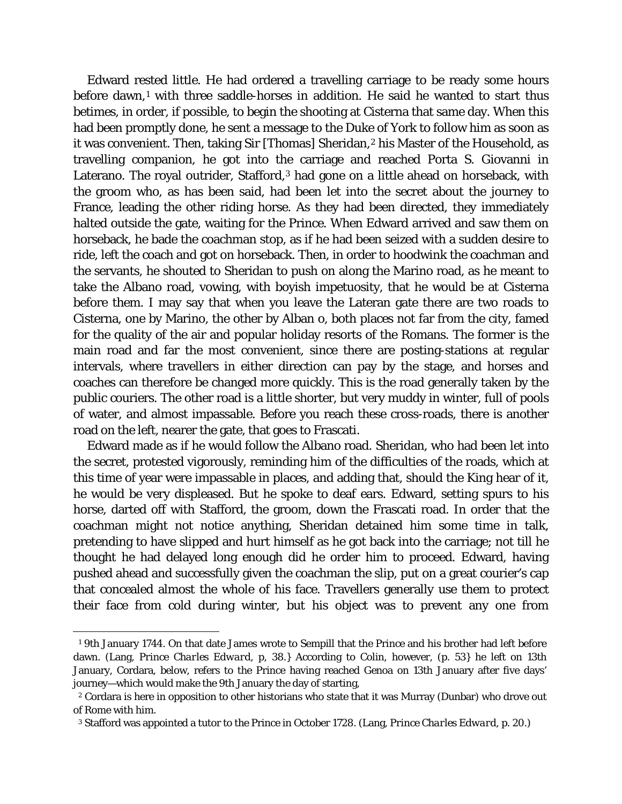Edward rested little. He had ordered a travelling carriage to be ready some hours before dawn,<sup>[1](#page-30-0)</sup> with three saddle-horses in addition. He said he wanted to start thus betimes, in order, if possible, to begin the shooting at Cisterna that same day. When this had been promptly done, he sent a message to the Duke of York to follow him as soon as it was convenient. Then, taking Sir [Thomas] Sheridan,<sup>[2](#page-30-1)</sup> his Master of the Household, as travelling companion, he got into the carriage and reached Porta S. Giovanni in Laterano. The royal outrider, Stafford,<sup>[3](#page-30-2)</sup> had gone on a little ahead on horseback, with the groom who, as has been said, had been let into the secret about the journey to France, leading the other riding horse. As they had been directed, they immediately halted outside the gate, waiting for the Prince. When Edward arrived and saw them on horseback, he bade the coachman stop, as if he had been seized with a sudden desire to ride, left the coach and got on horseback. Then, in order to hoodwink the coachman and the servants, he shouted to Sheridan to push on along the Marino road, as he meant to take the Albano road, vowing, with boyish impetuosity, that he would be at Cisterna before them. I may say that when you leave the Lateran gate there are two roads to Cisterna, one by Marino, the other by Alban o, both places not far from the city, famed for the quality of the air and popular holiday resorts of the Romans. The former is the main road and far the most convenient, since there are posting-stations at regular intervals, where travellers in either direction can pay by the stage, and horses and coaches can therefore be changed more quickly. This is the road generally taken by the public couriers. The other road is a little shorter, but very muddy in winter, full of pools of water, and almost impassable. Before you reach these cross-roads, there is another road on the left, nearer the gate, that goes to Frascati.

Edward made as if he would follow the Albano road. Sheridan, who had been let into the secret, protested vigorously, reminding him of the difficulties of the roads, which at this time of year were impassable in places, and adding that, should the King hear of it, he would be very displeased. But he spoke to deaf ears. Edward, setting spurs to his horse, darted off with Stafford, the groom, down the Frascati road. In order that the coachman might not notice anything, Sheridan detained him some time in talk, pretending to have slipped and hurt himself as he got back into the carriage; not till he thought he had delayed long enough did he order him to proceed. Edward, having pushed ahead and successfully given the coachman the slip, put on a great courier's cap that concealed almost the whole of his face. Travellers generally use them to protect their face from cold during winter, but his object was to prevent any one from

<span id="page-30-0"></span>ī <sup>1</sup> 9th January 1744. On that date James wrote to Sempill that the Prince and his brother had left before dawn. (Lang, *Prince Charles Edward,* p, 38.} According to Colin, however, (p. 53} he left on 13th January, Cordara, below, refers to the Prince having reached Genoa on 13th January after five days' journey—which would make the 9th January the day of starting,

<span id="page-30-1"></span><sup>2</sup> Cordara is here in opposition to other historians who state that it was Murray (Dunbar) who drove out of Rome with him.

<span id="page-30-2"></span><sup>3</sup> Stafford was appointed a tutor to the Prince in October 1728. (Lang, *Prince Charles Edward,* p. 20.)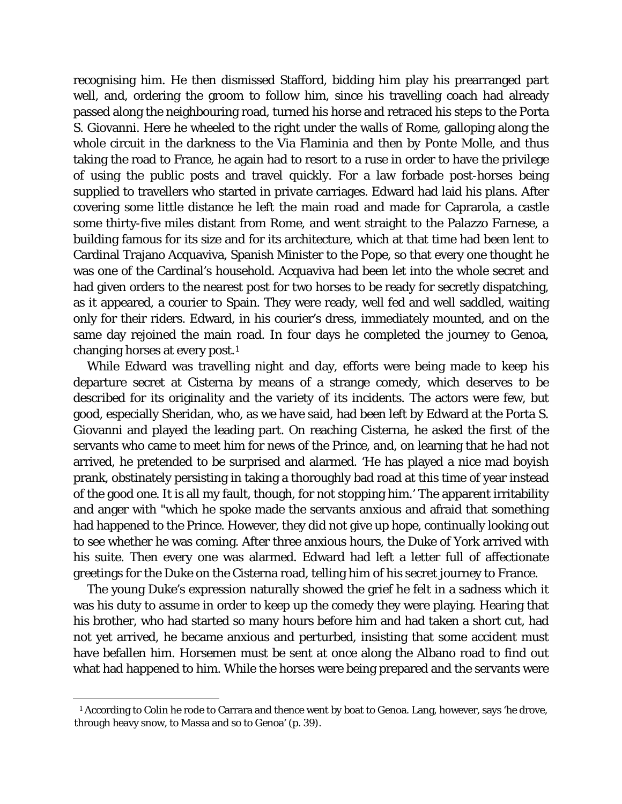recognising him. He then dismissed Stafford, bidding him play his prearranged part well, and, ordering the groom to follow him, since his travelling coach had already passed along the neighbouring road, turned his horse and retraced his steps to the Porta S. Giovanni. Here he wheeled to the right under the walls of Rome, galloping along the whole circuit in the darkness to the Via Flaminia and then by Ponte Molle, and thus taking the road to France, he again had to resort to a ruse in order to have the privilege of using the public posts and travel quickly. For a law forbade post-horses being supplied to travellers who started in private carriages. Edward had laid his plans. After covering some little distance he left the main road and made for Caprarola, a castle some thirty-five miles distant from Rome, and went straight to the Palazzo Farnese, a building famous for its size and for its architecture, which at that time had been lent to Cardinal Trajano Acquaviva, Spanish Minister to the Pope, so that every one thought he was one of the Cardinal's household. Acquaviva had been let into the whole secret and had given orders to the nearest post for two horses to be ready for secretly dispatching, as it appeared, a courier to Spain. They were ready, well fed and well saddled, waiting only for their riders. Edward, in his courier's dress, immediately mounted, and on the same day rejoined the main road. In four days he completed the journey to Genoa, changing horses at every post[.1](#page-31-0)

While Edward was travelling night and day, efforts were being made to keep his departure secret at Cisterna by means of a strange comedy, which deserves to be described for its originality and the variety of its incidents. The actors were few, but good, especially Sheridan, who, as we have said, had been left by Edward at the Porta S. Giovanni and played the leading part. On reaching Cisterna, he asked the first of the servants who came to meet him for news of the Prince, and, on learning that he had not arrived, he pretended to be surprised and alarmed. 'He has played a nice mad boyish prank, obstinately persisting in taking a thoroughly bad road at this time of year instead of the good one. It is all my fault, though, for not stopping him.' The apparent irritability and anger with "which he spoke made the servants anxious and afraid that something had happened to the Prince. However, they did not give up hope, continually looking out to see whether he was coming. After three anxious hours, the Duke of York arrived with his suite. Then every one was alarmed. Edward had left a letter full of affectionate greetings for the Duke on the Cisterna road, telling him of his secret journey to France.

The young Duke's expression naturally showed the grief he felt in a sadness which it was his duty to assume in order to keep up the comedy they were playing. Hearing that his brother, who had started so many hours before him and had taken a short cut, had not yet arrived, he became anxious and perturbed, insisting that some accident must have befallen him. Horsemen must be sent at once along the Albano road to find out what had happened to him. While the horses were being prepared and the servants were

<span id="page-31-0"></span>Ĩ. <sup>1</sup> According to Colin he rode to Carrara and thence went by boat to Genoa. Lang, however, says 'he drove, through heavy snow, to Massa and so to Genoa' (p. 39).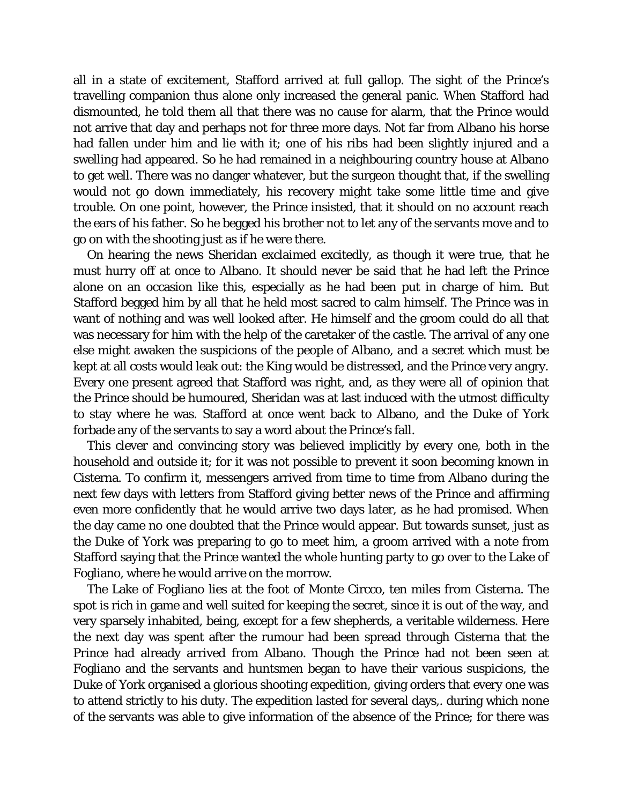all in a state of excitement, Stafford arrived at full gallop. The sight of the Prince's travelling companion thus alone only increased the general panic. When Stafford had dismounted, he told them all that there was no cause for alarm, that the Prince would not arrive that day and perhaps not for three more days. Not far from Albano his horse had fallen under him and lie with it; one of his ribs had been slightly injured and a swelling had appeared. So he had remained in a neighbouring country house at Albano to get well. There was no danger whatever, but the surgeon thought that, if the swelling would not go down immediately, his recovery might take some little time and give trouble. On one point, however, the Prince insisted, that it should on no account reach the ears of his father. So he begged his brother not to let any of the servants move and to go on with the shooting just as if he were there.

On hearing the news Sheridan exclaimed excitedly, as though it were true, that he must hurry off at once to Albano. It should never be said that he had left the Prince alone on an occasion like this, especially as he had been put in charge of him. But Stafford begged him by all that he held most sacred to calm himself. The Prince was in want of nothing and was well looked after. He himself and the groom could do all that was necessary for him with the help of the caretaker of the castle. The arrival of any one else might awaken the suspicions of the people of Albano, and a secret which must be kept at all costs would leak out: the King would be distressed, and the Prince very angry. Every one present agreed that Stafford was right, and, as they were all of opinion that the Prince should be humoured, Sheridan was at last induced with the utmost difficulty to stay where he was. Stafford at once went back to Albano, and the Duke of York forbade any of the servants to say a word about the Prince's fall.

This clever and convincing story was believed implicitly by every one, both in the household and outside it; for it was not possible to prevent it soon becoming known in Cisterna. To confirm it, messengers arrived from time to time from Albano during the next few days with letters from Stafford giving better news of the Prince and affirming even more confidently that he would arrive two days later, as he had promised. When the day came no one doubted that the Prince would appear. But towards sunset, just as the Duke of York was preparing to go to meet him, a groom arrived with a note from Stafford saying that the Prince wanted the whole hunting party to go over to the Lake of Fogliano, where he would arrive on the morrow.

The Lake of Fogliano lies at the foot of Monte Circco, ten miles from Cisterna. The spot is rich in game and well suited for keeping the secret, since it is out of the way, and very sparsely inhabited, being, except for a few shepherds, a veritable wilderness. Here the next day was spent after the rumour had been spread through Cisterna that the Prince had already arrived from Albano. Though the Prince had not been seen at Fogliano and the servants and huntsmen began to have their various suspicions, the Duke of York organised a glorious shooting expedition, giving orders that every one was to attend strictly to his duty. The expedition lasted for several days,. during which none of the servants was able to give information of the absence of the Prince; for there was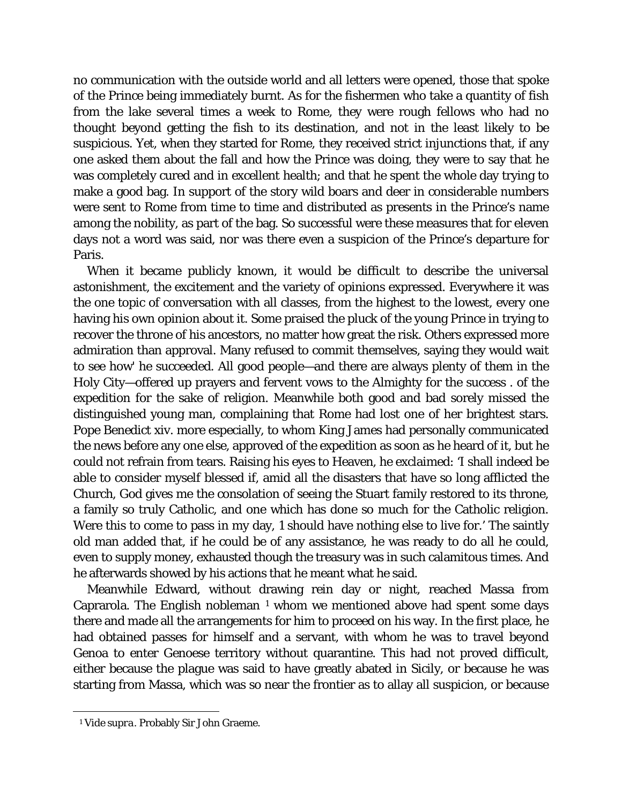no communication with the outside world and all letters were opened, those that spoke of the Prince being immediately burnt. As for the fishermen who take a quantity of fish from the lake several times a week to Rome, they were rough fellows who had no thought beyond getting the fish to its destination, and not in the least likely to be suspicious. Yet, when they started for Rome, they received strict injunctions that, if any one asked them about the fall and how the Prince was doing, they were to say that he was completely cured and in excellent health; and that he spent the whole day trying to make a good bag. In support of the story wild boars and deer in considerable numbers were sent to Rome from time to time and distributed as presents in the Prince's name among the nobility, as part of the bag. So successful were these measures that for eleven days not a word was said, nor was there even a suspicion of the Prince's departure for Paris.

When it became publicly known, it would be difficult to describe the universal astonishment, the excitement and the variety of opinions expressed. Everywhere it was the one topic of conversation with all classes, from the highest to the lowest, every one having his own opinion about it. Some praised the pluck of the young Prince in trying to recover the throne of his ancestors, no matter how great the risk. Others expressed more admiration than approval. Many refused to commit themselves, saying they would wait to see how' he succeeded. All good people—and there are always plenty of them in the Holy City—offered up prayers and fervent vows to the Almighty for the success . of the expedition for the sake of religion. Meanwhile both good and bad sorely missed the distinguished young man, complaining that Rome had lost one of her brightest stars. Pope Benedict xiv. more especially, to whom King James had personally communicated the news before any one else, approved of the expedition as soon as he heard of it, but he could not refrain from tears. Raising his eyes to Heaven, he exclaimed: 'I shall indeed be able to consider myself blessed if, amid all the disasters that have so long afflicted the Church, God gives me the consolation of seeing the Stuart family restored to its throne, a family so truly Catholic, and one which has done so much for the Catholic religion. Were this to come to pass in my day, 1 should have nothing else to live for.' The saintly old man added that, if he could be of any assistance, he was ready to do all he could, even to supply money, exhausted though the treasury was in such calamitous times. And he afterwards showed by his actions that he meant what he said.

Meanwhile Edward, without drawing rein day or night, reached Massa from Caprarola. The English nobleman  $1$  whom we mentioned above had spent some days there and made all the arrangements for him to proceed on his way. In the first place, he had obtained passes for himself and a servant, with whom he was to travel beyond Genoa to enter Genoese territory without quarantine. This had not proved difficult, either because the plague was said to have greatly abated in Sicily, or because he was starting from Massa, which was so near the frontier as to allay all suspicion, or because

<span id="page-33-0"></span>Ĩ. <sup>1</sup> *Vide supra.* Probably Sir John Graeme.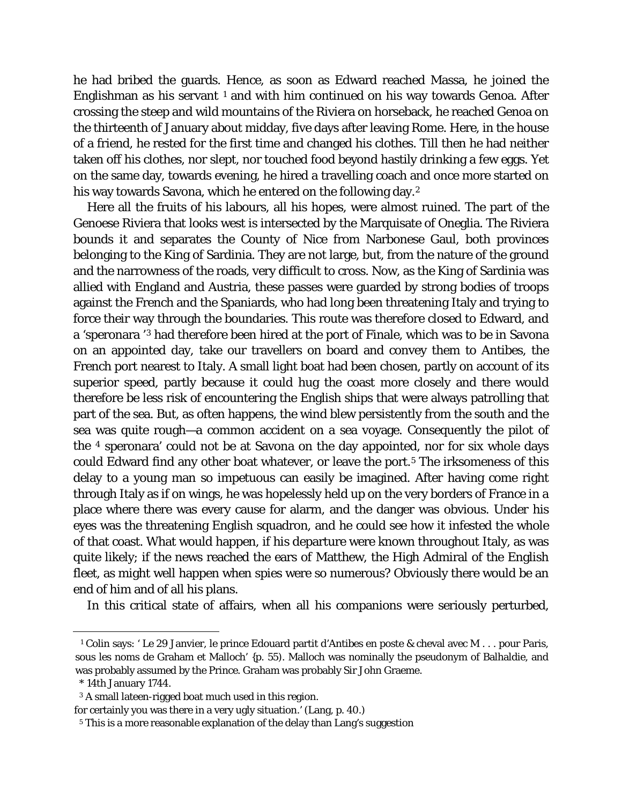he had bribed the guards. Hence, as soon as Edward reached Massa, he joined the Englishman as his servant  $1$  and with him continued on his way towards Genoa. After crossing the steep and wild mountains of the Riviera on horseback, he reached Genoa on the thirteenth of January about midday, five days after leaving Rome. Here, in the house of a friend, he rested for the first time and changed his clothes. Till then he had neither taken off his clothes, nor slept, nor touched food beyond hastily drinking a few eggs. Yet on the same day, towards evening, he hired a travelling coach and once more started on his way towards Savona, which he entered on the following day.<sup>[2](#page-34-1)</sup>

Here all the fruits of his labours, all his hopes, were almost ruined. The part of the Genoese Riviera that looks west is intersected by the Marquisate of Oneglia. The Riviera bounds it and separates the County of Nice from Narbonese Gaul, both provinces belonging to the King of Sardinia. They are not large, but, from the nature of the ground and the narrowness of the roads, very difficult to cross. Now, as the King of Sardinia was allied with England and Austria, these passes were guarded by strong bodies of troops against the French and the Spaniards, who had long been threatening Italy and trying to force their way through the boundaries. This route was therefore closed to Edward, and a 'speronara '[3](#page-34-2) had therefore been hired at the port of Finale, which was to be in Savona on an appointed day, take our travellers on board and convey them to Antibes, the French port nearest to Italy. A small light boat had been chosen, partly on account of its superior speed, partly because it could hug the coast more closely and there would therefore be less risk of encountering the English ships that were always patrolling that part of the sea. But, as often happens, the wind blew persistently from the south and the sea was quite rough—a common accident on a sea voyage. Consequently the pilot of the [4](#page-34-3) speronara' could not be at Savona on the day appointed, nor for six whole days could Edward find any other boat whatever, or leave the port.<sup>[5](#page-34-4)</sup> The irksomeness of this delay to a young man so impetuous can easily be imagined. After having come right through Italy as if on wings, he was hopelessly held up on the very borders of France in a place where there was every cause for alarm, and the danger was obvious. Under his eyes was the threatening English squadron, and he could see how it infested the whole of that coast. What would happen, if his departure were known throughout Italy, as was quite likely; if the news reached the ears of Matthew, the High Admiral of the English fleet, as might well happen when spies were so numerous? Obviously there would be an end of him and of all his plans.

In this critical state of affairs, when all his companions were seriously perturbed,

<span id="page-34-0"></span>ī <sup>1</sup> Colin says: ' Le 29 Janvier, le prince Edouard partit d'Antibes en poste & cheval avec M . . . pour Paris, sous les noms de Graham et Malloch' {p. 55). Malloch was nominally the pseudonym of Balhaldie, and was probably assumed by the Prince. Graham was probably Sir John Graeme.

<sup>\* 14</sup>th January 1744.

<span id="page-34-1"></span><sup>3</sup> A small lateen-rigged boat much used in this region.

<span id="page-34-4"></span><span id="page-34-3"></span><span id="page-34-2"></span>for certainly you was there in a very ugly situation.' (Lang, p. 40.)

*<sup>5</sup>* This is a more reasonable explanation of the delay than Lang's suggestion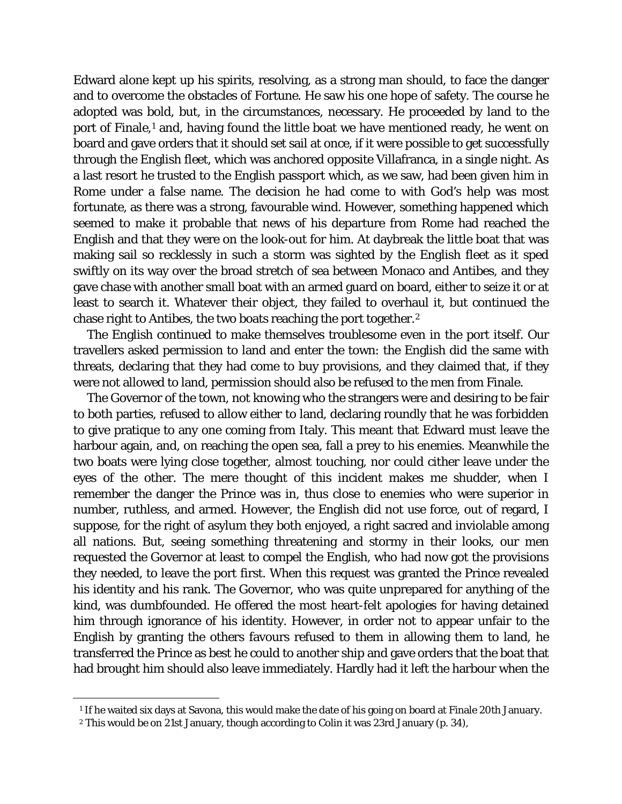Edward alone kept up his spirits, resolving, as a strong man should, to face the danger and to overcome the obstacles of Fortune. He saw his one hope of safety. The course he adopted was bold, but, in the circumstances, necessary. He proceeded by land to the port of Finale,<sup>[1](#page-35-0)</sup> and, having found the little boat we have mentioned ready, he went on board and gave orders that it should set sail at once, if it were possible to get successfully through the English fleet, which was anchored opposite Villafranca, in a single night. As a last resort he trusted to the English passport which, as we saw, had been given him in Rome under a false name. The decision he had come to with God's help was most fortunate, as there was a strong, favourable wind. However, something happened which seemed to make it probable that news of his departure from Rome had reached the English and that they were on the look-out for him. At daybreak the little boat that was making sail so recklessly in such a storm was sighted by the English fleet as it sped swiftly on its way over the broad stretch of sea between Monaco and Antibes, and they gave chase with another small boat with an armed guard on board, either to seize it or at least to search it. Whatever their object, they failed to overhaul it, but continued the chase right to Antibes, the two boats reaching the port together.[2](#page-35-1)

The English continued to make themselves troublesome even in the port itself. Our travellers asked permission to land and enter the town: the English did the same with threats, declaring that they had come to buy provisions, and they claimed that, if they were not allowed to land, permission should also be refused to the men from Finale.

The Governor of the town, not knowing who the strangers were and desiring to be fair to both parties, refused to allow either to land, declaring roundly that he was forbidden to give pratique to any one coming from Italy. This meant that Edward must leave the harbour again, and, on reaching the open sea, fall a prey to his enemies. Meanwhile the two boats were lying close together, almost touching, nor could cither leave under the eyes of the other. The mere thought of this incident makes me shudder, when I remember the danger the Prince was in, thus close to enemies who were superior in number, ruthless, and armed. However, the English did not use force, out of regard, I suppose, for the right of asylum they both enjoyed, a right sacred and inviolable among all nations. But, seeing something threatening and stormy in their looks, our men requested the Governor at least to compel the English, who had now got the provisions they needed, to leave the port first. When this request was granted the Prince revealed his identity and his rank. The Governor, who was quite unprepared for anything of the kind, was dumbfounded. He offered the most heart-felt apologies for having detained him through ignorance of his identity. However, in order not to appear unfair to the English by granting the others favours refused to them in allowing them to land, he transferred the Prince as best he could to another ship and gave orders that the boat that had brought him should also leave immediately. Hardly had it left the harbour when the

<span id="page-35-1"></span><span id="page-35-0"></span>Ĩ. <sup>1</sup> If he waited six days at Savona, this would make the date of his going on board at Finale 20th January.

<sup>2</sup> This would be on 21st January, though according to Colin it was 23rd January (p. 34),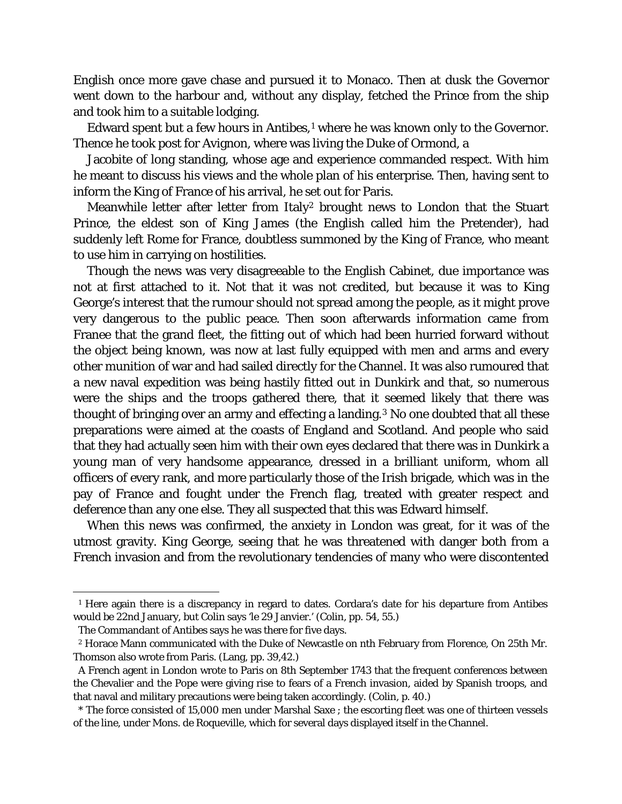English once more gave chase and pursued it to Monaco. Then at dusk the Governor went down to the harbour and, without any display, fetched the Prince from the ship and took him to a suitable lodging.

Edward spent but a few hours in Antibes,<sup>[1](#page-36-0)</sup> where he was known only to the Governor. Thence he took post for Avignon, where was living the Duke of Ormond, a

Jacobite of long standing, whose age and experience commanded respect. With him he meant to discuss his views and the whole plan of his enterprise. Then, having sent to inform the King of France of his arrival, he set out for Paris.

Meanwhile letter after letter from Italy<sup>[2](#page-36-1)</sup> brought news to London that the Stuart Prince, the eldest son of King James (the English called him the Pretender), had suddenly left Rome for France, doubtless summoned by the King of France, who meant to use him in carrying on hostilities.

Though the news was very disagreeable to the English Cabinet, due importance was not at first attached to it. Not that it was not credited, but because it was to King George's interest that the rumour should not spread among the people, as it might prove very dangerous to the public peace. Then soon afterwards information came from Franee that the grand fleet, the fitting out of which had been hurried forward without the object being known, was now at last fully equipped with men and arms and every other munition of war and had sailed directly for the Channel. It was also rumoured that a new naval expedition was being hastily fitted out in Dunkirk and that, so numerous were the ships and the troops gathered there, that it seemed likely that there was thought of bringing over an army and effecting a landing.<sup>[3](#page-36-2)</sup> No one doubted that all these preparations were aimed at the coasts of England and Scotland. And people who said that they had actually seen him with their own eyes declared that there was in Dunkirk a young man of very handsome appearance, dressed in a brilliant uniform, whom all officers of every rank, and more particularly those of the Irish brigade, which was in the pay of France and fought under the French flag, treated with greater respect and deference than any one else. They all suspected that this was Edward himself.

When this news was confirmed, the anxiety in London was great, for it was of the utmost gravity. King George, seeing that he was threatened with danger both from a French invasion and from the revolutionary tendencies of many who were discontented

<span id="page-36-0"></span>Ĩ. <sup>1</sup> Here again there is a discrepancy in regard to dates. Cordara's date for his departure from Antibes would be 22nd January, but Colin says 'le 29 Janvier.' (Colin, pp. 54, 55.)

The Commandant of Antibes says he was there for five days.

<span id="page-36-1"></span><sup>2</sup> Horace Mann communicated with the Duke of Newcastle on nth February from Florence, On 25th Mr. Thomson also wrote from Paris. (Lang, pp. 39,42.)

A French agent in London wrote to Paris on 8th September 1743 that the frequent conferences between the Chevalier and the Pope were giving rise to fears of a French invasion, aided by Spanish troops, and that naval and military precautions were being taken accordingly. (Colin, p. 40.)

<span id="page-36-2"></span><sup>\*</sup> The force consisted of 15,000 men under Marshal Saxe ; the escorting fleet was one of thirteen vessels of the line, under Mons. de Roqueville, which for several days displayed itself in the Channel.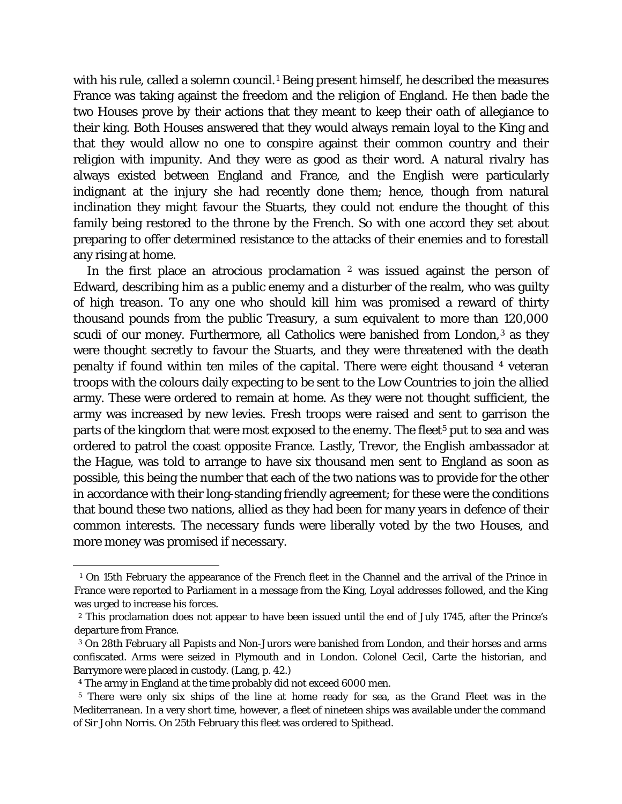with his rule, called a solemn council.<sup>[1](#page-37-0)</sup> Being present himself, he described the measures France was taking against the freedom and the religion of England. He then bade the two Houses prove by their actions that they meant to keep their oath of allegiance to their king. Both Houses answered that they would always remain loyal to the King and that they would allow no one to conspire against their common country and their religion with impunity. And they were as good as their word. A natural rivalry has always existed between England and France, and the English were particularly indignant at the injury she had recently done them; hence, though from natural inclination they might favour the Stuarts, they could not endure the thought of this family being restored to the throne by the French. So with one accord they set about preparing to offer determined resistance to the attacks of their enemies and to forestall any rising at home.

In the first place an atrocious proclamation [2](#page-37-1) was issued against the person of Edward, describing him as a public enemy and a disturber of the realm, who was guilty of high treason. To any one who should kill him was promised a reward of thirty thousand pounds from the public Treasury, a sum equivalent to more than 120,000 scudi of our money. Furthermore, all Catholics were banished from London,<sup>[3](#page-37-2)</sup> as they were thought secretly to favour the Stuarts, and they were threatened with the death penalty if found within ten miles of the capital. There were eight thousand [4](#page-37-3) veteran troops with the colours daily expecting to be sent to the Low Countries to join the allied army. These were ordered to remain at home. As they were not thought sufficient, the army was increased by new levies. Fresh troops were raised and sent to garrison the parts of the kingdom that were most exposed to the enemy. The fleet<sup>[5](#page-37-4)</sup> put to sea and was ordered to patrol the coast opposite France. Lastly, Trevor, the English ambassador at the Hague, was told to arrange to have six thousand men sent to England as soon as possible, this being the number that each of the two nations was to provide for the other in accordance with their long-standing friendly agreement; for these were the conditions that bound these two nations, allied as they had been for many years in defence of their common interests. The necessary funds were liberally voted by the two Houses, and more money was promised if necessary.

<span id="page-37-0"></span>ī <sup>1</sup> On 15th February the appearance of the French fleet in the Channel and the arrival of the Prince in France were reported to Parliament in a message from the King, Loyal addresses followed, and the King was urged to increase his forces.

<span id="page-37-1"></span><sup>2</sup> This proclamation does not appear to have been issued until the end of July 1745, after the Prince's departure from France.

<span id="page-37-2"></span><sup>3</sup> On 28th February all Papists and Non-Jurors were banished from London, and their horses and arms confiscated. Arms were seized in Plymouth and in London. Colonel Cecil, Carte the historian, and Barrymore were placed in custody. (Lang, p. 42.)

<sup>4</sup> The army in England at the time probably did not exceed 6000 men.

<span id="page-37-4"></span><span id="page-37-3"></span><sup>5</sup> There were only six ships of the line at home ready for sea, as the Grand Fleet was in the Mediterranean. In a very short time, however, a fleet of nineteen ships was available under the command of Sir John Norris. On 25th February this fleet was ordered to Spithead.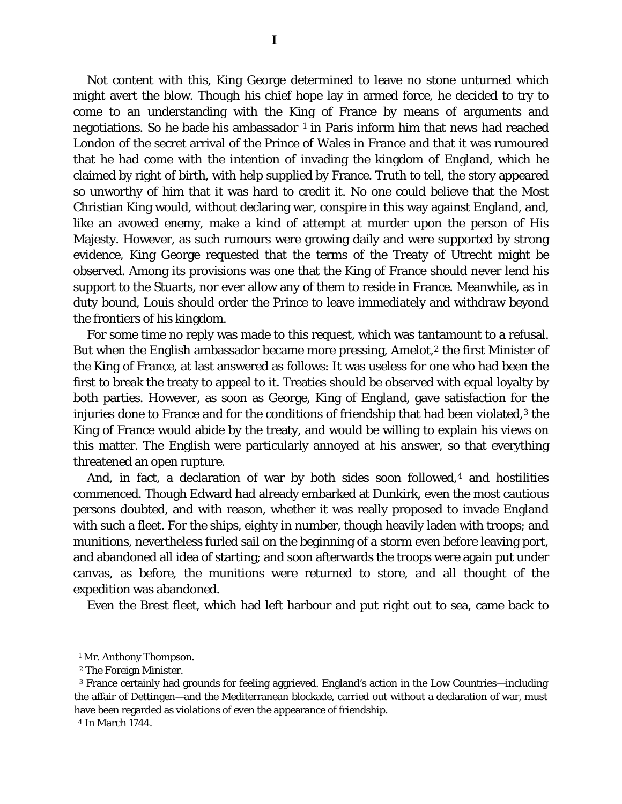Not content with this, King George determined to leave no stone unturned which might avert the blow. Though his chief hope lay in armed force, he decided to try to come to an understanding with the King of France by means of arguments and negotiations. So he bade his ambassador  $1$  in Paris inform him that news had reached London of the secret arrival of the Prince of Wales in France and that it was rumoured that he had come with the intention of invading the kingdom of England, which he claimed by right of birth, with help supplied by France. Truth to tell, the story appeared so unworthy of him that it was hard to credit it. No one could believe that the Most Christian King would, without declaring war, conspire in this way against England, and, like an avowed enemy, make a kind of attempt at murder upon the person of His Majesty. However, as such rumours were growing daily and were supported by strong evidence, King George requested that the terms of the Treaty of Utrecht might be observed. Among its provisions was one that the King of France should never lend his support to the Stuarts, nor ever allow any of them to reside in France. Meanwhile, as in duty bound, Louis should order the Prince to leave immediately and withdraw beyond the frontiers of his kingdom.

For some time no reply was made to this request, which was tantamount to a refusal. But when the English ambassador became more pressing, Amelot,<sup>[2](#page-38-1)</sup> the first Minister of the King of France, at last answered as follows: It was useless for one who had been the first to break the treaty to appeal to it. Treaties should be observed with equal loyalty by both parties. However, as soon as George, King of England, gave satisfaction for the injuries done to France and for the conditions of friendship that had been violated,<sup>[3](#page-38-2)</sup> the King of France would abide by the treaty, and would be willing to explain his views on this matter. The English were particularly annoyed at his answer, so that everything threatened an open rupture.

And, in fact, a declaration of war by both sides soon followed, $4$  and hostilities commenced. Though Edward had already embarked at Dunkirk, even the most cautious persons doubted, and with reason, whether it was really proposed to invade England with such a fleet. For the ships, eighty in number, though heavily laden with troops; and munitions, nevertheless furled sail on the beginning of a storm even before leaving port, and abandoned all idea of starting; and soon afterwards the troops were again put under canvas, as before, the munitions were returned to store, and all thought of the expedition was abandoned.

Even the Brest fleet, which had left harbour and put right out to sea, came back to

<span id="page-38-0"></span>ī <sup>1</sup> Mr. Anthony Thompson.

<sup>2</sup> The Foreign Minister.

<span id="page-38-2"></span><span id="page-38-1"></span><sup>3</sup> France certainly had grounds for feeling aggrieved. England's action in the Low Countries—including the affair of Dettingen—and the Mediterranean blockade, carried out without a declaration of war, must have been regarded as violations of even the appearance of friendship.

<span id="page-38-3"></span><sup>4</sup> In March 1744.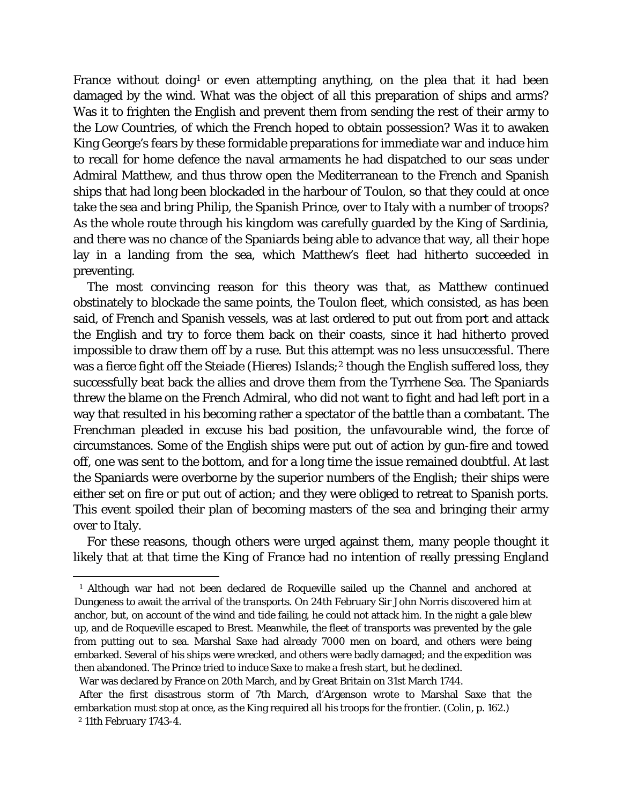France without doing<sup>[1](#page-39-0)</sup> or even attempting anything, on the plea that it had been damaged by the wind. What was the object of all this preparation of ships and arms? Was it to frighten the English and prevent them from sending the rest of their army to the Low Countries, of which the French hoped to obtain possession? Was it to awaken King George's fears by these formidable preparations for immediate war and induce him to recall for home defence the naval armaments he had dispatched to our seas under Admiral Matthew, and thus throw open the Mediterranean to the French and Spanish ships that had long been blockaded in the harbour of Toulon, so that they could at once take the sea and bring Philip, the Spanish Prince, over to Italy with a number of troops? As the whole route through his kingdom was carefully guarded by the King of Sardinia, and there was no chance of the Spaniards being able to advance that way, all their hope lay in a landing from the sea, which Matthew's fleet had hitherto succeeded in preventing.

The most convincing reason for this theory was that, as Matthew continued obstinately to blockade the same points, the Toulon fleet, which consisted, as has been said, of French and Spanish vessels, was at last ordered to put out from port and attack the English and try to force them back on their coasts, since it had hitherto proved impossible to draw them off by a ruse. But this attempt was no less unsuccessful. There was a fierce fight off the Steiade (Hieres) Islands;<sup>[2](#page-39-1)</sup> though the English suffered loss, they successfully beat back the allies and drove them from the Tyrrhene Sea. The Spaniards threw the blame on the French Admiral, who did not want to fight and had left port in a way that resulted in his becoming rather a spectator of the battle than a combatant. The Frenchman pleaded in excuse his bad position, the unfavourable wind, the force of circumstances. Some of the English ships were put out of action by gun-fire and towed off, one was sent to the bottom, and for a long time the issue remained doubtful. At last the Spaniards were overborne by the superior numbers of the English; their ships were either set on fire or put out of action; and they were obliged to retreat to Spanish ports. This event spoiled their plan of becoming masters of the sea and bringing their army over to Italy.

For these reasons, though others were urged against them, many people thought it likely that at that time the King of France had no intention of really pressing England

<span id="page-39-0"></span>Ĩ. <sup>1</sup> Although war had not been declared de Roqueville sailed up the Channel and anchored at Dungeness to await the arrival of the transports. On 24th February Sir John Norris discovered him at anchor, but, on account of the wind and tide failing, he could not attack him. In the night a gale blew up, and de Roqueville escaped to Brest. Meanwhile, the fleet of transports was prevented by the gale from putting out to sea. Marshal Saxe had already 7000 men on board, and others were being embarked. Several of his ships were wrecked, and others were badly damaged; and the expedition was then abandoned. The Prince tried to induce Saxe to make a fresh start, but he declined.

War was declared by France on 20th March, and by Great Britain on 31st March 1744.

After the first disastrous storm of 7th March, d'Argenson wrote to Marshal Saxe that the embarkation must stop at once, as the King required all his troops for the frontier. (Colin, p. 162.)

<span id="page-39-1"></span><sup>2</sup> 11th February 1743-4.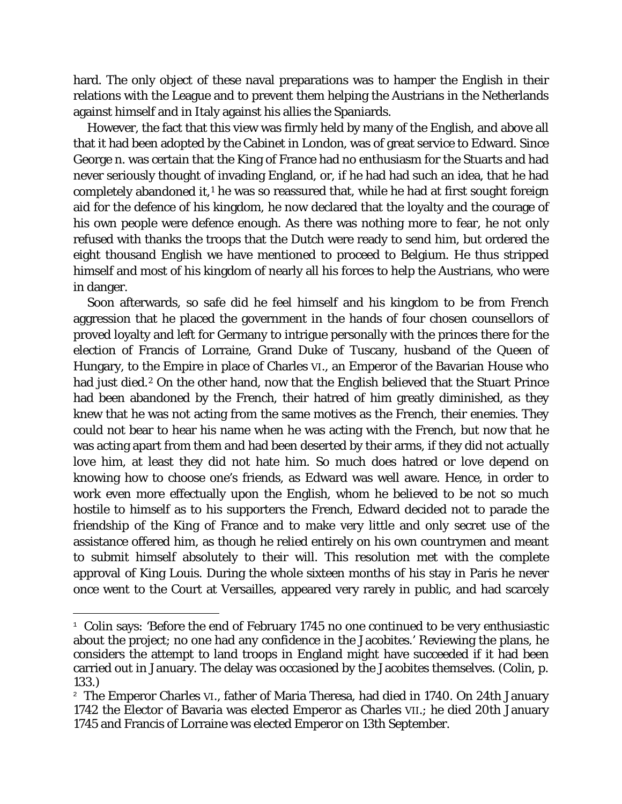hard. The only object of these naval preparations was to hamper the English in their relations with the League and to prevent them helping the Austrians in the Netherlands against himself and in Italy against his allies the Spaniards.

However, the fact that this view was firmly held by many of the English, and above all that it had been adopted by the Cabinet in London, was of great service to Edward. Since George n. was certain that the King of France had no enthusiasm for the Stuarts and had never seriously thought of invading England, or, if he had had such an idea, that he had completely abandoned it,<sup>[1](#page-40-0)</sup> he was so reassured that, while he had at first sought foreign aid for the defence of his kingdom, he now declared that the loyalty and the courage of his own people were defence enough. As there was nothing more to fear, he not only refused with thanks the troops that the Dutch were ready to send him, but ordered the eight thousand English we have mentioned to proceed to Belgium. He thus stripped himself and most of his kingdom of nearly all his forces to help the Austrians, who were in danger.

Soon afterwards, so safe did he feel himself and his kingdom to be from French aggression that he placed the government in the hands of four chosen counsellors of proved loyalty and left for Germany to intrigue personally with the princes there for the election of Francis of Lorraine, Grand Duke of Tuscany, husband of the Queen of Hungary, to the Empire in place of Charles VI., an Emperor of the Bavarian House who had just died.<sup>[2](#page-40-1)</sup> On the other hand, now that the English believed that the Stuart Prince had been abandoned by the French, their hatred of him greatly diminished, as they knew that he was not acting from the same motives as the French, their enemies. They could not bear to hear his name when he was acting with the French, but now that he was acting apart from them and had been deserted by their arms, if they did not actually love him, at least they did not hate him. So much does hatred or love depend on knowing how to choose one's friends, as Edward was well aware. Hence, in order to work even more effectually upon the English, whom he believed to be not so much hostile to himself as to his supporters the French, Edward decided not to parade the friendship of the King of France and to make very little and only secret use of the assistance offered him, as though he relied entirely on his own countrymen and meant to submit himself absolutely to their will. This resolution met with the complete approval of King Louis. During the whole sixteen months of his stay in Paris he never once went to the Court at Versailles, appeared very rarely in public, and had scarcely

<span id="page-40-0"></span>Ĩ.  $1$  Colin says: 'Before the end of February 1745 no one continued to be very enthusiastic about the project; no one had any confidence in the Jacobites.' Reviewing the plans, he considers the attempt to land troops in England might have succeeded if it had been carried out in January. The delay was occasioned by the Jacobites themselves. (Colin, p. 133.)

<span id="page-40-1"></span><sup>&</sup>lt;sup>2</sup> The Emperor Charles VI., father of Maria Theresa, had died in 1740. On 24th January 1742 the Elector of Bavaria was elected Emperor as Charles VII.; he died 20th January 1745 and Francis of Lorraine was elected Emperor on 13th September.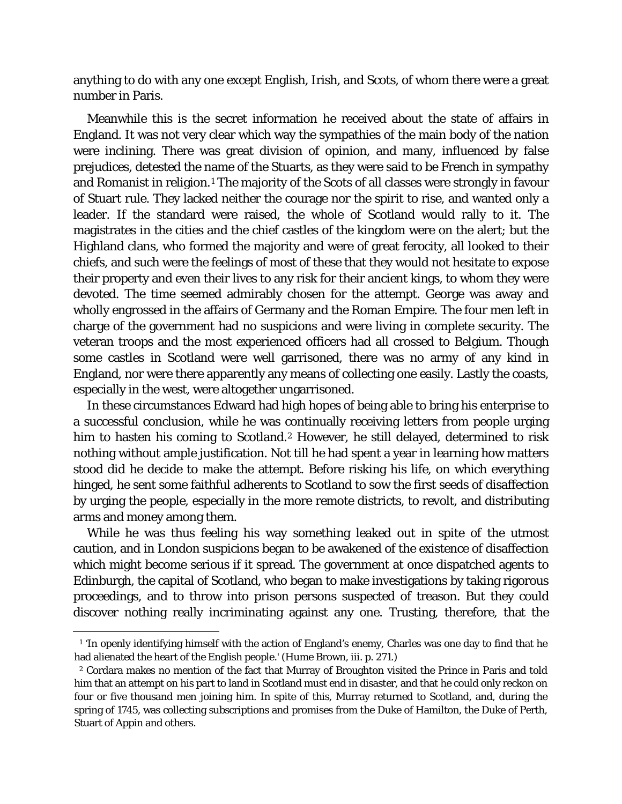anything to do with any one except English, Irish, and Scots, of whom there were a great number in Paris.

Meanwhile this is the secret information he received about the state of affairs in England. It was not very clear which way the sympathies of the main body of the nation were inclining. There was great division of opinion, and many, influenced by false prejudices, detested the name of the Stuarts, as they were said to be French in sympathy and Romanist in religion.<sup>1</sup> The majority of the Scots of all classes were strongly in favour of Stuart rule. They lacked neither the courage nor the spirit to rise, and wanted only a leader. If the standard were raised, the whole of Scotland would rally to it. The magistrates in the cities and the chief castles of the kingdom were on the alert; but the Highland clans, who formed the majority and were of great ferocity, all looked to their chiefs, and such were the feelings of most of these that they would not hesitate to expose their property and even their lives to any risk for their ancient kings, to whom they were devoted. The time seemed admirably chosen for the attempt. George was away and wholly engrossed in the affairs of Germany and the Roman Empire. The four men left in charge of the government had no suspicions and were living in complete security. The veteran troops and the most experienced officers had all crossed to Belgium. Though some castles in Scotland were well garrisoned, there was no army of any kind in England, nor were there apparently any means of collecting one easily. Lastly the coasts, especially in the west, were altogether ungarrisoned.

In these circumstances Edward had high hopes of being able to bring his enterprise to a successful conclusion, while he was continually receiving letters from people urging him to hasten his coming to Scotland.[2](#page-41-1) However, he still delayed, determined to risk nothing without ample justification. Not till he had spent a year in learning how matters stood did he decide to make the attempt. Before risking his life, on which everything hinged, he sent some faithful adherents to Scotland to sow the first seeds of disaffection by urging the people, especially in the more remote districts, to revolt, and distributing arms and money among them.

While he was thus feeling his way something leaked out in spite of the utmost caution, and in London suspicions began to be awakened of the existence of disaffection which might become serious if it spread. The government at once dispatched agents to Edinburgh, the capital of Scotland, who began to make investigations by taking rigorous proceedings, and to throw into prison persons suspected of treason. But they could discover nothing really incriminating against any one. Trusting, therefore, that the

<span id="page-41-0"></span>ī <sup>1</sup> 'In openly identifying himself with the action of England's enemy, Charles was one day to find that he had alienated the heart of the English people.' (Hume Brown, iii. p. 271.)

<span id="page-41-1"></span><sup>2</sup> Cordara makes no mention of the fact that Murray of Broughton visited the Prince in Paris and told him that an attempt on his part to land in Scotland must end in disaster, and that he could only reckon on four or five thousand men joining him. In spite of this, Murray returned to Scotland, and, during the spring of 1745, was collecting subscriptions and promises from the Duke of Hamilton, the Duke of Perth, Stuart of Appin and others.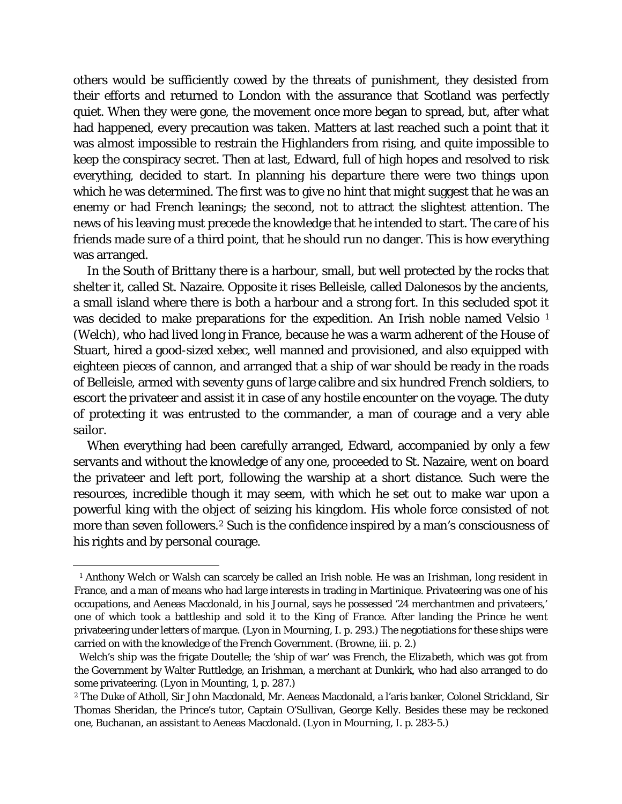others would be sufficiently cowed by the threats of punishment, they desisted from their efforts and returned to London with the assurance that Scotland was perfectly quiet. When they were gone, the movement once more began to spread, but, after what had happened, every precaution was taken. Matters at last reached such a point that it was almost impossible to restrain the Highlanders from rising, and quite impossible to keep the conspiracy secret. Then at last, Edward, full of high hopes and resolved to risk everything, decided to start. In planning his departure there were two things upon which he was determined. The first was to give no hint that might suggest that he was an enemy or had French leanings; the second, not to attract the slightest attention. The news of his leaving must precede the knowledge that he intended to start. The care of his friends made sure of a third point, that he should run no danger. This is how everything was arranged.

In the South of Brittany there is a harbour, small, but well protected by the rocks that shelter it, called St. Nazaire. Opposite it rises Belleisle, called Dalonesos by the ancients, a small island where there is both a harbour and a strong fort. In this secluded spot it was decided to make preparations for the expedition. An Irish noble named Velsio [1](#page-42-0) (Welch), who had lived long in France, because he was a warm adherent of the House of Stuart, hired a good-sized xebec, well manned and provisioned, and also equipped with eighteen pieces of cannon, and arranged that a ship of war should be ready in the roads of Belleisle, armed with seventy guns of large calibre and six hundred French soldiers, to escort the privateer and assist it in case of any hostile encounter on the voyage. The duty of protecting it was entrusted to the commander, a man of courage and a very able sailor.

When everything had been carefully arranged, Edward, accompanied by only a few servants and without the knowledge of any one, proceeded to St. Nazaire, went on board the privateer and left port, following the warship at a short distance. Such were the resources, incredible though it may seem, with which he set out to make war upon a powerful king with the object of seizing his kingdom. His whole force consisted of not more than seven followers.[2](#page-42-1) Such is the confidence inspired by a man's consciousness of his rights and by personal courage.

<span id="page-42-0"></span>ī <sup>1</sup> Anthony Welch or Walsh can scarcely be called an Irish noble. He was an Irishman, long resident in France, and a man of means who had large interests in trading in Martinique. Privateering was one of his occupations, and Aeneas Macdonald, in his Journal, says he possessed '24 merchantmen and privateers,' one of which took a battleship and sold it to the King of France. After landing the Prince he went privateering under letters of marque. *(Lyon in Mourning*, I. p. 293.) The negotiations for these ships were carried on with the knowledge of the French Government. (Browne, iii. p. 2.)

Welch's ship was the frigate *Doutelle*; the 'ship of war' was French, the *Elizabeth,* which was got from the Government by Walter Ruttledge, an Irishman, a merchant at Dunkirk, who had also arranged to do some privateering. *(Lyon in Mounting,* 1, p. 287.)

<span id="page-42-1"></span><sup>2</sup> The Duke of Atholl, Sir John Macdonald, Mr. Aeneas Macdonald, a l'aris banker, Colonel Strickland, Sir Thomas Sheridan, the Prince's tutor, Captain O'Sullivan, George Kelly. Besides these may be reckoned one, Buchanan, an assistant to Aeneas Macdonald. *(Lyon in Mourning,* I. p. 283-5.)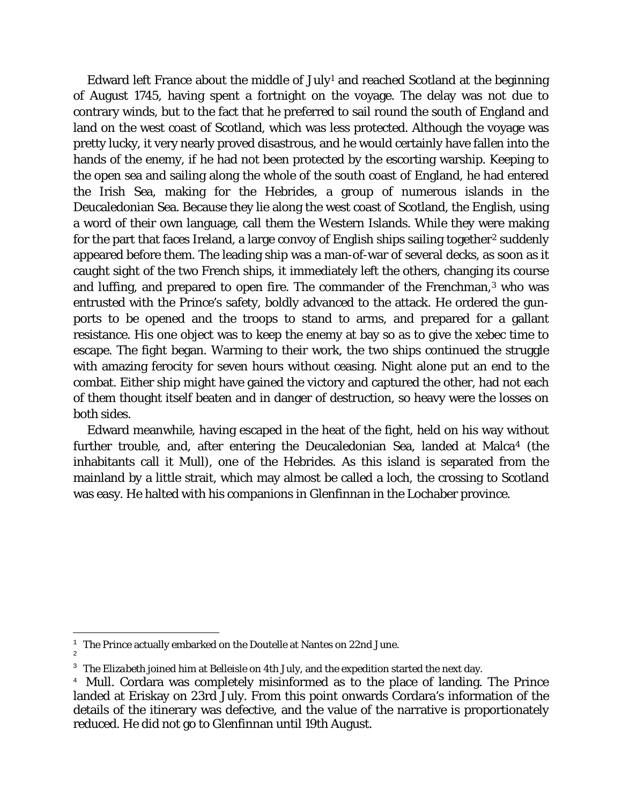Edward left France about the middle of July<sup>[1](#page-43-0)</sup> and reached Scotland at the beginning of August 1745, having spent a fortnight on the voyage. The delay was not due to contrary winds, but to the fact that he preferred to sail round the south of England and land on the west coast of Scotland, which was less protected. Although the voyage was pretty lucky, it very nearly proved disastrous, and he would certainly have fallen into the hands of the enemy, if he had not been protected by the escorting warship. Keeping to the open sea and sailing along the whole of the south coast of England, he had entered the Irish Sea, making for the Hebrides, a group of numerous islands in the Deucaledonian Sea. Because they lie along the west coast of Scotland, the English, using a word of their own language, call them the Western Islands. While they were making for the part that faces Ireland, a large convoy of English ships sailing together<sup>[2](#page-43-1)</sup> suddenly appeared before them. The leading ship was a man-of-war of several decks, as soon as it caught sight of the two French ships, it immediately left the others, changing its course and luffing, and prepared to open fire. The commander of the Frenchman,<sup>[3](#page-43-2)</sup> who was entrusted with the Prince's safety, boldly advanced to the attack. He ordered the gunports to be opened and the troops to stand to arms, and prepared for a gallant resistance. His one object was to keep the enemy at bay so as to give the xebec time to escape. The fight began. Warming to their work, the two ships continued the struggle with amazing ferocity for seven hours without ceasing. Night alone put an end to the combat. Either ship might have gained the victory and captured the other, had not each of them thought itself beaten and in danger of destruction, so heavy were the losses on both sides.

Edward meanwhile, having escaped in the heat of the fight, held on his way without further trouble, and, after entering the Deucaledonian Sea, landed at Malca<sup>[4](#page-43-3)</sup> (the inhabitants call it Mull), one of the Hebrides. As this island is separated from the mainland by a little strait, which may almost be called a loch, the crossing to Scotland was easy. He halted with his companions in Glenfinnan in the Lochaber province.

<span id="page-43-0"></span>Ĩ. <sup>1</sup> The Prince actually embarked on the *Doutelle* at Nantes on 22nd June.

<span id="page-43-1"></span><sup>2</sup>

<sup>&</sup>lt;sup>3</sup> The *Elizabeth* joined him at Belleisle on 4th July, and the expedition started the next day.

<span id="page-43-3"></span><span id="page-43-2"></span><sup>&</sup>lt;sup>4</sup> Mull. Cordara was completely misinformed as to the place of landing. The Prince landed at Eriskay on 23rd July. From this point onwards Cordara's information of the details of the itinerary was defective, and the value of the narrative is proportionately reduced. He did not go to Glenfinnan until 19th August.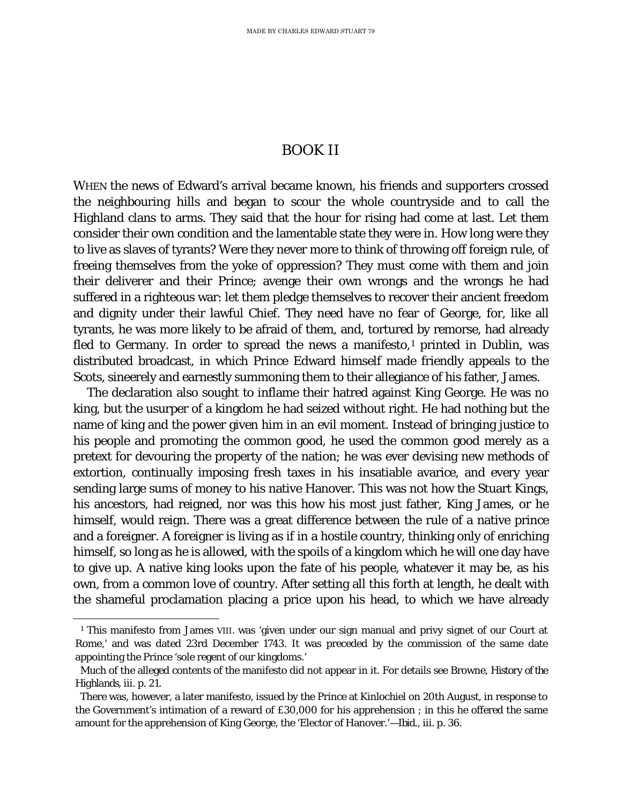## BOOK II

WHEN the news of Edward's arrival became known, his friends and supporters crossed the neighbouring hills and began to scour the whole countryside and to call the Highland clans to arms. They said that the hour for rising had come at last. Let them consider their own condition and the lamentable state they were in. How long were they to live as slaves of tyrants? Were they never more to think of throwing off foreign rule, of freeing themselves from the yoke of oppression? They must come with them and join their deliverer and their Prince; avenge their own wrongs and the wrongs he had suffered in a righteous war: let them pledge themselves to recover their ancient freedom and dignity under their lawful Chief. They need have no fear of George, for, like all tyrants, he was more likely to be afraid of them, and, tortured by remorse, had already fled to Germany. In order to spread the news a manifesto,<sup>[1](#page-45-0)</sup> printed in Dublin, was distributed broadcast, in which Prince Edward himself made friendly appeals to the Scots, sineerely and earnestly summoning them to their allegiance of his father, James.

The declaration also sought to inflame their hatred against King George. He was no king, but the usurper of a kingdom he had seized without right. He had nothing but the name of king and the power given him in an evil moment. Instead of bringing justice to his people and promoting the common good, he used the common good merely as a pretext for devouring the property of the nation; he was ever devising new methods of extortion, continually imposing fresh taxes in his insatiable avarice, and every year sending large sums of money to his native Hanover. This was not how the Stuart Kings, his ancestors, had reigned, nor was this how his most just father, King James, or he himself, would reign. There was a great difference between the rule of a native prince and a foreigner. A foreigner is living as if in a hostile country, thinking only of enriching himself, so long as he is allowed, with the spoils of a kingdom which he will one day have to give up. A native king looks upon the fate of his people, whatever it may be, as his own, from a common love of country. After setting all this forth at length, he dealt with the shameful proclamation placing a price upon his head, to which we have already

<span id="page-45-0"></span>Ĩ.

<sup>&</sup>lt;sup>1</sup> This manifesto from James VIII. was 'given under our sign manual and privy signet of our Court at Rome,' and was dated 23rd December 1743. It was preceded by the commission of the same date appointing the Prince 'sole regent of our kingdoms.'

Much of the alleged contents of the manifesto did not appear in it. For details see Browne, *History of the Highlands*, iii. p. 21.

There was, however, a later manifesto, issued by the Prince at Kinlochiel on 20th August, in response to the Government's intimation of a reward of £30,000 for his apprehension ; in this he offered the same amount for the apprehension of King George, the 'Elector of Hanover.'—*Ibid*., iii. p. 36.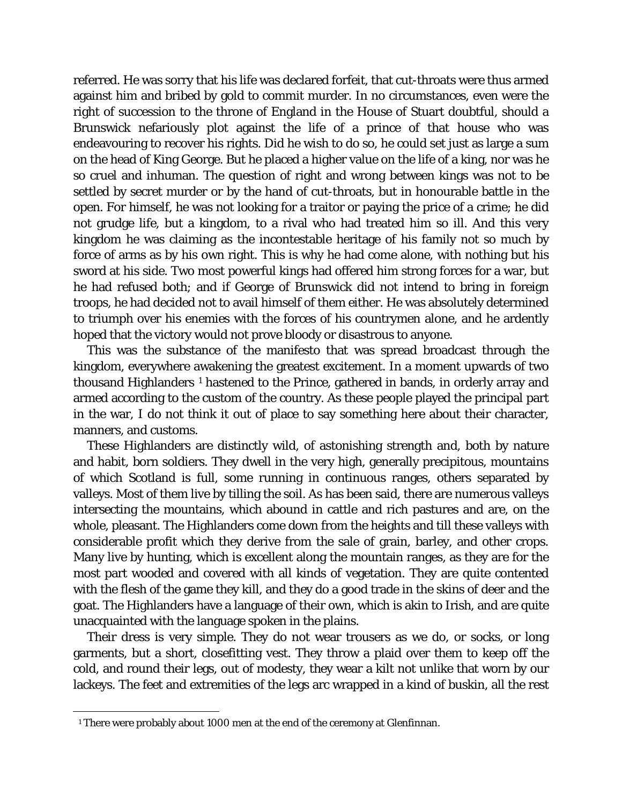referred. He was sorry that his life was declared forfeit, that cut-throats were thus armed against him and bribed by gold to commit murder. In no circumstances, even were the right of succession to the throne of England in the House of Stuart doubtful, should a Brunswick nefariously plot against the life of a prince of that house who was endeavouring to recover his rights. Did he wish to do so, he could set just as large a sum on the head of King George. But he placed a higher value on the life of a king, nor was he so cruel and inhuman. The question of right and wrong between kings was not to be settled by secret murder or by the hand of cut-throats, but in honourable battle in the open. For himself, he was not looking for a traitor or paying the price of a crime; he did not grudge life, but a kingdom, to a rival who had treated him so ill. And this very kingdom he was claiming as the incontestable heritage of his family not so much by force of arms as by his own right. This is why he had come alone, with nothing but his sword at his side. Two most powerful kings had offered him strong forces for a war, but he had refused both; and if George of Brunswick did not intend to bring in foreign troops, he had decided not to avail himself of them either. He was absolutely determined to triumph over his enemies with the forces of his countrymen alone, and he ardently hoped that the victory would not prove bloody or disastrous to anyone.

This was the substance of the manifesto that was spread broadcast through the kingdom, everywhere awakening the greatest excitement. In a moment upwards of two thousand Highlanders [1](#page-46-0) hastened to the Prince, gathered in bands, in orderly array and armed according to the custom of the country. As these people played the principal part in the war, I do not think it out of place to say something here about their character, manners, and customs.

These Highlanders are distinctly wild, of astonishing strength and, both by nature and habit, born soldiers. They dwell in the very high, generally precipitous, mountains of which Scotland is full, some running in continuous ranges, others separated by valleys. Most of them live by tilling the soil. As has been said, there are numerous valleys intersecting the mountains, which abound in cattle and rich pastures and are, on the whole, pleasant. The Highlanders come down from the heights and till these valleys with considerable profit which they derive from the sale of grain, barley, and other crops. Many live by hunting, which is excellent along the mountain ranges, as they are for the most part wooded and covered with all kinds of vegetation. They are quite contented with the flesh of the game they kill, and they do a good trade in the skins of deer and the goat. The Highlanders have a language of their own, which is akin to Irish, and are quite unacquainted with the language spoken in the plains.

Their dress is very simple. They do not wear trousers as we do, or socks, or long garments, but a short, closefitting vest. They throw a plaid over them to keep off the cold, and round their legs, out of modesty, they wear a kilt not unlike that worn by our lackeys. The feet and extremities of the legs arc wrapped in a kind of buskin, all the rest

<span id="page-46-0"></span>Ĩ. <sup>1</sup> There were probably about 1000 men at the end of the ceremony at Glenfinnan.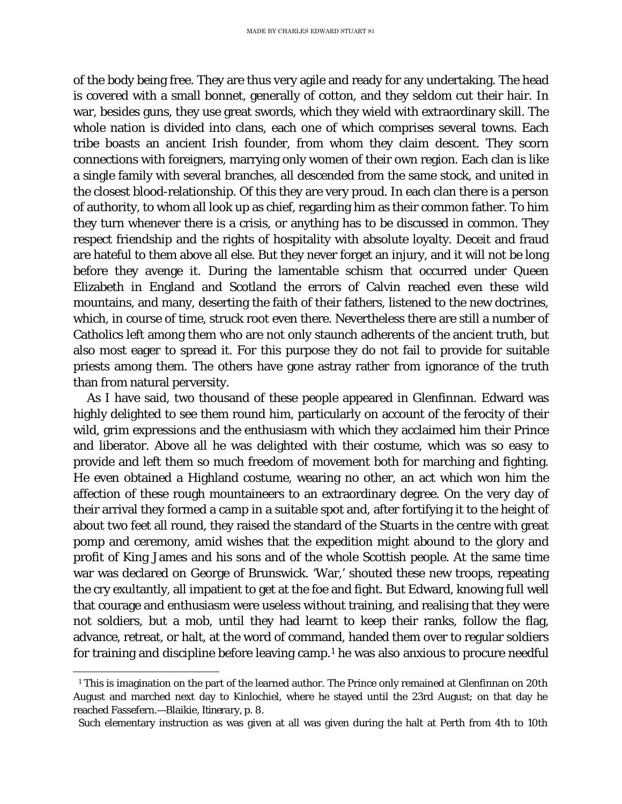of the body being free. They are thus very agile and ready for any undertaking. The head is covered with a small bonnet, generally of cotton, and they seldom cut their hair. In war, besides guns, they use great swords, which they wield with extraordinary skill. The whole nation is divided into clans, each one of which comprises several towns. Each tribe boasts an ancient Irish founder, from whom they claim descent. They scorn connections with foreigners, marrying only women of their own region. Each clan is like a single family with several branches, all descended from the same stock, and united in the closest blood-relationship. Of this they are very proud. In each clan there is a person of authority, to whom all look up as chief, regarding him as their common father. To him they turn whenever there is a crisis, or anything has to be discussed in common. They respect friendship and the rights of hospitality with absolute loyalty. Deceit and fraud are hateful to them above all else. But they never forget an injury, and it will not be long before they avenge it. During the lamentable schism that occurred under Queen Elizabeth in England and Scotland the errors of Calvin reached even these wild mountains, and many, deserting the faith of their fathers, listened to the new doctrines, which, in course of time, struck root even there. Nevertheless there are still a number of Catholics left among them who are not only staunch adherents of the ancient truth, but also most eager to spread it. For this purpose they do not fail to provide for suitable priests among them. The others have gone astray rather from ignorance of the truth than from natural perversity.

As I have said, two thousand of these people appeared in Glenfinnan. Edward was highly delighted to see them round him, particularly on account of the ferocity of their wild, grim expressions and the enthusiasm with which they acclaimed him their Prince and liberator. Above all he was delighted with their costume, which was so easy to provide and left them so much freedom of movement both for marching and fighting. He even obtained a Highland costume, wearing no other, an act which won him the affection of these rough mountaineers to an extraordinary degree. On the very day of their arrival they formed a camp in a suitable spot and, after fortifying it to the height of about two feet all round, they raised the standard of the Stuarts in the centre with great pomp and ceremony, amid wishes that the expedition might abound to the glory and profit of King James and his sons and of the whole Scottish people. At the same time war was declared on George of Brunswick. 'War,' shouted these new troops, repeating the cry exultantly, all impatient to get at the foe and fight. But Edward, knowing full well that courage and enthusiasm were useless without training, and realising that they were not soldiers, but a mob, until they had learnt to keep their ranks, follow the flag, advance, retreat, or halt, at the word of command, handed them over to regular soldiers for training and discipline before leaving camp.[1](#page-47-0) he was also anxious to procure needful

<span id="page-47-0"></span>Ĩ. <sup>1</sup> This is imagination on the part of the learned author. The Prince only remained at Glenfinnan on 20th August and marched next day to Kinlochiel, where he stayed until the 23rd August; on that day he reached Fassefern.—Blaikie, *Itinerary,* p. 8.

Such elementary instruction as was given at all was given during the halt at Perth from 4th to 10th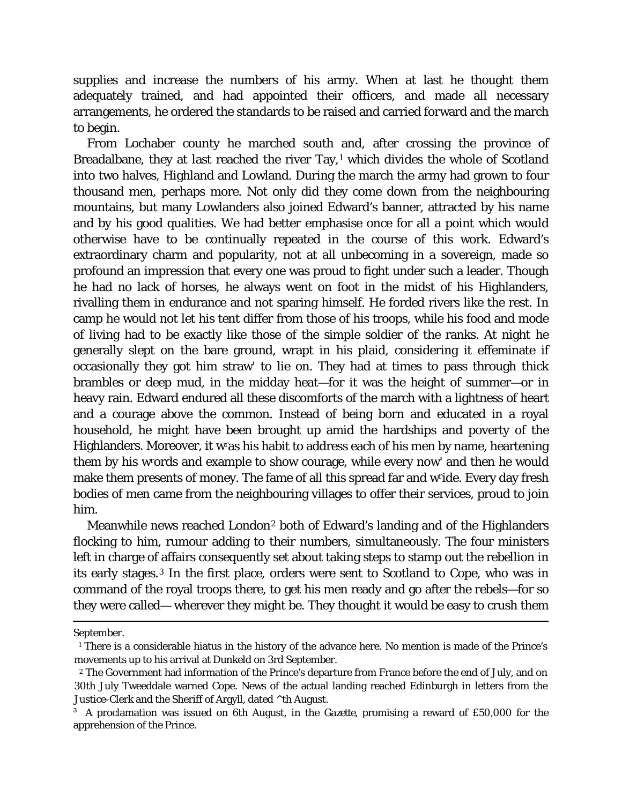supplies and increase the numbers of his army. When at last he thought them adequately trained, and had appointed their officers, and made all necessary arrangements, he ordered the standards to be raised and carried forward and the march to begin.

From Lochaber county he marched south and, after crossing the province of Breadalbane, they at last reached the river Tay, $1$  which divides the whole of Scotland into two halves, Highland and Lowland. During the march the army had grown to four thousand men, perhaps more. Not only did they come down from the neighbouring mountains, but many Lowlanders also joined Edward's banner, attracted by his name and by his good qualities. We had better emphasise once for all a point which would otherwise have to be continually repeated in the course of this work. Edward's extraordinary charm and popularity, not at all unbecoming in a sovereign, made so profound an impression that every one was proud to fight under such a leader. Though he had no lack of horses, he always went on foot in the midst of his Highlanders, rivalling them in endurance and not sparing himself. He forded rivers like the rest. In camp he would not let his tent differ from those of his troops, while his food and mode of living had to be exactly like those of the simple soldier of the ranks. At night he generally slept on the bare ground, wrapt in his plaid, considering it effeminate if occasionally they got him straw' to lie on. They had at times to pass through thick brambles or deep mud, in the midday heat—for it was the height of summer—or in heavy rain. Edward endured all these discomforts of the march with a lightness of heart and a courage above the common. Instead of being born and educated in a royal household, he might have been brought up amid the hardships and poverty of the Highlanders. Moreover, it wras his habit to address each of his men by name, heartening them by his wrords and example to show courage, while every now' and then he would make them presents of money. The fame of all this spread far and wride. Every day fresh bodies of men came from the neighbouring villages to offer their services, proud to join him.

Meanwhile news reached London[2](#page-48-1) both of Edward's landing and of the Highlanders flocking to him, rumour adding to their numbers, simultaneously. The four ministers left in charge of affairs consequently set about taking steps to stamp out the rebellion in its early stages.[3](#page-48-2) In the first place, orders were sent to Scotland to Cope, who was in command of the royal troops there, to get his men ready and go after the rebels—for so they were called— wherever they might be. They thought it would be easy to crush them

Ĩ. September.

<span id="page-48-0"></span><sup>1</sup> There is a considerable hiatus in the history of the advance here. No mention is made of the Prince's movements up to his arrival at Dunkeld on 3rd September.

<span id="page-48-1"></span><sup>2</sup> The Government had information of the Prince's departure from France before the end of July, and on 30th July Tweeddale warned Cope. News of the actual landing reached Edinburgh in letters from the Justice-Clerk and the Sheriff of Argyll, dated ^th August.

<span id="page-48-2"></span><sup>&</sup>lt;sup>3</sup> A proclamation was issued on 6th August, in the *Gazette*, promising a reward of £50,000 for the apprehension of the Prince.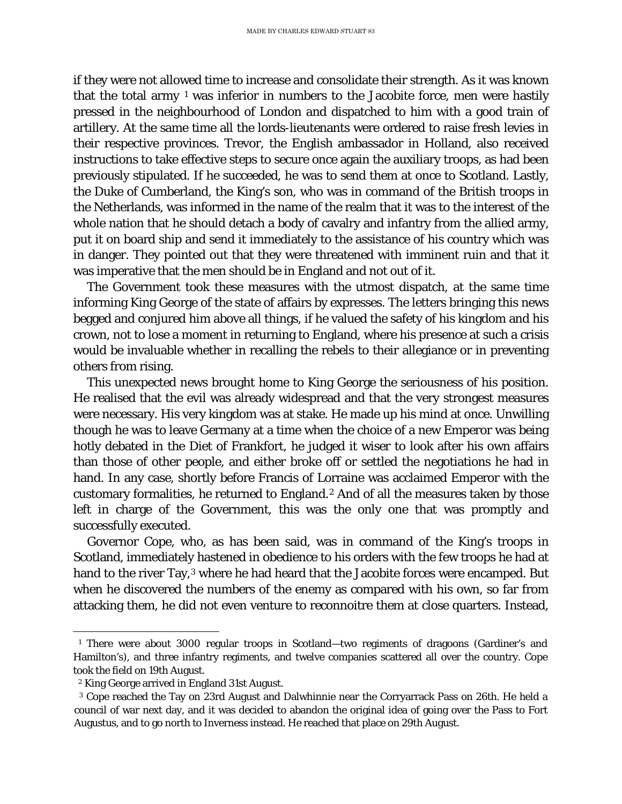if they were not allowed time to increase and consolidate their strength. As it was known that the total army  $1$  was inferior in numbers to the Jacobite force, men were hastily pressed in the neighbourhood of London and dispatched to him with a good train of artillery. At the same time all the lords-lieutenants were ordered to raise fresh levies in their respective provinces. Trevor, the English ambassador in Holland, also received instructions to take effective steps to secure once again the auxiliary troops, as had been previously stipulated. If he succeeded, he was to send them at once to Scotland. Lastly, the Duke of Cumberland, the King's son, who was in command of the British troops in the Netherlands, was informed in the name of the realm that it was to the interest of the whole nation that he should detach a body of cavalry and infantry from the allied army, put it on board ship and send it immediately to the assistance of his country which was in danger. They pointed out that they were threatened with imminent ruin and that it was imperative that the men should be in England and not out of it.

The Government took these measures with the utmost dispatch, at the same time informing King George of the state of affairs by expresses. The letters bringing this news begged and conjured him above all things, if he valued the safety of his kingdom and his crown, not to lose a moment in returning to England, where his presence at such a crisis would be invaluable whether in recalling the rebels to their allegiance or in preventing others from rising.

This unexpected news brought home to King George the seriousness of his position. He realised that the evil was already widespread and that the very strongest measures were necessary. His very kingdom was at stake. He made up his mind at once. Unwilling though he was to leave Germany at a time when the choice of a new Emperor was being hotly debated in the Diet of Frankfort, he judged it wiser to look after his own affairs than those of other people, and either broke off or settled the negotiations he had in hand. In any case, shortly before Francis of Lorraine was acclaimed Emperor with the customary formalities, he returned to England.[2](#page-49-1) And of all the measures taken by those left in charge of the Government, this was the only one that was promptly and successfully executed.

Governor Cope, who, as has been said, was in command of the King's troops in Scotland, immediately hastened in obedience to his orders with the few troops he had at hand to the river Tay,<sup>[3](#page-49-2)</sup> where he had heard that the Jacobite forces were encamped. But when he discovered the numbers of the enemy as compared with his own, so far from attacking them, he did not even venture to reconnoitre them at close quarters. Instead,

<span id="page-49-0"></span>ī <sup>1</sup> There were about 3000 regular troops in Scotland—two regiments of dragoons (Gardiner's and Hamilton's), and three infantry regiments, and twelve companies scattered all over the country. Cope took the field on 19th August.

<sup>2</sup> King George arrived in England 31st August.

<span id="page-49-2"></span><span id="page-49-1"></span>*<sup>3</sup>* Cope reached the Tay on 23rd August and Dalwhinnie near the Corryarrack Pass on 26th. He held a council of war next day, and it was decided to abandon the original idea of going over the Pass to Fort Augustus, and to go north to Inverness instead. He reached that place on 29th August.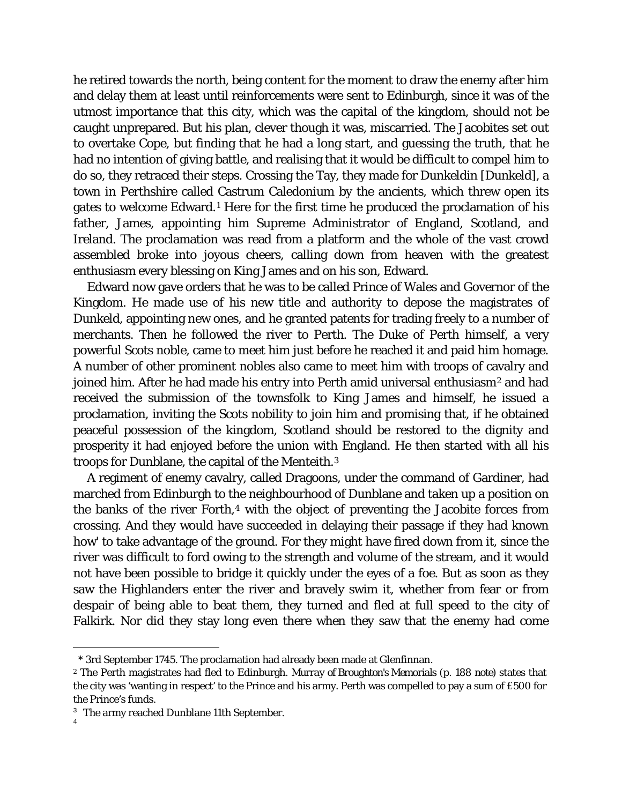he retired towards the north, being content for the moment to draw the enemy after him and delay them at least until reinforcements were sent to Edinburgh, since it was of the utmost importance that this city, which was the capital of the kingdom, should not be caught unprepared. But his plan, clever though it was, miscarried. The Jacobites set out to overtake Cope, but finding that he had a long start, and guessing the truth, that he had no intention of giving battle, and realising that it would be difficult to compel him to do so, they retraced their steps. Crossing the Tay, they made for Dunkeldin [Dunkeld], a town in Perthshire called Castrum Caledonium by the ancients, which threw open its gates to welcome Edward.[1](#page-50-0) Here for the first time he produced the proclamation of his father, James, appointing him Supreme Administrator of England, Scotland, and Ireland. The proclamation was read from a platform and the whole of the vast crowd assembled broke into joyous cheers, calling down from heaven with the greatest enthusiasm every blessing on King James and on his son, Edward.

Edward now gave orders that he was to be called Prince of Wales and Governor of the Kingdom. He made use of his new title and authority to depose the magistrates of Dunkeld, appointing new ones, and he granted patents for trading freely to a number of merchants. Then he followed the river to Perth. The Duke of Perth himself, a very powerful Scots noble, came to meet him just before he reached it and paid him homage. A number of other prominent nobles also came to meet him with troops of cavalry and joined him. After he had made his entry into Perth amid universal enthusiasm<sup>[2](#page-50-1)</sup> and had received the submission of the townsfolk to King James and himself, he issued a proclamation, inviting the Scots nobility to join him and promising that, if he obtained peaceful possession of the kingdom, Scotland should be restored to the dignity and prosperity it had enjoyed before the union with England. He then started with all his troops for Dunblane, the capital of the Menteith.[3](#page-50-2)

A regiment of enemy cavalry, called Dragoons, under the command of Gardiner, had marched from Edinburgh to the neighbourhood of Dunblane and taken up a position on the banks of the river Forth,<sup>[4](#page-50-3)</sup> with the object of preventing the Jacobite forces from crossing. And they would have succeeded in delaying their passage if they had known how' to take advantage of the ground. For they might have fired down from it, since the river was difficult to ford owing to the strength and volume of the stream, and it would not have been possible to bridge it quickly under the eyes of a foe. But as soon as they saw the Highlanders enter the river and bravely swim it, whether from fear or from despair of being able to beat them, they turned and fled at full speed to the city of Falkirk. Nor did they stay long even there when they saw that the enemy had come

ī \* 3rd September 1745. The proclamation had already been made at Glenfinnan.

<span id="page-50-1"></span><span id="page-50-0"></span><sup>2</sup> The Perth magistrates had fled to Edinburgh. *Murray of Broughton's Memorials* (p. 188 *note)* states that the city was 'wanting in respect' to the Prince and his army. Perth was compelled to pay a sum of £500 for the Prince's funds.

<span id="page-50-3"></span><span id="page-50-2"></span><sup>&</sup>lt;sup>3</sup> The army reached Dunblane 11th September.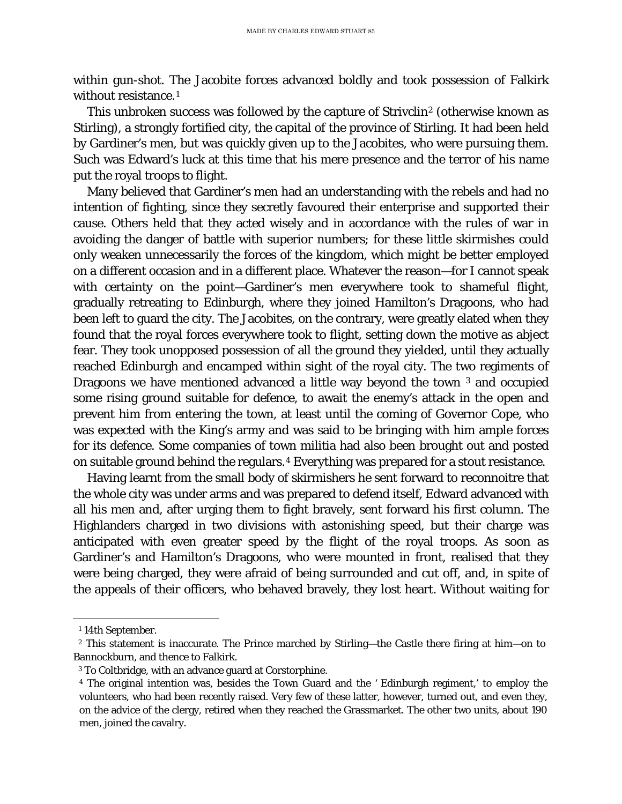within gun-shot. The Jacobite forces advanced boldly and took possession of Falkirk without resistance.<sup>[1](#page-51-0)</sup>

This unbroken success was followed by the capture of Strivclin<sup>[2](#page-51-1)</sup> (otherwise known as Stirling), a strongly fortified city, the capital of the province of Stirling. It had been held by Gardiner's men, but was quickly given up to the Jacobites, who were pursuing them. Such was Edward's luck at this time that his mere presence and the terror of his name put the royal troops to flight.

Many believed that Gardiner's men had an understanding with the rebels and had no intention of fighting, since they secretly favoured their enterprise and supported their cause. Others held that they acted wisely and in accordance with the rules of war in avoiding the danger of battle with superior numbers; for these little skirmishes could only weaken unnecessarily the forces of the kingdom, which might be better employed on a different occasion and in a different place. Whatever the reason—for I cannot speak with certainty on the point—Gardiner's men everywhere took to shameful flight, gradually retreating to Edinburgh, where they joined Hamilton's Dragoons, who had been left to guard the city. The Jacobites, on the contrary, were greatly elated when they found that the royal forces everywhere took to flight, setting down the motive as abject fear. They took unopposed possession of all the ground they yielded, until they actually reached Edinburgh and encamped within sight of the royal city. The two regiments of Dragoons we have mentioned advanced a little way beyond the town [3](#page-51-2) and occupied some rising ground suitable for defence, to await the enemy's attack in the open and prevent him from entering the town, at least until the coming of Governor Cope, who was expected with the King's army and was said to be bringing with him ample forces for its defence. Some companies of town militia had also been brought out and posted on suitable ground behind the regulars.[4](#page-51-3) Everything was prepared for a stout resistance.

Having learnt from the small body of skirmishers he sent forward to reconnoitre that the whole city was under arms and was prepared to defend itself, Edward advanced with all his men and, after urging them to fight bravely, sent forward his first column. The Highlanders charged in two divisions with astonishing speed, but their charge was anticipated with even greater speed by the flight of the royal troops. As soon as Gardiner's and Hamilton's Dragoons, who were mounted in front, realised that they were being charged, they were afraid of being surrounded and cut off, and, in spite of the appeals of their officers, who behaved bravely, they lost heart. Without waiting for

Ĩ. <sup>1</sup> 14th September.

<span id="page-51-2"></span><span id="page-51-1"></span><span id="page-51-0"></span><sup>2</sup> This statement is inaccurate. The Prince marched by Stirling—the Castle there firing at him—on to Bannockburn, and thence to Falkirk.

<sup>3</sup> To Coltbridge, with an advance guard at Corstorphine.

<span id="page-51-3"></span><sup>4</sup> The original intention was, besides the Town Guard and the *'* Edinburgh regiment,' to employ the volunteers, who had been recently raised. Very few of these latter, however, turned out, and even they, on the advice of the clergy, retired when they reached the Grassmarket. The other two units, about 190 men, joined the cavalry.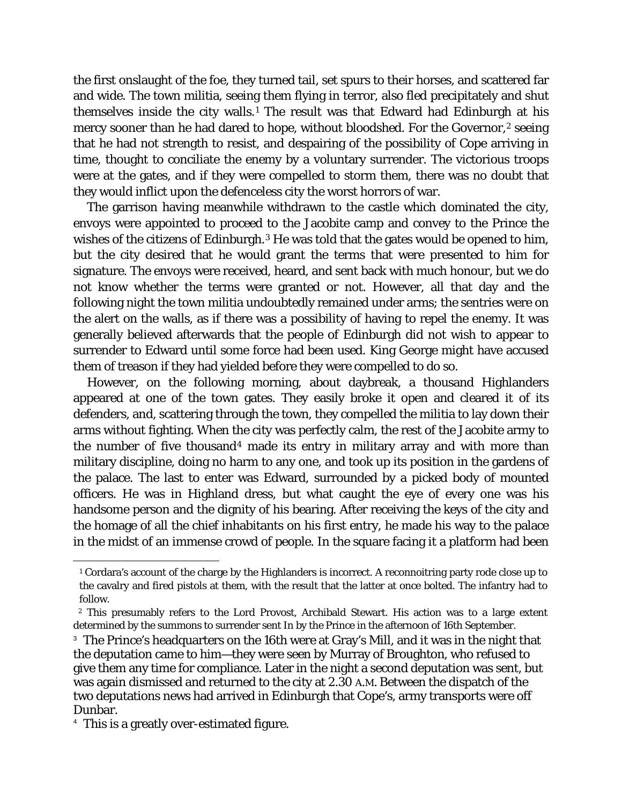the first onslaught of the foe, they turned tail, set spurs to their horses, and scattered far and wide. The town militia, seeing them flying in terror, also fled precipitately and shut themselves inside the city walls.[1](#page-52-0) The result was that Edward had Edinburgh at his mercy sooner than he had dared to hope, without bloodshed. For the Governor,<sup>[2](#page-52-1)</sup> seeing that he had not strength to resist, and despairing of the possibility of Cope arriving in time, thought to conciliate the enemy by a voluntary surrender. The victorious troops were at the gates, and if they were compelled to storm them, there was no doubt that they would inflict upon the defenceless city the worst horrors of war.

The garrison having meanwhile withdrawn to the castle which dominated the city, envoys were appointed to proceed to the Jacobite camp and convey to the Prince the wishes of the citizens of Edinburgh.<sup>[3](#page-52-2)</sup> He was told that the gates would be opened to him, but the city desired that he would grant the terms that were presented to him for signature. The envoys were received, heard, and sent back with much honour, but we do not know whether the terms were granted or not. However, all that day and the following night the town militia undoubtedly remained under arms; the sentries were on the alert on the walls, as if there was a possibility of having to repel the enemy. It was generally believed afterwards that the people of Edinburgh did not wish to appear to surrender to Edward until some force had been used. King George might have accused them of treason if they had yielded before they were compelled to do so.

However, on the following morning, about daybreak, a thousand Highlanders appeared at one of the town gates. They easily broke it open and cleared it of its defenders, and, scattering through the town, they compelled the militia to lay down their arms without fighting. When the city was perfectly calm, the rest of the Jacobite army to the number of five thousand[4](#page-52-3) made its entry in military array and with more than military discipline, doing no harm to any one, and took up its position in the gardens of the palace. The last to enter was Edward, surrounded by a picked body of mounted officers. He was in Highland dress, but what caught the eye of every one was his handsome person and the dignity of his bearing. After receiving the keys of the city and the homage of all the chief inhabitants on his first entry, he made his way to the palace in the midst of an immense crowd of people. In the square facing it a platform had been

<span id="page-52-0"></span>Ĩ. <sup>1</sup> Cordara's account of the charge by the Highlanders is incorrect. A reconnoitring party rode close up to the cavalry and fired pistols at them, with the result that the latter at once bolted. The infantry had to follow.

<span id="page-52-1"></span>*<sup>2</sup>* This presumably refers to the Lord Provost, Archibald Stewart. His action was to a large extent determined by the summons to surrender sent In by the Prince in the afternoon of 16th September.

<span id="page-52-2"></span><sup>&</sup>lt;sup>3</sup> The Prince's headquarters on the 16th were at Gray's Mill, and it was in the night that the deputation came to him—they were seen by Murray of Broughton, who refused to give them any time for compliance. Later in the night a second deputation was sent, but was again dismissed and returned to the city at 2.30 A.M. Between the dispatch of the two deputations news had arrived in Edinburgh that Cope's, army transports were off Dunbar.

<span id="page-52-3"></span><sup>&</sup>lt;sup>4</sup> This is a greatly over-estimated figure.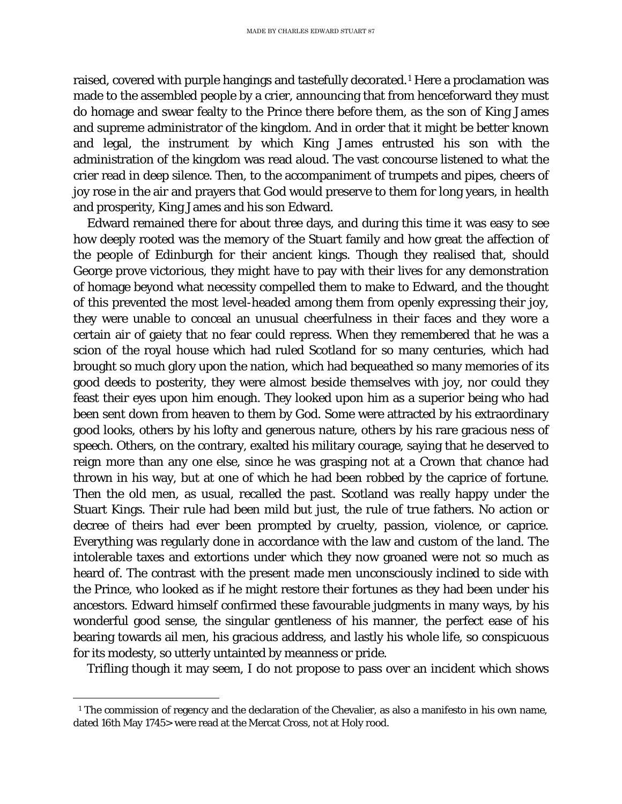raised, covered with purple hangings and tastefully decorated.[1](#page-53-0) Here a proclamation was made to the assembled people by a crier, announcing that from henceforward they must do homage and swear fealty to the Prince there before them, as the son of King James and supreme administrator of the kingdom. And in order that it might be better known and legal, the instrument by which King James entrusted his son with the administration of the kingdom was read aloud. The vast concourse listened to what the crier read in deep silence. Then, to the accompaniment of trumpets and pipes, cheers of joy rose in the air and prayers that God would preserve to them for long years, in health and prosperity, King James and his son Edward.

Edward remained there for about three days, and during this time it was easy to see how deeply rooted was the memory of the Stuart family and how great the affection of the people of Edinburgh for their ancient kings. Though they realised that, should George prove victorious, they might have to pay with their lives for any demonstration of homage beyond what necessity compelled them to make to Edward, and the thought of this prevented the most level-headed among them from openly expressing their joy, they were unable to conceal an unusual cheerfulness in their faces and they wore a certain air of gaiety that no fear could repress. When they remembered that he was a scion of the royal house which had ruled Scotland for so many centuries, which had brought so much glory upon the nation, which had bequeathed so many memories of its good deeds to posterity, they were almost beside themselves with joy, nor could they feast their eyes upon him enough. They looked upon him as a superior being who had been sent down from heaven to them by God. Some were attracted by his extraordinary good looks, others by his lofty and generous nature, others by his rare gracious ness of speech. Others, on the contrary, exalted his military courage, saying that he deserved to reign more than any one else, since he was grasping not at a Crown that chance had thrown in his way, but at one of which he had been robbed by the caprice of fortune. Then the old men, as usual, recalled the past. Scotland was really happy under the Stuart Kings. Their rule had been mild but just, the rule of true fathers. No action or decree of theirs had ever been prompted by cruelty, passion, violence, or caprice. Everything was regularly done in accordance with the law and custom of the land. The intolerable taxes and extortions under which they now groaned were not so much as heard of. The contrast with the present made men unconsciously inclined to side with the Prince, who looked as if he might restore their fortunes as they had been under his ancestors. Edward himself confirmed these favourable judgments in many ways, by his wonderful good sense, the singular gentleness of his manner, the perfect ease of his bearing towards ail men, his gracious address, and lastly his whole life, so conspicuous for its modesty, so utterly untainted by meanness or pride.

Trifling though it may seem, I do not propose to pass over an incident which shows

<span id="page-53-0"></span>Ĩ. <sup>1</sup> The commission of regency and the declaration of the Chevalier, as also a manifesto in his own name, dated 16th May 1745> were read at the Mercat Cross, not at Holy rood.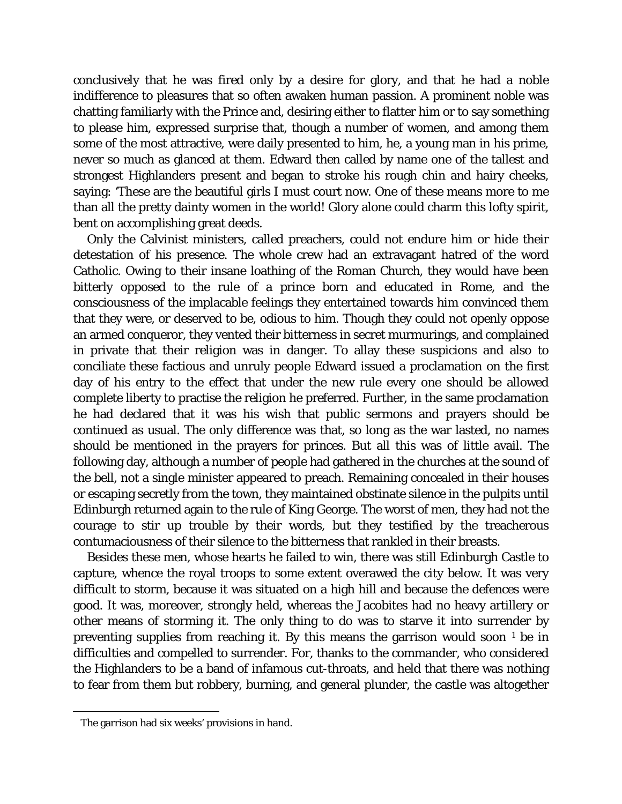conclusively that he was fired only by a desire for glory, and that he had a noble indifference to pleasures that so often awaken human passion. A prominent noble was chatting familiarly with the Prince and, desiring either to flatter him or to say something to please him, expressed surprise that, though a number of women, and among them some of the most attractive, were daily presented to him, he, a young man in his prime, never so much as glanced at them. Edward then called by name one of the tallest and strongest Highlanders present and began to stroke his rough chin and hairy cheeks, saying: 'These are the beautiful girls I must court now. One of these means more to me than all the pretty dainty women in the world! Glory alone could charm this lofty spirit, bent on accomplishing great deeds.

Only the Calvinist ministers, called preachers, could not endure him or hide their detestation of his presence. The whole crew had an extravagant hatred of the word Catholic. Owing to their insane loathing of the Roman Church, they would have been bitterly opposed to the rule of a prince born and educated in Rome, and the consciousness of the implacable feelings they entertained towards him convinced them that they were, or deserved to be, odious to him. Though they could not openly oppose an armed conqueror, they vented their bitterness in secret murmurings, and complained in private that their religion was in danger. To allay these suspicions and also to conciliate these factious and unruly people Edward issued a proclamation on the first day of his entry to the effect that under the new rule every one should be allowed complete liberty to practise the religion he preferred. Further, in the same proclamation he had declared that it was his wish that public sermons and prayers should be continued as usual. The only difference was that, so long as the war lasted, no names should be mentioned in the prayers for princes. But all this was of little avail. The following day, although a number of people had gathered in the churches at the sound of the bell, not a single minister appeared to preach. Remaining concealed in their houses or escaping secretly from the town, they maintained obstinate silence in the pulpits until Edinburgh returned again to the rule of King George. The worst of men, they had not the courage to stir up trouble by their words, but they testified by the treacherous contumaciousness of their silence to the bitterness that rankled in their breasts.

Besides these men, whose hearts he failed to win, there was still Edinburgh Castle to capture, whence the royal troops to some extent overawed the city below. It was very difficult to storm, because it was situated on a high hill and because the defences were good. It was, moreover, strongly held, whereas the Jacobites had no heavy artillery or other means of storming it. The only thing to do was to starve it into surrender by preventing supplies from reaching it. By this means the garrison would soon  $1$  be in difficulties and compelled to surrender. For, thanks to the commander, who considered the Highlanders to be a band of infamous cut-throats, and held that there was nothing to fear from them but robbery, burning, and general plunder, the castle was altogether

<span id="page-54-0"></span>Ĩ. The garrison had six weeks' provisions in hand.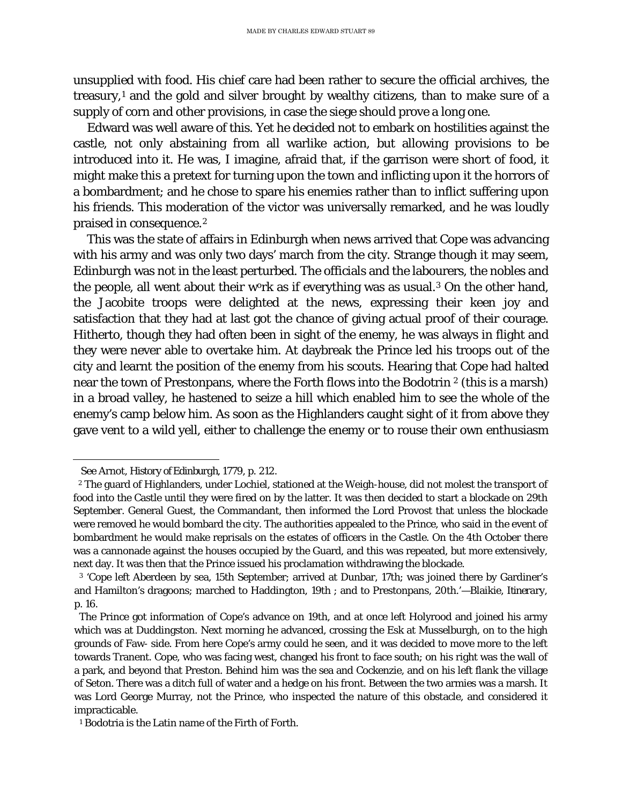unsupplied with food. His chief care had been rather to secure the official archives, the treasury,[1](#page-55-0) and the gold and silver brought by wealthy citizens, than to make sure of a supply of corn and other provisions, in case the siege should prove a long one.

Edward was well aware of this. Yet he decided not to embark on hostilities against the castle, not only abstaining from all warlike action, but allowing provisions to be introduced into it. He was, I imagine, afraid that, if the garrison were short of food, it might make this a pretext for turning upon the town and inflicting upon it the horrors of a bombardment; and he chose to spare his enemies rather than to inflict suffering upon his friends. This moderation of the victor was universally remarked, and he was loudly praised in consequence.[2](#page-55-1)

This was the state of affairs in Edinburgh when news arrived that Cope was advancing with his army and was only two days' march from the city. Strange though it may seem, Edinburgh was not in the least perturbed. The officials and the labourers, the nobles and the people, all went about their work as if everything was as usual.<sup>[3](#page-55-2)</sup> On the other hand, the Jacobite troops were delighted at the news, expressing their keen joy and satisfaction that they had at last got the chance of giving actual proof of their courage. Hitherto, though they had often been in sight of the enemy, he was always in flight and they were never able to overtake him. At daybreak the Prince led his troops out of the city and learnt the position of the enemy from his scouts. Hearing that Cope had halted near the town of Prestonpans, where the Forth flows into the Bodotrin 2 (this is a marsh) in a broad valley, he hastened to seize a hill which enabled him to see the whole of the enemy's camp below him. As soon as the Highlanders caught sight of it from above they gave vent to a wild yell, either to challenge the enemy or to rouse their own enthusiasm

Ĩ.

See Arnot, *History of Edinburgh,* 1779, p. 212.

<span id="page-55-1"></span><span id="page-55-0"></span><sup>2</sup> The guard of Highlanders, under Lochiel, stationed at the Weigh-house, did not molest the transport of food into the Castle until they were fired on by the latter. It was then decided to start a blockade on 29th September. General Guest, the Commandant, then informed the Lord Provost that unless the blockade were removed he would bombard the city. The authorities appealed to the Prince, who said in the event of bombardment he would make reprisals on the estates of officers in the Castle. On the 4th October there was a cannonade against the houses occupied by the Guard, and this was repeated, but more extensively, next day. It was then that the Prince issued his proclamation withdrawing the blockade.

<span id="page-55-2"></span><sup>3</sup> 'Cope left Aberdeen by sea, 15th September; arrived at Dunbar, 17th; was joined there by Gardiner's and Hamilton's dragoons; marched to Haddington, 19th ; and to Prestonpans, 20th.'—Blaikie, *Itinerary*, p. 16.

The Prince got information of Cope's advance on 19th, and at once left Holyrood and joined his army which was at Duddingston. Next morning he advanced, crossing the Esk at Musselburgh, on to the high grounds of Faw- side. From here Cope's army could he seen, and it was decided to move more to the left towards Tranent. Cope, who was facing west, changed his front to face south; on his right was the wall of a park, and beyond that Preston. Behind him was the sea and Cockenzie, and on his left flank the village of Seton. There was a ditch full of water and a hedge on his front. Between the two armies was a marsh. It was Lord George Murray, not the Prince, who inspected the nature of this obstacle, and considered it impracticable.

<sup>1</sup> Bodotria is the Latin name of the Firth of Forth.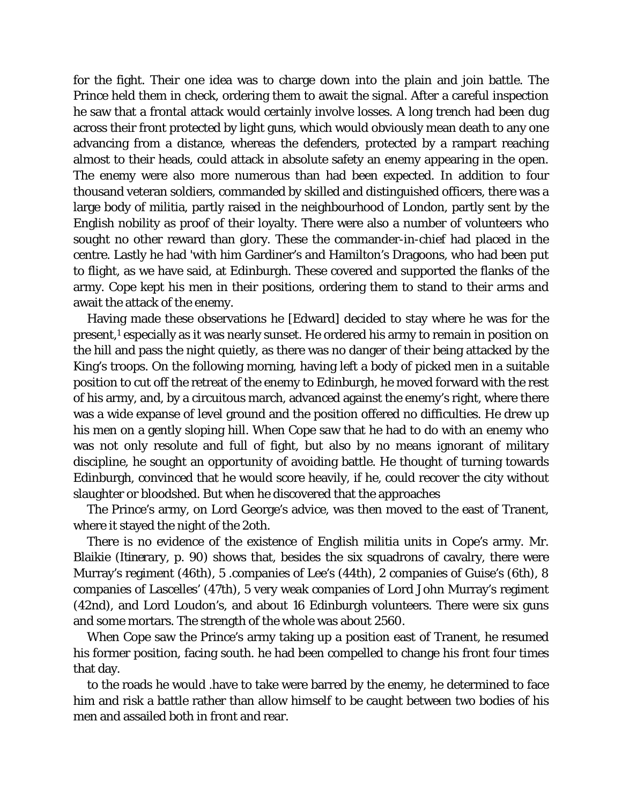for the fight. Their one idea was to charge down into the plain and join battle. The Prince held them in check, ordering them to await the signal. After a careful inspection he saw that a frontal attack would certainly involve losses. A long trench had been dug across their front protected by light guns, which would obviously mean death to any one advancing from a distance, whereas the defenders, protected by a rampart reaching almost to their heads, could attack in absolute safety an enemy appearing in the open. The enemy were also more numerous than had been expected. In addition to four thousand veteran soldiers, commanded by skilled and distinguished officers, there was a large body of militia, partly raised in the neighbourhood of London, partly sent by the English nobility as proof of their loyalty. There were also a number of volunteers who sought no other reward than glory. These the commander-in-chief had placed in the centre. Lastly he had 'with him Gardiner's and Hamilton's Dragoons, who had been put to flight, as we have said, at Edinburgh. These covered and supported the flanks of the army. Cope kept his men in their positions, ordering them to stand to their arms and await the attack of the enemy.

Having made these observations he [Edward] decided to stay where he was for the present,<sup>1</sup> especially as it was nearly sunset. He ordered his army to remain in position on the hill and pass the night quietly, as there was no danger of their being attacked by the King's troops. On the following morning, having left a body of picked men in a suitable position to cut off the retreat of the enemy to Edinburgh, he moved forward with the rest of his army, and, by a circuitous march, advanced against the enemy's right, where there was a wide expanse of level ground and the position offered no difficulties. He drew up his men on a gently sloping hill. When Cope saw that he had to do with an enemy who was not only resolute and full of fight, but also by no means ignorant of military discipline, he sought an opportunity of avoiding battle. He thought of turning towards Edinburgh, convinced that he would score heavily, if he, could recover the city without slaughter or bloodshed. But when he discovered that the approaches

The Prince's army, on Lord George's advice, was then moved to the east of Tranent, where it stayed the night of the 2oth.

There is no evidence of the existence of English militia units in Cope's army. Mr. Blaikie (*Itinerary*, p. 90) shows that, besides the six squadrons of cavalry, there were Murray's regiment (46th), 5 .companies of Lee's (44th), 2 companies of Guise's (6th), 8 companies of Lascelles' (47th), 5 very weak companies of Lord John Murray's regiment (42nd), and Lord Loudon's, and about 16 Edinburgh volunteers. There were six guns and some mortars. The strength of the whole was about 2560.

When Cope saw the Prince's army taking up a position east of Tranent, he resumed his former position, facing south. he had been compelled to change his front four times that day.

to the roads he would .have to take were barred by the enemy, he determined to face him and risk a battle rather than allow himself to be caught between two bodies of his men and assailed both in front and rear.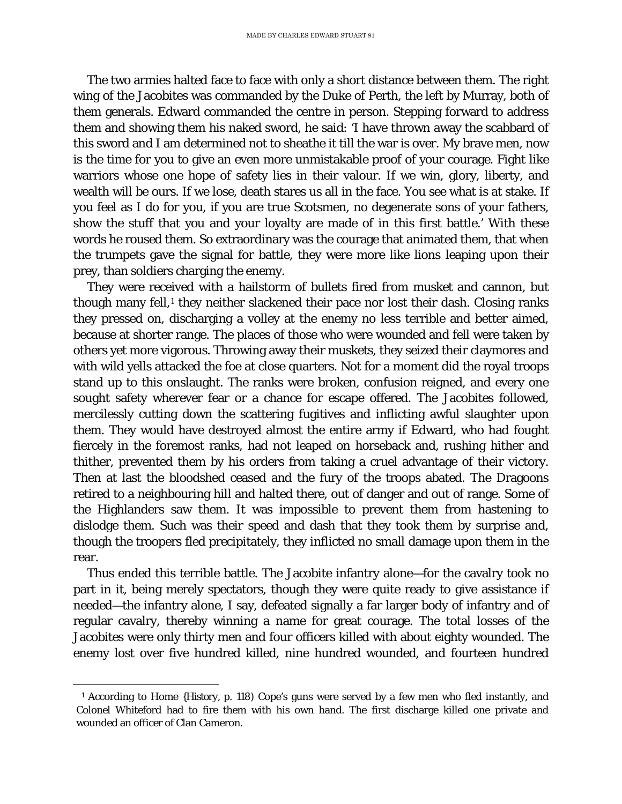The two armies halted face to face with only a short distance between them. The right wing of the Jacobites was commanded by the Duke of Perth, the left by Murray, both of them generals. Edward commanded the centre in person. Stepping forward to address them and showing them his naked sword, he said: 'I have thrown away the scabbard of this sword and I am determined not to sheathe it till the war is over. My brave men, now is the time for you to give an even more unmistakable proof of your courage. Fight like warriors whose one hope of safety lies in their valour. If we win, glory, liberty, and wealth will be ours. If we lose, death stares us all in the face. You see what is at stake. If you feel as I do for you, if you are true Scotsmen, no degenerate sons of your fathers, show the stuff that you and your loyalty are made of in this first battle.' With these words he roused them. So extraordinary was the courage that animated them, that when the trumpets gave the signal for battle, they were more like lions leaping upon their prey, than soldiers charging the enemy.

They were received with a hailstorm of bullets fired from musket and cannon, but though many fell, $<sup>1</sup>$  $<sup>1</sup>$  $<sup>1</sup>$  they neither slackened their pace nor lost their dash. Closing ranks</sup> they pressed on, discharging a volley at the enemy no less terrible and better aimed, because at shorter range. The places of those who were wounded and fell were taken by others yet more vigorous. Throwing away their muskets, they seized their claymores and with wild yells attacked the foe at close quarters. Not for a moment did the royal troops stand up to this onslaught. The ranks were broken, confusion reigned, and every one sought safety wherever fear or a chance for escape offered. The Jacobites followed, mercilessly cutting down the scattering fugitives and inflicting awful slaughter upon them. They would have destroyed almost the entire army if Edward, who had fought fiercely in the foremost ranks, had not leaped on horseback and, rushing hither and thither, prevented them by his orders from taking a cruel advantage of their victory. Then at last the bloodshed ceased and the fury of the troops abated. The Dragoons retired to a neighbouring hill and halted there, out of danger and out of range. Some of the Highlanders saw them. It was impossible to prevent them from hastening to dislodge them. Such was their speed and dash that they took them by surprise and, though the troopers fled precipitately, they inflicted no small damage upon them in the rear.

Thus ended this terrible battle. The Jacobite infantry alone—for the cavalry took no part in it, being merely spectators, though they were quite ready to give assistance if needed—the infantry alone, I say, defeated signally a far larger body of infantry and of regular cavalry, thereby winning a name for great courage. The total losses of the Jacobites were only thirty men and four officers killed with about eighty wounded. The enemy lost over five hundred killed, nine hundred wounded, and fourteen hundred

<span id="page-57-0"></span>Ĩ. <sup>1</sup> According to Home {*History,* p. *1*18) Cope's guns were served by a few men who fled instantly, and Colonel Whiteford had to fire them with his own hand. The first discharge killed one private and wounded an officer of Clan Cameron.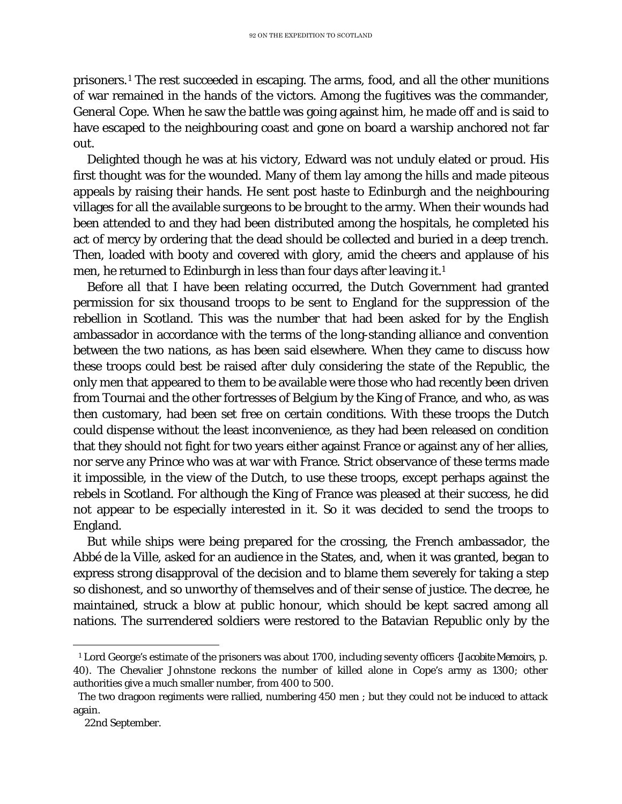prisoners.[1](#page-58-0) The rest succeeded in escaping. The arms, food, and all the other munitions of war remained in the hands of the victors. Among the fugitives was the commander, General Cope. When he saw the battle was going against him, he made off and is said to have escaped to the neighbouring coast and gone on board a warship anchored not far out.

Delighted though he was at his victory, Edward was not unduly elated or proud. His first thought was for the wounded. Many of them lay among the hills and made piteous appeals by raising their hands. He sent post haste to Edinburgh and the neighbouring villages for all the available surgeons to be brought to the army. When their wounds had been attended to and they had been distributed among the hospitals, he completed his act of mercy by ordering that the dead should be collected and buried in a deep trench. Then, loaded with booty and covered with glory, amid the cheers and applause of his men, he returned to Edinburgh in less than four days after leaving it.1

Before all that I have been relating occurred, the Dutch Government had granted permission for six thousand troops to be sent to England for the suppression of the rebellion in Scotland. This was the number that had been asked for by the English ambassador in accordance with the terms of the long-standing alliance and convention between the two nations, as has been said elsewhere. When they came to discuss how these troops could best be raised after duly considering the state of the Republic, the only men that appeared to them to be available were those who had recently been driven from Tournai and the other fortresses of Belgium by the King of France, and who, as was then customary, had been set free on certain conditions. With these troops the Dutch could dispense without the least inconvenience, as they had been released on condition that they should not fight for two years either against France or against any of her allies, nor serve any Prince who was at war with France. Strict observance of these terms made it impossible, in the view of the Dutch, to use these troops, except perhaps against the rebels in Scotland. For although the King of France was pleased at their success, he did not appear to be especially interested in it. So it was decided to send the troops to England.

But while ships were being prepared for the crossing, the French ambassador, the Abbé de la Ville, asked for an audience in the States, and, when it was granted, began to express strong disapproval of the decision and to blame them severely for taking a step so dishonest, and so unworthy of themselves and of their sense of justice. The decree, he maintained, struck a blow at public honour, which should be kept sacred among all nations. The surrendered soldiers were restored to the Batavian Republic only by the

<span id="page-58-0"></span>ī <sup>1</sup> Lord George's estimate of the prisoners was about 1700, including seventy officers *{Jacobite Memoirs*, p. 40). The Chevalier Johnstone reckons the number of killed alone in Cope's army as 1300; other authorities give a much smaller number, from 400 to 500.

The two dragoon regiments were rallied, numbering 450 men ; but they could not be induced to attack again.

<sup>22</sup>nd September.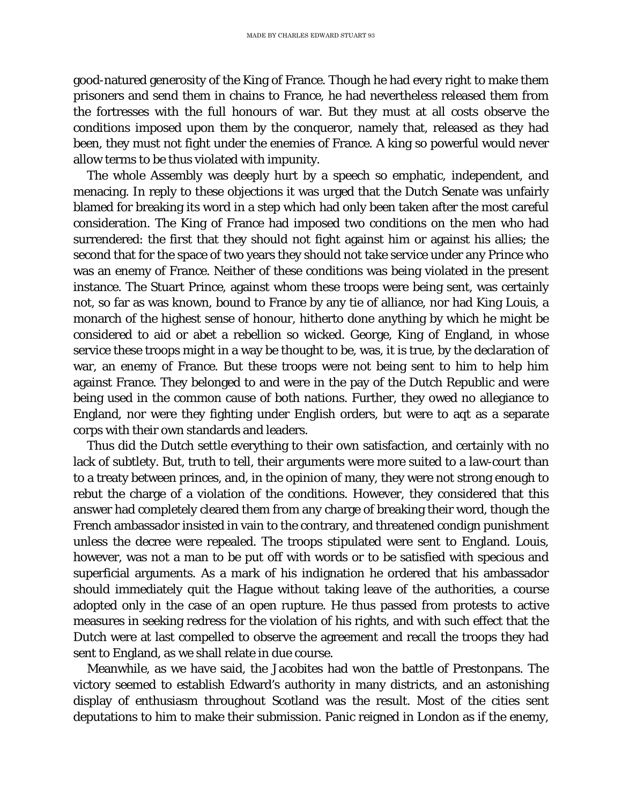good-natured generosity of the King of France. Though he had every right to make them prisoners and send them in chains to France, he had nevertheless released them from the fortresses with the full honours of war. But they must at all costs observe the conditions imposed upon them by the conqueror, namely that, released as they had been, they must not fight under the enemies of France. A king so powerful would never allow terms to be thus violated with impunity.

The whole Assembly was deeply hurt by a speech so emphatic, independent, and menacing. In reply to these objections it was urged that the Dutch Senate was unfairly blamed for breaking its word in a step which had only been taken after the most careful consideration. The King of France had imposed two conditions on the men who had surrendered: the first that they should not fight against him or against his allies; the second that for the space of two years they should not take service under any Prince who was an enemy of France. Neither of these conditions was being violated in the present instance. The Stuart Prince, against whom these troops were being sent, was certainly not, so far as was known, bound to France by any tie of alliance, nor had King Louis, a monarch of the highest sense of honour, hitherto done anything by which he might be considered to aid or abet a rebellion so wicked. George, King of England, in whose service these troops might in a way be thought to be, was, it is true, by the declaration of war, an enemy of France. But these troops were not being sent to him to help him against France. They belonged to and were in the pay of the Dutch Republic and were being used in the common cause of both nations. Further, they owed no allegiance to England, nor were they fighting under English orders, but were to aqt as a separate corps with their own standards and leaders.

Thus did the Dutch settle everything to their own satisfaction, and certainly with no lack of subtlety. But, truth to tell, their arguments were more suited to a law-court than to a treaty between princes, and, in the opinion of many, they were not strong enough to rebut the charge of a violation of the conditions. However, they considered that this answer had completely cleared them from any charge of breaking their word, though the French ambassador insisted in vain to the contrary, and threatened condign punishment unless the decree were repealed. The troops stipulated were sent to England. Louis, however, was not a man to be put off with words or to be satisfied with specious and superficial arguments. As a mark of his indignation he ordered that his ambassador should immediately quit the Hague without taking leave of the authorities, a course adopted only in the case of an open rupture. He thus passed from protests to active measures in seeking redress for the violation of his rights, and with such effect that the Dutch were at last compelled to observe the agreement and recall the troops they had sent to England, as we shall relate in due course.

Meanwhile, as we have said, the Jacobites had won the battle of Prestonpans. The victory seemed to establish Edward's authority in many districts, and an astonishing display of enthusiasm throughout Scotland was the result. Most of the cities sent deputations to him to make their submission. Panic reigned in London as if the enemy,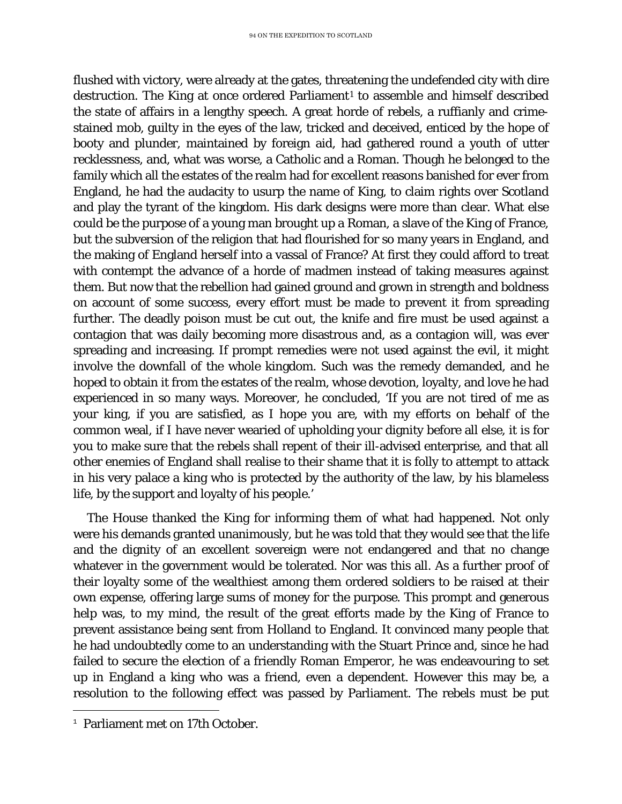flushed with victory, were already at the gates, threatening the undefended city with dire destruction. The King at once ordered Parliament<sup>[1](#page-60-0)</sup> to assemble and himself described the state of affairs in a lengthy speech. A great horde of rebels, a ruffianly and crimestained mob, guilty in the eyes of the law, tricked and deceived, enticed by the hope of booty and plunder, maintained by foreign aid, had gathered round a youth of utter recklessness, and, what was worse, a Catholic and a Roman. Though he belonged to the family which all the estates of the realm had for excellent reasons banished for ever from England, he had the audacity to usurp the name of King, to claim rights over Scotland and play the tyrant of the kingdom. His dark designs were more than clear. What else could be the purpose of a young man brought up a Roman, a slave of the King of France, but the subversion of the religion that had flourished for so many years in England, and the making of England herself into a vassal of France? At first they could afford to treat with contempt the advance of a horde of madmen instead of taking measures against them. But now that the rebellion had gained ground and grown in strength and boldness on account of some success, every effort must be made to prevent it from spreading further. The deadly poison must be cut out, the knife and fire must be used against a contagion that was daily becoming more disastrous and, as a contagion will, was ever spreading and increasing. If prompt remedies were not used against the evil, it might involve the downfall of the whole kingdom. Such was the remedy demanded, and he hoped to obtain it from the estates of the realm, whose devotion, loyalty, and love he had experienced in so many ways. Moreover, he concluded, 'If you are not tired of me as your king, if you are satisfied, as I hope you are, with my efforts on behalf of the common weal, if I have never wearied of upholding your dignity before all else, it is for you to make sure that the rebels shall repent of their ill-advised enterprise, and that all other enemies of England shall realise to their shame that it is folly to attempt to attack in his very palace a king who is protected by the authority of the law, by his blameless life, by the support and loyalty of his people.'

The House thanked the King for informing them of what had happened. Not only were his demands granted unanimously, but he was told that they would see that the life and the dignity of an excellent sovereign were not endangered and that no change whatever in the government would be tolerated. Nor was this all. As a further proof of their loyalty some of the wealthiest among them ordered soldiers to be raised at their own expense, offering large sums of money for the purpose. This prompt and generous help was, to my mind, the result of the great efforts made by the King of France to prevent assistance being sent from Holland to England. It convinced many people that he had undoubtedly come to an understanding with the Stuart Prince and, since he had failed to secure the election of a friendly Roman Emperor, he was endeavouring to set up in England a king who was a friend, even a dependent. However this may be, a resolution to the following effect was passed by Parliament. The rebels must be put

<span id="page-60-0"></span>Ĩ. <sup>1</sup> Parliament met on 17th October.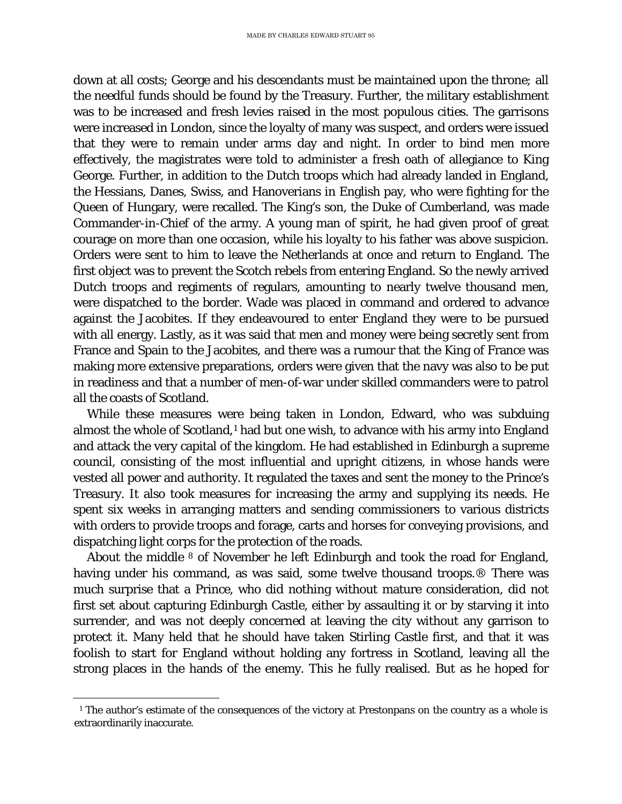down at all costs; George and his descendants must be maintained upon the throne*;* all the needful funds should be found by the Treasury. Further, the military establishment was to be increased and fresh levies raised in the most populous cities. The garrisons were increased in London, since the loyalty of many was suspect, and orders were issued that they were to remain under arms day and night. In order to bind men more effectively, the magistrates were told to administer a fresh oath of allegiance to King George. Further, in addition to the Dutch troops which had already landed in England, the Hessians, Danes, Swiss, and Hanoverians in English pay, who were fighting for the Queen of Hungary, were recalled. The King's son, the Duke of Cumberland, was made Commander-in-Chief of the army. A young man of spirit, he had given proof of great courage on more than one occasion, while his loyalty to his father was above suspicion. Orders were sent to him to leave the Netherlands at once and return to England. The first object was to prevent the Scotch rebels from entering England. So the newly arrived Dutch troops and regiments of regulars, amounting to nearly twelve thousand men, were dispatched to the border. Wade was placed in command and ordered to advance against the Jacobites. If they endeavoured to enter England they were to be pursued with all energy. Lastly, as it was said that men and money were being secretly sent from France and Spain to the Jacobites, and there was a rumour that the King of France was making more extensive preparations, orders were given that the navy was also to be put in readiness and that a number of men-of-war under skilled commanders were to patrol all the coasts of Scotland.

While these measures were being taken in London, Edward, who was subduing almost the whole of Scotland,<sup>[1](#page-61-0)</sup> had but one wish, to advance with his army into England and attack the very capital of the kingdom. He had established in Edinburgh a supreme council, consisting of the most influential and upright citizens, in whose hands were vested all power and authority. It regulated the taxes and sent the money to the Prince's Treasury. It also took measures for increasing the army and supplying its needs. He spent six weeks in arranging matters and sending commissioners to various districts with orders to provide troops and forage, carts and horses for conveying provisions, and dispatching light corps for the protection of the roads.

About the middle 8 of November he left Edinburgh and took the road for England, having under his command, as was said, some twelve thousand troops.® There was much surprise that a Prince, who did nothing without mature consideration, did not first set about capturing Edinburgh Castle, either by assaulting it or by starving it into surrender, and was not deeply concerned at leaving the city without any garrison to protect it. Many held that he should have taken Stirling Castle first, and that it was foolish to start for England without holding any fortress in Scotland, leaving all the strong places in the hands of the enemy. This he fully realised. But as he hoped for

<span id="page-61-0"></span>Ĩ. <sup>1</sup> The author's estimate of the consequences of the victory at Prestonpans on the country as a whole is extraordinarily inaccurate.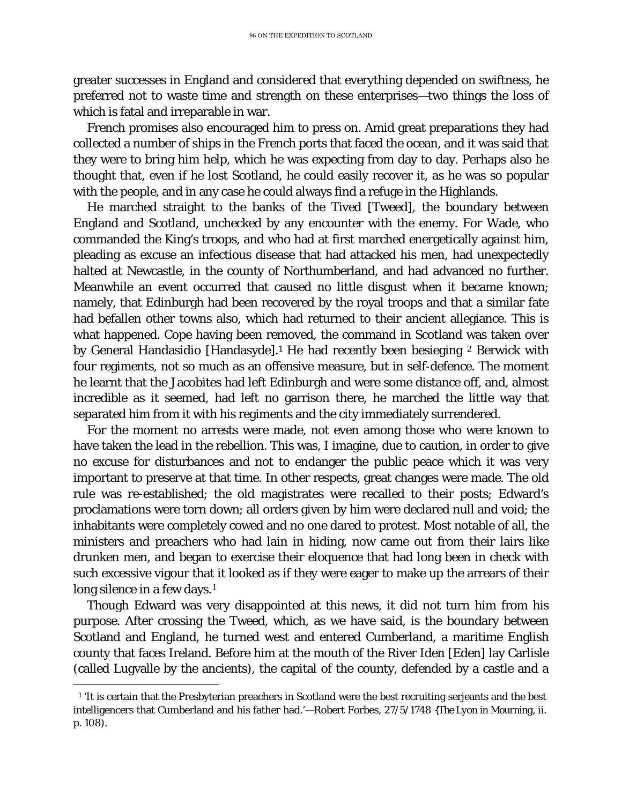greater successes in England and considered that everything depended on swiftness, he preferred not to waste time and strength on these enterprises—two things the loss of which is fatal and irreparable in war.

French promises also encouraged him to press on. Amid great preparations they had collected a number of ships in the French ports that faced the ocean, and it was said that they were to bring him help, which he was expecting from day to day. Perhaps also he thought that, even if he lost Scotland, he could easily recover it, as he was so popular with the people, and in any case he could always find a refuge in the Highlands.

He marched straight to the banks of the Tived [Tweed], the boundary between England and Scotland, unchecked by any encounter with the enemy. For Wade, who commanded the King's troops, and who had at first marched energetically against him, pleading as excuse an infectious disease that had attacked his men, had unexpectedly halted at Newcastle, in the county of Northumberland, and had advanced no further. Meanwhile an event occurred that caused no little disgust when it became known; namely, that Edinburgh had been recovered by the royal troops and that a similar fate had befallen other towns also, which had returned to their ancient allegiance. This is what happened. Cope having been removed, the command in Scotland was taken over by General Handasidio [Handasyde].<sup>1</sup> He had recently been besieging <sup>2</sup> Berwick with four regiments, not so much as an offensive measure, but in self-defence. The moment he learnt that the Jacobites had left Edinburgh and were some distance off, and, almost incredible as it seemed, had left no garrison there, he marched the little way that separated him from it with his regiments and the city immediately surrendered.

For the moment no arrests were made, not even among those who were known to have taken the lead in the rebellion. This was, I imagine, due to caution, in order to give no excuse for disturbances and not to endanger the public peace which it was very important to preserve at that time. In other respects, great changes were made. The old rule was re-established; the old magistrates were recalled to their posts; Edward's proclamations were torn down; all orders given by him were declared null and void; the inhabitants were completely cowed and no one dared to protest. Most notable of all, the ministers and preachers who had lain in hiding, now came out from their lairs like drunken men, and began to exercise their eloquence that had long been in check with such excessive vigour that it looked as if they were eager to make up the arrears of their long silence in a few days.<sup>[1](#page-62-0)</sup>

Though Edward was very disappointed at this news, it did not turn him from his purpose. After crossing the Tweed, which, as we have said, is the boundary between Scotland and England, he turned west and entered Cumberland, a maritime English county that faces Ireland. Before him at the mouth of the River Iden [Eden] lay Carlisle (called Lugvalle by the ancients), the capital of the county, defended by a castle and a

<span id="page-62-0"></span>Ĩ. <sup>1</sup>'It is certain that the Presbyterian preachers in Scotland were the best recruiting serjeants and the best intelligencers that Cumberland and his father had.'—Robert Forbes, 27/5/1748 *{The Lyon in Mourning,* ii. p. 108).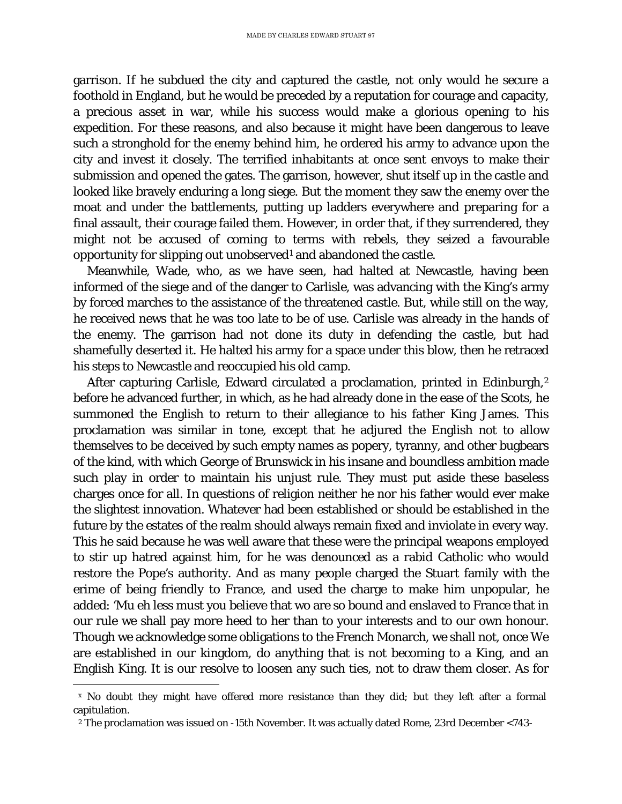garrison. If he subdued the city and captured the castle, not only would he secure a foothold in England, but he would be preceded by a reputation for courage and capacity, a precious asset in war, while his success would make a glorious opening to his expedition. For these reasons, and also because it might have been dangerous to leave such a stronghold for the enemy behind him, he ordered his army to advance upon the city and invest it closely. The terrified inhabitants at once sent envoys to make their submission and opened the gates. The garrison, however, shut itself up in the castle and looked like bravely enduring a long siege. But the moment they saw the enemy over the moat and under the battlements, putting up ladders everywhere and preparing for a final assault, their courage failed them. However, in order that, if they surrendered, they might not be accused of coming to terms with rebels, they seized a favourable opportunity for slipping out unobserved[1](#page-63-0) and abandoned the castle.

Meanwhile, Wade, who, as we have seen, had halted at Newcastle, having been informed of the siege and of the danger to Carlisle, was advancing with the King's army by forced marches to the assistance of the threatened castle. But, while still on the way, he received news that he was too late to be of use. Carlisle was already in the hands of the enemy. The garrison had not done its duty in defending the castle, but had shamefully deserted it. He halted his army for a space under this blow, then he retraced his steps to Newcastle and reoccupied his old camp.

After capturing Carlisle, Edward circulated a proclamation, printed in Edinburgh,<sup>[2](#page-63-1)</sup> before he advanced further, in which, as he had already done in the ease of the Scots, he summoned the English to return to their allegiance to his father King James. This proclamation was similar in tone, except that he adjured the English not to allow themselves to be deceived by such empty names as popery, tyranny, and other bugbears of the kind, with which George of Brunswick in his insane and boundless ambition made such play in order to maintain his unjust rule. They must put aside these baseless charges once for all. In questions of religion neither he nor his father would ever make the slightest innovation. Whatever had been established or should be established in the future by the estates of the realm should always remain fixed and inviolate in every way. This he said because he was well aware that these were the principal weapons employed to stir up hatred against him, for he was denounced as a rabid Catholic who would restore the Pope's authority. And as many people charged the Stuart family with the erime of being friendly to France, and used the charge to make him unpopular, he added: 'Mu eh less must you believe that wo are so bound and enslaved to France that in our rule we shall pay more heed to her than to your interests and to our own honour. Though we acknowledge some obligations to the French Monarch, we shall not, once We are established in our kingdom, do anything that is not becoming to a King, and an English King. It is our resolve to loosen any such ties, not to draw them closer. As for

<span id="page-63-0"></span>Ĩ. <sup>x</sup> No doubt they might have offered more resistance than they did; but they left after a formal capitulation.

<span id="page-63-1"></span><sup>2</sup> The proclamation was issued on -15th November. It was actually dated Rome, 23rd December <743-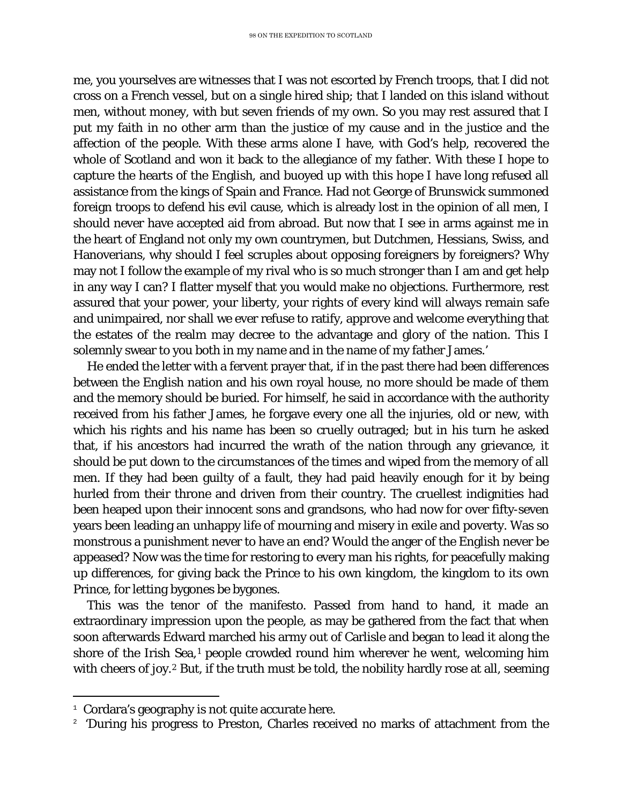me, you yourselves are witnesses that I was not escorted by French troops, that I did not cross on a French vessel, but on a single hired ship; that I landed on this island without men, without money, with but seven friends of my own. So you may rest assured that I put my faith in no other arm than the justice of my cause and in the justice and the affection of the people. With these arms alone I have, with God's help, recovered the whole of Scotland and won it back to the allegiance of my father. With these I hope to capture the hearts of the English, and buoyed up with this hope I have long refused all assistance from the kings of Spain and France. Had not George of Brunswick summoned foreign troops to defend his evil cause, which is already lost in the opinion of all men, I should never have accepted aid from abroad. But now that I see in arms against me in the heart of England not only my own countrymen, but Dutchmen, Hessians, Swiss, and Hanoverians, why should I feel scruples about opposing foreigners by foreigners? Why may not I follow the example of my rival who is so much stronger than I am and get help in any way I can? I flatter myself that you would make no objections. Furthermore, rest assured that your power, your liberty, your rights of every kind will always remain safe and unimpaired, nor shall we ever refuse to ratify, approve and welcome everything that the estates of the realm may decree to the advantage and glory of the nation. This I solemnly swear to you both in my name and in the name of my father James.'

He ended the letter with a fervent prayer that, if in the past there had been differences between the English nation and his own royal house, no more should be made of them and the memory should be buried. For himself, he said in accordance with the authority received from his father James, he forgave every one all the injuries, old or new, with which his rights and his name has been so cruelly outraged; but in his turn he asked that, if his ancestors had incurred the wrath of the nation through any grievance, it should be put down to the circumstances of the times and wiped from the memory of all men. If they had been guilty of a fault, they had paid heavily enough for it by being hurled from their throne and driven from their country. The cruellest indignities had been heaped upon their innocent sons and grandsons, who had now for over fifty-seven years been leading an unhappy life of mourning and misery in exile and poverty. Was so monstrous a punishment never to have an end? Would the anger of the English never be appeased? Now was the time for restoring to every man his rights, for peacefully making up differences, for giving back the Prince to his own kingdom, the kingdom to its own Prince, for letting bygones be bygones.

This was the tenor of the manifesto. Passed from hand to hand, it made an extraordinary impression upon the people, as may be gathered from the fact that when soon afterwards Edward marched his army out of Carlisle and began to lead it along the shore of the Irish Sea,<sup>[1](#page-64-0)</sup> people crowded round him wherever he went, welcoming him with cheers of joy.<sup>[2](#page-64-1)</sup> But, if the truth must be told, the nobility hardly rose at all, seeming

Ĩ.

<span id="page-64-0"></span> $1$  Cordara's geography is not quite accurate here.

<span id="page-64-1"></span><sup>&</sup>lt;sup>2</sup> 'During his progress to Preston, Charles received no marks of attachment from the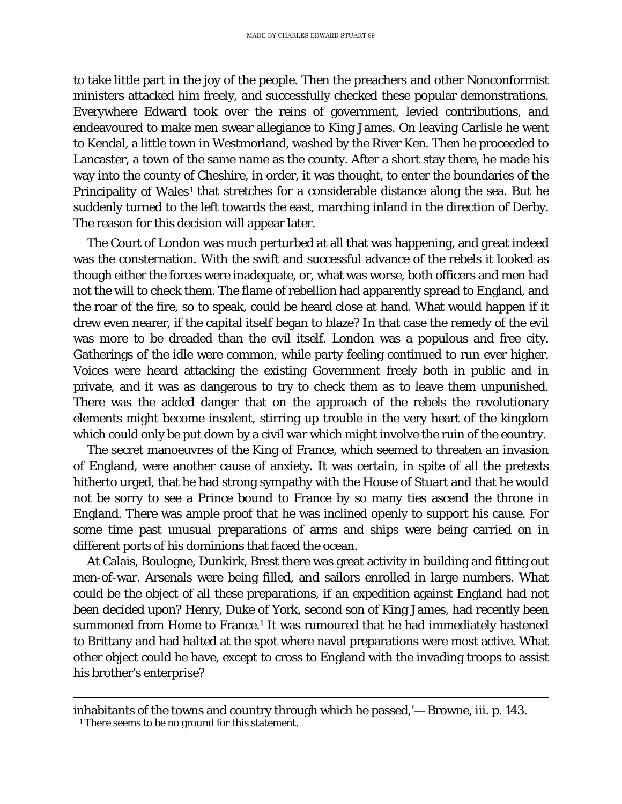to take little part in the joy of the people. Then the preachers and other Nonconformist ministers attacked him freely, and successfully checked these popular demonstrations. Everywhere Edward took over the reins of government, levied contributions, and endeavoured to make men swear allegiance to King James. On leaving Carlisle he went to Kendal, a little town in Westmorland, washed by the River Ken. Then he proceeded to Lancaster, a town of the same name as the county. After a short stay there, he made his way into the county of Cheshire, in order, it was thought, to enter the boundaries of the Principality of Wales<sup>[1](#page-65-0)</sup> that stretches for a considerable distance along the sea. But he suddenly turned to the left towards the east, marching inland in the direction of Derby. The reason for this decision will appear later.

The Court of London was much perturbed at all that was happening, and great indeed was the consternation. With the swift and successful advance of the rebels it looked as though either the forces were inadequate, or, what was worse, both officers and men had not the will to check them. The flame of rebellion had apparently spread to England, and the roar of the fire, so to speak, could be heard close at hand. What would happen if it drew even nearer, if the capital itself began to blaze? In that case the remedy of the evil was more to be dreaded than the evil itself. London was a populous and free city. Gatherings of the idle were common, while party feeling continued to run ever higher. Voices were heard attacking the existing Government freely both in public and in private, and it was as dangerous to try to check them as to leave them unpunished. There was the added danger that on the approach of the rebels the revolutionary elements might become insolent, stirring up trouble in the very heart of the kingdom which could only be put down by a civil war which might involve the ruin of the eountry.

The secret manoeuvres of the King of France, which seemed to threaten an invasion of England, were another cause of anxiety. It was certain, in spite of all the pretexts hitherto urged, that he had strong sympathy with the House of Stuart and that he would not be sorry to see a Prince bound to France by so many ties ascend the throne in England. There was ample proof that he was inclined openly to support his cause. For some time past unusual preparations of arms and ships were being carried on in different ports of his dominions that faced the ocean.

At Calais, Boulogne, Dunkirk, Brest there was great activity in building and fitting out men-of-war. Arsenals were being filled, and sailors enrolled in large numbers. What could be the object of all these preparations, if an expedition against England had not been decided upon? Henry, Duke of York, second son of King James, had recently been summoned from Home to France.<sup>1</sup> It was rumoured that he had immediately hastened to Brittany and had halted at the spot where naval preparations were most active. What other object could he have, except to cross to England with the invading troops to assist his brother's enterprise?

ī

<span id="page-65-0"></span>inhabitants of the towns and country through which he passed,'— Browne, iii. p. 143.

<sup>&</sup>lt;sup>1</sup> There seems to be no ground for this statement.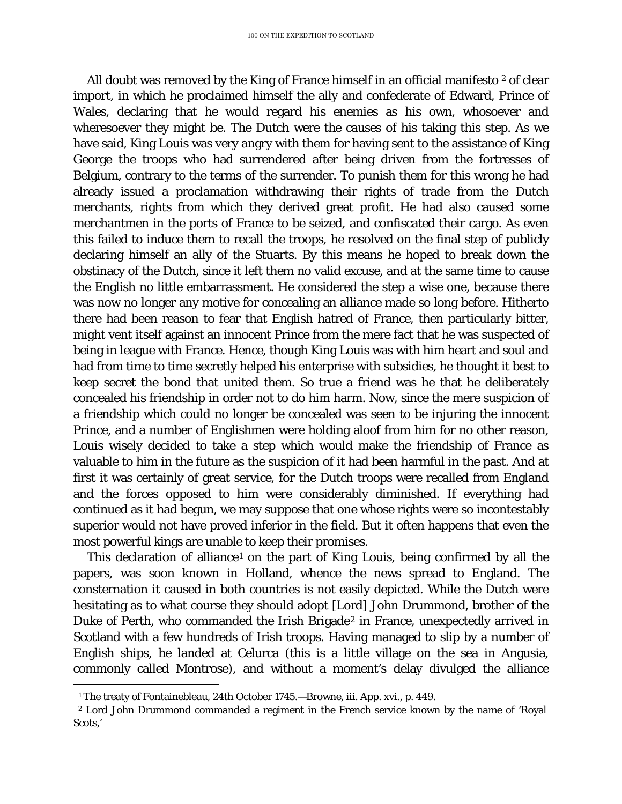All doubt was removed by the King of France himself in an official manifesto  $2$  of clear import, in which he proclaimed himself the ally and confederate of Edward, Prince of Wales, declaring that he would regard his enemies as his own, whosoever and wheresoever they might be. The Dutch were the causes of his taking this step. As we have said, King Louis was very angry with them for having sent to the assistance of King George the troops who had surrendered after being driven from the fortresses of Belgium, contrary to the terms of the surrender. To punish them for this wrong he had already issued a proclamation withdrawing their rights of trade from the Dutch merchants, rights from which they derived great profit. He had also caused some merchantmen in the ports of France to be seized, and confiscated their cargo. As even this failed to induce them to recall the troops, he resolved on the final step of publicly declaring himself an ally of the Stuarts. By this means he hoped to break down the obstinacy of the Dutch, since it left them no valid excuse, and at the same time to cause the English no little embarrassment. He considered the step a wise one, because there was now no longer any motive for concealing an alliance made so long before. Hitherto there had been reason to fear that English hatred of France, then particularly bitter, might vent itself against an innocent Prince from the mere fact that he was suspected of being in league with France. Hence, though King Louis was with him heart and soul and had from time to time secretly helped his enterprise with subsidies, he thought it best to keep secret the bond that united them. So true a friend was he that he deliberately concealed his friendship in order not to do him harm. Now, since the mere suspicion of a friendship which could no longer be concealed was seen to be injuring the innocent Prince, and a number of Englishmen were holding aloof from him for no other reason, Louis wisely decided to take a step which would make the friendship of France as valuable to him in the future as the suspicion of it had been harmful in the past. And at first it was certainly of great service, for the Dutch troops were recalled from England and the forces opposed to him were considerably diminished. If everything had continued as it had begun, we may suppose that one whose rights were so incontestably superior would not have proved inferior in the field. But it often happens that even the most powerful kings are unable to keep their promises.

This declaration of alliance<sup>[1](#page-66-0)</sup> on the part of King Louis, being confirmed by all the papers, was soon known in Holland, whence the news spread to England. The consternation it caused in both countries is not easily depicted. While the Dutch were hesitating as to what course they should adopt [Lord] John Drummond, brother of the Duke of Perth, who commanded the Irish Brigade<sup>[2](#page-66-1)</sup> in France, unexpectedly arrived in Scotland with a few hundreds of Irish troops. Having managed to slip by a number of English ships, he landed at Celurca (this is a little village on the sea in Angusia, commonly called Montrose), and without a moment's delay divulged the alliance

ī <sup>1</sup> The treaty of Fontainebleau, 24th October 1745.—Browne, iii. App. xvi., p. 449.

<span id="page-66-1"></span><span id="page-66-0"></span><sup>2</sup> Lord John Drummond commanded a regiment in the French service known by the name of 'Royal Scots,'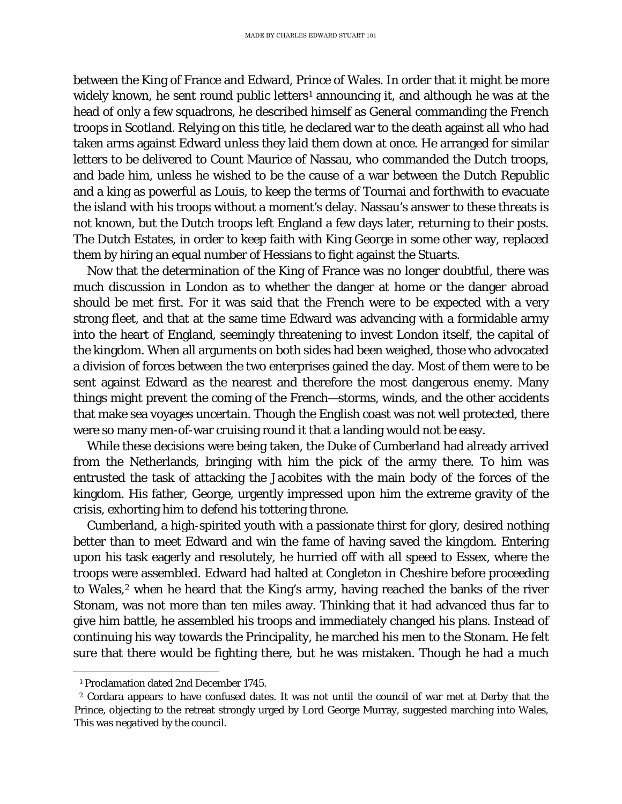between the King of France and Edward, Prince of Wales. In order that it might be more widely known, he sent round public letters<sup>[1](#page-67-0)</sup> announcing it, and although he was at the head of only a few squadrons, he described himself as General commanding the French troops in Scotland. Relying on this title, he declared war to the death against all who had taken arms against Edward unless they laid them down at once. He arranged for similar letters to be delivered to Count Maurice of Nassau, who commanded the Dutch troops, and bade him, unless he wished to be the cause of a war between the Dutch Republic and a king as powerful as Louis, to keep the terms of Tournai and forthwith to evacuate the island with his troops without a moment's delay. Nassau's answer to these threats is not known, but the Dutch troops left England a few days later, returning to their posts. The Dutch Estates, in order to keep faith with King George in some other way, replaced them by hiring an equal number of Hessians to fight against the Stuarts.

Now that the determination of the King of France was no longer doubtful, there was much discussion in London as to whether the danger at home or the danger abroad should be met first. For it was said that the French were to be expected with a very strong fleet, and that at the same time Edward was advancing with a formidable army into the heart of England, seemingly threatening to invest London itself, the capital of the kingdom. When all arguments on both sides had been weighed, those who advocated a division of forces between the two enterprises gained the day. Most of them were to be sent against Edward as the nearest and therefore the most dangerous enemy. Many things might prevent the coming of the French—storms, winds, and the other accidents that make sea voyages uncertain. Though the English coast was not well protected, there were so many men-of-war cruising round it that a landing would not be easy.

While these decisions were being taken, the Duke of Cumberland had already arrived from the Netherlands, bringing with him the pick of the army there. To him was entrusted the task of attacking the Jacobites with the main body of the forces of the kingdom. His father, George, urgently impressed upon him the extreme gravity of the crisis, exhorting him to defend his tottering throne.

Cumberland, a high-spirited youth with a passionate thirst for glory, desired nothing better than to meet Edward and win the fame of having saved the kingdom. Entering upon his task eagerly and resolutely, he hurried off with all speed to Essex, where the troops were assembled. Edward had halted at Congleton in Cheshire before proceeding to Wales,<sup>[2](#page-67-1)</sup> when he heard that the King's army, having reached the banks of the river Stonam, was not more than ten miles away. Thinking that it had advanced thus far to give him battle, he assembled his troops and immediately changed his plans. Instead of continuing his way towards the Principality, he marched his men to the Stonam. He felt sure that there would be fighting there, but he was mistaken. Though he had a much

ī <sup>1</sup> Proclamation dated 2nd December 1745.

<span id="page-67-1"></span><span id="page-67-0"></span><sup>2</sup> Cordara appears to have confused dates. It was not until the council of war met at Derby that the Prince, objecting to the retreat strongly urged by Lord George Murray, suggested marching into Wales, This was negatived by the council.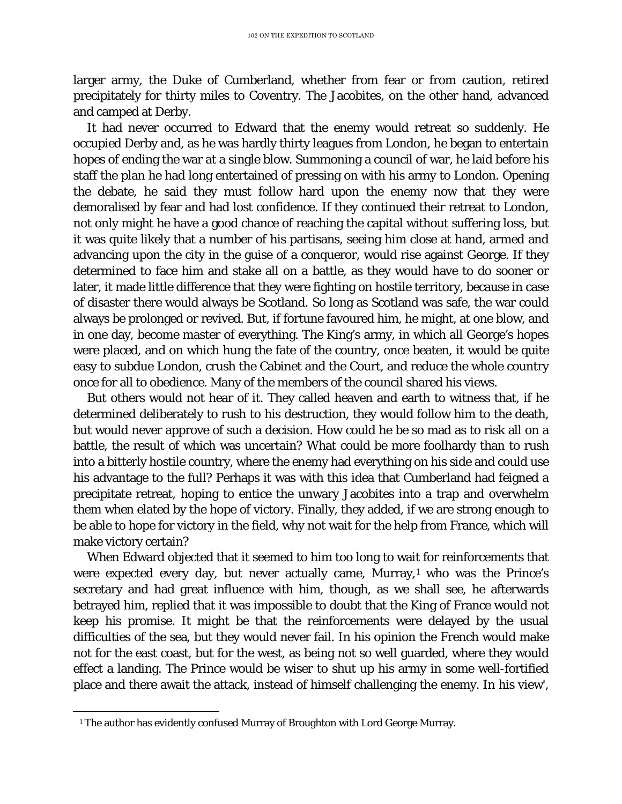larger army, the Duke of Cumberland, whether from fear or from caution, retired precipitately for thirty miles to Coventry. The Jacobites, on the other hand, advanced and camped at Derby.

It had never occurred to Edward that the enemy would retreat so suddenly. He occupied Derby and, as he was hardly thirty leagues from London, he began to entertain hopes of ending the war at a single blow. Summoning a council of war, he laid before his staff the plan he had long entertained of pressing on with his army to London. Opening the debate, he said they must follow hard upon the enemy now that they were demoralised by fear and had lost confidence. If they continued their retreat to London, not only might he have a good chance of reaching the capital without suffering loss, but it was quite likely that a number of his partisans, seeing him close at hand, armed and advancing upon the city in the guise of a conqueror, would rise against George. If they determined to face him and stake all on a battle, as they would have to do sooner or later, it made little difference that they were fighting on hostile territory, because in case of disaster there would always be Scotland. So long as Scotland was safe, the war could always be prolonged or revived. But, if fortune favoured him, he might, at one blow, and in one day, become master of everything. The King's army, in which all George's hopes were placed, and on which hung the fate of the country, once beaten, it would be quite easy to subdue London, crush the Cabinet and the Court, and reduce the whole country once for all to obedience. Many of the members of the council shared his views.

But others would not hear of it. They called heaven and earth to witness that, if he determined deliberately to rush to his destruction, they would follow him to the death, but would never approve of such a decision. How could he be so mad as to risk all on a battle, the result of which was uncertain? What could be more foolhardy than to rush into a bitterly hostile country, where the enemy had everything on his side and could use his advantage to the full? Perhaps it was with this idea that Cumberland had feigned a precipitate retreat, hoping to entice the unwary Jacobites into a trap and overwhelm them when elated by the hope of victory. Finally, they added, if we are strong enough to be able to hope for victory in the field, why not wait for the help from France, which will make victory certain?

When Edward objected that it seemed to him too long to wait for reinforcements that were expected every day, but never actually came, Murray,<sup>[1](#page-68-0)</sup> who was the Prince's secretary and had great influence with him, though, as we shall see, he afterwards betrayed him, replied that it was impossible to doubt that the King of France would not keep his promise. It might be that the reinforcements were delayed by the usual difficulties of the sea, but they would never fail. In his opinion the French would make not for the east coast, but for the west, as being not so well guarded, where they would effect a landing. The Prince would be wiser to shut up his army in some well-fortified place and there await the attack, instead of himself challenging the enemy. In his view',

<span id="page-68-0"></span>ī <sup>1</sup> The author has evidently confused Murray of Broughton with Lord George Murray.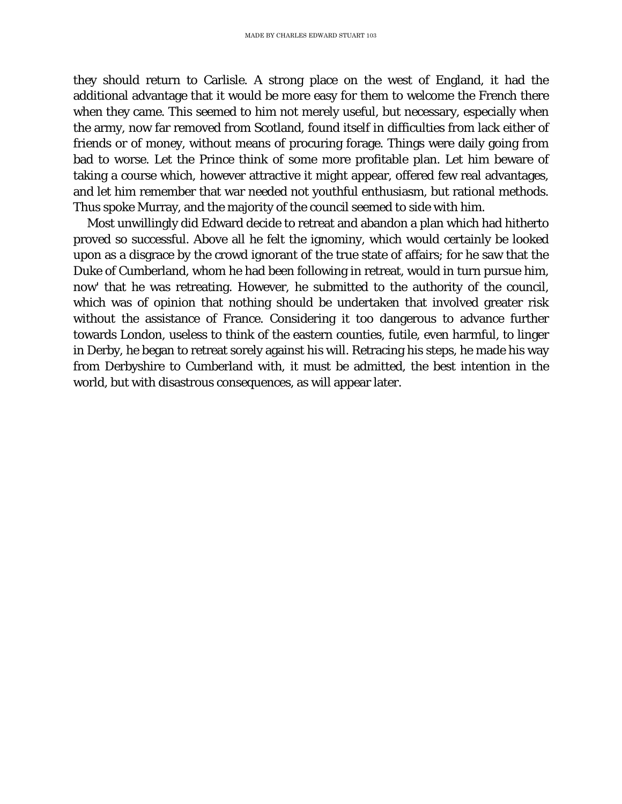they should return to Carlisle. A strong place on the west of England, it had the additional advantage that it would be more easy for them to welcome the French there when they came. This seemed to him not merely useful, but necessary, especially when the army, now far removed from Scotland, found itself in difficulties from lack either of friends or of money, without means of procuring forage. Things were daily going from bad to worse. Let the Prince think of some more profitable plan. Let him beware of taking a course which, however attractive it might appear, offered few real advantages, and let him remember that war needed not youthful enthusiasm, but rational methods. Thus spoke Murray, and the majority of the council seemed to side with him.

Most unwillingly did Edward decide to retreat and abandon a plan which had hitherto proved so successful. Above all he felt the ignominy, which would certainly be looked upon as a disgrace by the crowd ignorant of the true state of affairs; for he saw that the Duke of Cumberland, whom he had been following in retreat, would in turn pursue him, now' that he was retreating. However, he submitted to the authority of the council, which was of opinion that nothing should be undertaken that involved greater risk without the assistance of France. Considering it too dangerous to advance further towards London, useless to think of the eastern counties, futile, even harmful, to linger in Derby, he began to retreat sorely against his will. Retracing his steps, he made his way from Derbyshire to Cumberland with, it must be admitted, the best intention in the world, but with disastrous consequences, as will appear later.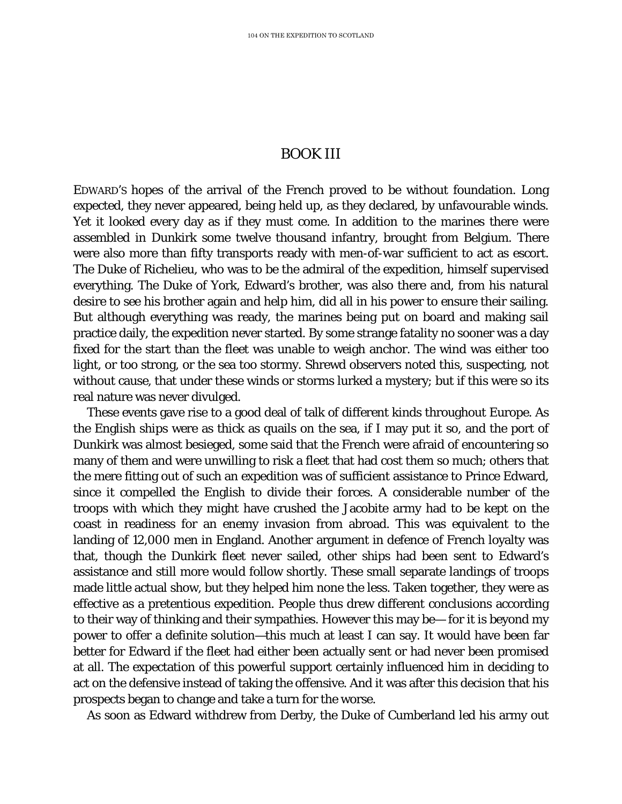## BOOK III

EDWARD'S hopes of the arrival of the French proved to be without foundation. Long expected, they never appeared, being held up, as they declared, by unfavourable winds. Yet it looked every day as if they must come. In addition to the marines there were assembled in Dunkirk some twelve thousand infantry, brought from Belgium. There were also more than fifty transports ready with men-of-war sufficient to act as escort. The Duke of Richelieu, who was to be the admiral of the expedition, himself supervised everything. The Duke of York, Edward's brother, was also there and, from his natural desire to see his brother again and help him, did all in his power to ensure their sailing. But although everything was ready, the marines being put on board and making sail practice daily, the expedition never started. By some strange fatality no sooner was a day fixed for the start than the fleet was unable to weigh anchor. The wind was either too light, or too strong, or the sea too stormy. Shrewd observers noted this, suspecting, not without cause, that under these winds or storms lurked a mystery; but if this were so its real nature was never divulged.

These events gave rise to a good deal of talk of different kinds throughout Europe. As the English ships were as thick as quails on the sea, if I may put it so, and the port of Dunkirk was almost besieged, some said that the French were afraid of encountering so many of them and were unwilling to risk a fleet that had cost them so much; others that the mere fitting out of such an expedition was of sufficient assistance to Prince Edward, since it compelled the English to divide their forces. A considerable number of the troops with which they might have crushed the Jacobite army had to be kept on the coast in readiness for an enemy invasion from abroad. This was equivalent to the landing of 12,000 men in England. Another argument in defence of French loyalty was that, though the Dunkirk fleet never sailed, other ships had been sent to Edward's assistance and still more would follow shortly. These small separate landings of troops made little actual show, but they helped him none the less. Taken together, they were as effective as a pretentious expedition. People thus drew different conclusions according to their way of thinking and their sympathies. However this may be— for it is beyond my power to offer a definite solution—this much at least I can say. It would have been far better for Edward if the fleet had either been actually sent or had never been promised at all. The expectation of this powerful support certainly influenced him in deciding to act on the defensive instead of taking the offensive. And it was after this decision that his prospects began to change and take a turn for the worse.

As soon as Edward withdrew from Derby, the Duke of Cumberland led his army out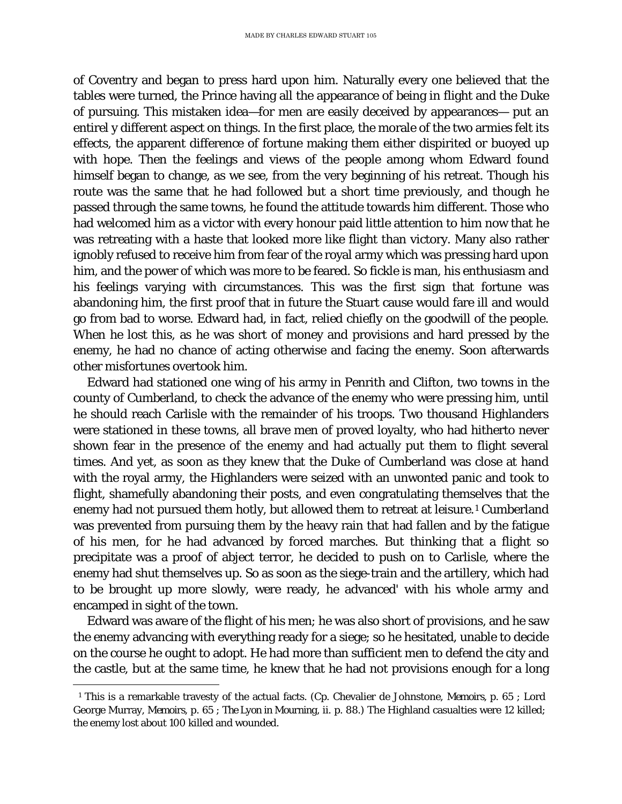of Coventry and began to press hard upon him. Naturally every one believed that the tables were turned, the Prince having all the appearance of being in flight and the Duke of pursuing. This mistaken idea—for men are easily deceived by appearances— put an entirel y different aspect on things. In the first place, the morale of the two armies felt its effects, the apparent difference of fortune making them either dispirited or buoyed up with hope. Then the feelings and views of the people among whom Edward found himself began to change, as we see, from the very beginning of his retreat. Though his route was the same that he had followed but a short time previously, and though he passed through the same towns, he found the attitude towards him different. Those who had welcomed him as a victor with every honour paid little attention to him now that he was retreating with a haste that looked more like flight than victory. Many also rather ignobly refused to receive him from fear of the royal army which was pressing hard upon him, and the power of which was more to be feared. So fickle is man, his enthusiasm and his feelings varying with circumstances. This was the first sign that fortune was abandoning him, the first proof that in future the Stuart cause would fare ill and would go from bad to worse. Edward had, in fact, relied chiefly on the goodwill of the people. When he lost this, as he was short of money and provisions and hard pressed by the enemy, he had no chance of acting otherwise and facing the enemy. Soon afterwards other misfortunes overtook him.

Edward had stationed one wing of his army in Penrith and Clifton, two towns in the county of Cumberland, to check the advance of the enemy who were pressing him, until he should reach Carlisle with the remainder of his troops. Two thousand Highlanders were stationed in these towns, all brave men of proved loyalty, who had hitherto never shown fear in the presence of the enemy and had actually put them to flight several times. And yet, as soon as they knew that the Duke of Cumberland was close at hand with the royal army, the Highlanders were seized with an unwonted panic and took to flight, shamefully abandoning their posts, and even congratulating themselves that the enemy had not pursued them hotly, but allowed them to retreat at leisure.[1](#page-71-0) Cumberland was prevented from pursuing them by the heavy rain that had fallen and by the fatigue of his men, for he had advanced by forced marches. But thinking that a flight so precipitate was a proof of abject terror, he decided to push on to Carlisle, where the enemy had shut themselves up. So as soon as the siege-train and the artillery, which had to be brought up more slowly, were ready, he advanced' with his whole army and encamped in sight of the town.

Edward was aware of the flight of his men; he was also short of provisions, and he saw the enemy advancing with everything ready for a siege; so he hesitated, unable to decide on the course he ought to adopt. He had more than sufficient men to defend the city and the castle, but at the same time, he knew that he had not provisions enough for a long

<span id="page-71-0"></span>ī <sup>1</sup> This is a remarkable travesty of the actual facts. (Cp. Chevalier de Johnstone, *Memoirs,* p. 65 ; Lord George Murray, *Memoirs*, p. 65 ; *The Lyon in Mourning*, ii. p. 88.) The Highland casualties were 12 killed; the enemy lost about 100 killed and wounded.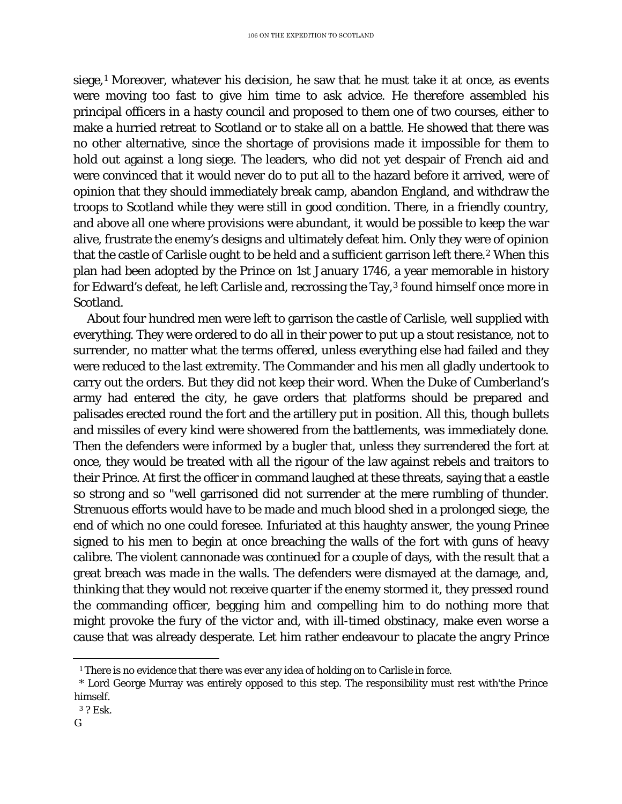siege, $1$  Moreover, whatever his decision, he saw that he must take it at once, as events were moving too fast to give him time to ask advice. He therefore assembled his principal officers in a hasty council and proposed to them one of two courses, either to make a hurried retreat to Scotland or to stake all on a battle. He showed that there was no other alternative, since the shortage of provisions made it impossible for them to hold out against a long siege. The leaders, who did not yet despair of French aid and were convinced that it would never do to put all to the hazard before it arrived, were of opinion that they should immediately break camp, abandon England, and withdraw the troops to Scotland while they were still in good condition. There, in a friendly country, and above all one where provisions were abundant, it would be possible to keep the war alive, frustrate the enemy's designs and ultimately defeat him. Only they were of opinion that the castle of Carlisle ought to be held and a sufficient garrison left there.<sup>[2](#page-72-1)</sup> When this plan had been adopted by the Prince on 1st January 1746, a year memorable in history for Edward's defeat, he left Carlisle and, recrossing the Tay,<sup>[3](#page-72-2)</sup> found himself once more in Scotland.

About four hundred men were left to garrison the castle of Carlisle, well supplied with everything. They were ordered to do all in their power to put up a stout resistance, not to surrender, no matter what the terms offered, unless everything else had failed and they were reduced to the last extremity. The Commander and his men all gladly undertook to carry out the orders. But they did not keep their word. When the Duke of Cumberland's army had entered the city, he gave orders that platforms should be prepared and palisades erected round the fort and the artillery put in position. All this, though bullets and missiles of every kind were showered from the battlements, was immediately done. Then the defenders were informed by a bugler that, unless they surrendered the fort at once, they would be treated with all the rigour of the law against rebels and traitors to their Prince. At first the officer in command laughed at these threats, saying that a eastle so strong and so "well garrisoned did not surrender at the mere rumbling of thunder. Strenuous efforts would have to be made and much blood shed in a prolonged siege, the end of which no one could foresee. Infuriated at this haughty answer, the young Prinee signed to his men to begin at once breaching the walls of the fort with guns of heavy calibre. The violent cannonade was continued for a couple of days, with the result that a great breach was made in the walls. The defenders were dismayed at the damage, and, thinking that they would not receive quarter if the enemy stormed it, they pressed round the commanding officer, begging him and compelling him to do nothing more that might provoke the fury of the victor and, with ill-timed obstinacy, make even worse a cause that was already desperate. Let him rather endeavour to placate the angry Prince

ī <sup>1</sup> There is no evidence that there was ever any idea of holding on to Carlisle in force.

<span id="page-72-1"></span><span id="page-72-0"></span><sup>\*</sup> Lord George Murray was entirely opposed to this step. The responsibility must rest with'the Prince himself.

<sup>3</sup> ? Esk.

<span id="page-72-2"></span>*G*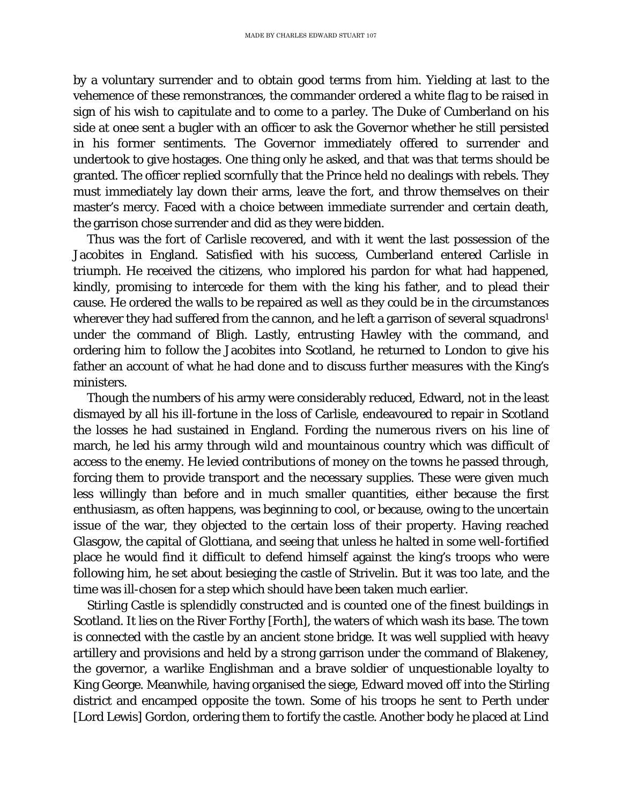by a voluntary surrender and to obtain good terms from him. Yielding at last to the vehemence of these remonstrances, the commander ordered a white flag to be raised in sign of his wish to capitulate and to come to a parley. The Duke of Cumberland on his side at onee sent a bugler with an officer to ask the Governor whether he still persisted in his former sentiments. The Governor immediately offered to surrender and undertook to give hostages. One thing only he asked, and that was that terms should be granted. The officer replied scornfully that the Prince held no dealings with rebels. They must immediately lay down their arms, leave the fort, and throw themselves on their master's mercy. Faced with a choice between immediate surrender and certain death, the garrison chose surrender and did as they were bidden.

Thus was the fort of Carlisle recovered, and with it went the last possession of the Jacobites in England. Satisfied with his success, Cumberland entered Carlisle in triumph. He received the citizens, who implored his pardon for what had happened, kindly, promising to intercede for them with the king his father, and to plead their cause. He ordered the walls to be repaired as well as they could be in the circumstances wherever they had suffered from the cannon, and he left a garrison of several squadrons<sup>1</sup> under the command of Bligh. Lastly, entrusting Hawley with the command, and ordering him to follow the Jacobites into Scotland, he returned to London to give his father an account of what he had done and to discuss further measures with the King's ministers.

Though the numbers of his army were considerably reduced, Edward, not in the least dismayed by all his ill-fortune in the loss of Carlisle, endeavoured to repair in Scotland the losses he had sustained in England. Fording the numerous rivers on his line of march, he led his army through wild and mountainous country which was difficult of access to the enemy. He levied contributions of money on the towns he passed through, forcing them to provide transport and the necessary supplies. These were given much less willingly than before and in much smaller quantities, either because the first enthusiasm, as often happens, was beginning to cool, or because, owing to the uncertain issue of the war, they objected to the certain loss of their property. Having reached Glasgow, the capital of Glottiana, and seeing that unless he halted in some well-fortified place he would find it difficult to defend himself against the king's troops who were following him, he set about besieging the castle of Strivelin. But it was too late, and the time was ill-chosen for a step which should have been taken much earlier.

Stirling Castle is splendidly constructed and is counted one of the finest buildings in Scotland. It lies on the River Forthy [Forth], the waters of which wash its base. The town is connected with the castle by an ancient stone bridge. It was well supplied with heavy artillery and provisions and held by a strong garrison under the command of Blakeney, the governor, a warlike Englishman and a brave soldier of unquestionable loyalty to King George. Meanwhile, having organised the siege, Edward moved off into the Stirling district and encamped opposite the town. Some of his troops he sent to Perth under [Lord Lewis] Gordon, ordering them to fortify the castle. Another body he placed at Lind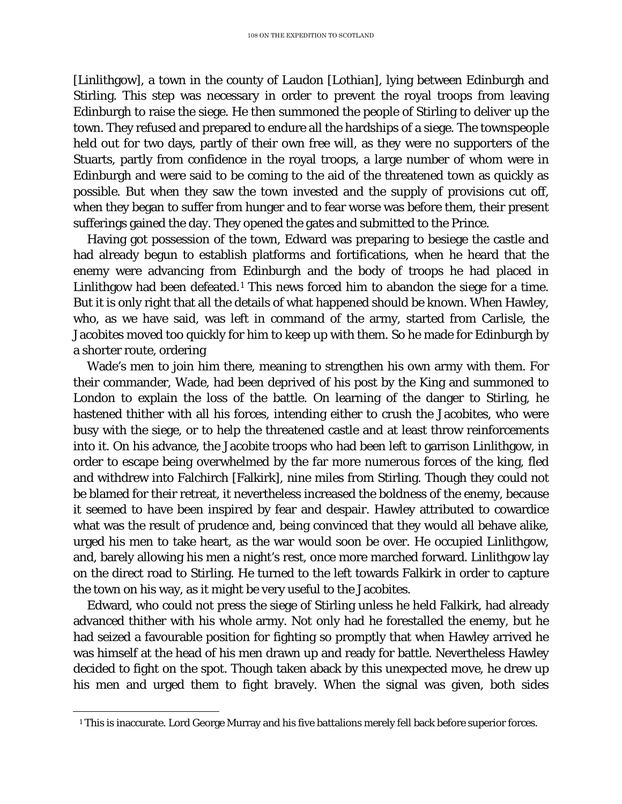[Linlithgow], a town in the county of Laudon [Lothian], lying between Edinburgh and Stirling. This step was necessary in order to prevent the royal troops from leaving Edinburgh to raise the siege. He then summoned the people of Stirling to deliver up the town. They refused and prepared to endure all the hardships of a siege. The townspeople held out for two days, partly of their own free will, as they were no supporters of the Stuarts, partly from confidence in the royal troops, a large number of whom were in Edinburgh and were said to be coming to the aid of the threatened town as quickly as possible. But when they saw the town invested and the supply of provisions cut off, when they began to suffer from hunger and to fear worse was before them, their present sufferings gained the day. They opened the gates and submitted to the Prince.

Having got possession of the town, Edward was preparing to besiege the castle and had already begun to establish platforms and fortifications, when he heard that the enemy were advancing from Edinburgh and the body of troops he had placed in Linlithgow had been defeated.<sup>[1](#page-74-0)</sup> This news forced him to abandon the siege for a time. But it is only right that all the details of what happened should be known. When Hawley, who, as we have said, was left in command of the army, started from Carlisle, the Jacobites moved too quickly for him to keep up with them. So he made for Edinburgh by a shorter route, ordering

Wade's men to join him there, meaning to strengthen his own army with them. For their commander, Wade, had been deprived of his post by the King and summoned to London to explain the loss of the battle. On learning of the danger to Stirling, he hastened thither with all his forces, intending either to crush the Jacobites, who were busy with the siege, or to help the threatened castle and at least throw reinforcements into it. On his advance, the Jacobite troops who had been left to garrison Linlithgow, in order to escape being overwhelmed by the far more numerous forces of the king, fled and withdrew into Falchirch [Falkirk], nine miles from Stirling. Though they could not be blamed for their retreat, it nevertheless increased the boldness of the enemy, because it seemed to have been inspired by fear and despair. Hawley attributed to cowardice what was the result of prudence and, being convinced that they would all behave alike, urged his men to take heart, as the war would soon be over. He occupied Linlithgow, and, barely allowing his men a night's rest, once more marched forward. Linlithgow lay on the direct road to Stirling. He turned to the left towards Falkirk in order to capture the town on his way, as it might be very useful to the Jacobites.

Edward, who could not press the siege of Stirling unless he held Falkirk, had already advanced thither with his whole army. Not only had he forestalled the enemy, but he had seized a favourable position for fighting so promptly that when Hawley arrived he was himself at the head of his men drawn up and ready for battle. Nevertheless Hawley decided to fight on the spot. Though taken aback by this unexpected move, he drew up his men and urged them to fight bravely. When the signal was given, both sides

<span id="page-74-0"></span>ī <sup>1</sup> This is inaccurate. Lord George Murray and his five battalions merely fell back before superior forces.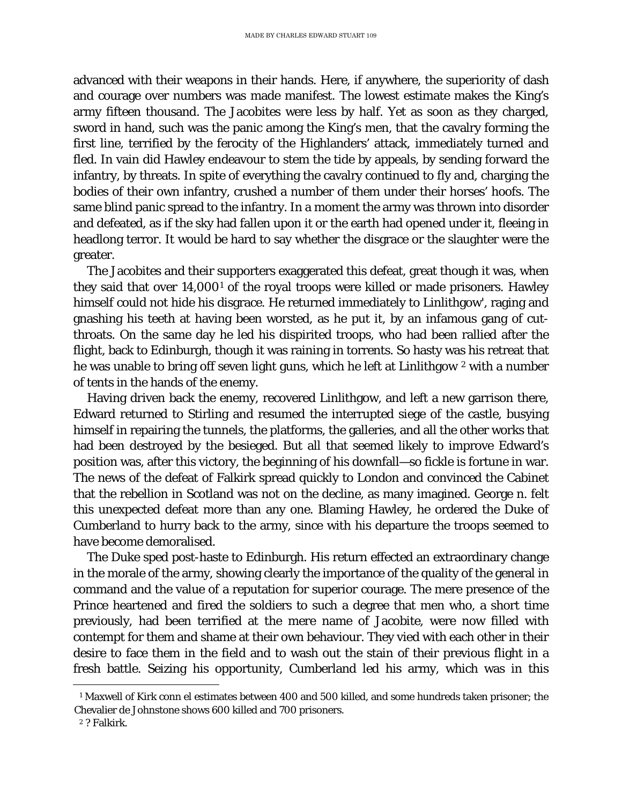advanced with their weapons in their hands. Here, if anywhere, the superiority of dash and courage over numbers was made manifest. The lowest estimate makes the King's army fifteen thousand. The Jacobites were less by half. Yet as soon as they charged, sword in hand, such was the panic among the King's men, that the cavalry forming the first line, terrified by the ferocity of the Highlanders' attack, immediately turned and fled. In vain did Hawley endeavour to stem the tide by appeals, by sending forward the infantry, by threats. In spite of everything the cavalry continued to fly and, charging the bodies of their own infantry, crushed a number of them under their horses' hoofs. The same blind panic spread to the infantry. In a moment the army was thrown into disorder and defeated, as if the sky had fallen upon it or the earth had opened under it, fleeing in headlong terror. It would be hard to say whether the disgrace or the slaughter were the greater.

The Jacobites and their supporters exaggerated this defeat, great though it was, when they said that over 14,000[1](#page-75-0) of the royal troops were killed or made prisoners. Hawley himself could not hide his disgrace. He returned immediately to Linlithgow', raging and gnashing his teeth at having been worsted, as he put it, by an infamous gang of cutthroats. On the same day he led his dispirited troops, who had been rallied after the flight, back to Edinburgh, though it was raining in torrents. So hasty was his retreat that he was unable to bring off seven light guns, which he left at Linlithgow <sup>[2](#page-75-1)</sup> with a number of tents in the hands of the enemy.

Having driven back the enemy, recovered Linlithgow, and left a new garrison there, Edward returned to Stirling and resumed the interrupted siege of the castle, busying himself in repairing the tunnels, the platforms, the galleries, and all the other works that had been destroyed by the besieged. But all that seemed likely to improve Edward's position was, after this victory, the beginning of his downfall—so fickle is fortune in war. The news of the defeat of Falkirk spread quickly to London and convinced the Cabinet that the rebellion in Scotland was not on the decline, as many imagined. George n. felt this unexpected defeat more than any one. Blaming Hawley, he ordered the Duke of Cumberland to hurry back to the army, since with his departure the troops seemed to have become demoralised.

The Duke sped post-haste to Edinburgh. His return effected an extraordinary change in the morale of the army, showing clearly the importance of the quality of the general in command and the value of a reputation for superior courage. The mere presence of the Prince heartened and fired the soldiers to such a degree that men who, a short time previously, had been terrified at the mere name of Jacobite, were now filled with contempt for them and shame at their own behaviour. They vied with each other in their desire to face them in the field and to wash out the stain of their previous flight in a fresh battle. Seizing his opportunity, Cumberland led his army, which was in this

<span id="page-75-0"></span>ī <sup>1</sup> Maxwell of Kirk conn el estimates between 400 and 500 killed, and some hundreds taken prisoner; the Chevalier de Johnstone shows 600 killed and 700 prisoners.

<span id="page-75-1"></span><sup>2</sup> ? Falkirk.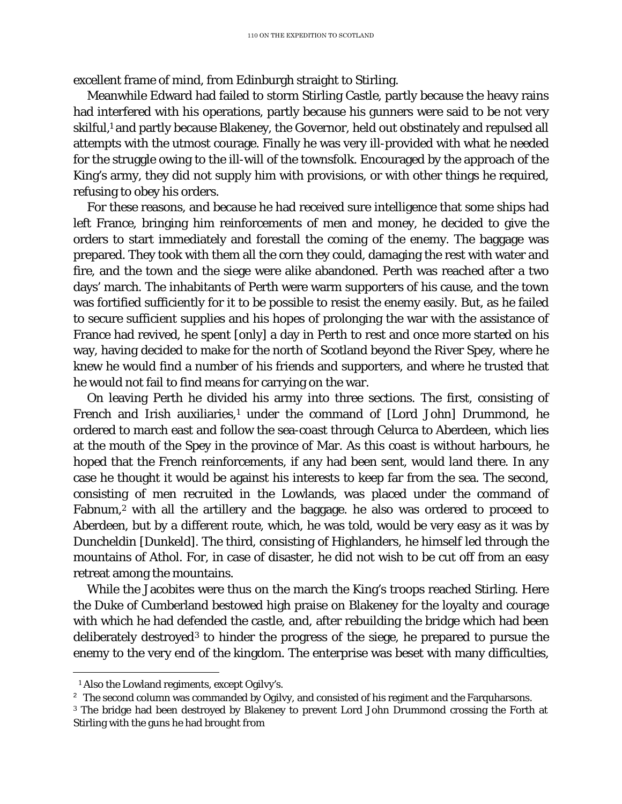excellent frame of mind, from Edinburgh straight to Stirling.

Meanwhile Edward had failed to storm Stirling Castle, partly because the heavy rains had interfered with his operations, partly because his gunners were said to be not very skilful, <sup>1</sup> and partly because Blakeney, the Governor, held out obstinately and repulsed all attempts with the utmost courage. Finally he was very ill-provided with what he needed for the struggle owing to the ill-will of the townsfolk. Encouraged by the approach of the King's army, they did not supply him with provisions, or with other things he required, refusing to obey his orders.

For these reasons, and because he had received sure intelligence that some ships had left France, bringing him reinforcements of men and money, he decided to give the orders to start immediately and forestall the coming of the enemy. The baggage was prepared. They took with them all the corn they could, damaging the rest with water and fire, and the town and the siege were alike abandoned. Perth was reached after a two days' march. The inhabitants of Perth were warm supporters of his cause, and the town was fortified sufficiently for it to be possible to resist the enemy easily. But, as he failed to secure sufficient supplies and his hopes of prolonging the war with the assistance of France had revived, he spent [only] a day in Perth to rest and once more started on his way, having decided to make for the north of Scotland beyond the River Spey, where he knew he would find a number of his friends and supporters, and where he trusted that he would not fail to find means for carrying on the war.

On leaving Perth he divided his army into three sections. The first, consisting of French and Irish auxiliaries,<sup>[1](#page-76-0)</sup> under the command of [Lord John] Drummond, he ordered to march east and follow the sea-coast through Celurca to Aberdeen, which lies at the mouth of the Spey in the province of Mar. As this coast is without harbours, he hoped that the French reinforcements, if any had been sent, would land there. In any case he thought it would be against his interests to keep far from the sea. The second, consisting of men recruited in the Lowlands, was placed under the command of Fabnum,[2](#page-76-1) with all the artillery and the baggage. he also was ordered to proceed to Aberdeen, but by a different route, which, he was told, would be very easy as it was by Duncheldin [Dunkeld]. The third, consisting of Highlanders, he himself led through the mountains of Athol. For, in case of disaster, he did not wish to be cut off from an easy retreat among the mountains.

While the Jacobites were thus on the march the King's troops reached Stirling. Here the Duke of Cumberland bestowed high praise on Blakeney for the loyalty and courage with which he had defended the castle, and, after rebuilding the bridge which had been deliberately destroyed[3](#page-76-2) to hinder the progress of the siege, he prepared to pursue the enemy to the very end of the kingdom. The enterprise was beset with many difficulties,

ī

<sup>1</sup> Also the Lowland regiments, except Ogilvy's.

<span id="page-76-1"></span><span id="page-76-0"></span><sup>&</sup>lt;sup>2</sup> The second column was commanded by Ogilvy, and consisted of his regiment and the Farquharsons.

<span id="page-76-2"></span><sup>3</sup> The bridge had been destroyed by Blakeney to prevent Lord John Drummond crossing the Forth at Stirling with the guns he had brought from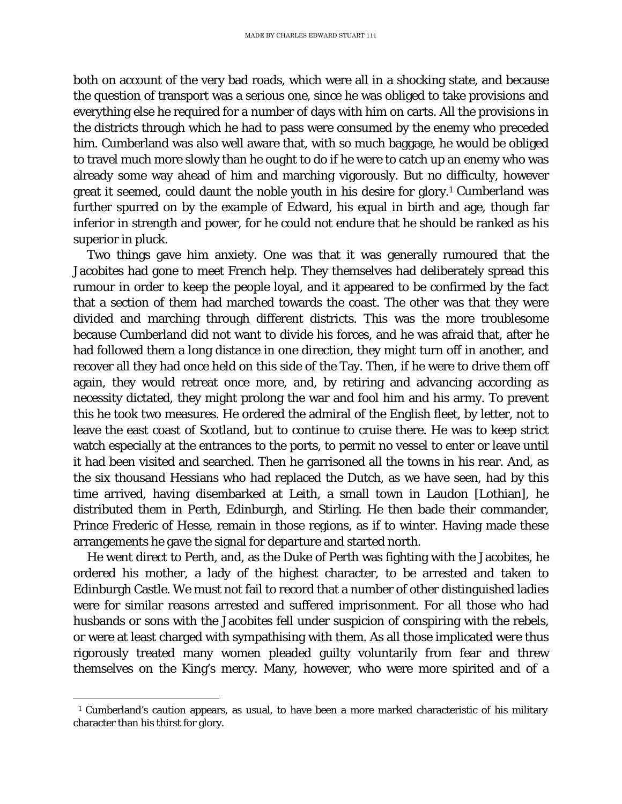both on account of the very bad roads, which were all in a shocking state, and because the question of transport was a serious one, since he was obliged to take provisions and everything else he required for a number of days with him on carts. All the provisions in the districts through which he had to pass were consumed by the enemy who preceded him. Cumberland was also well aware that, with so much baggage, he would be obliged to travel much more slowly than he ought to do if he were to catch up an enemy who was already some way ahead of him and marching vigorously. But no difficulty, however great it seemed, could daunt the noble youth in his desire for glory.[1](#page-77-0) Cumberland was further spurred on by the example of Edward, his equal in birth and age, though far inferior in strength and power, for he could not endure that he should be ranked as his superior in pluck.

Two things gave him anxiety. One was that it was generally rumoured that the Jacobites had gone to meet French help. They themselves had deliberately spread this rumour in order to keep the people loyal, and it appeared to be confirmed by the fact that a section of them had marched towards the coast. The other was that they were divided and marching through different districts. This was the more troublesome because Cumberland did not want to divide his forces, and he was afraid that, after he had followed them a long distance in one direction, they might turn off in another, and recover all they had once held on this side of the Tay. Then, if he were to drive them off again, they would retreat once more, and, by retiring and advancing according as necessity dictated, they might prolong the war and fool him and his army. To prevent this he took two measures. He ordered the admiral of the English fleet, by letter, not to leave the east coast of Scotland, but to continue to cruise there. He was to keep strict watch especially at the entrances to the ports, to permit no vessel to enter or leave until it had been visited and searched. Then he garrisoned all the towns in his rear. And, as the six thousand Hessians who had replaced the Dutch, as we have seen, had by this time arrived, having disembarked at Leith, a small town in Laudon [Lothian], he distributed them in Perth, Edinburgh, and Stirling. He then bade their commander, Prince Frederic of Hesse, remain in those regions, as if to winter. Having made these arrangements he gave the signal for departure and started north.

He went direct to Perth, and, as the Duke of Perth was fighting with the Jacobites, he ordered his mother, a lady of the highest character, to be arrested and taken to Edinburgh Castle. We must not fail to record that a number of other distinguished ladies were for similar reasons arrested and suffered imprisonment. For all those who had husbands or sons with the Jacobites fell under suspicion of conspiring with the rebels, or were at least charged with sympathising with them. As all those implicated were thus rigorously treated many women pleaded guilty voluntarily from fear and threw themselves on the King's mercy. Many, however, who were more spirited and of a

<span id="page-77-0"></span>ī <sup>1</sup> Cumberland's caution appears, as usual, to have been a more marked characteristic of his military character than his thirst for glory.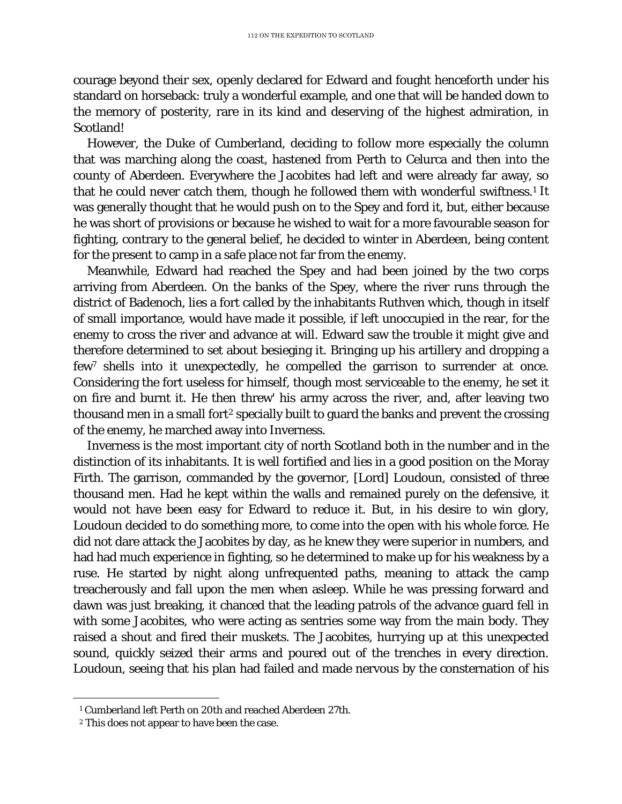courage beyond their sex, openly declared for Edward and fought henceforth under his standard on horseback: truly a wonderful example, and one that will be handed down to the memory of posterity, rare in its kind and deserving of the highest admiration, in Scotland!

However, the Duke of Cumberland, deciding to follow more especially the column that was marching along the coast, hastened from Perth to Celurca and then into the county of Aberdeen. Everywhere the Jacobites had left and were already far away, so that he could never catch them, though he followed them with wonderful swiftness.<sup>1</sup> It was generally thought that he would push on to the Spey and ford it, but, either because he was short of provisions or because he wished to wait for a more favourable season for fighting, contrary to the general belief, he decided to winter in Aberdeen, being content for the present to camp in a safe place not far from the enemy.

Meanwhile, Edward had reached the Spey and had been joined by the two corps arriving from Aberdeen. On the banks of the Spey, where the river runs through the district of Badenoch, lies a fort called by the inhabitants Ruthven which, though in itself of small importance, would have made it possible, if left unoccupied in the rear, for the enemy to cross the river and advance at will. Edward saw the trouble it might give and therefore determined to set about besieging it. Bringing up his artillery and dropping a few7 shells into it unexpectedly, he compelled the garrison to surrender at once. Considering the fort useless for himself, though most serviceable to the enemy, he set it on fire and burnt it. He then threw' his army across the river, and, after leaving two thousand men in a small fort<sup>[2](#page-78-1)</sup> specially built to guard the banks and prevent the crossing of the enemy, he marched away into Inverness.

Inverness is the most important city of north Scotland both in the number and in the distinction of its inhabitants. It is well fortified and lies in a good position on the Moray Firth. The garrison, commanded by the governor, [Lord] Loudoun, consisted of three thousand men. Had he kept within the walls and remained purely on the defensive, it would not have been easy for Edward to reduce it. But, in his desire to win glory, Loudoun decided to do something more, to come into the open with his whole force. He did not dare attack the Jacobites by day, as he knew they were superior in numbers, and had had much experience in fighting, so he determined to make up for his weakness by a ruse. He started by night along unfrequented paths, meaning to attack the camp treacherously and fall upon the men when asleep. While he was pressing forward and dawn was just breaking, it chanced that the leading patrols of the advance guard fell in with some Jacobites, who were acting as sentries some way from the main body. They raised a shout and fired their muskets. The Jacobites, hurrying up at this unexpected sound, quickly seized their arms and poured out of the trenches in every direction. Loudoun, seeing that his plan had failed and made nervous by the consternation of his

<span id="page-78-1"></span><span id="page-78-0"></span>ī <sup>1</sup> Cumberland left Perth on 20th and reached Aberdeen 27th.

<sup>2</sup> This does not appear to have been the case.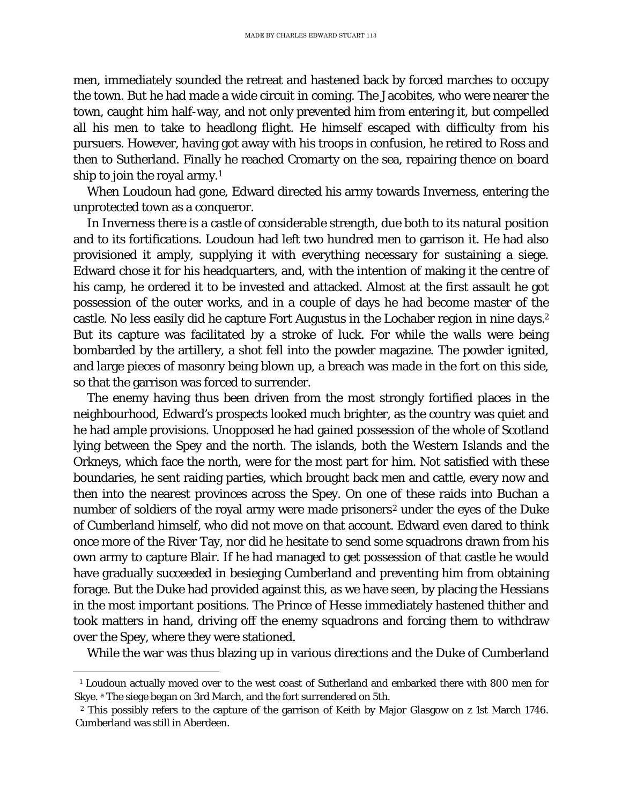men, immediately sounded the retreat and hastened back by forced marches to occupy the town. But he had made a wide circuit in coming. The Jacobites, who were nearer the town, caught him half-way, and not only prevented him from entering it, but compelled all his men to take to headlong flight. He himself escaped with difficulty from his pursuers. However, having got away with his troops in confusion, he retired to Ross and then to Sutherland. Finally he reached Cromarty on the sea, repairing thence on board ship to join the royal army.[1](#page-79-0)

When Loudoun had gone, Edward directed his army towards Inverness, entering the unprotected town as a conqueror.

In Inverness there is a castle of considerable strength, due both to its natural position and to its fortifications. Loudoun had left two hundred men to garrison it. He had also provisioned it amply, supplying it with everything necessary for sustaining a siege. Edward chose it for his headquarters, and, with the intention of making it the centre of his camp, he ordered it to be invested and attacked. Almost at the first assault he got possession of the outer works, and in a couple of days he had become master of the castle. No less easily did he capture Fort Augustus in the Lochaber region in nine days. 2 But its capture was facilitated by a stroke of luck. For while the walls were being bombarded by the artillery, a shot fell into the powder magazine. The powder ignited, and large pieces of masonry being blown up, a breach was made in the fort on this side, so that the garrison was forced to surrender.

The enemy having thus been driven from the most strongly fortified places in the neighbourhood, Edward's prospects looked much brighter, as the country was quiet and he had ample provisions. Unopposed he had gained possession of the whole of Scotland lying between the Spey and the north. The islands, both the Western Islands and the Orkneys, which face the north, were for the most part for him. Not satisfied with these boundaries, he sent raiding parties, which brought back men and cattle, every now and then into the nearest provinces across the Spey. On one of these raids into Buchan a number of soldiers of the royal army were made prisoners<sup>[2](#page-79-1)</sup> under the eyes of the Duke of Cumberland himself, who did not move on that account. Edward even dared to think once more of the River Tay, nor did he hesitate to send some squadrons drawn from his own army to capture Blair. If he had managed to get possession of that castle he would have gradually succeeded in besieging Cumberland and preventing him from obtaining forage. But the Duke had provided against this, as we have seen, by placing the Hessians in the most important positions. The Prince of Hesse immediately hastened thither and took matters in hand, driving off the enemy squadrons and forcing them to withdraw over the Spey, where they were stationed.

While the war was thus blazing up in various directions and the Duke of Cumberland

<span id="page-79-0"></span>ī <sup>1</sup> Loudoun actually moved over to the west coast of Sutherland and embarked there with 800 men for Skye. a The siege began on 3rd March, and the fort surrendered on 5th.

<span id="page-79-1"></span><sup>2</sup> This possibly refers to the capture of the garrison of Keith by Major Glasgow on *z* 1st March 1746. Cumberland was still in Aberdeen.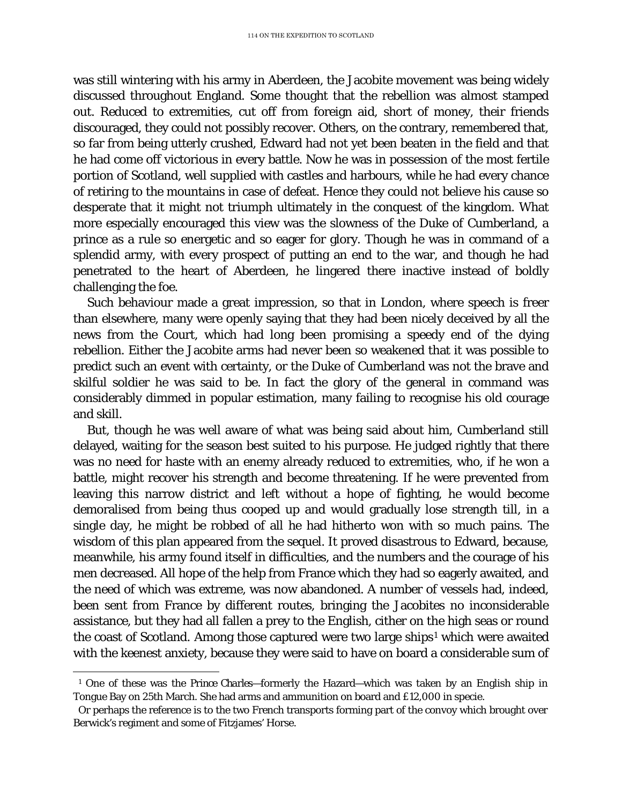was still wintering with his army in Aberdeen, the Jacobite movement was being widely discussed throughout England. Some thought that the rebellion was almost stamped out. Reduced to extremities, cut off from foreign aid, short of money, their friends discouraged, they could not possibly recover. Others, on the contrary, remembered that, so far from being utterly crushed, Edward had not yet been beaten in the field and that he had come off victorious in every battle. Now he was in possession of the most fertile portion of Scotland, well supplied with castles and harbours, while he had every chance of retiring to the mountains in case of defeat. Hence they could not believe his cause so desperate that it might not triumph ultimately in the conquest of the kingdom. What more especially encouraged this view was the slowness of the Duke of Cumberland, a prince as a rule so energetic and so eager for glory. Though he was in command of a splendid army, with every prospect of putting an end to the war, and though he had penetrated to the heart of Aberdeen, he lingered there inactive instead of boldly challenging the foe.

Such behaviour made a great impression, so that in London, where speech is freer than elsewhere, many were openly saying that they had been nicely deceived by all the news from the Court, which had long been promising a speedy end of the dying rebellion. Either the Jacobite arms had never been so weakened that it was possible to predict such an event with certainty, or the Duke of Cumberland was not the brave and skilful soldier he was said to be. In fact the glory of the general in command was considerably dimmed in popular estimation, many failing to recognise his old courage and skill.

But, though he was well aware of what was being said about him, Cumberland still delayed, waiting for the season best suited to his purpose. He judged rightly that there was no need for haste with an enemy already reduced to extremities, who, if he won a battle, might recover his strength and become threatening. If he were prevented from leaving this narrow district and left without a hope of fighting, he would become demoralised from being thus cooped up and would gradually lose strength till, in a single day, he might be robbed of all he had hitherto won with so much pains. The wisdom of this plan appeared from the sequel. It proved disastrous to Edward, because, meanwhile, his army found itself in difficulties, and the numbers and the courage of his men decreased. All hope of the help from France which they had so eagerly awaited, and the need of which was extreme, was now abandoned. A number of vessels had, indeed, been sent from France by different routes, bringing the Jacobites no inconsiderable assistance, but they had all fallen a prey to the English, cither on the high seas or round the coast of Scotland. Among those captured were two large ships<sup>[1](#page-80-0)</sup> which were awaited with the keenest anxiety, because they were said to have on board a considerable sum of

<span id="page-80-0"></span>ī <sup>1</sup> One of these was the *Prince Charles*—formerly the *Hazard*—which was taken by an English ship in Tongue Bay on 25th March. She had arms and ammunition on board and £12,000 in specie.

Or perhaps the reference is to the two French transports forming part of the convoy which brought over Berwick's regiment and some of Fitzjames' Horse.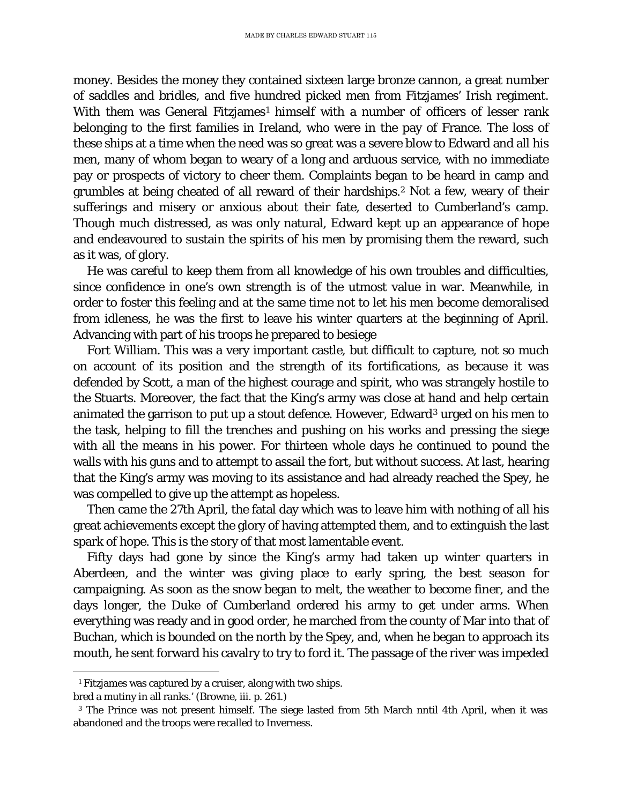money. Besides the money they contained sixteen large bronze cannon, a great number of saddles and bridles, and five hundred picked men from Fitzjames' Irish regiment. With them was General Fitzjames<sup>[1](#page-81-0)</sup> himself with a number of officers of lesser rank belonging to the first families in Ireland, who were in the pay of France. The loss of these ships at a time when the need was so great was a severe blow to Edward and all his men, many of whom began to weary of a long and arduous service, with no immediate pay or prospects of victory to cheer them. Complaints began to be heard in camp and grumbles at being cheated of all reward of their hardships[.2](#page-81-1) Not a few, weary of their sufferings and misery or anxious about their fate, deserted to Cumberland's camp. Though much distressed, as was only natural, Edward kept up an appearance of hope and endeavoured to sustain the spirits of his men by promising them the reward, such as it was, of glory.

He was careful to keep them from all knowledge of his own troubles and difficulties, since confidence in one's own strength is of the utmost value in war. Meanwhile, in order to foster this feeling and at the same time not to let his men become demoralised from idleness, he was the first to leave his winter quarters at the beginning of April. Advancing with part of his troops he prepared to besiege

Fort William. This was a very important castle, but difficult to capture, not so much on account of its position and the strength of its fortifications, as because it was defended by Scott, a man of the highest courage and spirit, who was strangely hostile to the Stuarts. Moreover, the fact that the King's army was close at hand and help certain animated the garrison to put up a stout defence. However, Edward[3](#page-81-2) urged on his men to the task, helping to fill the trenches and pushing on his works and pressing the siege with all the means in his power. For thirteen whole days he continued to pound the walls with his guns and to attempt to assail the fort, but without success. At last, hearing that the King's army was moving to its assistance and had already reached the Spey, he was compelled to give up the attempt as hopeless.

Then came the 27th April, the fatal day which was to leave him with nothing of all his great achievements except the glory of having attempted them, and to extinguish the last spark of hope. This is the story of that most lamentable event.

Fifty days had gone by since the King's army had taken up winter quarters in Aberdeen, and the winter was giving place to early spring, the best season for campaigning. As soon as the snow began to melt, the weather to become finer, and the days longer, the Duke of Cumberland ordered his army to get under arms. When everything was ready and in good order, he marched from the county of Mar into that of Buchan, which is bounded on the north by the Spey, and, when he began to approach its mouth, he sent forward his cavalry to try to ford it. The passage of the river was impeded

ī <sup>1</sup> Fitzjames was captured by a cruiser, along with two ships.

<span id="page-81-1"></span><span id="page-81-0"></span>bred a mutiny in all ranks.' (Browne, iii. p. 261.)

<span id="page-81-2"></span><sup>3</sup> The Prince was not present himself. The siege lasted from 5th March nntil 4th April, when it was abandoned and the troops were recalled to Inverness.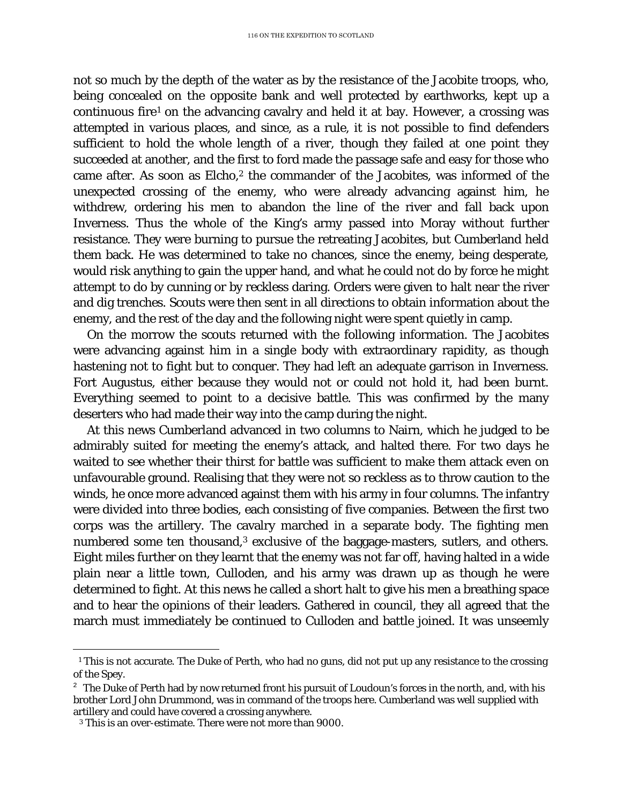not so much by the depth of the water as by the resistance of the Jacobite troops, who, being concealed on the opposite bank and well protected by earthworks, kept up a continuous fire<sup>[1](#page-82-0)</sup> on the advancing cavalry and held it at bay. However, a crossing was attempted in various places, and since, as a rule, it is not possible to find defenders sufficient to hold the whole length of a river, though they failed at one point they succeeded at another, and the first to ford made the passage safe and easy for those who came after. As soon as Elcho,<sup>[2](#page-82-1)</sup> the commander of the Jacobites, was informed of the unexpected crossing of the enemy, who were already advancing against him, he withdrew, ordering his men to abandon the line of the river and fall back upon Inverness. Thus the whole of the King's army passed into Moray without further resistance. They were burning to pursue the retreating Jacobites, but Cumberland held them back. He was determined to take no chances, since the enemy, being desperate, would risk anything to gain the upper hand, and what he could not do by force he might attempt to do by cunning or by reckless daring. Orders were given to halt near the river and dig trenches. Scouts were then sent in all directions to obtain information about the enemy, and the rest of the day and the following night were spent quietly in camp.

On the morrow the scouts returned with the following information. The Jacobites were advancing against him in a single body with extraordinary rapidity, as though hastening not to fight but to conquer. They had left an adequate garrison in Inverness. Fort Augustus, either because they would not or could not hold it, had been burnt. Everything seemed to point to a decisive battle. This was confirmed by the many deserters who had made their way into the camp during the night.

At this news Cumberland advanced in two columns to Nairn, which he judged to be admirably suited for meeting the enemy's attack, and halted there. For two days he waited to see whether their thirst for battle was sufficient to make them attack even on unfavourable ground. Realising that they were not so reckless as to throw caution to the winds, he once more advanced against them with his army in four columns. The infantry were divided into three bodies, each consisting of five companies. Between the first two corps was the artillery. The cavalry marched in a separate body. The fighting men numbered some ten thousand,<sup>[3](#page-82-2)</sup> exclusive of the baggage-masters, sutlers, and others. Eight miles further on they learnt that the enemy was not far off, having halted in a wide plain near a little town, Culloden, and his army was drawn up as though he were determined to fight. At this news he called a short halt to give his men a breathing space and to hear the opinions of their leaders. Gathered in council, they all agreed that the march must immediately be continued to Culloden and battle joined. It was unseemly

<span id="page-82-0"></span>ī *<sup>1</sup>* This is not accurate. The Duke of Perth, who had no guns, did not put up any resistance to the crossing of the Spey.

<span id="page-82-1"></span> $2^2$  The Duke of Perth had by now returned front his pursuit of Loudoun's forces in the north, and, with his brother Lord John Drummond, was in command of the troops here. Cumberland was well supplied with artillery and could have covered a crossing anywhere.

<span id="page-82-2"></span><sup>3</sup> This is an over-estimate. There were not more than 9000.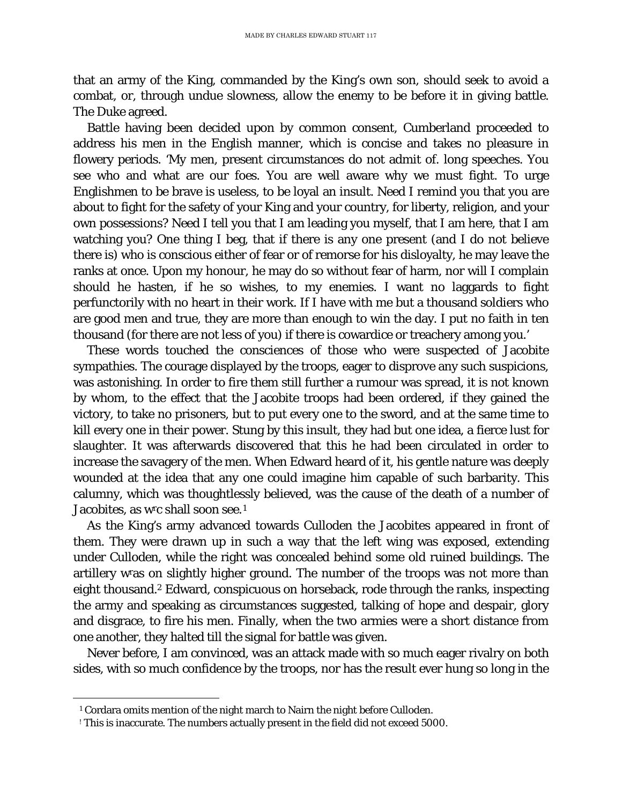that an army of the King, commanded by the King's own son, should seek to avoid a combat, or, through undue slowness, allow the enemy to be before it in giving battle. The Duke agreed.

Battle having been decided upon by common consent, Cumberland proceeded to address his men in the English manner, which is concise and takes no pleasure in flowery periods. 'My men, present circumstances do not admit of. long speeches. You see who and what are our foes. You are well aware why we must fight. To urge Englishmen to be brave is useless, to be loyal an insult. Need I remind you that you are about to fight for the safety of your King and your country, for liberty, religion, and your own possessions? Need I tell you that I am leading you myself, that I am here, that I am watching you? One thing I beg, that if there is any one present (and I do not believe there is) who is conscious either of fear or of remorse for his disloyalty, he may leave the ranks at once. Upon my honour, he may do so without fear of harm, nor will I complain should he hasten, if he so wishes, to my enemies. I want no laggards to fight perfunctorily with no heart in their work. If I have with me but a thousand soldiers who are good men and true, they are more than enough to win the day. I put no faith in ten thousand (for there are not less of you) if there is cowardice or treachery among you.'

These words touched the consciences of those who were suspected of Jacobite sympathies. The courage displayed by the troops, eager to disprove any such suspicions, was astonishing. In order to fire them still further a rumour was spread, it is not known by whom, to the effect that the Jacobite troops had been ordered, if they gained the victory, to take no prisoners, but to put every one to the sword, and at the same time to kill every one in their power. Stung by this insult, they had but one idea, a fierce lust for slaughter. It was afterwards discovered that this he had been circulated in order to increase the savagery of the men. When Edward heard of it, his gentle nature was deeply wounded at the idea that any one could imagine him capable of such barbarity. This calumny, which was thoughtlessly believed, was the cause of the death of a number of Jacobites, as w<sup>r</sup>c shall soon see.<sup>[1](#page-83-0)</sup>

As the King's army advanced towards Culloden the Jacobites appeared in front of them. They were drawn up in such a way that the left wing was exposed, extending under Culloden, while the right was concealed behind some old ruined buildings. The artillery wras on slightly higher ground. The number of the troops was not more than eight thousand.2 Edward, conspicuous on horseback, rode through the ranks, inspecting the army and speaking as circumstances suggested, talking of hope and despair, glory and disgrace, to fire his men. Finally, when the two armies were a short distance from one another, they halted till the signal for battle was given.

Never before, I am convinced, was an attack made with so much eager rivalry on both sides, with so much confidence by the troops, nor has the result ever hung so long in the

<span id="page-83-0"></span>ī <sup>1</sup> Cordara omits mention of the night march to Nairn the night before Culloden.

<sup>!</sup> This is inaccurate. The numbers actually present in the field did not exceed 5000.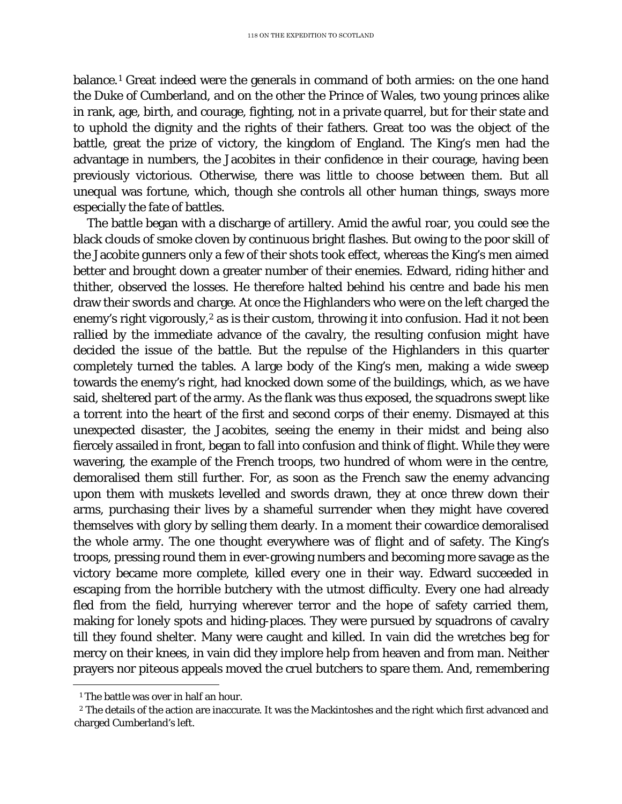balance.[1](#page-84-0) Great indeed were the generals in command of both armies: on the one hand the Duke of Cumberland, and on the other the Prince of Wales, two young princes alike in rank, age, birth, and courage, fighting, not in a private quarrel, but for their state and to uphold the dignity and the rights of their fathers. Great too was the object of the battle, great the prize of victory, the kingdom of England. The King's men had the advantage in numbers, the Jacobites in their confidence in their courage, having been previously victorious. Otherwise, there was little to choose between them. But all unequal was fortune, which, though she controls all other human things, sways more especially the fate of battles.

The battle began with a discharge of artillery. Amid the awful roar, you could see the black clouds of smoke cloven by continuous bright flashes. But owing to the poor skill of the Jacobite gunners only a few of their shots took effect, whereas the King's men aimed better and brought down a greater number of their enemies. Edward, riding hither and thither, observed the losses. He therefore halted behind his centre and bade his men draw their swords and charge. At once the Highlanders who were on the left charged the enemy's right vigorously,<sup>[2](#page-84-1)</sup> as is their custom, throwing it into confusion. Had it not been rallied by the immediate advance of the cavalry, the resulting confusion might have decided the issue of the battle. But the repulse of the Highlanders in this quarter completely turned the tables. A large body of the King's men, making a wide sweep towards the enemy's right, had knocked down some of the buildings, which, as we have said, sheltered part of the army. As the flank was thus exposed, the squadrons swept like a torrent into the heart of the first and second corps of their enemy. Dismayed at this unexpected disaster, the Jacobites, seeing the enemy in their midst and being also fiercely assailed in front, began to fall into confusion and think of flight. While they were wavering, the example of the French troops, two hundred of whom were in the centre, demoralised them still further. For, as soon as the French saw the enemy advancing upon them with muskets levelled and swords drawn, they at once threw down their arms, purchasing their lives by a shameful surrender when they might have covered themselves with glory by selling them dearly. In a moment their cowardice demoralised the whole army. The one thought everywhere was of flight and of safety. The King's troops, pressing round them in ever-growing numbers and becoming more savage as the victory became more complete, killed every one in their way. Edward succeeded in escaping from the horrible butchery with the utmost difficulty. Every one had already fled from the field, hurrying wherever terror and the hope of safety carried them, making for lonely spots and hiding-places. They were pursued by squadrons of cavalry till they found shelter. Many were caught and killed. In vain did the wretches beg for mercy on their knees, in vain did they implore help from heaven and from man. Neither prayers nor piteous appeals moved the cruel butchers to spare them. And, remembering

ī <sup>1</sup> The battle was over in half an hour.

<span id="page-84-1"></span><span id="page-84-0"></span><sup>2</sup> The details of the action are inaccurate. It was the Mackintoshes and the right which first advanced and charged Cumberland's left.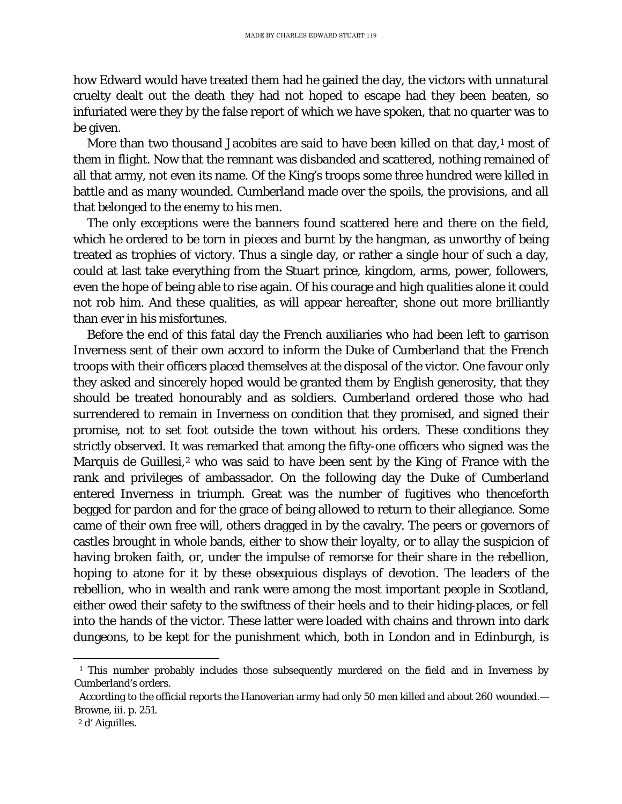how Edward would have treated them had he gained the day, the victors with unnatural cruelty dealt out the death they had not hoped to escape had they been beaten, so infuriated were they by the false report of which we have spoken, that no quarter was to be given.

More than two thousand Jacobites are said to have been killed on that day,<sup>[1](#page-85-0)</sup> most of them in flight. Now that the remnant was disbanded and scattered, nothing remained of all that army, not even its name. Of the King's troops some three hundred were killed in battle and as many wounded. Cumberland made over the spoils, the provisions, and all that belonged to the enemy to his men.

The only exceptions were the banners found scattered here and there on the field, which he ordered to be torn in pieces and burnt by the hangman, as unworthy of being treated as trophies of victory. Thus a single day, or rather a single hour of such a day, could at last take everything from the Stuart prince, kingdom, arms, power, followers, even the hope of being able to rise again. Of his courage and high qualities alone it could not rob him. And these qualities, as will appear hereafter, shone out more brilliantly than ever in his misfortunes.

Before the end of this fatal day the French auxiliaries who had been left to garrison Inverness sent of their own accord to inform the Duke of Cumberland that the French troops with their officers placed themselves at the disposal of the victor. One favour only they asked and sincerely hoped would be granted them by English generosity, that they should be treated honourably and as soldiers. Cumberland ordered those who had surrendered to remain in Inverness on condition that they promised, and signed their promise, not to set foot outside the town without his orders. These conditions they strictly observed. It was remarked that among the fifty-one officers who signed was the Marquis de Guillesi,<sup>[2](#page-85-1)</sup> who was said to have been sent by the King of France with the rank and privileges of ambassador. On the following day the Duke of Cumberland entered Inverness in triumph. Great was the number of fugitives who thenceforth begged for pardon and for the grace of being allowed to return to their allegiance. Some came of their own free will, others dragged in by the cavalry. The peers or governors of castles brought in whole bands, either to show their loyalty, or to allay the suspicion of having broken faith, or, under the impulse of remorse for their share in the rebellion, hoping to atone for it by these obsequious displays of devotion. The leaders of the rebellion, who in wealth and rank were among the most important people in Scotland, either owed their safety to the swiftness of their heels and to their hiding-places, or fell into the hands of the victor. These latter were loaded with chains and thrown into dark dungeons, to be kept for the punishment which, both in London and in Edinburgh, is

<span id="page-85-0"></span>ī <sup>1</sup> This number probably includes those subsequently murdered on the field and in Inverness by Cumberland's orders.

According to the official reports the Hanoverian army had only 50 men killed and about 260 wounded.— Browne, iii. p. 251.

<span id="page-85-1"></span><sup>2</sup> d' Aiguilles.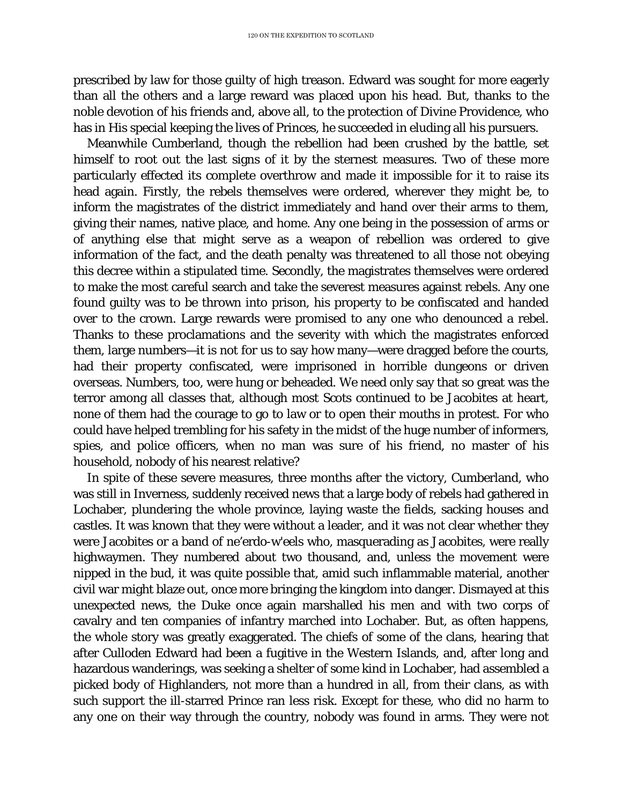prescribed by law for those guilty of high treason. Edward was sought for more eagerly than all the others and a large reward was placed upon his head. But, thanks to the noble devotion of his friends and, above all, to the protection of Divine Providence, who has in His special keeping the lives of Princes, he succeeded in eluding all his pursuers.

Meanwhile Cumberland, though the rebellion had been crushed by the battle, set himself to root out the last signs of it by the sternest measures. Two of these more particularly effected its complete overthrow and made it impossible for it to raise its head again. Firstly, the rebels themselves were ordered, wherever they might be, to inform the magistrates of the district immediately and hand over their arms to them, giving their names, native place, and home. Any one being in the possession of arms or of anything else that might serve as a weapon of rebellion was ordered to give information of the fact, and the death penalty was threatened to all those not obeying this decree within a stipulated time. Secondly, the magistrates themselves were ordered to make the most careful search and take the severest measures against rebels. Any one found guilty was to be thrown into prison, his property to be confiscated and handed over to the crown. Large rewards were promised to any one who denounced a rebel. Thanks to these proclamations and the severity with which the magistrates enforced them, large numbers—it is not for us to say how many—were dragged before the courts, had their property confiscated, were imprisoned in horrible dungeons or driven overseas. Numbers, too, were hung or beheaded. We need only say that so great was the terror among all classes that, although most Scots continued to be Jacobites at heart, none of them had the courage to go to law or to open their mouths in protest. For who could have helped trembling for his safety in the midst of the huge number of informers, spies, and police officers, when no man was sure of his friend, no master of his household, nobody of his nearest relative?

In spite of these severe measures, three months after the victory, Cumberland, who was still in Inverness, suddenly received news that a large body of rebels had gathered in Lochaber, plundering the whole province, laying waste the fields, sacking houses and castles. It was known that they were without a leader, and it was not clear whether they were Jacobites or a band of ne'erdo-w'eels who, masquerading as Jacobites, were really highwaymen. They numbered about two thousand, and, unless the movement were nipped in the bud, it was quite possible that, amid such inflammable material, another civil war might blaze out, once more bringing the kingdom into danger. Dismayed at this unexpected news, the Duke once again marshalled his men and with two corps of cavalry and ten companies of infantry marched into Lochaber. But, as often happens, the whole story was greatly exaggerated. The chiefs of some of the clans, hearing that after Culloden Edward had been a fugitive in the Western Islands, and, after long and hazardous wanderings, was seeking a shelter of some kind in Lochaber, had assembled a picked body of Highlanders, not more than a hundred in all, from their clans, as with such support the ill-starred Prince ran less risk. Except for these, who did no harm to any one on their way through the country, nobody was found in arms. They were not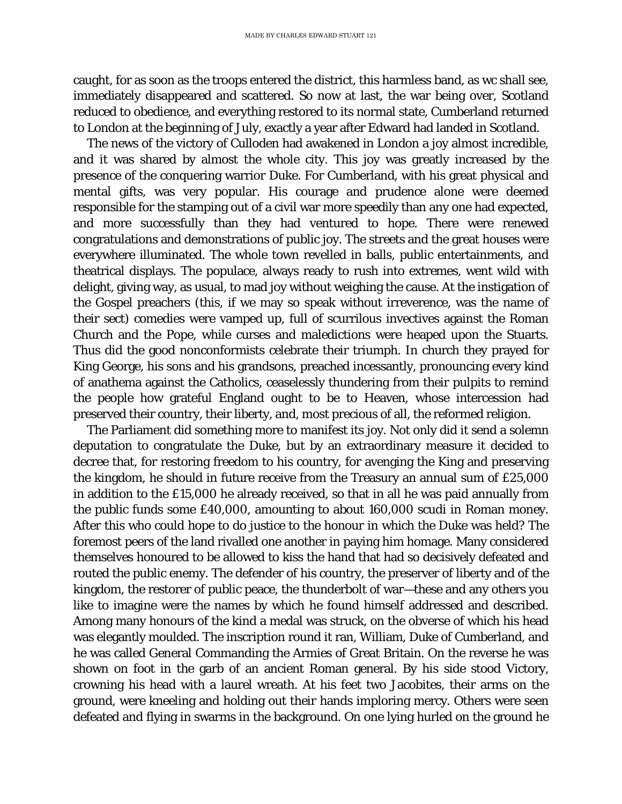caught, for as soon as the troops entered the district, this harmless band, as wc shall see, immediately disappeared and scattered. So now at last, the war being over, Scotland reduced to obedience, and everything restored to its normal state, Cumberland returned to London at the beginning of July, exactly a year after Edward had landed in Scotland.

The news of the victory of Culloden had awakened in London a joy almost incredible, and it was shared by almost the whole city. This joy was greatly increased by the presence of the conquering warrior Duke. For Cumberland, with his great physical and mental gifts, was very popular. His courage and prudence alone were deemed responsible for the stamping out of a civil war more speedily than any one had expected, and more successfully than they had ventured to hope. There were renewed congratulations and demonstrations of public joy. The streets and the great houses were everywhere illuminated. The whole town revelled in balls, public entertainments, and theatrical displays. The populace, always ready to rush into extremes, went wild with delight, giving way, as usual, to mad joy without weighing the cause. At the instigation of the Gospel preachers (this, if we may so speak without irreverence, was the name of their sect) comedies were vamped up, full of scurrilous invectives against the Roman Church and the Pope, while curses and maledictions were heaped upon the Stuarts. Thus did the good nonconformists celebrate their triumph. In church they prayed for King George, his sons and his grandsons, preached incessantly, pronouncing every kind of anathema against the Catholics, ceaselessly thundering from their pulpits to remind the people how grateful England ought to be to Heaven, whose intercession had preserved their country, their liberty, and, most precious of all, the reformed religion.

The Parliament did something more to manifest its joy. Not only did it send a solemn deputation to congratulate the Duke, but by an extraordinary measure it decided to decree that, for restoring freedom to his country, for avenging the King and preserving the kingdom, he should in future receive from the Treasury an annual sum of £25,000 in addition to the £15,000 he already received, so that in all he was paid annually from the public funds some £40,000, amounting to about 160,000 scudi in Roman money. After this who could hope to do justice to the honour in which the Duke was held? The foremost peers of the land rivalled one another in paying him homage. Many considered themselves honoured to be allowed to kiss the hand that had so decisively defeated and routed the public enemy. The defender of his country, the preserver of liberty and of the kingdom, the restorer of public peace, the thunderbolt of war—these and any others you like to imagine were the names by which he found himself addressed and described. Among many honours of the kind a medal was struck, on the obverse of which his head was elegantly moulded. The inscription round it ran, William, Duke of Cumberland, and he was called General Commanding the Armies of Great Britain. On the reverse he was shown on foot in the garb of an ancient Roman general. By his side stood Victory, crowning his head with a laurel wreath. At his feet two Jacobites, their arms on the ground, were kneeling and holding out their hands imploring mercy. Others were seen defeated and flying in swarms in the background. On one lying hurled on the ground he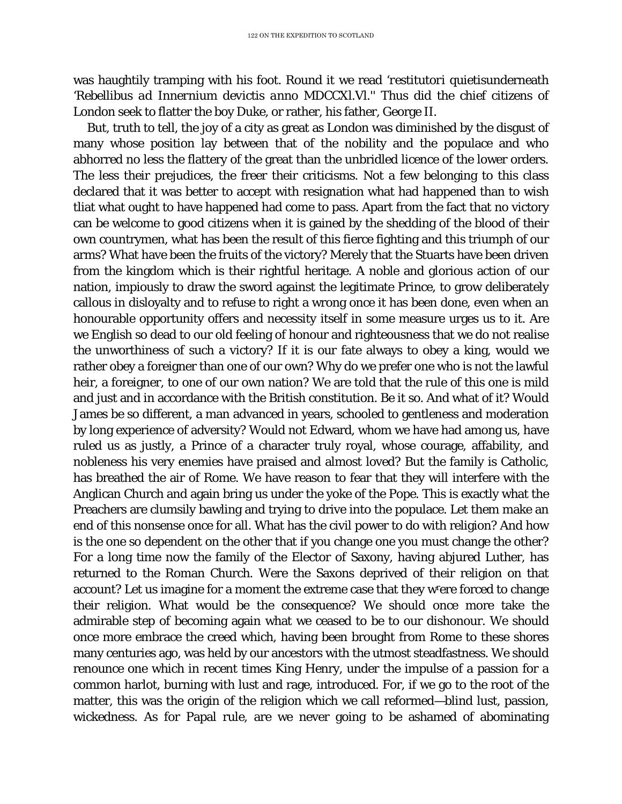was haughtily tramping with his foot. Round it we read '*restitutori quietis*underneath '*Rebellibus ad Innernium devictis anno MDCCXl.Vl.''* Thus did the chief citizens of London seek to flatter the boy Duke, or rather, his father, George II.

But, truth to tell, the joy of a city as great as London was diminished by the disgust of many whose position lay between that of the nobility and the populace and who abhorred no less the flattery of the great than the unbridled licence of the lower orders. The less their prejudices, the freer their criticisms. Not a few belonging to this class declared that it was better to accept with resignation what had happened than to wish tliat what ought to have happened had come to pass. Apart from the fact that no victory can be welcome to good citizens when it is gained by the shedding of the blood of their own countrymen, what has been the result of this fierce fighting and this triumph of our arms? What have been the fruits of the victory? Merely that the Stuarts have been driven from the kingdom which is their rightful heritage. A noble and glorious action of our nation, impiously to draw the sword against the legitimate Prince, to grow deliberately callous in disloyalty and to refuse to right a wrong once it has been done, even when an honourable opportunity offers and necessity itself in some measure urges us to it. Are we English so dead to our old feeling of honour and righteousness that we do not realise the unworthiness of such a victory? If it is our fate always to obey a king, would we rather obey a foreigner than one of our own? Why do we prefer one who is not the lawful heir, a foreigner, to one of our own nation? We are told that the rule of this one is mild and just and in accordance with the British constitution. Be it so. And what of it? Would James be so different, a man advanced in years, schooled to gentleness and moderation by long experience of adversity? Would not Edward, whom we have had among us, have ruled us as justly, a Prince of a character truly royal, whose courage, affability, and nobleness his very enemies have praised and almost loved? But the family is Catholic, has breathed the air of Rome. We have reason to fear that they will interfere with the Anglican Church and again bring us under the yoke of the Pope. This is exactly what the Preachers are clumsily bawling and trying to drive into the populace. Let them make an end of this nonsense once for all. What has the civil power to do with religion? And how is the one so dependent on the other that if you change one you must change the other? For a long time now the family of the Elector of Saxony, having abjured Luther, has returned to the Roman Church. Were the Saxons deprived of their religion on that account? Let us imagine for a moment the extreme case that they wrere forced to change their religion. What would be the consequence? We should once more take the admirable step of becoming again what we ceased to be to our dishonour. We should once more embrace the creed which, having been brought from Rome to these shores many centuries ago, was held by our ancestors with the utmost steadfastness. We should renounce one which in recent times King Henry, under the impulse of a passion for a common harlot, burning with lust and rage, introduced. For, if we go to the root of the matter, this was the origin of the religion which we call reformed—blind lust, passion, wickedness. As for Papal rule, are we never going to be ashamed of abominating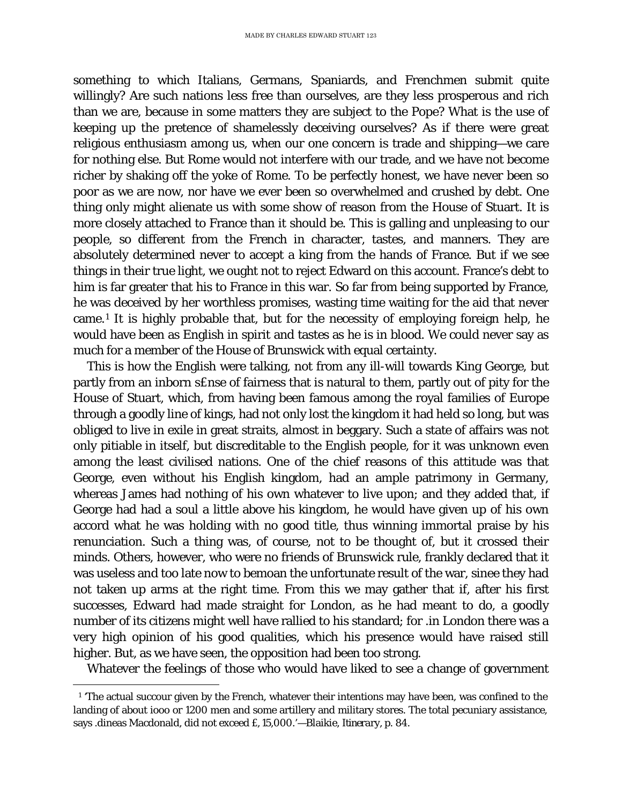something to which Italians, Germans, Spaniards, and Frenchmen submit quite willingly? Are such nations less free than ourselves, are they less prosperous and rich than we are, because in some matters they are subject to the Pope? What is the use of keeping up the pretence of shamelessly deceiving ourselves? As if there were great religious enthusiasm among us, when our one concern is trade and shipping—we care for nothing else. But Rome would not interfere with our trade, and we have not become richer by shaking off the yoke of Rome. To be perfectly honest, we have never been so poor as we are now, nor have we ever been so overwhelmed and crushed by debt. One thing only might alienate us with some show of reason from the House of Stuart. It is more closely attached to France than it should be. This is galling and unpleasing to our people, so different from the French in character, tastes, and manners. They are absolutely determined never to accept a king from the hands of France. But if we see things in their true light, we ought not to reject Edward on this account. France's debt to him is far greater that his to France in this war. So far from being supported by France, he was deceived by her worthless promises, wasting time waiting for the aid that never came.[1](#page-89-0) It is highly probable that, but for the necessity of employing foreign help, he would have been as English in spirit and tastes as he is in blood. We could never say as much for a member of the House of Brunswick with equal certainty.

This is how the English were talking, not from any ill-will towards King George, but partly from an inborn s£nse of fairness that is natural to them, partly out of pity for the House of Stuart, which, from having been famous among the royal families of Europe through a goodly line of kings, had not only lost the kingdom it had held so long, but was obliged to live in exile in great straits, almost in beggary. Such a state of affairs was not only pitiable in itself, but discreditable to the English people, for it was unknown even among the least civilised nations. One of the chief reasons of this attitude was that George, even without his English kingdom, had an ample patrimony in Germany, whereas James had nothing of his own whatever to live upon; and they added that, if George had had a soul a little above his kingdom, he would have given up of his own accord what he was holding with no good title, thus winning immortal praise by his renunciation. Such a thing was, of course, not to be thought of, but it crossed their minds. Others, however, who were no friends of Brunswick rule, frankly declared that it was useless and too late now to bemoan the unfortunate result of the war, sinee they had not taken up arms at the right time. From this we may gather that if, after his first successes, Edward had made straight for London, as he had meant to do, a goodly number of its citizens might well have rallied to his standard; for .in London there was a very high opinion of his good qualities, which his presence would have raised still higher. But, as we have seen, the opposition had been too strong.

Whatever the feelings of those who would have liked to see a change of government

<span id="page-89-0"></span>ī <sup>1</sup> 'The actual succour given by the French, whatever their intentions may have been, was confined to the landing of about iooo or 1200 men and some artillery and military stores. The total pecuniary assistance, says .dineas Macdonald, did not exceed *£, 1*5,000.'—Blaikie, *Itinerary,* p. 84.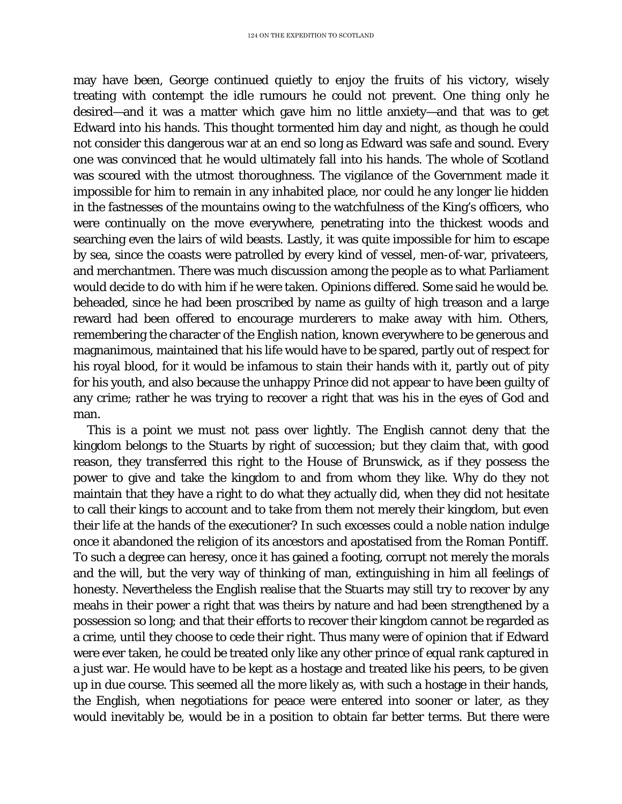may have been, George continued quietly to enjoy the fruits of his victory, wisely treating with contempt the idle rumours he could not prevent. One thing only he desired—and it was a matter which gave him no little anxiety—and that was to get Edward into his hands. This thought tormented him day and night, as though he could not consider this dangerous war at an end so long as Edward was safe and sound. Every one was convinced that he would ultimately fall into his hands. The whole of Scotland was scoured with the utmost thoroughness. The vigilance of the Government made it impossible for him to remain in any inhabited place, nor could he any longer lie hidden in the fastnesses of the mountains owing to the watchfulness of the King's officers, who were continually on the move everywhere, penetrating into the thickest woods and searching even the lairs of wild beasts. Lastly, it was quite impossible for him to escape by sea, since the coasts were patrolled by every kind of vessel, men-of-war, privateers, and merchantmen. There was much discussion among the people as to what Parliament would decide to do with him if he were taken. Opinions differed. Some said he would be. beheaded, since he had been proscribed by name as guilty of high treason and a large reward had been offered to encourage murderers to make away with him. Others, remembering the character of the English nation, known everywhere to be generous and magnanimous, maintained that his life would have to be spared, partly out of respect for his royal blood, for it would be infamous to stain their hands with it, partly out of pity for his youth, and also because the unhappy Prince did not appear to have been guilty of any crime; rather he was trying to recover a right that was his in the eyes of God and man.

This is a point we must not pass over lightly. The English cannot deny that the kingdom belongs to the Stuarts by right of succession; but they claim that, with good reason, they transferred this right to the House of Brunswick, as if they possess the power to give and take the kingdom to and from whom they like. Why do they not maintain that they have a right to do what they actually did, when they did not hesitate to call their kings to account and to take from them not merely their kingdom, but even their life at the hands of the executioner? In such excesses could a noble nation indulge once it abandoned the religion of its ancestors and apostatised from the Roman Pontiff. To such a degree can heresy, once it has gained a footing, corrupt not merely the morals and the will, but the very way of thinking of man, extinguishing in him all feelings of honesty. Nevertheless the English realise that the Stuarts may still try to recover by any meahs in their power a right that was theirs by nature and had been strengthened by a possession so long; and that their efforts to recover their kingdom cannot be regarded as a crime, until they choose to cede their right. Thus many were of opinion that if Edward were ever taken, he could be treated only like any other prince of equal rank captured in a just war. He would have to be kept as a hostage and treated like his peers, to be given up in due course. This seemed all the more likely as, with such a hostage in their hands, the English, when negotiations for peace were entered into sooner or later, as they would inevitably be, would be in a position to obtain far better terms. But there were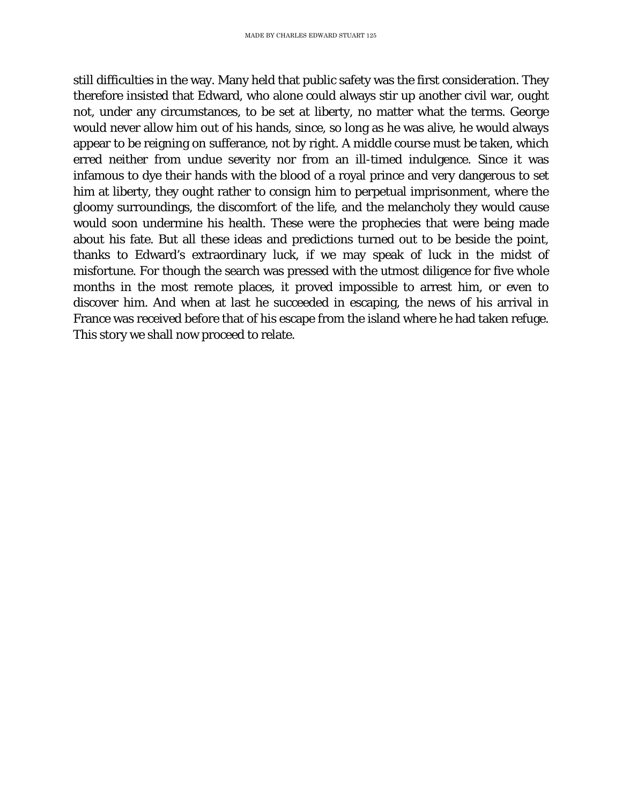still difficulties in the way. Many held that public safety was the first consideration. They therefore insisted that Edward, who alone could always stir up another civil war, ought not, under any circumstances, to be set at liberty, no matter what the terms. George would never allow him out of his hands, since, so long as he was alive, he would always appear to be reigning on sufferance, not by right. A middle course must be taken, which erred neither from undue severity nor from an ill-timed indulgence. Since it was infamous to dye their hands with the blood of a royal prince and very dangerous to set him at liberty, they ought rather to consign him to perpetual imprisonment, where the gloomy surroundings, the discomfort of the life, and the melancholy they would cause would soon undermine his health. These were the prophecies that were being made about his fate. But all these ideas and predictions turned out to be beside the point, thanks to Edward's extraordinary luck, if we may speak of luck in the midst of misfortune. For though the search was pressed with the utmost diligence for five whole months in the most remote places, it proved impossible to arrest him, or even to discover him. And when at last he succeeded in escaping, the news of his arrival in France was received before that of his escape from the island where he had taken refuge. This story we shall now proceed to relate.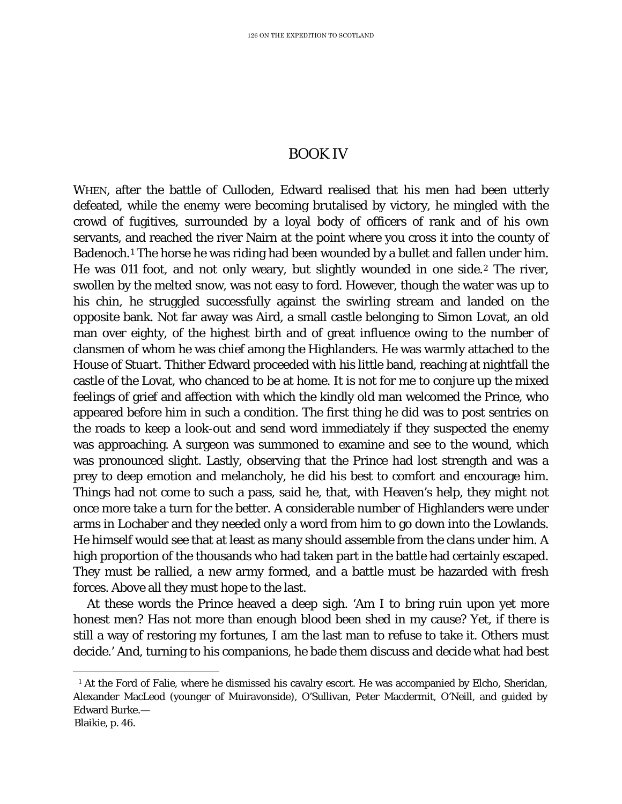## BOOK IV

WHEN, after the battle of Culloden, Edward realised that his men had been utterly defeated, while the enemy were becoming brutalised by victory, he mingled with the crowd of fugitives, surrounded by a loyal body of officers of rank and of his own servants, and reached the river Nairn at the point where you cross it into the county of Badenoch.<sup>[1](#page-92-0)</sup> The horse he was riding had been wounded by a bullet and fallen under him. He was 011 foot, and not only weary, but slightly wounded in one side.[2](#page-92-1) The river, swollen by the melted snow, was not easy to ford. However, though the water was up to his chin, he struggled successfully against the swirling stream and landed on the opposite bank. Not far away was Aird, a small castle belonging to Simon Lovat, an old man over eighty, of the highest birth and of great influence owing to the number of clansmen of whom he was chief among the Highlanders. He was warmly attached to the House of Stuart. Thither Edward proceeded with his little band, reaching at nightfall the castle of the Lovat, who chanced to be at home. It is not for me to conjure up the mixed feelings of grief and affection with which the kindly old man welcomed the Prince, who appeared before him in such a condition. The first thing he did was to post sentries on the roads to keep a look-out and send word immediately if they suspected the enemy was approaching. A surgeon was summoned to examine and see to the wound, which was pronounced slight. Lastly, observing that the Prince had lost strength and was a prey to deep emotion and melancholy, he did his best to comfort and encourage him. Things had not come to such a pass, said he, that, with Heaven's help, they might not once more take a turn for the better. A considerable number of Highlanders were under arms in Lochaber and they needed only a word from him to go down into the Lowlands. He himself would see that at least as many should assemble from the clans under him. A high proportion of the thousands who had taken part in the battle had certainly escaped. They must be rallied, a new army formed, and a battle must be hazarded with fresh forces. Above all they must hope to the last.

At these words the Prince heaved a deep sigh. 'Am I to bring ruin upon yet more honest men? Has not more than enough blood been shed in my cause? Yet, if there is still a way of restoring my fortunes, I am the last man to refuse to take it. Others must decide.' And, turning to his companions, he bade them discuss and decide what had best

<span id="page-92-0"></span>ī <sup>1</sup> At the Ford of Falie, where he dismissed his cavalry escort. He was accompanied by Elcho, Sheridan, Alexander MacLeod (younger of Muiravonside), O'Sullivan, Peter Macdermit, O'Neill, and guided by Edward Burke.—

<span id="page-92-1"></span>Blaikie, p. 46.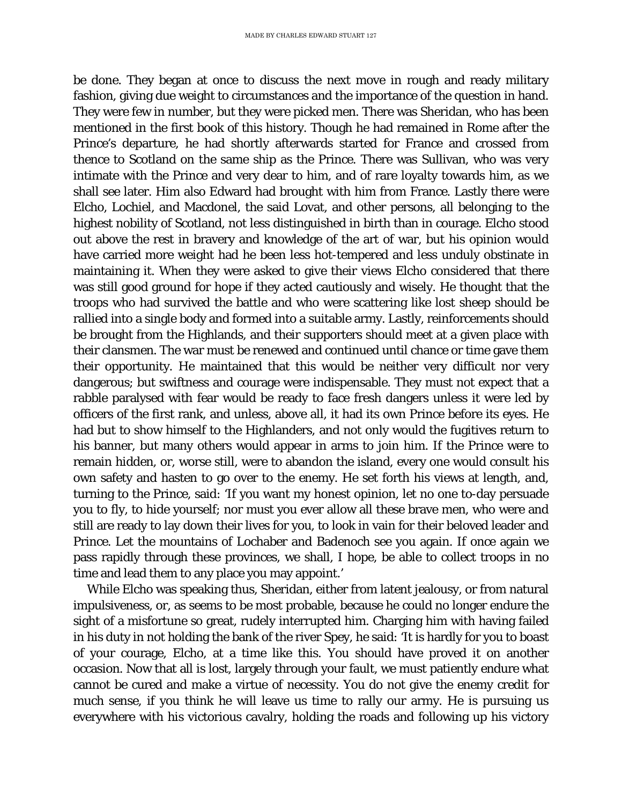be done. They began at once to discuss the next move in rough and ready military fashion, giving due weight to circumstances and the importance of the question in hand. They were few in number, but they were picked men. There was Sheridan, who has been mentioned in the first book of this history. Though he had remained in Rome after the Prince's departure, he had shortly afterwards started for France and crossed from thence to Scotland on the same ship as the Prince. There was Sullivan, who was very intimate with the Prince and very dear to him, and of rare loyalty towards him, as we shall see later. Him also Edward had brought with him from France. Lastly there were Elcho, Lochiel, and Macdonel, the said Lovat, and other persons, all belonging to the highest nobility of Scotland, not less distinguished in birth than in courage. Elcho stood out above the rest in bravery and knowledge of the art of war, but his opinion would have carried more weight had he been less hot-tempered and less unduly obstinate in maintaining it. When they were asked to give their views Elcho considered that there was still good ground for hope if they acted cautiously and wisely. He thought that the troops who had survived the battle and who were scattering like lost sheep should be rallied into a single body and formed into a suitable army. Lastly, reinforcements should be brought from the Highlands, and their supporters should meet at a given place with their clansmen. The war must be renewed and continued until chance or time gave them their opportunity. He maintained that this would be neither very difficult nor very dangerous; but swiftness and courage were indispensable. They must not expect that a rabble paralysed with fear would be ready to face fresh dangers unless it were led by officers of the first rank, and unless, above all, it had its own Prince before its eyes. He had but to show himself to the Highlanders, and not only would the fugitives return to his banner, but many others would appear in arms to join him. If the Prince were to remain hidden, or, worse still, were to abandon the island, every one would consult his own safety and hasten to go over to the enemy. He set forth his views at length, and, turning to the Prince, said: 'If you want my honest opinion, let no one to-day persuade you to fly, to hide yourself; nor must you ever allow all these brave men, who were and still are ready to lay down their lives for you, to look in vain for their beloved leader and Prince. Let the mountains of Lochaber and Badenoch see you again. If once again we pass rapidly through these provinces, we shall, I hope, be able to collect troops in no time and lead them to any place you may appoint.'

While Elcho was speaking thus, Sheridan, either from latent jealousy, or from natural impulsiveness, or, as seems to be most probable, because he could no longer endure the sight of a misfortune so great, rudely interrupted him. Charging him with having failed in his duty in not holding the bank of the river Spey, he said: 'It is hardly for you to boast of your courage, Elcho, at a time like this. You should have proved it on another occasion. Now that all is lost, largely through your fault, we must patiently endure what cannot be cured and make a virtue of necessity. You do not give the enemy credit for much sense, if you think he will leave us time to rally our army. He is pursuing us everywhere with his victorious cavalry, holding the roads and following up his victory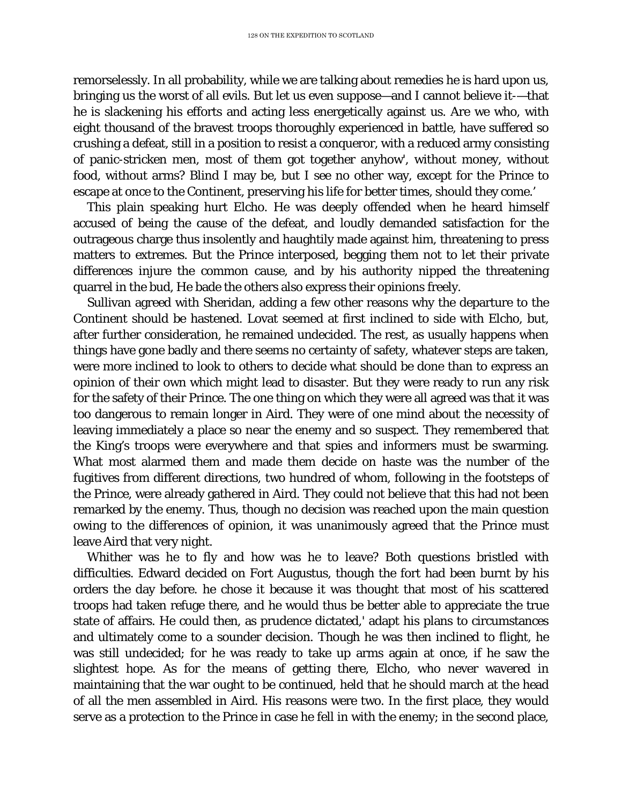remorselessly. In all probability, while we are talking about remedies he is hard upon us, bringing us the worst of all evils. But let us even suppose—and I cannot believe it-—that he is slackening his efforts and acting less energetically against us. Are we who, with eight thousand of the bravest troops thoroughly experienced in battle, have suffered so crushing a defeat, still in a position to resist a conqueror, with a reduced army consisting of panic-stricken men, most of them got together anyhow', without money, without food, without arms? Blind I may be, but I see no other way, except for the Prince to escape at once to the Continent, preserving his life for better times, should they come.'

This plain speaking hurt Elcho. He was deeply offended when he heard himself accused of being the cause of the defeat, and loudly demanded satisfaction for the outrageous charge thus insolently and haughtily made against him, threatening to press matters to extremes. But the Prince interposed, begging them not to let their private differences injure the common cause, and by his authority nipped the threatening quarrel in the bud, He bade the others also express their opinions freely.

Sullivan agreed with Sheridan, adding a few other reasons why the departure to the Continent should be hastened. Lovat seemed at first inclined to side with Elcho, but, after further consideration, he remained undecided. The rest, as usually happens when things have gone badly and there seems no certainty of safety, whatever steps are taken, were more inclined to look to others to decide what should be done than to express an opinion of their own which might lead to disaster. But they were ready to run any risk for the safety of their Prince. The one thing on which they were all agreed was that it was too dangerous to remain longer in Aird. They were of one mind about the necessity of leaving immediately a place so near the enemy and so suspect. They remembered that the King's troops were everywhere and that spies and informers must be swarming. What most alarmed them and made them decide on haste was the number of the fugitives from different directions, two hundred of whom, following in the footsteps of the Prince, were already gathered in Aird. They could not believe that this had not been remarked by the enemy. Thus, though no decision was reached upon the main question owing to the differences of opinion, it was unanimously agreed that the Prince must leave Aird that very night.

Whither was he to fly and how was he to leave? Both questions bristled with difficulties. Edward decided on Fort Augustus, though the fort had been burnt by his orders the day before. he chose it because it was thought that most of his scattered troops had taken refuge there, and he would thus be better able to appreciate the true state of affairs. He could then, as prudence dictated,' adapt his plans to circumstances and ultimately come to a sounder decision. Though he was then inclined to flight, he was still undecided; for he was ready to take up arms again at once, if he saw the slightest hope. As for the means of getting there, Elcho, who never wavered in maintaining that the war ought to be continued, held that he should march at the head of all the men assembled in Aird. His reasons were two. In the first place, they would serve as a protection to the Prince in case he fell in with the enemy; in the second place,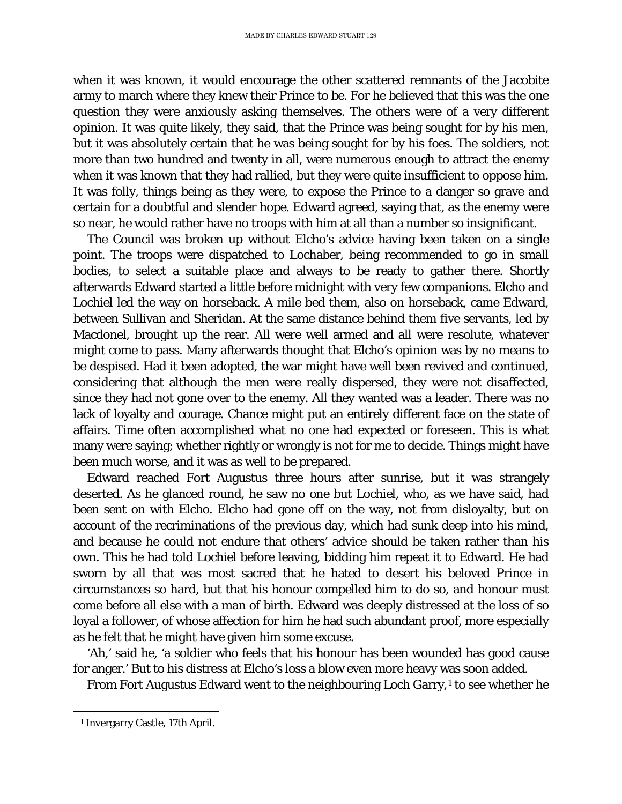when it was known, it would encourage the other scattered remnants of the Jacobite army to march where they knew their Prince to be. For he believed that this was the one question they were anxiously asking themselves. The others were of a very different opinion. It was quite likely, they said, that the Prince was being sought for by his men, but it was absolutely certain that he was being sought for by his foes. The soldiers, not more than two hundred and twenty in all, were numerous enough to attract the enemy when it was known that they had rallied, but they were quite insufficient to oppose him. It was folly, things being as they were, to expose the Prince to a danger so grave and certain for a doubtful and slender hope. Edward agreed, saying that, as the enemy were so near, he would rather have no troops with him at all than a number so insignificant.

The Council was broken up without Elcho's advice having been taken on a single point. The troops were dispatched to Lochaber, being recommended to go in small bodies, to select a suitable place and always to be ready to gather there. Shortly afterwards Edward started a little before midnight with very few companions. Elcho and Lochiel led the way on horseback. A mile bed them, also on horseback, came Edward, between Sullivan and Sheridan. At the same distance behind them five servants, led by Macdonel, brought up the rear. All were well armed and all were resolute, whatever might come to pass. Many afterwards thought that Elcho's opinion was by no means to be despised. Had it been adopted, the war might have well been revived and continued, considering that although the men were really dispersed, they were not disaffected, since they had not gone over to the enemy. All they wanted was a leader. There was no lack of loyalty and courage. Chance might put an entirely different face on the state of affairs. Time often accomplished what no one had expected or foreseen. This is what many were saying; whether rightly or wrongly is not for me to decide. Things might have been much worse, and it was as well to be prepared.

Edward reached Fort Augustus three hours after sunrise, but it was strangely deserted. As he glanced round, he saw no one but Lochiel, who, as we have said, had been sent on with Elcho. Elcho had gone off on the way, not from disloyalty, but on account of the recriminations of the previous day, which had sunk deep into his mind, and because he could not endure that others' advice should be taken rather than his own. This he had told Lochiel before leaving, bidding him repeat it to Edward. He had sworn by all that was most sacred that he hated to desert his beloved Prince in circumstances so hard, but that his honour compelled him to do so, and honour must come before all else with a man of birth. Edward was deeply distressed at the loss of so loyal a follower, of whose affection for him he had such abundant proof, more especially as he felt that he might have given him some excuse.

'Ah,' said he, 'a soldier who feels that his honour has been wounded has good cause for anger.' But to his distress at Elcho's loss a blow even more heavy was soon added.

From Fort Augustus Edward went to the neighbouring Loch Garry,<sup>[1](#page-95-0)</sup> to see whether he

<span id="page-95-0"></span>ī <sup>1</sup> Invergarry Castle, 17th April.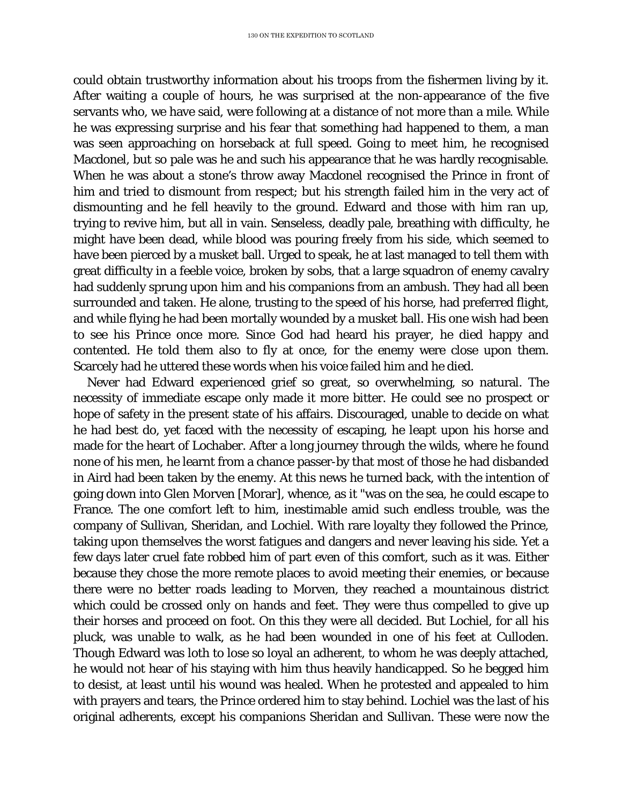could obtain trustworthy information about his troops from the fishermen living by it. After waiting a couple of hours, he was surprised at the non-appearance of the five servants who, we have said, were following at a distance of not more than a mile. While he was expressing surprise and his fear that something had happened to them, a man was seen approaching on horseback at full speed. Going to meet him, he recognised Macdonel, but so pale was he and such his appearance that he was hardly recognisable. When he was about a stone's throw away Macdonel recognised the Prince in front of him and tried to dismount from respect; but his strength failed him in the very act of dismounting and he fell heavily to the ground. Edward and those with him ran up, trying to revive him, but all in vain. Senseless, deadly pale, breathing with difficulty, he might have been dead, while blood was pouring freely from his side, which seemed to have been pierced by a musket ball. Urged to speak, he at last managed to tell them with great difficulty in a feeble voice, broken by sobs, that a large squadron of enemy cavalry had suddenly sprung upon him and his companions from an ambush. They had all been surrounded and taken. He alone, trusting to the speed of his horse, had preferred flight, and while flying he had been mortally wounded by a musket ball. His one wish had been to see his Prince once more. Since God had heard his prayer, he died happy and contented. He told them also to fly at once, for the enemy were close upon them. Scarcely had he uttered these words when his voice failed him and he died.

Never had Edward experienced grief so great, so overwhelming, so natural. The necessity of immediate escape only made it more bitter. He could see no prospect or hope of safety in the present state of his affairs. Discouraged, unable to decide on what he had best do, yet faced with the necessity of escaping, he leapt upon his horse and made for the heart of Lochaber. After a long journey through the wilds, where he found none of his men, he learnt from a chance passer-by that most of those he had disbanded in Aird had been taken by the enemy. At this news he turned back, with the intention of going down into Glen Morven [Morar], whence, as it "was on the sea, he could escape to France. The one comfort left to him, inestimable amid such endless trouble, was the company of Sullivan, Sheridan, and Lochiel. With rare loyalty they followed the Prince, taking upon themselves the worst fatigues and dangers and never leaving his side. Yet a few days later cruel fate robbed him of part even of this comfort, such as it was. Either because they chose the more remote places to avoid meeting their enemies, or because there were no better roads leading to Morven, they reached a mountainous district which could be crossed only on hands and feet. They were thus compelled to give up their horses and proceed on foot. On this they were all decided. But Lochiel, for all his pluck, was unable to walk, as he had been wounded in one of his feet at Culloden. Though Edward was loth to lose so loyal an adherent, to whom he was deeply attached, he would not hear of his staying with him thus heavily handicapped. So he begged him to desist, at least until his wound was healed. When he protested and appealed to him with prayers and tears, the Prince ordered him to stay behind. Lochiel was the last of his original adherents, except his companions Sheridan and Sullivan. These were now the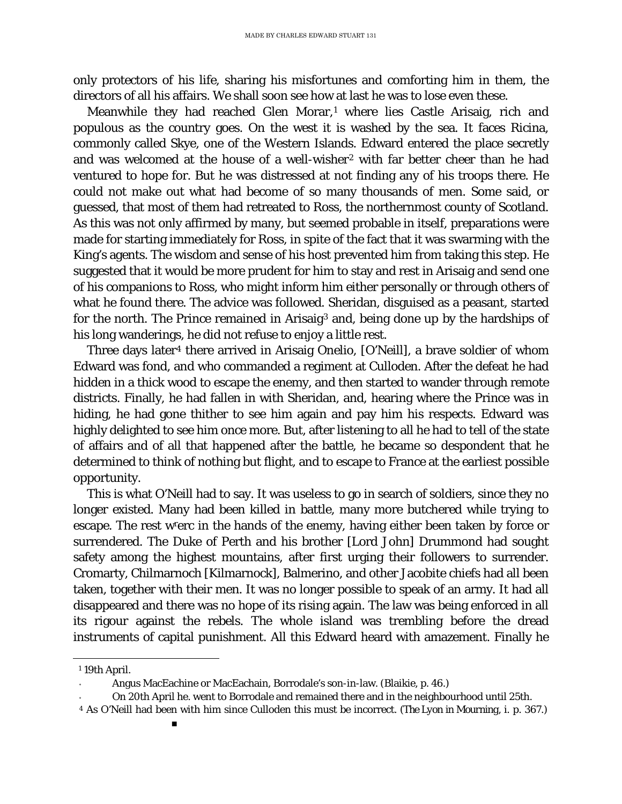only protectors of his life, sharing his misfortunes and comforting him in them, the directors of all his affairs. We shall soon see how at last he was to lose even these.

Meanwhile they had reached Glen Morar,<sup>[1](#page-97-0)</sup> where lies Castle Arisaig, rich and populous as the country goes. On the west it is washed by the sea. It faces Ricina, commonly called Skye, one of the Western Islands. Edward entered the place secretly and was welcomed at the house of a well-wisher<sup>[2](#page-97-1)</sup> with far better cheer than he had ventured to hope for. But he was distressed at not finding any of his troops there. He could not make out what had become of so many thousands of men. Some said, or guessed, that most of them had retreated to Ross, the northernmost county of Scotland. As this was not only affirmed by many, but seemed probable in itself, preparations were made for starting immediately for Ross, in spite of the fact that it was swarming with the King's agents. The wisdom and sense of his host prevented him from taking this step. He suggested that it would be more prudent for him to stay and rest in Arisaig and send one of his companions to Ross, who might inform him either personally or through others of what he found there. The advice was followed. Sheridan, disguised as a peasant, started for the north. The Prince remained in Arisaig[3](#page-97-2) and, being done up by the hardships of his long wanderings, he did not refuse to enjoy a little rest.

Three days later[4](#page-97-3) there arrived in Arisaig Onelio, [O'Neill], a brave soldier of whom Edward was fond, and who commanded a regiment at Culloden. After the defeat he had hidden in a thick wood to escape the enemy, and then started to wander through remote districts. Finally, he had fallen in with Sheridan, and, hearing where the Prince was in hiding, he had gone thither to see him again and pay him his respects. Edward was highly delighted to see him once more. But, after listening to all he had to tell of the state of affairs and of all that happened after the battle, he became so despondent that he determined to think of nothing but flight, and to escape to France at the earliest possible opportunity.

This is what O'Neill had to say. It was useless to go in search of soldiers, since they no longer existed. Many had been killed in battle, many more butchered while trying to escape. The rest wrerc in the hands of the enemy, having either been taken by force or surrendered. The Duke of Perth and his brother [Lord John] Drummond had sought safety among the highest mountains, after first urging their followers to surrender. Cromarty, Chilmarnoch [Kilmarnock], Balmerino, and other Jacobite chiefs had all been taken, together with their men. It was no longer possible to speak of an army. It had all disappeared and there was no hope of its rising again. The law was being enforced in all its rigour against the rebels. The whole island was trembling before the dread instruments of capital punishment. All this Edward heard with amazement. Finally he

<span id="page-97-1"></span><span id="page-97-0"></span>ī <sup>1</sup> 19th April.

Angus MacEachine or MacEachain, Borrodale's son-in-law. (Blaikie, p. 46.)

On 20th April he. went to Borrodale and remained there and in the neighbourhood until 25th.

<span id="page-97-3"></span><span id="page-97-2"></span><sup>4</sup> As O'Neill had been with him since Culloden this must be incorrect. *(The Lyon in Mourning,* i. p. 367.)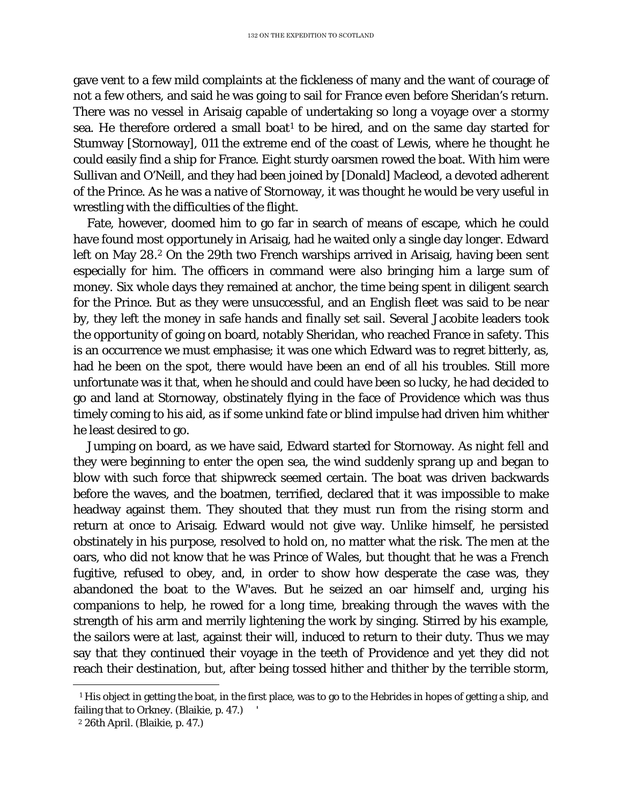gave vent to a few mild complaints at the fickleness of many and the want of courage of not a few others, and said he was going to sail for France even before Sheridan's return. There was no vessel in Arisaig capable of undertaking so long a voyage over a stormy sea. He therefore ordered a small boat<sup>[1](#page-98-0)</sup> to be hired, and on the same day started for Stumway [Stornoway], 011 the extreme end of the coast of Lewis, where he thought he could easily find a ship for France. Eight sturdy oarsmen rowed the boat. With him were Sullivan and O'Neill, and they had been joined by [Donald] Macleod, a devoted adherent of the Prince. As he was a native of Stornoway, it was thought he would be very useful in wrestling with the difficulties of the flight.

Fate, however, doomed him to go far in search of means of escape, which he could have found most opportunely in Arisaig, had he waited only a single day longer. Edward left on May [2](#page-98-1)8.<sup>2</sup> On the 29th two French warships arrived in Arisaig, having been sent especially for him. The officers in command were also bringing him a large sum of money. Six whole days they remained at anchor, the time being spent in diligent search for the Prince. But as they were unsuccessful, and an English fleet was said to be near by, they left the money in safe hands and finally set sail. Several Jacobite leaders took the opportunity of going on board, notably Sheridan, who reached France in safety. This is an occurrence we must emphasise; it was one which Edward was to regret bitterly, as, had he been on the spot, there would have been an end of all his troubles. Still more unfortunate was it that, when he should and could have been so lucky, he had decided to go and land at Stornoway, obstinately flying in the face of Providence which was thus timely coming to his aid, as if some unkind fate or blind impulse had driven him whither he least desired to go.

Jumping on board, as we have said, Edward started for Stornoway. As night fell and they were beginning to enter the open sea, the wind suddenly sprang up and began to blow with such force that shipwreck seemed certain. The boat was driven backwards before the waves, and the boatmen, terrified, declared that it was impossible to make headway against them. They shouted that they must run from the rising storm and return at once to Arisaig. Edward would not give way. Unlike himself, he persisted obstinately in his purpose, resolved to hold on, no matter what the risk. The men at the oars, who did not know that he was Prince of Wales, but thought that he was a French fugitive, refused to obey, and, in order to show how desperate the case was, they abandoned the boat to the W'aves. But he seized an oar himself and, urging his companions to help, he rowed for a long time, breaking through the waves with the strength of his arm and merrily lightening the work by singing. Stirred by his example, the sailors were at last, against their will, induced to return to their duty. Thus we may say that they continued their voyage in the teeth of Providence and yet they did not reach their destination, but, after being tossed hither and thither by the terrible storm,

<span id="page-98-0"></span>Ĩ. <sup>1</sup> His object in getting the boat, in the first place, was to go to the Hebrides in hopes of getting a ship, and failing that to Orkney. (Blaikie, p. 47.)

<span id="page-98-1"></span><sup>2</sup> 26th April. (Blaikie, p. 47.)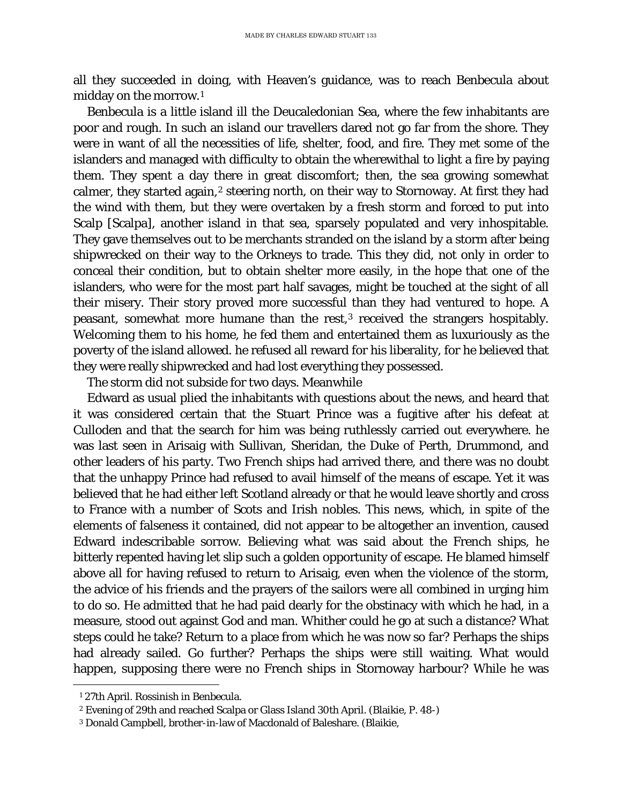all they succeeded in doing, with Heaven's guidance, was to reach Benbecula about midday on the morrow.[1](#page-99-0)

Benbecula is a little island ill the Deucaledonian Sea, where the few inhabitants are poor and rough. In such an island our travellers dared not go far from the shore. They were in want of all the necessities of life, shelter, food, and fire. They met some of the islanders and managed with difficulty to obtain the wherewithal to light a fire by paying them. They spent a day there in great discomfort; then, the sea growing somewhat calmer, they started again,<sup>[2](#page-99-1)</sup> steering north, on their way to Stornoway. At first they had the wind with them, but they were overtaken by a fresh storm and forced to put into Scalp [Scalpa], another island in that sea, sparsely populated and very inhospitable. They gave themselves out to be merchants stranded on the island by a storm after being shipwrecked on their way to the Orkneys to trade. This they did, not only in order to conceal their condition, but to obtain shelter more easily, in the hope that one of the islanders, who were for the most part half savages, might be touched at the sight of all their misery. Their story proved more successful than they had ventured to hope. A peasant, somewhat more humane than the rest,[3](#page-99-2) received the strangers hospitably. Welcoming them to his home, he fed them and entertained them as luxuriously as the poverty of the island allowed. he refused all reward for his liberality, for he believed that they were really shipwrecked and had lost everything they possessed.

The storm did not subside for two days. Meanwhile

Edward as usual plied the inhabitants with questions about the news, and heard that it was considered certain that the Stuart Prince was a fugitive after his defeat at Culloden and that the search for him was being ruthlessly carried out everywhere. he was last seen in Arisaig with Sullivan, Sheridan, the Duke of Perth, Drummond, and other leaders of his party. Two French ships had arrived there, and there was no doubt that the unhappy Prince had refused to avail himself of the means of escape. Yet it was believed that he had either left Scotland already or that he would leave shortly and cross to France with a number of Scots and Irish nobles. This news, which, in spite of the elements of falseness it contained, did not appear to be altogether an invention, caused Edward indescribable sorrow. Believing what was said about the French ships, he bitterly repented having let slip such a golden opportunity of escape. He blamed himself above all for having refused to return to Arisaig, even when the violence of the storm, the advice of his friends and the prayers of the sailors were all combined in urging him to do so. He admitted that he had paid dearly for the obstinacy with which he had, in a measure, stood out against God and man. Whither could he go at such a distance? What steps could he take? Return to a place from which he was now so far? Perhaps the ships had already sailed. Go further? Perhaps the ships were still waiting. What would happen, supposing there were no French ships in Stornoway harbour? While he was

<span id="page-99-1"></span><span id="page-99-0"></span>Ĩ. <sup>1</sup> 27th April. Rossinish in Benbecula.

<sup>2</sup> Evening of 29th and reached Scalpa or Glass Island 30th April. (Blaikie, P. 48-)

<span id="page-99-2"></span><sup>3</sup> Donald Campbell, brother-in-law of Macdonald of Baleshare. (Blaikie,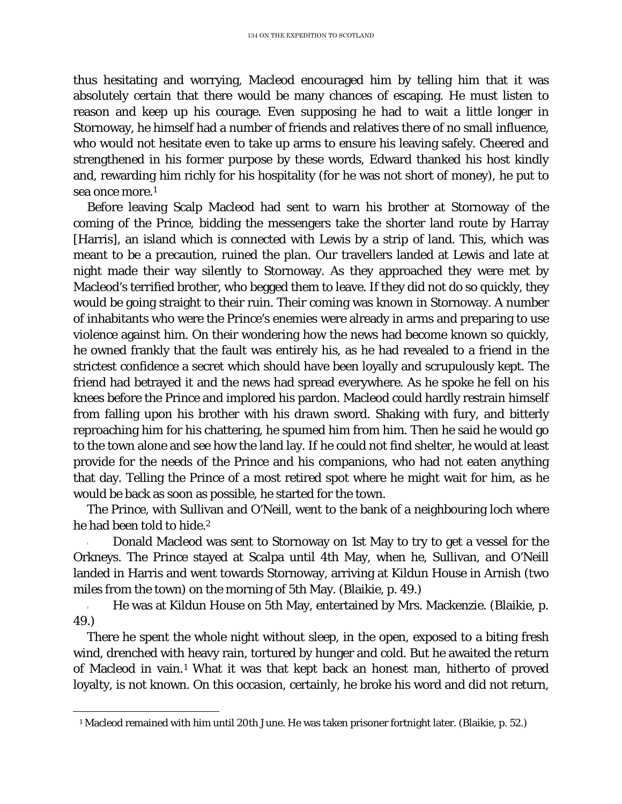thus hesitating and worrying, Macleod encouraged him by telling him that it was absolutely certain that there would be many chances of escaping. He must listen to reason and keep up his courage. Even supposing he had to wait a little longer in Stornoway, he himself had a number of friends and relatives there of no small influence, who would not hesitate even to take up arms to ensure his leaving safely. Cheered and strengthened in his former purpose by these words, Edward thanked his host kindly and, rewarding him richly for his hospitality (for he was not short of money), he put to sea once more.1

Before leaving Scalp Macleod had sent to warn his brother at Stornoway of the coming of the Prince, bidding the messengers take the shorter land route by Harray [Harris], an island which is connected with Lewis by a strip of land. This, which was meant to be a precaution, ruined the plan. Our travellers landed at Lewis and late at night made their way silently to Stornoway. As they approached they were met by Macleod's terrified brother, who begged them to leave. If they did not do so quickly, they would be going straight to their ruin. Their coming was known in Stornoway. A number of inhabitants who were the Prince's enemies were already in arms and preparing to use violence against him. On their wondering how the news had become known so quickly, he owned frankly that the fault was entirely his, as he had revealed to a friend in the strictest confidence a secret which should have been loyally and scrupulously kept. The friend had betrayed it and the news had spread everywhere. As he spoke he fell on his knees before the Prince and implored his pardon. Macleod could hardly restrain himself from falling upon his brother with his drawn sword. Shaking with fury, and bitterly reproaching him for his chattering, he spumed him from him. Then he said he would go to the town alone and see how the land lay. If he could not find shelter, he would at least provide for the needs of the Prince and his companions, who had not eaten anything that day. Telling the Prince of a most retired spot where he might wait for him, as he would be back as soon as possible, he started for the town.

The Prince, with Sullivan and O'Neill, went to the bank of a neighbouring loch where he had been told to hide.2

<sup>1</sup> Donald Macleod was sent to Stornoway on 1st May to try to get a vessel for the Orkneys. The Prince stayed at Scalpa until 4th May, when he, Sullivan, and O'Neill landed in Harris and went towards Stornoway, arriving at Kildun House in Arnish (two miles from the town) on the morning of 5th May. (Blaikie, p. 49.)

<sup>2</sup> He was at Kildun House on 5th May, entertained by Mrs. Mackenzie. (Blaikie, p. 49.)

There he spent the whole night without sleep, in the open, exposed to a biting fresh wind, drenched with heavy rain, tortured by hunger and cold. But he awaited the return of Macleod in vain.[1](#page-100-0) What it was that kept back an honest man, hitherto of proved loyalty, is not known. On this occasion, certainly, he broke his word and did not return,

<span id="page-100-0"></span>Ĩ. <sup>1</sup> Macleod remained with him until 20th June. He was taken prisoner fortnight later. (Blaikie, p. 52.)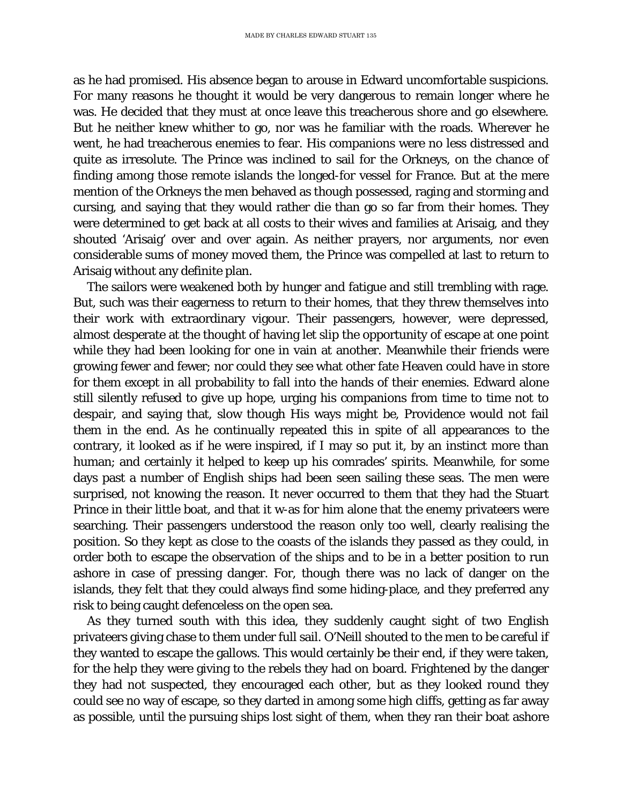as he had promised. His absence began to arouse in Edward uncomfortable suspicions. For many reasons he thought it would be very dangerous to remain longer where he was. He decided that they must at once leave this treacherous shore and go elsewhere. But he neither knew whither to go, nor was he familiar with the roads. Wherever he went, he had treacherous enemies to fear. His companions were no less distressed and quite as irresolute. The Prince was inclined to sail for the Orkneys, on the chance of finding among those remote islands the longed-for vessel for France. But at the mere mention of the Orkneys the men behaved as though possessed, raging and storming and cursing, and saying that they would rather die than go so far from their homes. They were determined to get back at all costs to their wives and families at Arisaig, and they shouted 'Arisaig' over and over again. As neither prayers, nor arguments, nor even considerable sums of money moved them, the Prince was compelled at last to return to Arisaig without any definite plan.

The sailors were weakened both by hunger and fatigue and still trembling with rage. But, such was their eagerness to return to their homes, that they threw themselves into their work with extraordinary vigour. Their passengers, however, were depressed, almost desperate at the thought of having let slip the opportunity of escape at one point while they had been looking for one in vain at another. Meanwhile their friends were growing fewer and fewer; nor could they see what other fate Heaven could have in store for them except in all probability to fall into the hands of their enemies. Edward alone still silently refused to give up hope, urging his companions from time to time not to despair, and saying that, slow though His ways might be, Providence would not fail them in the end. As he continually repeated this in spite of all appearances to the contrary, it looked as if he were inspired, if I may so put it, by an instinct more than human; and certainly it helped to keep up his comrades' spirits. Meanwhile, for some days past a number of English ships had been seen sailing these seas. The men were surprised, not knowing the reason. It never occurred to them that they had the Stuart Prince in their little boat, and that it w-as for him alone that the enemy privateers were searching. Their passengers understood the reason only too well, clearly realising the position. So they kept as close to the coasts of the islands they passed as they could, in order both to escape the observation of the ships and to be in a better position to run ashore in case of pressing danger. For, though there was no lack of danger on the islands, they felt that they could always find some hiding-place, and they preferred any risk to being caught defenceless on the open sea.

As they turned south with this idea, they suddenly caught sight of two English privateers giving chase to them under full sail. O'Neill shouted to the men to be careful if they wanted to escape the gallows. This would certainly be their end, if they were taken, for the help they were giving to the rebels they had on board. Frightened by the danger they had not suspected, they encouraged each other, but as they looked round they could see no way of escape, so they darted in among some high cliffs, getting as far away as possible, until the pursuing ships lost sight of them, when they ran their boat ashore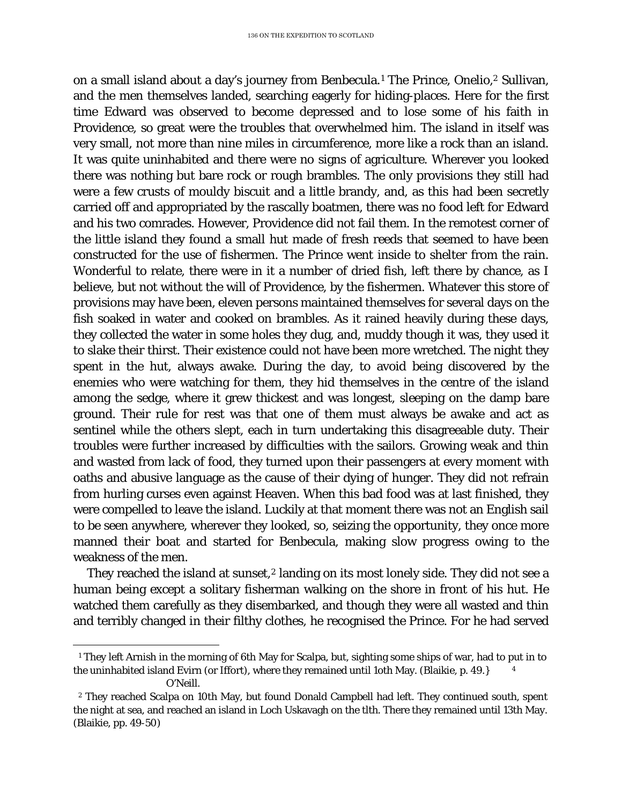on a small island about a day's journey from Benbecula.[1](#page-102-0) The Prince, Onelio,2 Sullivan, and the men themselves landed, searching eagerly for hiding-places. Here for the first time Edward was observed to become depressed and to lose some of his faith in Providence, so great were the troubles that overwhelmed him. The island in itself was very small, not more than nine miles in circumference, more like a rock than an island. It was quite uninhabited and there were no signs of agriculture. Wherever you looked there was nothing but bare rock or rough brambles. The only provisions they still had were a few crusts of mouldy biscuit and a little brandy, and, as this had been secretly carried off and appropriated by the rascally boatmen, there was no food left for Edward and his two comrades. However, Providence did not fail them. In the remotest corner of the little island they found a small hut made of fresh reeds that seemed to have been constructed for the use of fishermen. The Prince went inside to shelter from the rain. Wonderful to relate, there were in it a number of dried fish, left there by chance, as I believe, but not without the will of Providence, by the fishermen. Whatever this store of provisions may have been, eleven persons maintained themselves for several days on the fish soaked in water and cooked on brambles. As it rained heavily during these days, they collected the water in some holes they dug, and, muddy though it was, they used it to slake their thirst. Their existence could not have been more wretched. The night they spent in the hut, always awake. During the day, to avoid being discovered by the enemies who were watching for them, they hid themselves in the centre of the island among the sedge, where it grew thickest and was longest, sleeping on the damp bare ground. Their rule for rest was that one of them must always be awake and act as sentinel while the others slept, each in turn undertaking this disagreeable duty. Their troubles were further increased by difficulties with the sailors. Growing weak and thin and wasted from lack of food, they turned upon their passengers at every moment with oaths and abusive language as the cause of their dying of hunger. They did not refrain from hurling curses even against Heaven. When this bad food was at last finished, they were compelled to leave the island. Luckily at that moment there was not an English sail to be seen anywhere, wherever they looked, so, seizing the opportunity, they once more manned their boat and started for Benbecula, making slow progress owing to the weakness of the men.

They reached the island at sunset,<sup>[2](#page-102-1)</sup> landing on its most lonely side. They did not see a human being except a solitary fisherman walking on the shore in front of his hut. He watched them carefully as they disembarked, and though they were all wasted and thin and terribly changed in their filthy clothes, he recognised the Prince. For he had served

<span id="page-102-0"></span>ī <sup>1</sup> They left Arnish in the morning of 6th May for Scalpa, but, sighting some ships of war, had to put in to the uninhabited island Evirn (or Iffort), where they remained until 1oth May. (Blaikie, p. 49.} <sup>4</sup> O'Neill.

<span id="page-102-1"></span>*<sup>2</sup>* They reached Scalpa on 10th May, but found Donald Campbell had left. They continued south, spent the night at sea, and reached an island in Loch Uskavagh on the tlth. There they remained until 13th May. (Blaikie, pp. 49-50)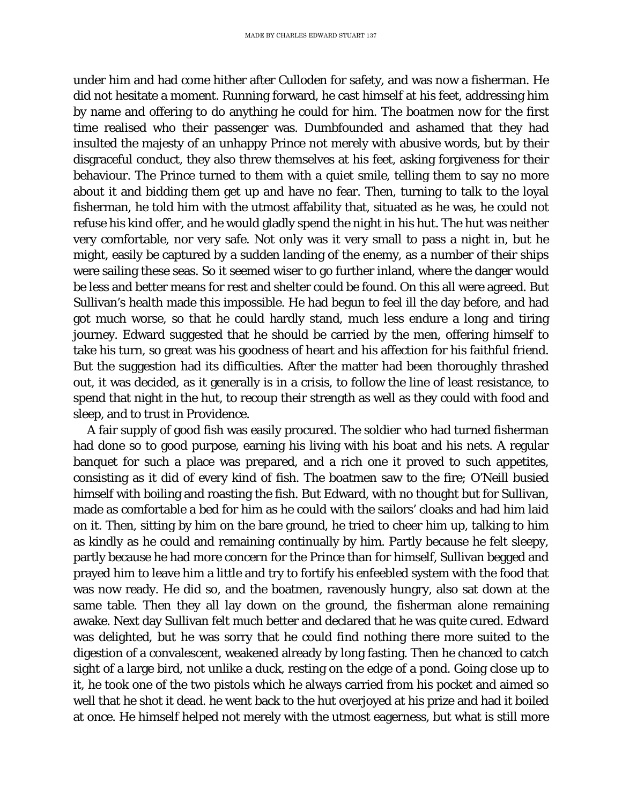under him and had come hither after Culloden for safety, and was now a fisherman. He did not hesitate a moment. Running forward, he cast himself at his feet, addressing him by name and offering to do anything he could for him. The boatmen now for the first time realised who their passenger was. Dumbfounded and ashamed that they had insulted the majesty of an unhappy Prince not merely with abusive words, but by their disgraceful conduct, they also threw themselves at his feet, asking forgiveness for their behaviour. The Prince turned to them with a quiet smile, telling them to say no more about it and bidding them get up and have no fear. Then, turning to talk to the loyal fisherman, he told him with the utmost affability that, situated as he was, he could not refuse his kind offer, and he would gladly spend the night in his hut. The hut was neither very comfortable, nor very safe. Not only was it very small to pass a night in, but he might, easily be captured by a sudden landing of the enemy, as a number of their ships were sailing these seas. So it seemed wiser to go further inland, where the danger would be less and better means for rest and shelter could be found. On this all were agreed. But Sullivan's health made this impossible. He had begun to feel ill the day before, and had got much worse, so that he could hardly stand, much less endure a long and tiring journey. Edward suggested that he should be carried by the men, offering himself to take his turn, so great was his goodness of heart and his affection for his faithful friend. But the suggestion had its difficulties. After the matter had been thoroughly thrashed out, it was decided, as it generally is in a crisis, to follow the line of least resistance, to spend that night in the hut, to recoup their strength as well as they could with food and sleep, and to trust in Providence.

A fair supply of good fish was easily procured. The soldier who had turned fisherman had done so to good purpose, earning his living with his boat and his nets. A regular banquet for such a place was prepared, and a rich one it proved to such appetites, consisting as it did of every kind of fish. The boatmen saw to the fire; O'Neill busied himself with boiling and roasting the fish. But Edward, with no thought but for Sullivan, made as comfortable a bed for him as he could with the sailors' cloaks and had him laid on it. Then, sitting by him on the bare ground, he tried to cheer him up, talking to him as kindly as he could and remaining continually by him. Partly because he felt sleepy, partly because he had more concern for the Prince than for himself, Sullivan begged and prayed him to leave him a little and try to fortify his enfeebled system with the food that was now ready. He did so, and the boatmen, ravenously hungry, also sat down at the same table. Then they all lay down on the ground, the fisherman alone remaining awake. Next day Sullivan felt much better and declared that he was quite cured. Edward was delighted, but he was sorry that he could find nothing there more suited to the digestion of a convalescent, weakened already by long fasting. Then he chanced to catch sight of a large bird, not unlike a duck, resting on the edge of a pond. Going close up to it, he took one of the two pistols which he always carried from his pocket and aimed so well that he shot it dead. he went back to the hut overjoyed at his prize and had it boiled at once. He himself helped not merely with the utmost eagerness, but what is still more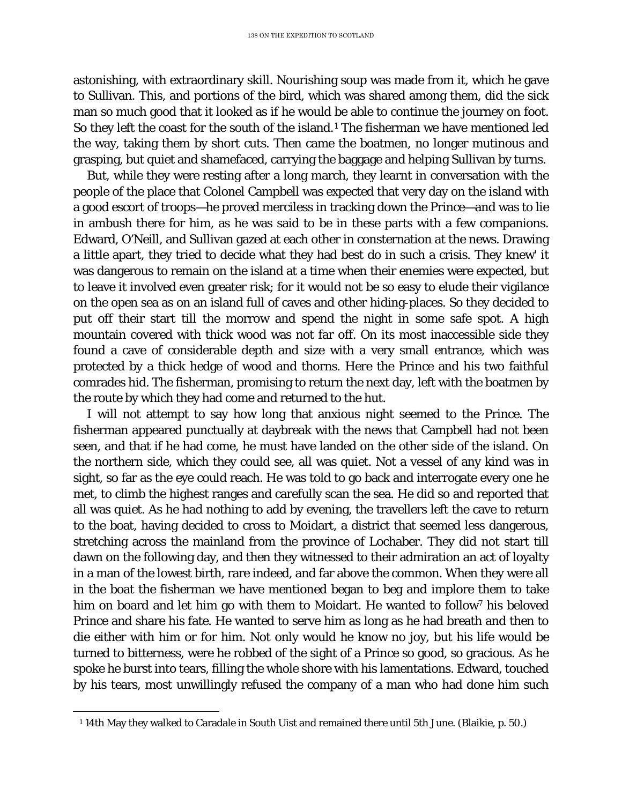astonishing, with extraordinary skill. Nourishing soup was made from it, which he gave to Sullivan. This, and portions of the bird, which was shared among them, did the sick man so much good that it looked as if he would be able to continue the journey on foot. So they left the coast for the south of the island.<sup>[1](#page-104-0)</sup> The fisherman we have mentioned led the way, taking them by short cuts. Then came the boatmen, no longer mutinous and grasping, but quiet and shamefaced, carrying the baggage and helping Sullivan by turns.

But, while they were resting after a long march, they learnt in conversation with the people of the place that Colonel Campbell was expected that very day on the island with a good escort of troops—he proved merciless in tracking down the Prince—and was to lie in ambush there for him, as he was said to be in these parts with a few companions. Edward, O'Neill, and Sullivan gazed at each other in consternation at the news. Drawing a little apart, they tried to decide what they had best do in such a crisis. They knew' it was dangerous to remain on the island at a time when their enemies were expected, but to leave it involved even greater risk; for it would not be so easy to elude their vigilance on the open sea as on an island full of caves and other hiding-places. So they decided to put off their start till the morrow and spend the night in some safe spot. A high mountain covered with thick wood was not far off. On its most inaccessible side they found a cave of considerable depth and size with a very small entrance, which was protected by a thick hedge of wood and thorns. Here the Prince and his two faithful comrades hid. The fisherman, promising to return the next day, left with the boatmen by the route by which they had come and returned to the hut.

I will not attempt to say how long that anxious night seemed to the Prince. The fisherman appeared punctually at daybreak with the news that Campbell had not been seen, and that if he had come, he must have landed on the other side of the island. On the northern side, which they could see, all was quiet. Not a vessel of any kind was in sight, so far as the eye could reach. He was told to go back and interrogate every one he met, to climb the highest ranges and carefully scan the sea. He did so and reported that all was quiet. As he had nothing to add by evening, the travellers left the cave to return to the boat, having decided to cross to Moidart, a district that seemed less dangerous, stretching across the mainland from the province of Lochaber. They did not start till dawn on the following day, and then they witnessed to their admiration an act of loyalty in a man of the lowest birth, rare indeed, and far above the common. When they were all in the boat the fisherman we have mentioned began to beg and implore them to take him on board and let him go with them to Moidart. He wanted to follow<sup>7</sup> his beloved Prince and share his fate. He wanted to serve him as long as he had breath and then to die either with him or for him. Not only would he know no joy, but his life would be turned to bitterness, were he robbed of the sight of a Prince so good, so gracious. As he spoke he burst into tears, filling the whole shore with his lamentations. Edward, touched by his tears, most unwillingly refused the company of a man who had done him such

<span id="page-104-0"></span>Ĩ. <sup>1</sup> 14th May they walked to Caradale in South Uist and remained there until 5th June. (Blaikie, p. 50.)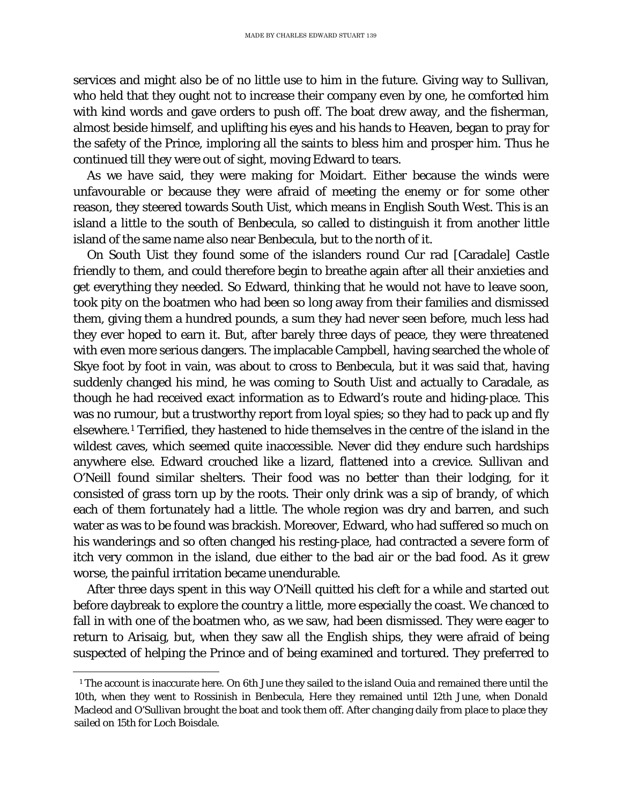services and might also be of no little use to him in the future. Giving way to Sullivan, who held that they ought not to increase their company even by one, he comforted him with kind words and gave orders to push off. The boat drew away, and the fisherman, almost beside himself, and uplifting his eyes and his hands to Heaven, began to pray for the safety of the Prince, imploring all the saints to bless him and prosper him. Thus he continued till they were out of sight, moving Edward to tears.

As we have said, they were making for Moidart. Either because the winds were unfavourable or because they were afraid of meeting the enemy or for some other reason, they steered towards South Uist, which means in English South West. This is an island a little to the south of Benbecula, so called to distinguish it from another little island of the same name also near Benbecula, but to the north of it.

On South Uist they found some of the islanders round Cur rad [Caradale] Castle friendly to them, and could therefore begin to breathe again after all their anxieties and get everything they needed. So Edward, thinking that he would not have to leave soon, took pity on the boatmen who had been so long away from their families and dismissed them, giving them a hundred pounds, a sum they had never seen before, much less had they ever hoped to earn it. But, after barely three days of peace, they were threatened with even more serious dangers. The implacable Campbell, having searched the whole of Skye foot by foot in vain, was about to cross to Benbecula, but it was said that, having suddenly changed his mind, he was coming to South Uist and actually to Caradale, as though he had received exact information as to Edward's route and hiding-place. This was no rumour, but a trustworthy report from loyal spies; so they had to pack up and fly elsewhere.[1](#page-105-0) Terrified, they hastened to hide themselves in the centre of the island in the wildest caves, which seemed quite inaccessible. Never did they endure such hardships anywhere else. Edward crouched like a lizard, flattened into a crevice. Sullivan and O'Neill found similar shelters. Their food was no better than their lodging, for it consisted of grass torn up by the roots. Their only drink was a sip of brandy, of which each of them fortunately had a little. The whole region was dry and barren, and such water as was to be found was brackish. Moreover, Edward, who had suffered so much on his wanderings and so often changed his resting-place, had contracted a severe form of itch very common in the island, due either to the bad air or the bad food. As it grew worse, the painful irritation became unendurable.

After three days spent in this way O'Neill quitted his cleft for a while and started out before daybreak to explore the country a little, more especially the coast. We chanced to fall in with one of the boatmen who, as we saw, had been dismissed. They were eager to return to Arisaig, but, when they saw all the English ships, they were afraid of being suspected of helping the Prince and of being examined and tortured. They preferred to

<span id="page-105-0"></span>Ĩ. <sup>1</sup> The account is inaccurate here. On 6th June they sailed to the island Ouia and remained there until the 10th, when they went to Rossinish in Benbecula, Here they remained until 12th June, when Donald Macleod and O'Sullivan brought the boat and took them off. After changing daily from place to place they sailed on 15th for Loch Boisdale.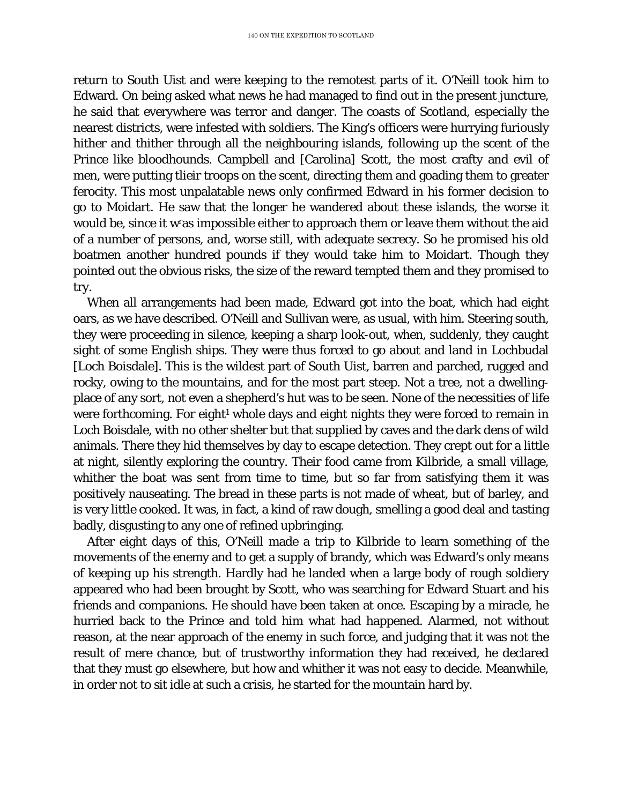return to South Uist and were keeping to the remotest parts of it. O'Neill took him to Edward. On being asked what news he had managed to find out in the present juncture, he said that everywhere was terror and danger. The coasts of Scotland, especially the nearest districts, were infested with soldiers. The King's officers were hurrying furiously hither and thither through all the neighbouring islands, following up the scent of the Prince like bloodhounds. Campbell and [Carolina] Scott, the most crafty and evil of men, were putting tlieir troops on the scent, directing them and goading them to greater ferocity. This most unpalatable news only confirmed Edward in his former decision to go to Moidart. He saw that the longer he wandered about these islands, the worse it would be, since it wras impossible either to approach them or leave them without the aid of a number of persons, and, worse still, with adequate secrecy. So he promised his old boatmen another hundred pounds if they would take him to Moidart. Though they pointed out the obvious risks, the size of the reward tempted them and they promised to try.

When all arrangements had been made, Edward got into the boat, which had eight oars, as we have described. O'Neill and Sullivan were, as usual, with him. Steering south, they were proceeding in silence, keeping a sharp look-out, when, suddenly, they caught sight of some English ships. They were thus forced to go about and land in Lochbudal [Loch Boisdale]. This is the wildest part of South Uist, barren and parched, rugged and rocky, owing to the mountains, and for the most part steep. Not a tree, not a dwellingplace of any sort, not even a shepherd's hut was to be seen. None of the necessities of life were forthcoming. For eight<sup>1</sup> whole days and eight nights they were forced to remain in Loch Boisdale, with no other shelter but that supplied by caves and the dark dens of wild animals. There they hid themselves by day to escape detection. They crept out for a little at night, silently exploring the country. Their food came from Kilbride, a small village, whither the boat was sent from time to time, but so far from satisfying them it was positively nauseating. The bread in these parts is not made of wheat, but of barley, and is very little cooked. It was, in fact, a kind of raw dough, smelling a good deal and tasting badly, disgusting to any one of refined upbringing.

After eight days of this, O'Neill made a trip to Kilbride to learn something of the movements of the enemy and to get a supply of brandy, which was Edward's only means of keeping up his strength. Hardly had he landed when a large body of rough soldiery appeared who had been brought by Scott, who was searching for Edward Stuart and his friends and companions. He should have been taken at once. Escaping by a miracle, he hurried back to the Prince and told him what had happened. Alarmed, not without reason, at the near approach of the enemy in such force, and judging that it was not the result of mere chance, but of trustworthy information they had received, he declared that they must go elsewhere, but how and whither it was not easy to decide. Meanwhile, in order not to sit idle at such a crisis, he started for the mountain hard by.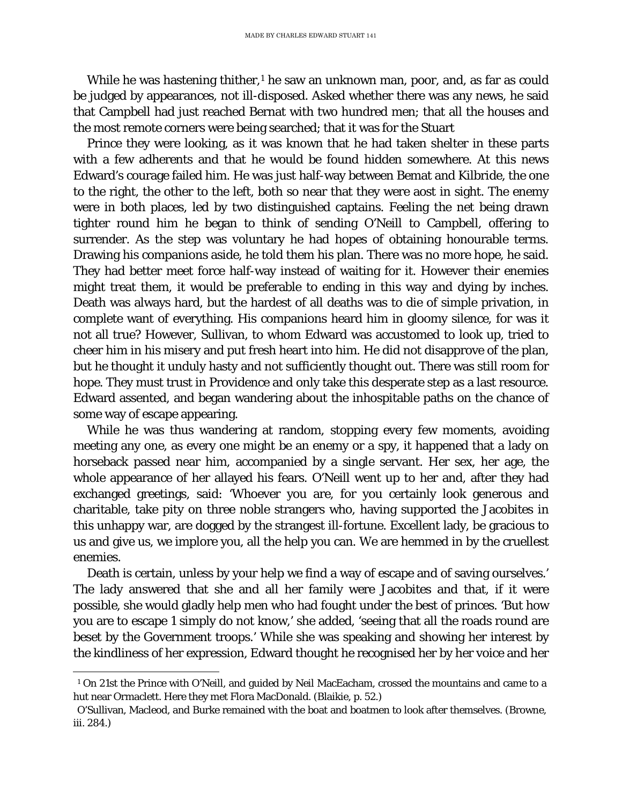While he was hastening thither, $1$  he saw an unknown man, poor, and, as far as could be judged by appearances, not ill-disposed. Asked whether there was any news, he said that Campbell had just reached Bernat with two hundred men; that all the houses and the most remote corners were being searched; that it was for the Stuart

Prince they were looking, as it was known that he had taken shelter in these parts with a few adherents and that he would be found hidden somewhere. At this news Edward's courage failed him. He was just half-way between Bemat and Kilbride, the one to the right, the other to the left, both so near that they were aost in sight. The enemy were in both places, led by two distinguished captains. Feeling the net being drawn tighter round him he began to think of sending O'Neill to Campbell, offering to surrender. As the step was voluntary he had hopes of obtaining honourable terms. Drawing his companions aside, he told them his plan. There was no more hope, he said. They had better meet force half-way instead of waiting for it. However their enemies might treat them, it would be preferable to ending in this way and dying by inches. Death was always hard, but the hardest of all deaths was to die of simple privation, in complete want of everything. His companions heard him in gloomy silence, for was it not all true? However, Sullivan, to whom Edward was accustomed to look up, tried to cheer him in his misery and put fresh heart into him. He did not disapprove of the plan, but he thought it unduly hasty and not sufficiently thought out. There was still room for hope. They must trust in Providence and only take this desperate step as a last resource. Edward assented, and began wandering about the inhospitable paths on the chance of some way of escape appearing.

While he was thus wandering at random, stopping every few moments, avoiding meeting any one, as every one might be an enemy or a spy, it happened that a lady on horseback passed near him, accompanied by a single servant. Her sex, her age, the whole appearance of her allayed his fears. O'Neill went up to her and, after they had exchanged greetings, said: 'Whoever you are, for you certainly look generous and charitable, take pity on three noble strangers who, having supported the Jacobites in this unhappy war, are dogged by the strangest ill-fortune. Excellent lady, be gracious to us and give us, we implore you, all the help you can. We are hemmed in by the cruellest enemies.

Death is certain, unless by your help we find a way of escape and of saving ourselves.' The lady answered that she and all her family were Jacobites and that, if it were possible, she would gladly help men who had fought under the best of princes. 'But how you are to escape 1 simply do not know,' she added, 'seeing that all the roads round are beset by the Government troops.' While she was speaking and showing her interest by the kindliness of her expression, Edward thought he recognised her by her voice and her

<span id="page-107-0"></span>Ĩ. <sup>1</sup> On 21st the Prince with O'Neill, and guided by Neil MacEacham, crossed the mountains and came to a hut near Ormaclett. Here they met Flora MacDonald. (Blaikie, p. 52.)

O'Sullivan, Macleod, and Burke remained with the boat and boatmen to look after themselves. (Browne, iii. 284.)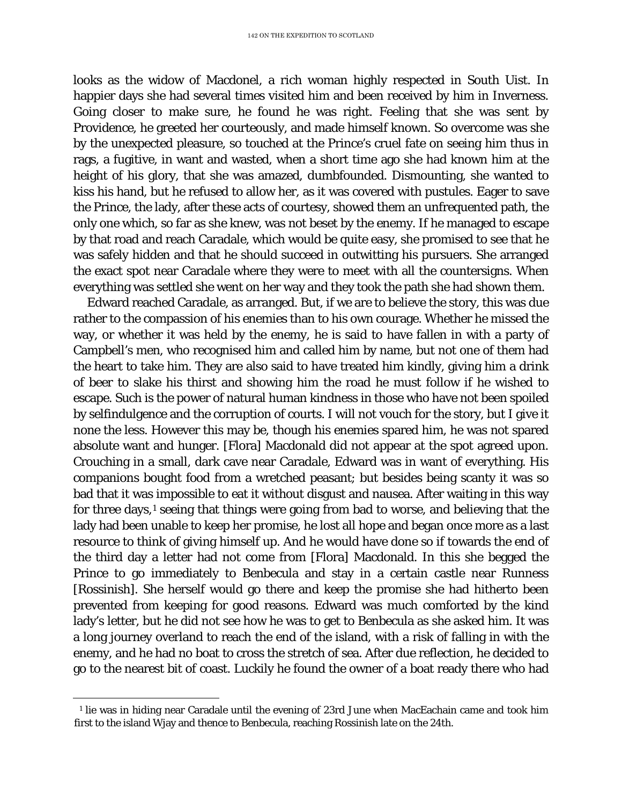looks as the widow of Macdonel, a rich woman highly respected in South Uist. In happier days she had several times visited him and been received by him in Inverness. Going closer to make sure, he found he was right. Feeling that she was sent by Providence, he greeted her courteously, and made himself known. So overcome was she by the unexpected pleasure, so touched at the Prince's cruel fate on seeing him thus in rags, a fugitive, in want and wasted, when a short time ago she had known him at the height of his glory, that she was amazed, dumbfounded. Dismounting, she wanted to kiss his hand, but he refused to allow her, as it was covered with pustules. Eager to save the Prince, the lady, after these acts of courtesy, showed them an unfrequented path, the only one which, so far as she knew, was not beset by the enemy. If he managed to escape by that road and reach Caradale, which would be quite easy, she promised to see that he was safely hidden and that he should succeed in outwitting his pursuers. She arranged the exact spot near Caradale where they were to meet with all the countersigns. When everything was settled she went on her way and they took the path she had shown them.

Edward reached Caradale, as arranged. But, if we are to believe the story, this was due rather to the compassion of his enemies than to his own courage. Whether he missed the way, or whether it was held by the enemy, he is said to have fallen in with a party of Campbell's men, who recognised him and called him by name, but not one of them had the heart to take him. They are also said to have treated him kindly, giving him a drink of beer to slake his thirst and showing him the road he must follow if he wished to escape. Such is the power of natural human kindness in those who have not been spoiled by selfindulgence and the corruption of courts. I will not vouch for the story, but I give it none the less. However this may be, though his enemies spared him, he was not spared absolute want and hunger. [Flora] Macdonald did not appear at the spot agreed upon. Crouching in a small, dark cave near Caradale, Edward was in want of everything. His companions bought food from a wretched peasant; but besides being scanty it was so bad that it was impossible to eat it without disgust and nausea. After waiting in this way for three days,<sup>[1](#page-108-0)</sup> seeing that things were going from bad to worse, and believing that the lady had been unable to keep her promise, he lost all hope and began once more as a last resource to think of giving himself up. And he would have done so if towards the end of the third day a letter had not come from [Flora] Macdonald. In this she begged the Prince to go immediately to Benbecula and stay in a certain castle near Runness [Rossinish]. She herself would go there and keep the promise she had hitherto been prevented from keeping for good reasons. Edward was much comforted by the kind lady's letter, but he did not see how he was to get to Benbecula as she asked him. It was a long journey overland to reach the end of the island, with a risk of falling in with the enemy, and he had no boat to cross the stretch of sea. After due reflection, he decided to go to the nearest bit of coast. Luckily he found the owner of a boat ready there who had

<span id="page-108-0"></span>Ĩ. <sup>1</sup> lie was in hiding near Caradale until the evening of 23rd June when MacEachain came and took him first to the island Wjay and thence to Benbecula, reaching Rossinish late on the 24th.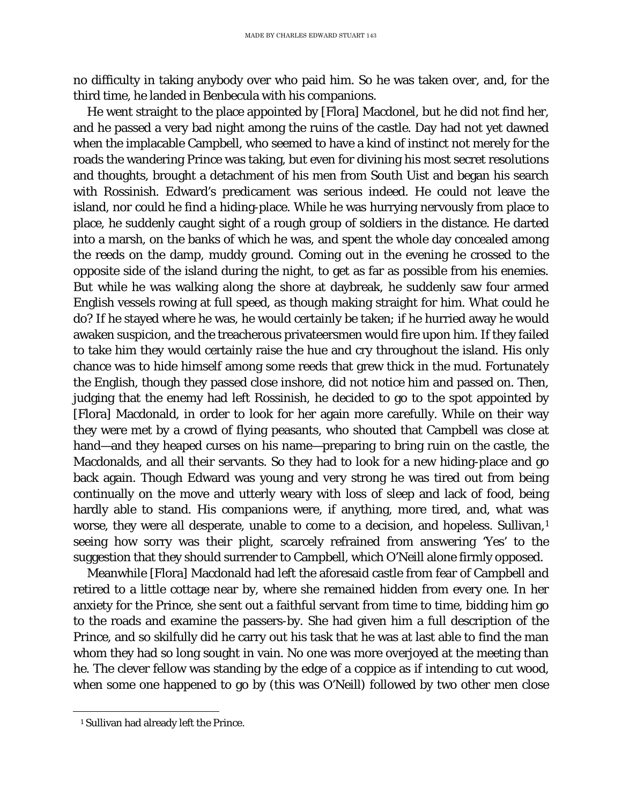no difficulty in taking anybody over who paid him. So he was taken over, and, for the third time, he landed in Benbecula with his companions.

He went straight to the place appointed by [Flora] Macdonel, but he did not find her, and he passed a very bad night among the ruins of the castle. Day had not yet dawned when the implacable Campbell, who seemed to have a kind of instinct not merely for the roads the wandering Prince was taking, but even for divining his most secret resolutions and thoughts, brought a detachment of his men from South Uist and began his search with Rossinish. Edward's predicament was serious indeed. He could not leave the island, nor could he find a hiding-place. While he was hurrying nervously from place to place, he suddenly caught sight of a rough group of soldiers in the distance. He darted into a marsh, on the banks of which he was, and spent the whole day concealed among the reeds on the damp, muddy ground. Coming out in the evening he crossed to the opposite side of the island during the night, to get as far as possible from his enemies. But while he was walking along the shore at daybreak, he suddenly saw four armed English vessels rowing at full speed, as though making straight for him. What could he do? If he stayed where he was, he would certainly be taken; if he hurried away he would awaken suspicion, and the treacherous privateersmen would fire upon him. If they failed to take him they would certainly raise the hue and cry throughout the island. His only chance was to hide himself among some reeds that grew thick in the mud. Fortunately the English, though they passed close inshore, did not notice him and passed on. Then, judging that the enemy had left Rossinish, he decided to go to the spot appointed by [Flora] Macdonald, in order to look for her again more carefully. While on their way they were met by a crowd of flying peasants, who shouted that Campbell was close at hand—and they heaped curses on his name—preparing to bring ruin on the castle, the Macdonalds, and all their servants. So they had to look for a new hiding-place and go back again. Though Edward was young and very strong he was tired out from being continually on the move and utterly weary with loss of sleep and lack of food, being hardly able to stand. His companions were, if anything, more tired, and, what was worse, they were all desperate, unable to come to a decision, and hopeless. Sullivan,<sup>[1](#page-109-0)</sup> seeing how sorry was their plight, scarcely refrained from answering 'Yes' to the suggestion that they should surrender to Campbell, which O'Neill alone firmly opposed.

Meanwhile [Flora] Macdonald had left the aforesaid castle from fear of Campbell and retired to a little cottage near by, where she remained hidden from every one. In her anxiety for the Prince, she sent out a faithful servant from time to time, bidding him go to the roads and examine the passers-by. She had given him a full description of the Prince, and so skilfully did he carry out his task that he was at last able to find the man whom they had so long sought in vain. No one was more overjoyed at the meeting than he. The clever fellow was standing by the edge of a coppice as if intending to cut wood, when some one happened to go by (this was O'Neill) followed by two other men close

<span id="page-109-0"></span>Ĩ. <sup>1</sup> Sullivan had already left the Prince.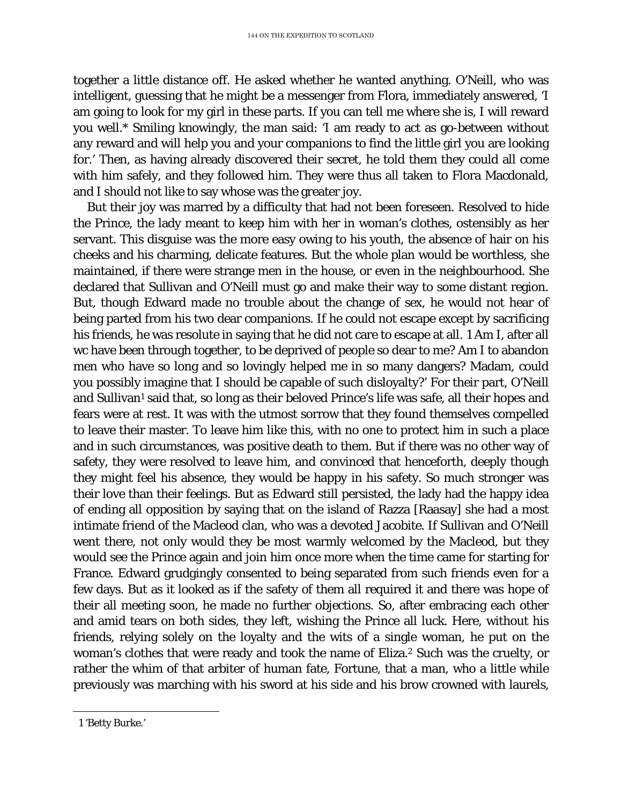together a little distance off. He asked whether he wanted anything. O'Neill, who was intelligent, guessing that he might be a messenger from Flora, immediately answered, 'I am going to look for my girl in these parts. If you can tell me where she is, I will reward you well.\* Smiling knowingly, the man said: 'I am ready to act as go-between without any reward and will help you and your companions to find the little girl you are looking for.' Then, as having already discovered their secret, he told them they could all come with him safely, and they followed him. They were thus all taken to Flora Macdonald, and I should not like to say whose was the greater joy.

But their joy was marred by a difficulty that had not been foreseen. Resolved to hide the Prince, the lady meant to keep him with her in woman's clothes, ostensibly as her servant. This disguise was the more easy owing to his youth, the absence of hair on his cheeks and his charming, delicate features. But the whole plan would be worthless, she maintained, if there were strange men in the house, or even in the neighbourhood. She declared that Sullivan and O'Neill must go and make their way to some distant region. But, though Edward made no trouble about the change of sex, he would not hear of being parted from his two dear companions. If he could not escape except by sacrificing his friends, he was resolute in saying that he did not care to escape at all. [1](#page-110-0) Am I, after all wc have been through together, to be deprived of people so dear to me? Am I to abandon men who have so long and so lovingly helped me in so many dangers? Madam, could you possibly imagine that I should be capable of such disloyalty?' For their part, O'Neill and Sullivan<sup>1</sup> said that, so long as their beloved Prince's life was safe, all their hopes and fears were at rest. It was with the utmost sorrow that they found themselves compelled to leave their master. To leave him like this, with no one to protect him in such a place and in such circumstances, was positive death to them. But if there was no other way of safety, they were resolved to leave him, and convinced that henceforth, deeply though they might feel his absence, they would be happy in his safety. So much stronger was their love than their feelings. But as Edward still persisted, the lady had the happy idea of ending all opposition by saying that on the island of Razza [Raasay] she had a most intimate friend of the Macleod clan, who was a devoted Jacobite. If Sullivan and O'Neill went there, not only would they be most warmly welcomed by the Macleod, but they would see the Prince again and join him once more when the time came for starting for France. Edward grudgingly consented to being separated from such friends even for a few days. But as it looked as if the safety of them all required it and there was hope of their all meeting soon, he made no further objections. So, after embracing each other and amid tears on both sides, they left, wishing the Prince all luck. Here, without his friends, relying solely on the loyalty and the wits of a single woman, he put on the woman's clothes that were ready and took the name of Eliza.2 Such was the cruelty, or rather the whim of that arbiter of human fate, Fortune, that a man, who a little while previously was marching with his sword at his side and his brow crowned with laurels,

<span id="page-110-0"></span>Ĩ. 1 'Betty Burke.'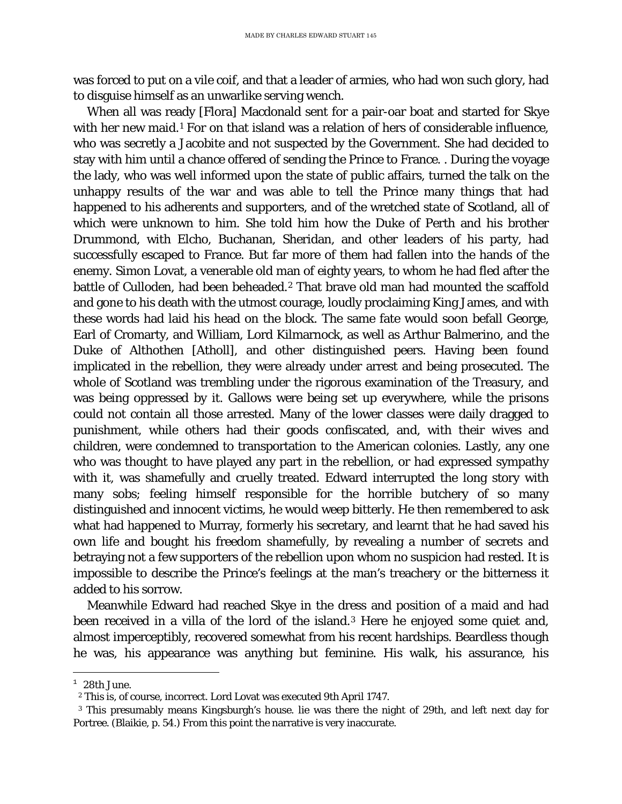was forced to put on a vile coif, and that a leader of armies, who had won such glory, had to disguise himself as an unwarlike serving wench.

When all was ready [Flora] Macdonald sent for a pair-oar boat and started for Skye with her new maid.<sup>[1](#page-111-0)</sup> For on that island was a relation of hers of considerable influence, who was secretly a Jacobite and not suspected by the Government. She had decided to stay with him until a chance offered of sending the Prince to France. . During the voyage the lady, who was well informed upon the state of public affairs, turned the talk on the unhappy results of the war and was able to tell the Prince many things that had happened to his adherents and supporters, and of the wretched state of Scotland, all of which were unknown to him. She told him how the Duke of Perth and his brother Drummond, with Elcho, Buchanan, Sheridan, and other leaders of his party, had successfully escaped to France. But far more of them had fallen into the hands of the enemy. Simon Lovat, a venerable old man of eighty years, to whom he had fled after the battle of Culloden, had been beheaded.<sup>[2](#page-111-1)</sup> That brave old man had mounted the scaffold and gone to his death with the utmost courage, loudly proclaiming King James, and with these words had laid his head on the block. The same fate would soon befall George, Earl of Cromarty, and William, Lord Kilmarnock, as well as Arthur Balmerino, and the Duke of Althothen [Atholl], and other distinguished peers. Having been found implicated in the rebellion, they were already under arrest and being prosecuted. The whole of Scotland was trembling under the rigorous examination of the Treasury, and was being oppressed by it. Gallows were being set up everywhere, while the prisons could not contain all those arrested. Many of the lower classes were daily dragged to punishment, while others had their goods confiscated, and, with their wives and children, were condemned to transportation to the American colonies. Lastly, any one who was thought to have played any part in the rebellion, or had expressed sympathy with it, was shamefully and cruelly treated. Edward interrupted the long story with many sobs; feeling himself responsible for the horrible butchery of so many distinguished and innocent victims, he would weep bitterly. He then remembered to ask what had happened to Murray, formerly his secretary, and learnt that he had saved his own life and bought his freedom shamefully, by revealing a number of secrets and betraying not a few supporters of the rebellion upon whom no suspicion had rested. It is impossible to describe the Prince's feelings at the man's treachery or the bitterness it added to his sorrow.

Meanwhile Edward had reached Skye in the dress and position of a maid and had been received in a villa of the lord of the island.<sup>[3](#page-111-2)</sup> Here he enjoyed some quiet and, almost imperceptibly, recovered somewhat from his recent hardships. Beardless though he was, his appearance was anything but feminine. His walk, his assurance, his

<span id="page-111-0"></span>t  $1\;28$ th June.

<sup>2</sup> This is, of course, incorrect. Lord Lovat was executed 9th April 1747.

<span id="page-111-2"></span><span id="page-111-1"></span><sup>3</sup> This presumably means Kingsburgh's house. lie was there the night of 29th, and left next day for Portree. (Blaikie, p. 54.) From this point the narrative is very inaccurate.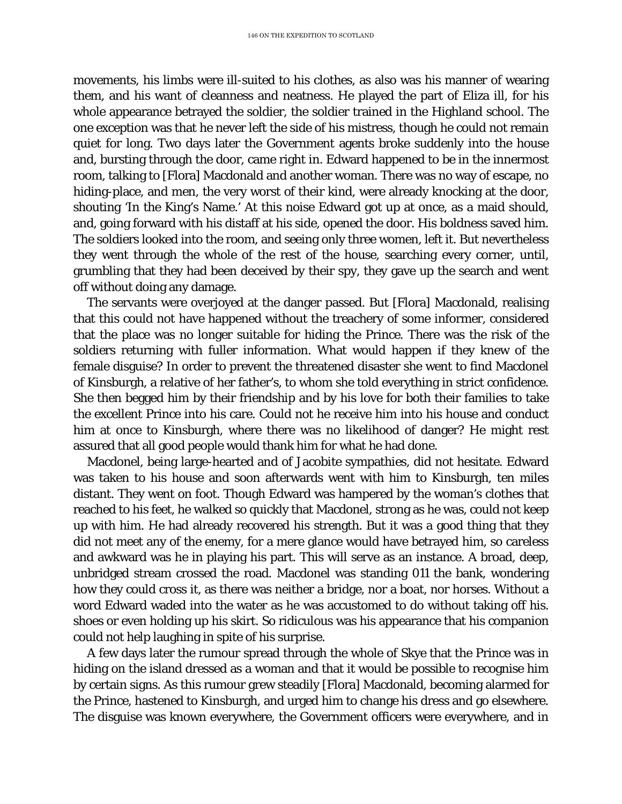movements, his limbs were ill-suited to his clothes, as also was his manner of wearing them, and his want of cleanness and neatness. He played the part of Eliza ill, for his whole appearance betrayed the soldier, the soldier trained in the Highland school. The one exception was that he never left the side of his mistress, though he could not remain quiet for long. Two days later the Government agents broke suddenly into the house and, bursting through the door, came right in. Edward happened to be in the innermost room, talking to [Flora] Macdonald and another woman. There was no way of escape, no hiding-place, and men, the very worst of their kind, were already knocking at the door, shouting 'In the King's Name.' At this noise Edward got up at once, as a maid should, and, going forward with his distaff at his side, opened the door. His boldness saved him. The soldiers looked into the room, and seeing only three women, left it. But nevertheless they went through the whole of the rest of the house, searching every corner, until, grumbling that they had been deceived by their spy, they gave up the search and went off without doing any damage.

The servants were overjoyed at the danger passed. But [Flora] Macdonald, realising that this could not have happened without the treachery of some informer, considered that the place was no longer suitable for hiding the Prince. There was the risk of the soldiers returning with fuller information. What would happen if they knew of the female disguise? In order to prevent the threatened disaster she went to find Macdonel of Kinsburgh, a relative of her father's, to whom she told everything in strict confidence. She then begged him by their friendship and by his love for both their families to take the excellent Prince into his care. Could not he receive him into his house and conduct him at once to Kinsburgh, where there was no likelihood of danger? He might rest assured that all good people would thank him for what he had done.

Macdonel, being large-hearted and of Jacobite sympathies, did not hesitate. Edward was taken to his house and soon afterwards went with him to Kinsburgh, ten miles distant. They went on foot. Though Edward was hampered by the woman's clothes that reached to his feet, he walked so quickly that Macdonel, strong as he was, could not keep up with him. He had already recovered his strength. But it was a good thing that they did not meet any of the enemy, for a mere glance would have betrayed him, so careless and awkward was he in playing his part. This will serve as an instance. A broad, deep, unbridged stream crossed the road. Macdonel was standing 011 the bank, wondering how they could cross it, as there was neither a bridge, nor a boat, nor horses. Without a word Edward waded into the water as he was accustomed to do without taking off his. shoes or even holding up his skirt. So ridiculous was his appearance that his companion could not help laughing in spite of his surprise.

A few days later the rumour spread through the whole of Skye that the Prince was in hiding on the island dressed as a woman and that it would be possible to recognise him by certain signs. As this rumour grew steadily [Flora] Macdonald, becoming alarmed for the Prince, hastened to Kinsburgh, and urged him to change his dress and go elsewhere. The disguise was known everywhere, the Government officers were everywhere, and in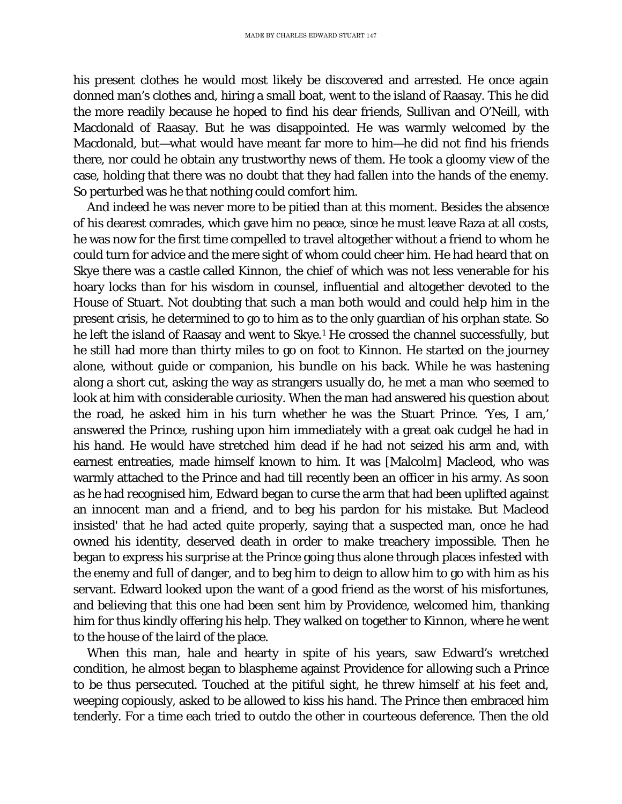his present clothes he would most likely be discovered and arrested. He once again donned man's clothes and, hiring a small boat, went to the island of Raasay. This he did the more readily because he hoped to find his dear friends, Sullivan and O'Neill, with Macdonald of Raasay. But he was disappointed. He was warmly welcomed by the Macdonald, but—what would have meant far more to him—he did not find his friends there, nor could he obtain any trustworthy news of them. He took a gloomy view of the case, holding that there was no doubt that they had fallen into the hands of the enemy. So perturbed was he that nothing could comfort him.

And indeed he was never more to be pitied than at this moment. Besides the absence of his dearest comrades, which gave him no peace, since he must leave Raza at all costs, he was now for the first time compelled to travel altogether without a friend to whom he could turn for advice and the mere sight of whom could cheer him. He had heard that on Skye there was a castle called Kinnon, the chief of which was not less venerable for his hoary locks than for his wisdom in counsel, influential and altogether devoted to the House of Stuart. Not doubting that such a man both would and could help him in the present crisis, he determined to go to him as to the only guardian of his orphan state. So he left the island of Raasay and went to Skye.<sup>1</sup> He crossed the channel successfully, but he still had more than thirty miles to go on foot to Kinnon. He started on the journey alone, without guide or companion, his bundle on his back. While he was hastening along a short cut, asking the way as strangers usually do, he met a man who seemed to look at him with considerable curiosity. When the man had answered his question about the road, he asked him in his turn whether he was the Stuart Prince. 'Yes, I am,' answered the Prince, rushing upon him immediately with a great oak cudgel he had in his hand. He would have stretched him dead if he had not seized his arm and, with earnest entreaties, made himself known to him. It was [Malcolm] Macleod, who was warmly attached to the Prince and had till recently been an officer in his army. As soon as he had recognised him, Edward began to curse the arm that had been uplifted against an innocent man and a friend, and to beg his pardon for his mistake. But Macleod insisted' that he had acted quite properly, saying that a suspected man, once he had owned his identity, deserved death in order to make treachery impossible. Then he began to express his surprise at the Prince going thus alone through places infested with the enemy and full of danger, and to beg him to deign to allow him to go with him as his servant. Edward looked upon the want of a good friend as the worst of his misfortunes, and believing that this one had been sent him by Providence, welcomed him, thanking him for thus kindly offering his help. They walked on together to Kinnon, where he went to the house of the laird of the place.

When this man, hale and hearty in spite of his years, saw Edward's wretched condition, he almost began to blaspheme against Providence for allowing such a Prince to be thus persecuted. Touched at the pitiful sight, he threw himself at his feet and, weeping copiously, asked to be allowed to kiss his hand. The Prince then embraced him tenderly. For a time each tried to outdo the other in courteous deference. Then the old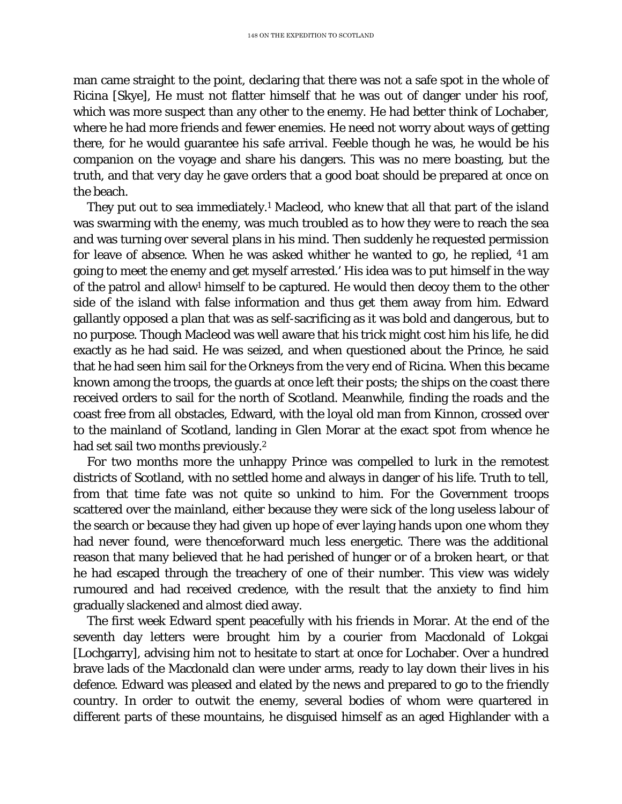man came straight to the point, declaring that there was not a safe spot in the whole of Ricina [Skye], He must not flatter himself that he was out of danger under his roof, which was more suspect than any other to the enemy. He had better think of Lochaber, where he had more friends and fewer enemies. He need not worry about ways of getting there, for he would guarantee his safe arrival. Feeble though he was, he would be his companion on the voyage and share his dangers. This was no mere boasting, but the truth, and that very day he gave orders that a good boat should be prepared at once on the beach.

They put out to sea immediately.<sup>1</sup> Macleod, who knew that all that part of the island was swarming with the enemy, was much troubled as to how they were to reach the sea and was turning over several plans in his mind. Then suddenly he requested permission for leave of absence. When he was asked whither he wanted to go, he replied, 41 am going to meet the enemy and get myself arrested.' His idea was to put himself in the way of the patrol and allow1 himself to be captured. He would then decoy them to the other side of the island with false information and thus get them away from him. Edward gallantly opposed a plan that was as self-sacrificing as it was bold and dangerous, but to no purpose. Though Macleod was well aware that his trick might cost him his life, he did exactly as he had said. He was seized, and when questioned about the Prince, he said that he had seen him sail for the Orkneys from the very end of Ricina. When this became known among the troops, the guards at once left their posts; the ships on the coast there received orders to sail for the north of Scotland. Meanwhile, finding the roads and the coast free from all obstacles, Edward, with the loyal old man from Kinnon, crossed over to the mainland of Scotland, landing in Glen Morar at the exact spot from whence he had set sail two months previously.<sup>2</sup>

For two months more the unhappy Prince was compelled to lurk in the remotest districts of Scotland, with no settled home and always in danger of his life. Truth to tell, from that time fate was not quite so unkind to him. For the Government troops scattered over the mainland, either because they were sick of the long useless labour of the search or because they had given up hope of ever laying hands upon one whom they had never found, were thenceforward much less energetic. There was the additional reason that many believed that he had perished of hunger or of a broken heart, or that he had escaped through the treachery of one of their number. This view was widely rumoured and had received credence, with the result that the anxiety to find him gradually slackened and almost died away.

The first week Edward spent peacefully with his friends in Morar. At the end of the seventh day letters were brought him by a courier from Macdonald of Lokgai [Lochgarry], advising him not to hesitate to start at once for Lochaber. Over a hundred brave lads of the Macdonald clan were under arms, ready to lay down their lives in his defence. Edward was pleased and elated by the news and prepared to go to the friendly country. In order to outwit the enemy, several bodies of whom were quartered in different parts of these mountains, he disguised himself as an aged Highlander with a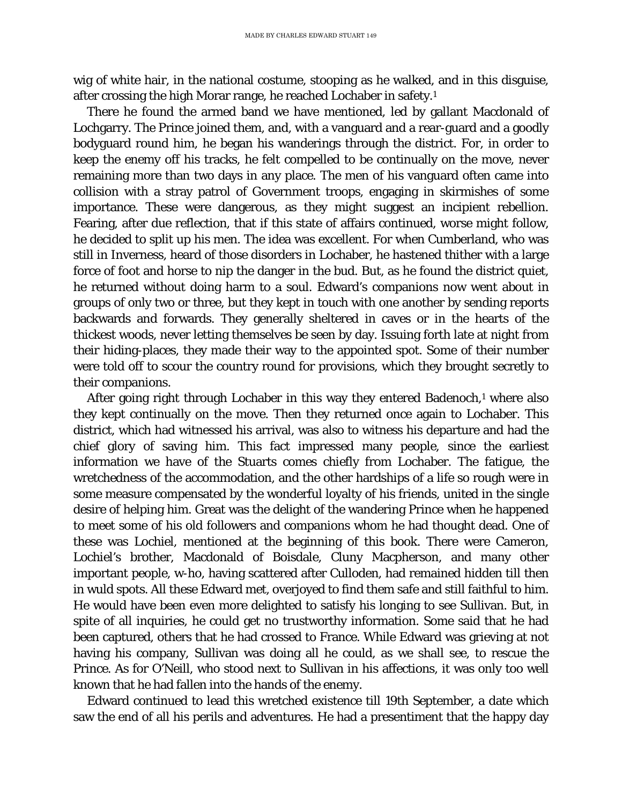wig of white hair, in the national costume, stooping as he walked, and in this disguise, after crossing the high Morar range, he reached Lochaber in safety.1

There he found the armed band we have mentioned, led by gallant Macdonald of Lochgarry. The Prince joined them, and, with a vanguard and a rear-guard and a goodly bodyguard round him, he began his wanderings through the district. For, in order to keep the enemy off his tracks, he felt compelled to be continually on the move, never remaining more than two days in any place. The men of his vanguard often came into collision with a stray patrol of Government troops, engaging in skirmishes of some importance. These were dangerous, as they might suggest an incipient rebellion. Fearing, after due reflection, that if this state of affairs continued, worse might follow, he decided to split up his men. The idea was excellent. For when Cumberland, who was still in Inverness, heard of those disorders in Lochaber, he hastened thither with a large force of foot and horse to nip the danger in the bud. But, as he found the district quiet, he returned without doing harm to a soul. Edward's companions now went about in groups of only two or three, but they kept in touch with one another by sending reports backwards and forwards. They generally sheltered in caves or in the hearts of the thickest woods, never letting themselves be seen by day. Issuing forth late at night from their hiding-places, they made their way to the appointed spot. Some of their number were told off to scour the country round for provisions, which they brought secretly to their companions.

After going right through Lochaber in this way they entered Badenoch,<sup>1</sup> where also they kept continually on the move. Then they returned once again to Lochaber. This district, which had witnessed his arrival, was also to witness his departure and had the chief glory of saving him. This fact impressed many people, since the earliest information we have of the Stuarts comes chiefly from Lochaber. The fatigue, the wretchedness of the accommodation, and the other hardships of a life so rough were in some measure compensated by the wonderful loyalty of his friends, united in the single desire of helping him. Great was the delight of the wandering Prince when he happened to meet some of his old followers and companions whom he had thought dead. One of these was Lochiel, mentioned at the beginning of this book. There were Cameron, Lochiel's brother, Macdonald of Boisdale, Cluny Macpherson, and many other important people, w-ho, having scattered after Culloden, had remained hidden till then in wuld spots. All these Edward met, overjoyed to find them safe and still faithful to him. He would have been even more delighted to satisfy his longing to see Sullivan. But, in spite of all inquiries, he could get no trustworthy information. Some said that he had been captured, others that he had crossed to France. While Edward was grieving at not having his company, Sullivan was doing all he could, as we shall see, to rescue the Prince. As for O'Neill, who stood next to Sullivan in his affections, it was only too well known that he had fallen into the hands of the enemy.

Edward continued to lead this wretched existence till 19th September, a date which saw the end of all his perils and adventures. He had a presentiment that the happy day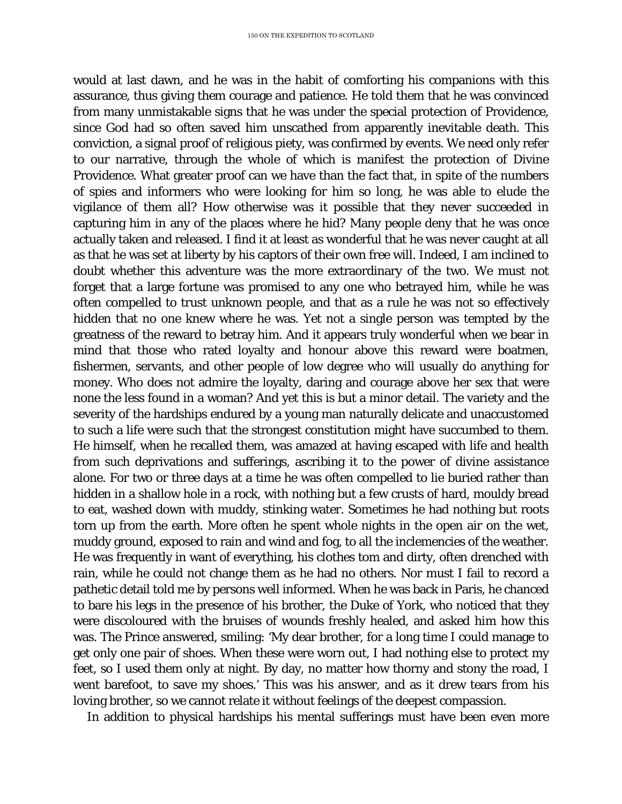would at last dawn, and he was in the habit of comforting his companions with this assurance, thus giving them courage and patience. He told them that he was convinced from many unmistakable signs that he was under the special protection of Providence, since God had so often saved him unscathed from apparently inevitable death. This conviction, a signal proof of religious piety, was confirmed by events. We need only refer to our narrative, through the whole of which is manifest the protection of Divine Providence. What greater proof can we have than the fact that, in spite of the numbers of spies and informers who were looking for him so long, he was able to elude the vigilance of them all? How otherwise was it possible that they never succeeded in capturing him in any of the places where he hid? Many people deny that he was once actually taken and released. I find it at least as wonderful that he was never caught at all as that he was set at liberty by his captors of their own free will. Indeed, I am inclined to doubt whether this adventure was the more extraordinary of the two. We must not forget that a large fortune was promised to any one who betrayed him, while he was often compelled to trust unknown people, and that as a rule he was not so effectively hidden that no one knew where he was. Yet not a single person was tempted by the greatness of the reward to betray him. And it appears truly wonderful when we bear in mind that those who rated loyalty and honour above this reward were boatmen, fishermen, servants, and other people of low degree who will usually do anything for money. Who does not admire the loyalty, daring and courage above her sex that were none the less found in a woman? And yet this is but a minor detail. The variety and the severity of the hardships endured by a young man naturally delicate and unaccustomed to such a life were such that the strongest constitution might have succumbed to them. He himself, when he recalled them, was amazed at having escaped with life and health from such deprivations and sufferings, ascribing it to the power of divine assistance alone. For two or three days at a time he was often compelled to lie buried rather than hidden in a shallow hole in a rock, with nothing but a few crusts of hard, mouldy bread to eat, washed down with muddy, stinking water. Sometimes he had nothing but roots torn up from the earth. More often he spent whole nights in the open air on the wet, muddy ground, exposed to rain and wind and fog, to all the inclemencies of the weather. He was frequently in want of everything, his clothes tom and dirty, often drenched with rain, while he could not change them as he had no others. Nor must I fail to record a pathetic detail told me by persons well informed. When he was back in Paris, he chanced to bare his legs in the presence of his brother, the Duke of York, who noticed that they were discoloured with the bruises of wounds freshly healed, and asked him how this was. The Prince answered, smiling: 'My dear brother, for a long time I could manage to get only one pair of shoes. When these were worn out, I had nothing else to protect my feet, so I used them only at night. By day, no matter how thorny and stony the road, I went barefoot, to save my shoes.' This was his answer, and as it drew tears from his loving brother, so we cannot relate it without feelings of the deepest compassion.

In addition to physical hardships his mental sufferings must have been even more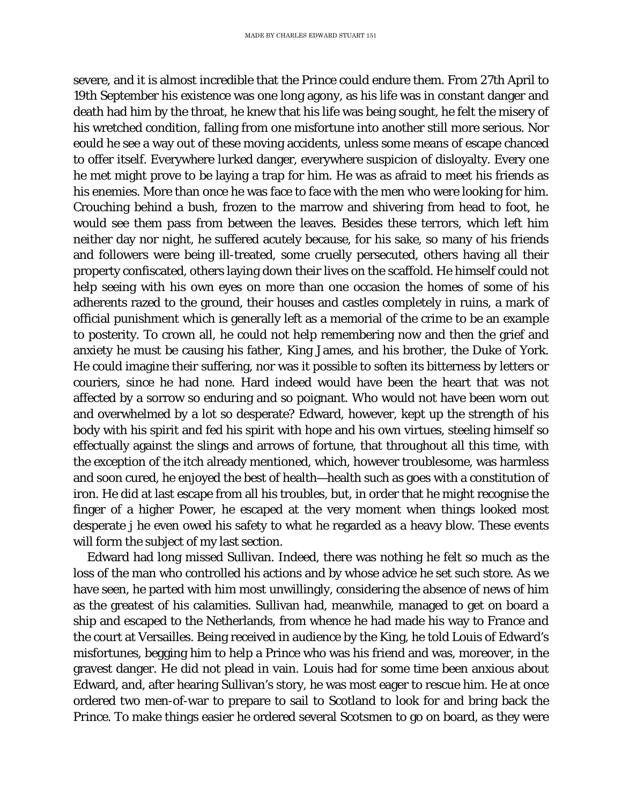severe, and it is almost incredible that the Prince could endure them. From 27th April to 19th September his existence was one long agony, as his life was in constant danger and death had him by the throat, he knew that his life was being sought, he felt the misery of his wretched condition, falling from one misfortune into another still more serious. Nor eould he see a way out of these moving accidents, unless some means of escape chanced to offer itself. Everywhere lurked danger, everywhere suspicion of disloyalty. Every one he met might prove to be laying a trap for him. He was as afraid to meet his friends as his enemies. More than once he was face to face with the men who were looking for him. Crouching behind a bush, frozen to the marrow and shivering from head to foot, he would see them pass from between the leaves. Besides these terrors, which left him neither day nor night, he suffered acutely because, for his sake, so many of his friends and followers were being ill-treated, some cruelly persecuted, others having all their property confiscated, others laying down their lives on the scaffold. He himself could not help seeing with his own eyes on more than one occasion the homes of some of his adherents razed to the ground, their houses and castles completely in ruins, a mark of official punishment which is generally left as a memorial of the crime to be an example to posterity. To crown all, he could not help remembering now and then the grief and anxiety he must be causing his father, King James, and his brother, the Duke of York. He could imagine their suffering, nor was it possible to soften its bitterness by letters or couriers, since he had none. Hard indeed would have been the heart that was not affected by a sorrow so enduring and so poignant. Who would not have been worn out and overwhelmed by a lot so desperate? Edward, however, kept up the strength of his body with his spirit and fed his spirit with hope and his own virtues, steeling himself so effectually against the slings and arrows of fortune, that throughout all this time, with the exception of the itch already mentioned, which, however troublesome, was harmless and soon cured, he enjoyed the best of health—health such as goes with a constitution of iron. He did at last escape from all his troubles, but, in order that he might recognise the finger of a higher Power, he escaped at the very moment when things looked most desperate j he even owed his safety to what he regarded as a heavy blow. These events will form the subject of my last section.

Edward had long missed Sullivan. Indeed, there was nothing he felt so much as the loss of the man who controlled his actions and by whose advice he set such store. As we have seen, he parted with him most unwillingly, considering the absence of news of him as the greatest of his calamities. Sullivan had, meanwhile, managed to get on board a ship and escaped to the Netherlands, from whence he had made his way to France and the court at Versailles. Being received in audience by the King, he told Louis of Edward's misfortunes, begging him to help a Prince who was his friend and was, moreover, in the gravest danger. He did not plead in vain. Louis had for some time been anxious about Edward, and, after hearing Sullivan's story, he was most eager to rescue him. He at once ordered two men-of-war to prepare to sail to Scotland to look for and bring back the Prince. To make things easier he ordered several Scotsmen to go on board, as they were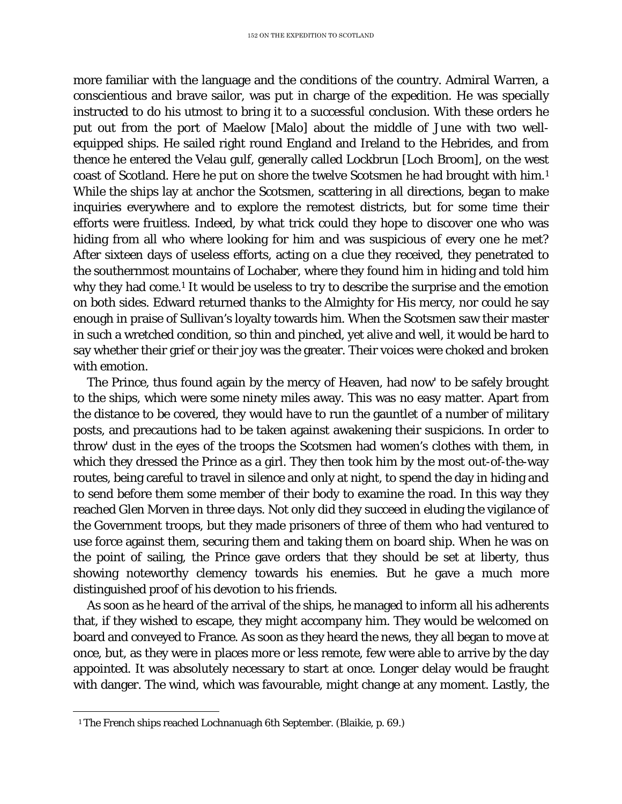more familiar with the language and the conditions of the country. Admiral Warren, a conscientious and brave sailor, was put in charge of the expedition. He was specially instructed to do his utmost to bring it to a successful conclusion. With these orders he put out from the port of Maelow [Malo] about the middle of June with two wellequipped ships. He sailed right round England and Ireland to the Hebrides, and from thence he entered the Velau gulf, generally called Lockbrun [Loch Broom], on the west coast of Scotland. Here he put on shore the twelve Scotsmen he had brought with him.[1](#page-118-0) While the ships lay at anchor the Scotsmen, scattering in all directions, began to make inquiries everywhere and to explore the remotest districts, but for some time their efforts were fruitless. Indeed, by what trick could they hope to discover one who was hiding from all who where looking for him and was suspicious of every one he met? After sixteen days of useless efforts, acting on a clue they received, they penetrated to the southernmost mountains of Lochaber, where they found him in hiding and told him why they had come.<sup>1</sup> It would be useless to try to describe the surprise and the emotion on both sides. Edward returned thanks to the Almighty for His mercy, nor could he say enough in praise of Sullivan's loyalty towards him. When the Scotsmen saw their master in such a wretched condition, so thin and pinched, yet alive and well, it would be hard to say whether their grief or their joy was the greater. Their voices were choked and broken with emotion.

The Prince, thus found again by the mercy of Heaven, had now' to be safely brought to the ships, which were some ninety miles away. This was no easy matter. Apart from the distance to be covered, they would have to run the gauntlet of a number of military posts, and precautions had to be taken against awakening their suspicions. In order to throw' dust in the eyes of the troops the Scotsmen had women's clothes with them, in which they dressed the Prince as a girl. They then took him by the most out-of-the-way routes, being careful to travel in silence and only at night, to spend the day in hiding and to send before them some member of their body to examine the road. In this way they reached Glen Morven in three days. Not only did they succeed in eluding the vigilance of the Government troops, but they made prisoners of three of them who had ventured to use force against them, securing them and taking them on board ship. When he was on the point of sailing, the Prince gave orders that they should be set at liberty, thus showing noteworthy clemency towards his enemies. But he gave a much more distinguished proof of his devotion to his friends.

As soon as he heard of the arrival of the ships, he managed to inform all his adherents that, if they wished to escape, they might accompany him. They would be welcomed on board and conveyed to France. As soon as they heard the news, they all began to move at once, but, as they were in places more or less remote, few were able to arrive by the day appointed. It was absolutely necessary to start at once. Longer delay would be fraught with danger. The wind, which was favourable, might change at any moment. Lastly, the

<span id="page-118-0"></span>Ĩ. <sup>1</sup> The French ships reached Lochnanuagh 6th September. (Blaikie, p. 69.)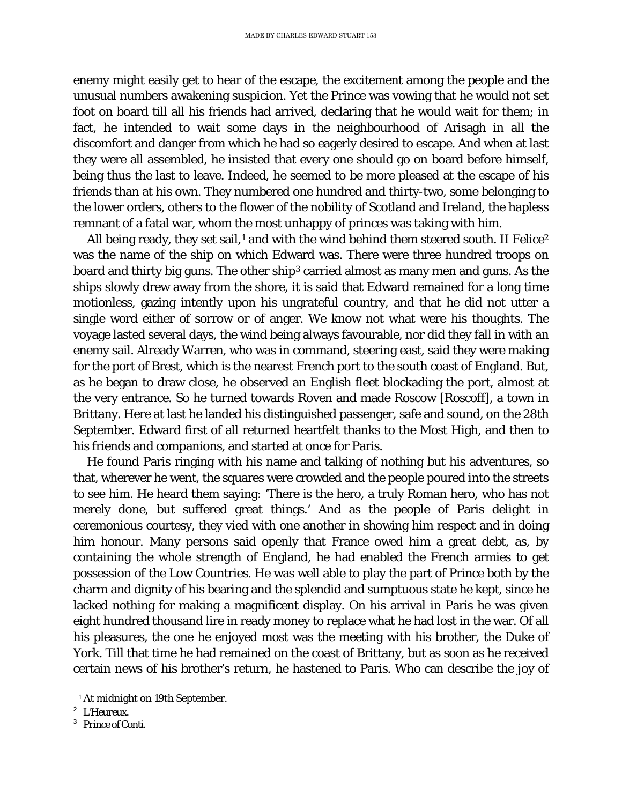enemy might easily get to hear of the escape, the excitement among the people and the unusual numbers awakening suspicion. Yet the Prince was vowing that he would not set foot on board till all his friends had arrived, declaring that he would wait for them; in fact, he intended to wait some days in the neighbourhood of Arisagh in all the discomfort and danger from which he had so eagerly desired to escape. And when at last they were all assembled, he insisted that every one should go on board before himself, being thus the last to leave. Indeed, he seemed to be more pleased at the escape of his friends than at his own. They numbered one hundred and thirty-two, some belonging to the lower orders, others to the flower of the nobility of Scotland and Ireland, the hapless remnant of a fatal war, whom the most unhappy of princes was taking with him.

All being ready, they set sail,<sup>[1](#page-119-0)</sup> and with the wind behind them steered south. *II Felice*<sup>[2](#page-119-1)</sup> was the name of the ship on which Edward was. There were three hundred troops on board and thirty big guns. The other ship<sup>[3](#page-119-2)</sup> carried almost as many men and guns. As the ships slowly drew away from the shore, it is said that Edward remained for a long time motionless, gazing intently upon his ungrateful country, and that he did not utter a single word either of sorrow or of anger. We know not what were his thoughts. The voyage lasted several days, the wind being always favourable, nor did they fall in with an enemy sail. Already Warren, who was in command, steering east, said they were making for the port of Brest, which is the nearest French port to the south coast of England. But, as he began to draw close, he observed an English fleet blockading the port, almost at the very entrance. So he turned towards Roven and made Roscow [Roscoff], a town in Brittany. Here at last he landed his distinguished passenger, safe and sound, on the 28th September. Edward first of all returned heartfelt thanks to the Most High, and then to his friends and companions, and started at once for Paris.

He found Paris ringing with his name and talking of nothing but his adventures, so that, wherever he went, the squares were crowded and the people poured into the streets to see him. He heard them saying: 'There is the hero, a truly Roman hero, who has not merely done, but suffered great things.' And as the people of Paris delight in ceremonious courtesy, they vied with one another in showing him respect and in doing him honour. Many persons said openly that France owed him a great debt, as, by containing the whole strength of England, he had enabled the French armies to get possession of the Low Countries. He was well able to play the part of Prince both by the charm and dignity of his bearing and the splendid and sumptuous state he kept, since he lacked nothing for making a magnificent display. On his arrival in Paris he was given eight hundred thousand lire in ready money to replace what he had lost in the war. Of all his pleasures, the one he enjoyed most was the meeting with his brother, the Duke of York. Till that time he had remained on the coast of Brittany, but as soon as he received certain news of his brother's return, he hastened to Paris. Who can describe the joy of

Ĩ. <sup>1</sup> At midnight on 19th September.

<span id="page-119-1"></span><span id="page-119-0"></span><sup>2</sup> *L'Heureux.*

<span id="page-119-2"></span><sup>3</sup> *Prince of Conti.*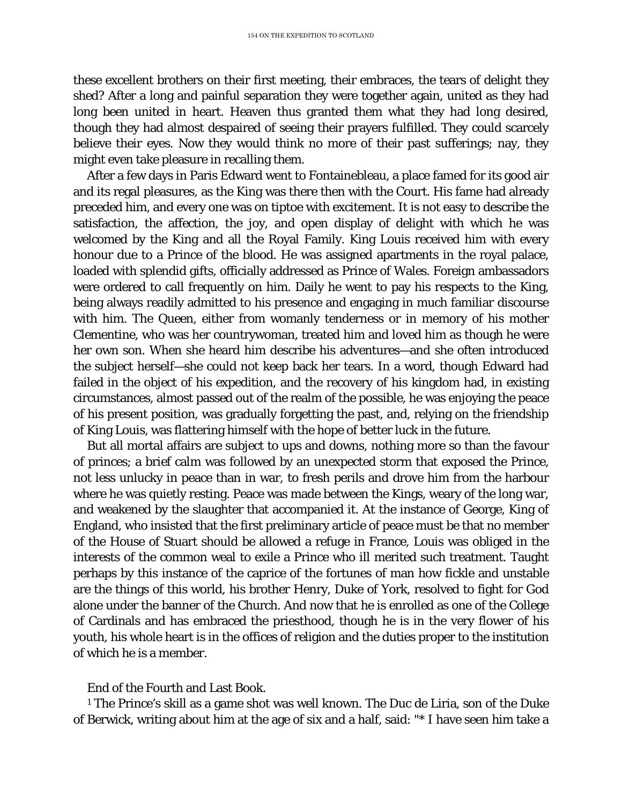these excellent brothers on their first meeting, their embraces, the tears of delight they shed? After a long and painful separation they were together again, united as they had long been united in heart. Heaven thus granted them what they had long desired, though they had almost despaired of seeing their prayers fulfilled. They could scarcely believe their eyes. Now they would think no more of their past sufferings; nay, they might even take pleasure in recalling them.

After a few days in Paris Edward went to Fontainebleau, a place famed for its good air and its regal pleasures, as the King was there then with the Court. His fame had already preceded him, and every one was on tiptoe with excitement. It is not easy to describe the satisfaction, the affection, the joy, and open display of delight with which he was welcomed by the King and all the Royal Family. King Louis received him with every honour due to a Prince of the blood. He was assigned apartments in the royal palace, loaded with splendid gifts, officially addressed as Prince of Wales. Foreign ambassadors were ordered to call frequently on him. Daily he went to pay his respects to the King, being always readily admitted to his presence and engaging in much familiar discourse with him. The Queen, either from womanly tenderness or in memory of his mother Clementine, who was her countrywoman, treated him and loved him as though he were her own son. When she heard him describe his adventures—and she often introduced the subject herself—she could not keep back her tears. In a word, though Edward had failed in the object of his expedition, and the recovery of his kingdom had, in existing circumstances, almost passed out of the realm of the possible, he was enjoying the peace of his present position, was gradually forgetting the past, and, relying on the friendship of King Louis, was flattering himself with the hope of better luck in the future.

But all mortal affairs are subject to ups and downs, nothing more so than the favour of princes; a brief calm was followed by an unexpected storm that exposed the Prince, not less unlucky in peace than in war, to fresh perils and drove him from the harbour where he was quietly resting. Peace was made between the Kings, weary of the long war, and weakened by the slaughter that accompanied it. At the instance of George, King of England, who insisted that the first preliminary article of peace must be that no member of the House of Stuart should be allowed a refuge in France, Louis was obliged in the interests of the common weal to exile a Prince who ill merited such treatment. Taught perhaps by this instance of the caprice of the fortunes of man how fickle and unstable are the things of this world, his brother Henry, Duke of York, resolved to fight for God alone under the banner of the Church. And now that he is enrolled as one of the College of Cardinals and has embraced the priesthood, though he is in the very flower of his youth, his whole heart is in the offices of religion and the duties proper to the institution of which he is a member.

## End of the Fourth and Last Book.

<sup>1</sup> The Prince's skill as a game shot was well known. The Duc de Liria, son of the Duke of Berwick, writing about him at the age of six and a half, said: "\* I have seen him take a